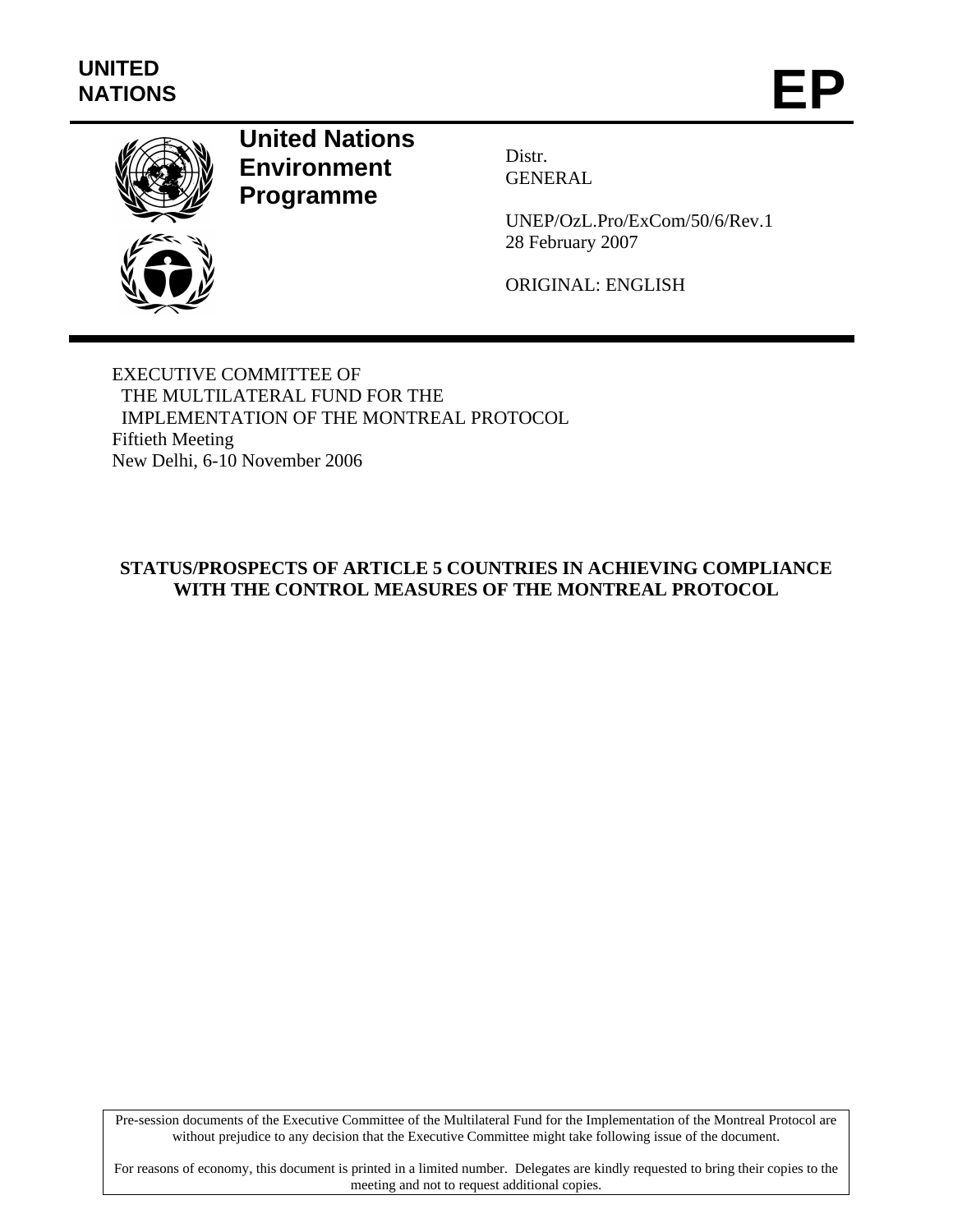

# **United Nations Environment Programme**

Distr. GENERAL

UNEP/OzL.Pro/ExCom/50/6/Rev.1 28 February 2007

ORIGINAL: ENGLISH

EXECUTIVE COMMITTEE OF THE MULTILATERAL FUND FOR THE IMPLEMENTATION OF THE MONTREAL PROTOCOL Fiftieth Meeting New Delhi, 6-10 November 2006

# **STATUS/PROSPECTS OF ARTICLE 5 COUNTRIES IN ACHIEVING COMPLIANCE WITH THE CONTROL MEASURES OF THE MONTREAL PROTOCOL**

Pre-session documents of the Executive Committee of the Multilateral Fund for the Implementation of the Montreal Protocol are without prejudice to any decision that the Executive Committee might take following issue of the document.

For reasons of economy, this document is printed in a limited number. Delegates are kindly requested to bring their copies to the meeting and not to request additional copies.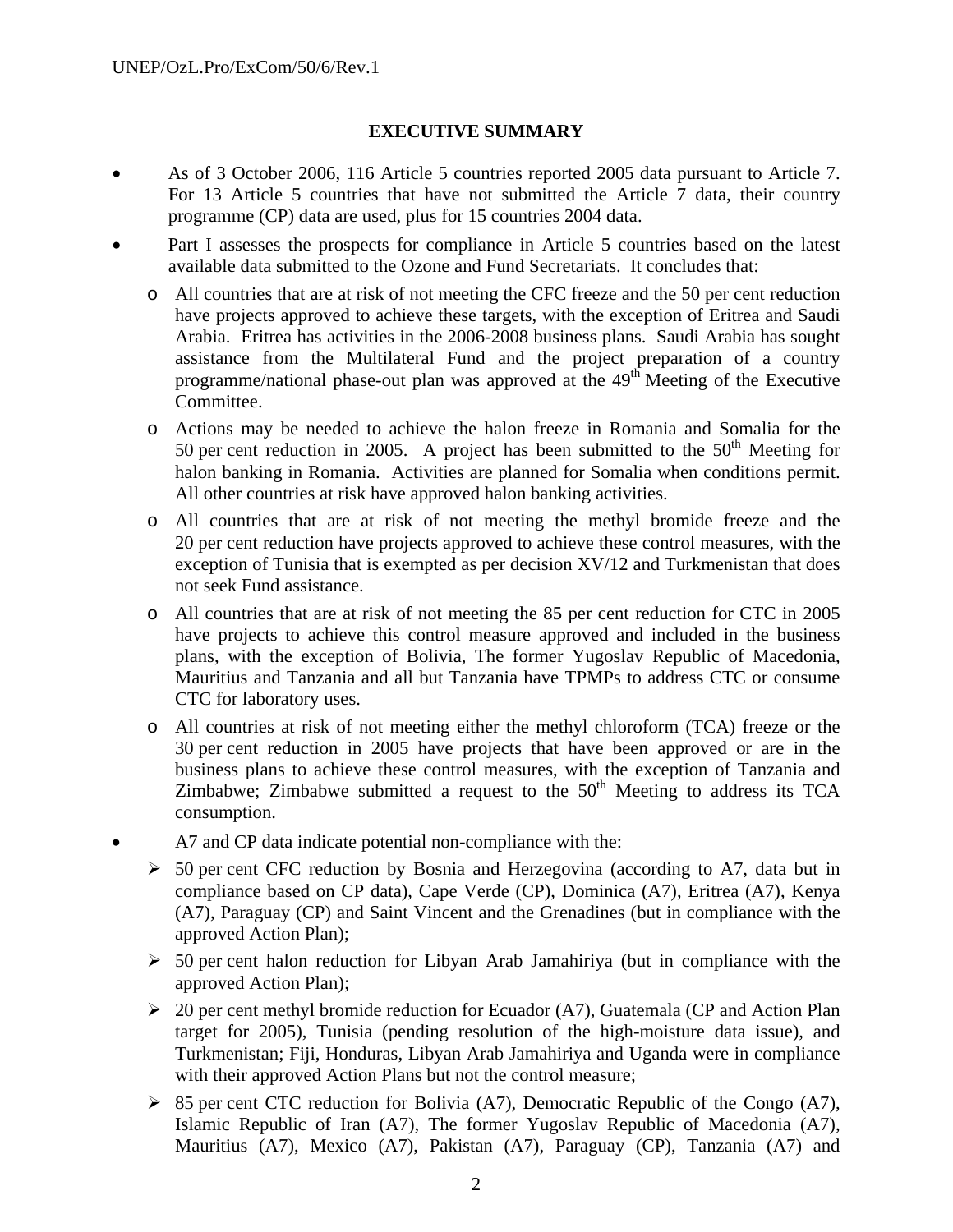### **EXECUTIVE SUMMARY**

- As of 3 October 2006, 116 Article 5 countries reported 2005 data pursuant to Article 7. For 13 Article 5 countries that have not submitted the Article 7 data, their country programme (CP) data are used, plus for 15 countries 2004 data.
- Part I assesses the prospects for compliance in Article 5 countries based on the latest available data submitted to the Ozone and Fund Secretariats. It concludes that:
	- o All countries that are at risk of not meeting the CFC freeze and the 50 per cent reduction have projects approved to achieve these targets, with the exception of Eritrea and Saudi Arabia. Eritrea has activities in the 2006-2008 business plans. Saudi Arabia has sought assistance from the Multilateral Fund and the project preparation of a country programme/national phase-out plan was approved at the 49th Meeting of the Executive Committee.
	- o Actions may be needed to achieve the halon freeze in Romania and Somalia for the 50 per cent reduction in 2005. A project has been submitted to the  $50<sup>th</sup>$  Meeting for halon banking in Romania. Activities are planned for Somalia when conditions permit. All other countries at risk have approved halon banking activities.
	- o All countries that are at risk of not meeting the methyl bromide freeze and the 20 per cent reduction have projects approved to achieve these control measures, with the exception of Tunisia that is exempted as per decision XV/12 and Turkmenistan that does not seek Fund assistance.
	- o All countries that are at risk of not meeting the 85 per cent reduction for CTC in 2005 have projects to achieve this control measure approved and included in the business plans, with the exception of Bolivia, The former Yugoslav Republic of Macedonia, Mauritius and Tanzania and all but Tanzania have TPMPs to address CTC or consume CTC for laboratory uses.
	- o All countries at risk of not meeting either the methyl chloroform (TCA) freeze or the 30 per cent reduction in 2005 have projects that have been approved or are in the business plans to achieve these control measures, with the exception of Tanzania and Zimbabwe; Zimbabwe submitted a request to the  $50<sup>th</sup>$  Meeting to address its TCA consumption.
- A7 and CP data indicate potential non-compliance with the:
	- $\geq$  50 per cent CFC reduction by Bosnia and Herzegovina (according to A7, data but in compliance based on CP data), Cape Verde (CP), Dominica (A7), Eritrea (A7), Kenya (A7), Paraguay (CP) and Saint Vincent and the Grenadines (but in compliance with the approved Action Plan);
	- $\geq$  50 per cent halon reduction for Libyan Arab Jamahiriya (but in compliance with the approved Action Plan);
	- $\geq 20$  per cent methyl bromide reduction for Ecuador (A7), Guatemala (CP and Action Plan target for 2005), Tunisia (pending resolution of the high-moisture data issue), and Turkmenistan; Fiji, Honduras, Libyan Arab Jamahiriya and Uganda were in compliance with their approved Action Plans but not the control measure;
	- $\triangleright$  85 per cent CTC reduction for Bolivia (A7), Democratic Republic of the Congo (A7), Islamic Republic of Iran (A7), The former Yugoslav Republic of Macedonia (A7), Mauritius (A7), Mexico (A7), Pakistan (A7), Paraguay (CP), Tanzania (A7) and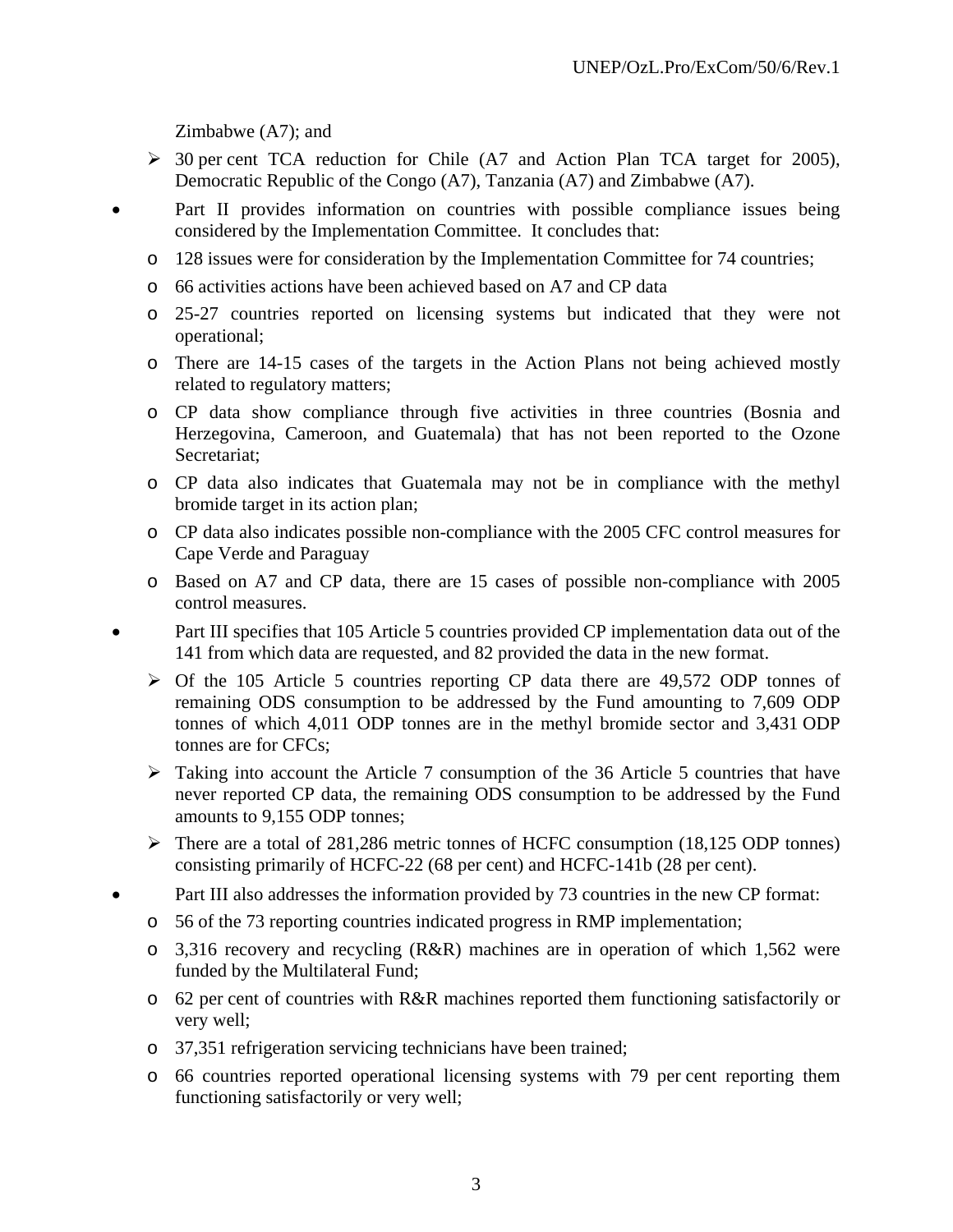Zimbabwe (A7); and

- ¾ 30 per cent TCA reduction for Chile (A7 and Action Plan TCA target for 2005), Democratic Republic of the Congo (A7), Tanzania (A7) and Zimbabwe (A7).
- Part II provides information on countries with possible compliance issues being considered by the Implementation Committee. It concludes that:
	- o 128 issues were for consideration by the Implementation Committee for 74 countries;
	- o 66 activities actions have been achieved based on A7 and CP data
	- o 25-27 countries reported on licensing systems but indicated that they were not operational;
	- o There are 14-15 cases of the targets in the Action Plans not being achieved mostly related to regulatory matters;
	- o CP data show compliance through five activities in three countries (Bosnia and Herzegovina, Cameroon, and Guatemala) that has not been reported to the Ozone Secretariat;
	- o CP data also indicates that Guatemala may not be in compliance with the methyl bromide target in its action plan;
	- o CP data also indicates possible non-compliance with the 2005 CFC control measures for Cape Verde and Paraguay
	- o Based on A7 and CP data, there are 15 cases of possible non-compliance with 2005 control measures.
- Part III specifies that 105 Article 5 countries provided CP implementation data out of the 141 from which data are requested, and 82 provided the data in the new format.
	- $\triangleright$  Of the 105 Article 5 countries reporting CP data there are 49,572 ODP tonnes of remaining ODS consumption to be addressed by the Fund amounting to 7,609 ODP tonnes of which 4,011 ODP tonnes are in the methyl bromide sector and 3,431 ODP tonnes are for CFCs;
	- $\triangleright$  Taking into account the Article 7 consumption of the 36 Article 5 countries that have never reported CP data, the remaining ODS consumption to be addressed by the Fund amounts to 9,155 ODP tonnes;
	- $\triangleright$  There are a total of 281,286 metric tonnes of HCFC consumption (18,125 ODP tonnes) consisting primarily of HCFC-22 (68 per cent) and HCFC-141b (28 per cent).
- Part III also addresses the information provided by 73 countries in the new CP format:
	- o 56 of the 73 reporting countries indicated progress in RMP implementation;
	- o 3,316 recovery and recycling (R&R) machines are in operation of which 1,562 were funded by the Multilateral Fund;
	- o 62 per cent of countries with R&R machines reported them functioning satisfactorily or very well;
	- o 37,351 refrigeration servicing technicians have been trained;
	- o 66 countries reported operational licensing systems with 79 per cent reporting them functioning satisfactorily or very well;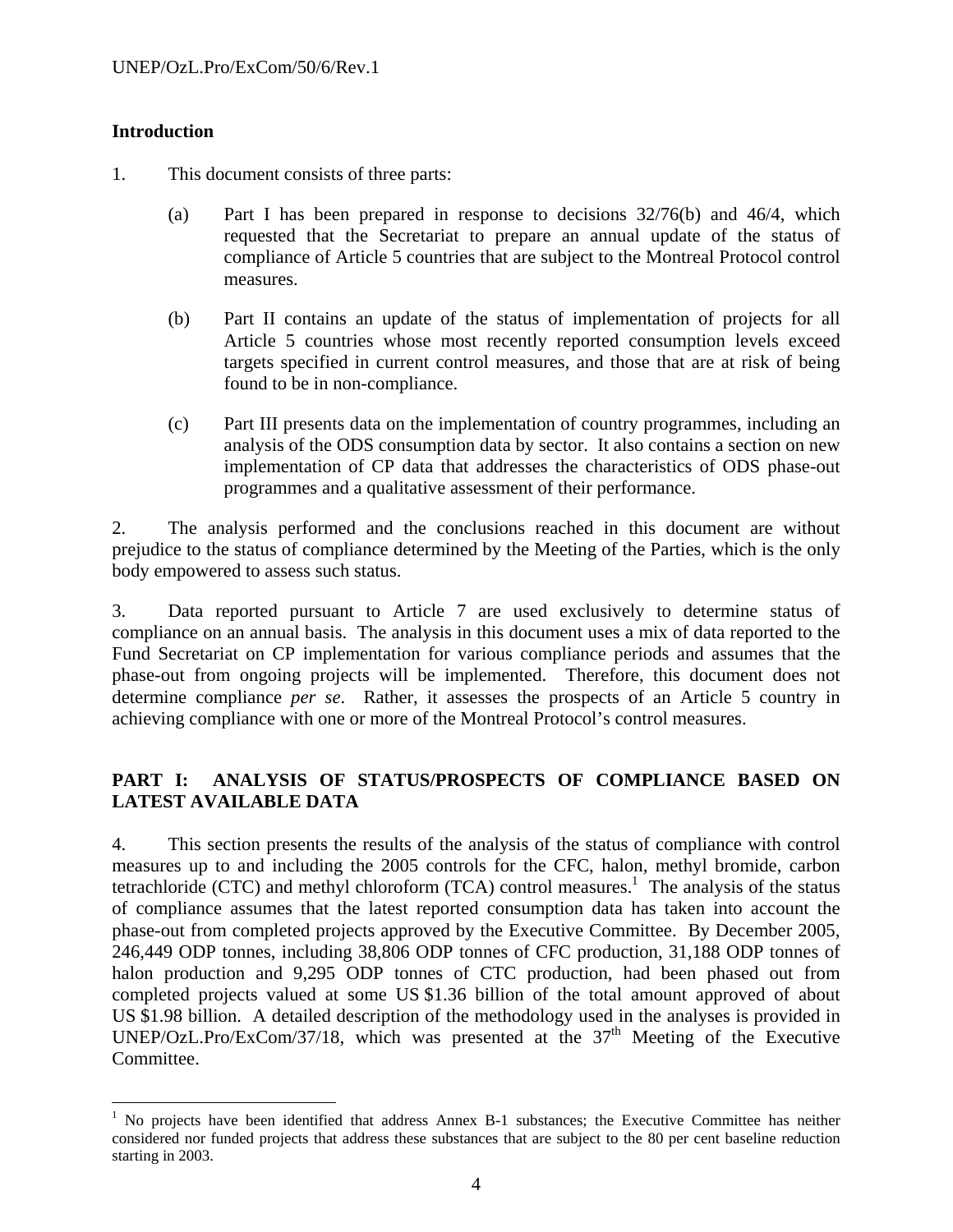### **Introduction**

 $\overline{a}$ 

- 1. This document consists of three parts:
	- (a) Part I has been prepared in response to decisions 32/76(b) and 46/4, which requested that the Secretariat to prepare an annual update of the status of compliance of Article 5 countries that are subject to the Montreal Protocol control measures.
	- (b) Part II contains an update of the status of implementation of projects for all Article 5 countries whose most recently reported consumption levels exceed targets specified in current control measures, and those that are at risk of being found to be in non-compliance.
	- (c) Part III presents data on the implementation of country programmes, including an analysis of the ODS consumption data by sector. It also contains a section on new implementation of CP data that addresses the characteristics of ODS phase-out programmes and a qualitative assessment of their performance.

2. The analysis performed and the conclusions reached in this document are without prejudice to the status of compliance determined by the Meeting of the Parties, which is the only body empowered to assess such status.

3. Data reported pursuant to Article 7 are used exclusively to determine status of compliance on an annual basis. The analysis in this document uses a mix of data reported to the Fund Secretariat on CP implementation for various compliance periods and assumes that the phase-out from ongoing projects will be implemented. Therefore, this document does not determine compliance *per se*. Rather, it assesses the prospects of an Article 5 country in achieving compliance with one or more of the Montreal Protocol's control measures.

### **PART I: ANALYSIS OF STATUS/PROSPECTS OF COMPLIANCE BASED ON LATEST AVAILABLE DATA**

4. This section presents the results of the analysis of the status of compliance with control measures up to and including the 2005 controls for the CFC, halon, methyl bromide, carbon tetrachloride (CTC) and methyl chloroform  $(TCA)$  control measures.<sup>1</sup> The analysis of the status of compliance assumes that the latest reported consumption data has taken into account the phase-out from completed projects approved by the Executive Committee. By December 2005, 246,449 ODP tonnes, including 38,806 ODP tonnes of CFC production, 31,188 ODP tonnes of halon production and 9,295 ODP tonnes of CTC production, had been phased out from completed projects valued at some US \$1.36 billion of the total amount approved of about US \$1.98 billion. A detailed description of the methodology used in the analyses is provided in UNEP/OzL.Pro/ExCom/37/18, which was presented at the  $37<sup>th</sup>$  Meeting of the Executive Committee.

<sup>&</sup>lt;sup>1</sup> No projects have been identified that address Annex B-1 substances; the Executive Committee has neither considered nor funded projects that address these substances that are subject to the 80 per cent baseline reduction starting in 2003.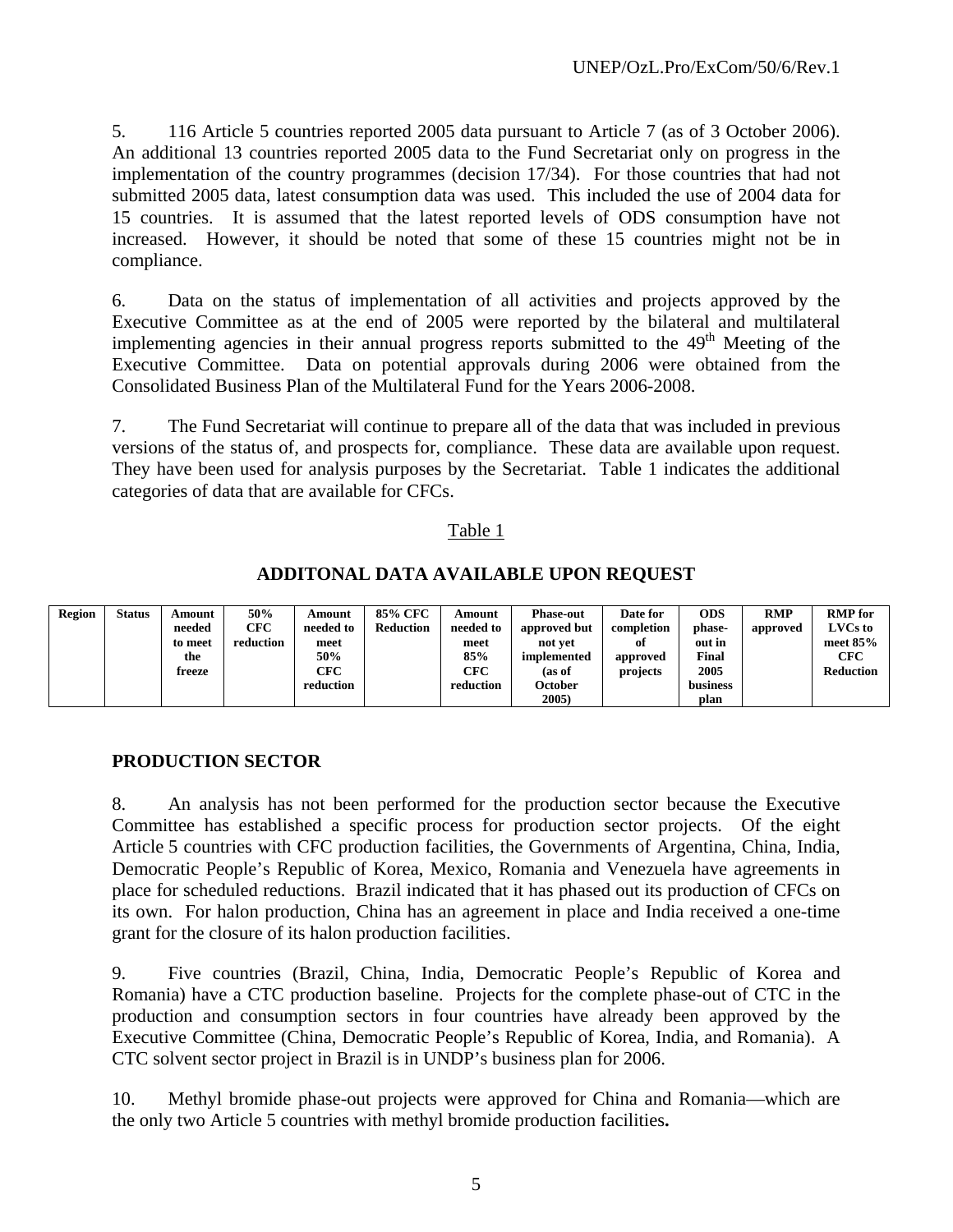5. 116 Article 5 countries reported 2005 data pursuant to Article 7 (as of 3 October 2006). An additional 13 countries reported 2005 data to the Fund Secretariat only on progress in the implementation of the country programmes (decision 17/34). For those countries that had not submitted 2005 data, latest consumption data was used. This included the use of 2004 data for 15 countries. It is assumed that the latest reported levels of ODS consumption have not increased. However, it should be noted that some of these 15 countries might not be in compliance.

6. Data on the status of implementation of all activities and projects approved by the Executive Committee as at the end of 2005 were reported by the bilateral and multilateral implementing agencies in their annual progress reports submitted to the  $49<sup>th</sup>$  Meeting of the Executive Committee. Data on potential approvals during 2006 were obtained from the Consolidated Business Plan of the Multilateral Fund for the Years 2006-2008.

7. The Fund Secretariat will continue to prepare all of the data that was included in previous versions of the status of, and prospects for, compliance. These data are available upon request. They have been used for analysis purposes by the Secretariat. Table 1 indicates the additional categories of data that are available for CFCs.

#### Table 1

### **ADDITONAL DATA AVAILABLE UPON REQUEST**

| Region | Status | Amount  | 50%        | Amount    | 85% CFC          | Amount    | <b>Phase-out</b> | Date for   | <b>ODS</b> | <b>RMP</b> | <b>RMP</b> for   |
|--------|--------|---------|------------|-----------|------------------|-----------|------------------|------------|------------|------------|------------------|
|        |        | needed  | <b>CFC</b> | needed to | <b>Reduction</b> | needed to | approved but     | completion | phase-     | approved   | LVCs to          |
|        |        | to meet | reduction  | meet      |                  | meet      | not vet          | оf         | out in     |            | meet $85%$       |
|        |        | the     |            | 50%       |                  | 85%       | implemented      | approved   | Final      |            | <b>CFC</b>       |
|        |        | freeze  |            | CFC       |                  | CFC       | (as of           | projects   | 2005       |            | <b>Reduction</b> |
|        |        |         |            | reduction |                  | reduction | October          |            | business   |            |                  |
|        |        |         |            |           |                  |           | 2005)            |            | plan       |            |                  |

### **PRODUCTION SECTOR**

8. An analysis has not been performed for the production sector because the Executive Committee has established a specific process for production sector projects. Of the eight Article 5 countries with CFC production facilities, the Governments of Argentina, China, India, Democratic People's Republic of Korea, Mexico, Romania and Venezuela have agreements in place for scheduled reductions. Brazil indicated that it has phased out its production of CFCs on its own. For halon production, China has an agreement in place and India received a one-time grant for the closure of its halon production facilities.

9. Five countries (Brazil, China, India, Democratic People's Republic of Korea and Romania) have a CTC production baseline. Projects for the complete phase-out of CTC in the production and consumption sectors in four countries have already been approved by the Executive Committee (China, Democratic People's Republic of Korea, India, and Romania). A CTC solvent sector project in Brazil is in UNDP's business plan for 2006.

10. Methyl bromide phase-out projects were approved for China and Romania—which are the only two Article 5 countries with methyl bromide production facilities**.**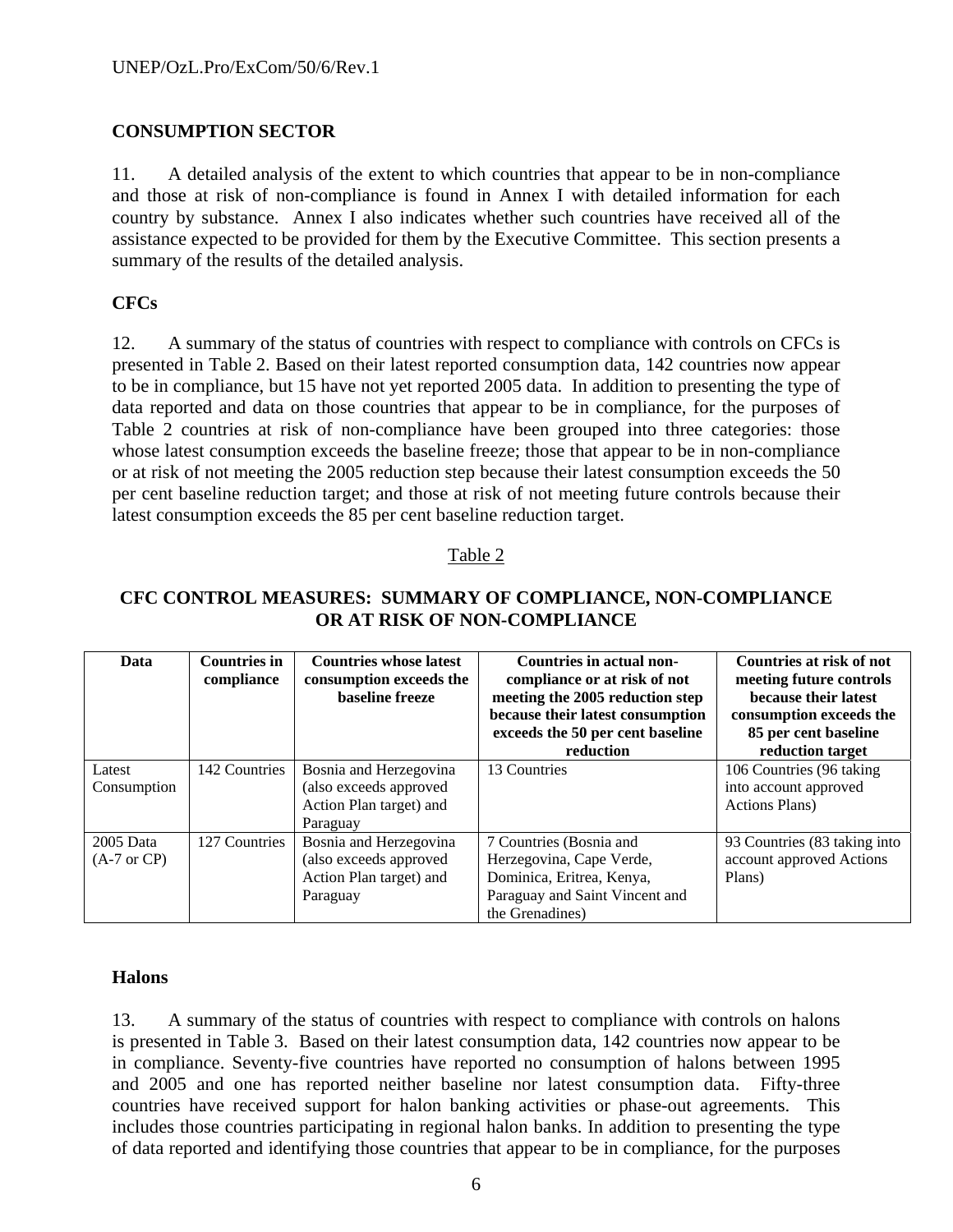### **CONSUMPTION SECTOR**

11. A detailed analysis of the extent to which countries that appear to be in non-compliance and those at risk of non-compliance is found in Annex I with detailed information for each country by substance. Annex I also indicates whether such countries have received all of the assistance expected to be provided for them by the Executive Committee. This section presents a summary of the results of the detailed analysis.

### **CFCs**

12. A summary of the status of countries with respect to compliance with controls on CFCs is presented in Table 2. Based on their latest reported consumption data, 142 countries now appear to be in compliance, but 15 have not yet reported 2005 data. In addition to presenting the type of data reported and data on those countries that appear to be in compliance, for the purposes of Table 2 countries at risk of non-compliance have been grouped into three categories: those whose latest consumption exceeds the baseline freeze; those that appear to be in non-compliance or at risk of not meeting the 2005 reduction step because their latest consumption exceeds the 50 per cent baseline reduction target; and those at risk of not meeting future controls because their latest consumption exceeds the 85 per cent baseline reduction target.

### Table 2

| Data                                  | <b>Countries in</b><br>compliance | <b>Countries whose latest</b><br>consumption exceeds the<br><b>baseline</b> freeze      | Countries in actual non-<br>compliance or at risk of not<br>meeting the 2005 reduction step<br>because their latest consumption<br>exceeds the 50 per cent baseline<br>reduction | Countries at risk of not<br>meeting future controls<br>because their latest<br>consumption exceeds the<br>85 per cent baseline<br>reduction target |
|---------------------------------------|-----------------------------------|-----------------------------------------------------------------------------------------|----------------------------------------------------------------------------------------------------------------------------------------------------------------------------------|----------------------------------------------------------------------------------------------------------------------------------------------------|
| Latest<br>Consumption                 | 142 Countries                     | Bosnia and Herzegovina<br>(also exceeds approved<br>Action Plan target) and<br>Paraguay | 13 Countries                                                                                                                                                                     | 106 Countries (96 taking)<br>into account approved<br><b>Actions Plans</b> )                                                                       |
| $2005$ Data<br>$(A-7 \text{ or } CP)$ | 127 Countries                     | Bosnia and Herzegovina<br>(also exceeds approved<br>Action Plan target) and<br>Paraguay | 7 Countries (Bosnia and<br>Herzegovina, Cape Verde,<br>Dominica, Eritrea, Kenya,<br>Paraguay and Saint Vincent and<br>the Grenadines)                                            | 93 Countries (83 taking into<br>account approved Actions<br>Plans)                                                                                 |

#### **CFC CONTROL MEASURES: SUMMARY OF COMPLIANCE, NON-COMPLIANCE OR AT RISK OF NON-COMPLIANCE**

#### **Halons**

13. A summary of the status of countries with respect to compliance with controls on halons is presented in Table 3. Based on their latest consumption data, 142 countries now appear to be in compliance. Seventy-five countries have reported no consumption of halons between 1995 and 2005 and one has reported neither baseline nor latest consumption data. Fifty-three countries have received support for halon banking activities or phase-out agreements. This includes those countries participating in regional halon banks. In addition to presenting the type of data reported and identifying those countries that appear to be in compliance, for the purposes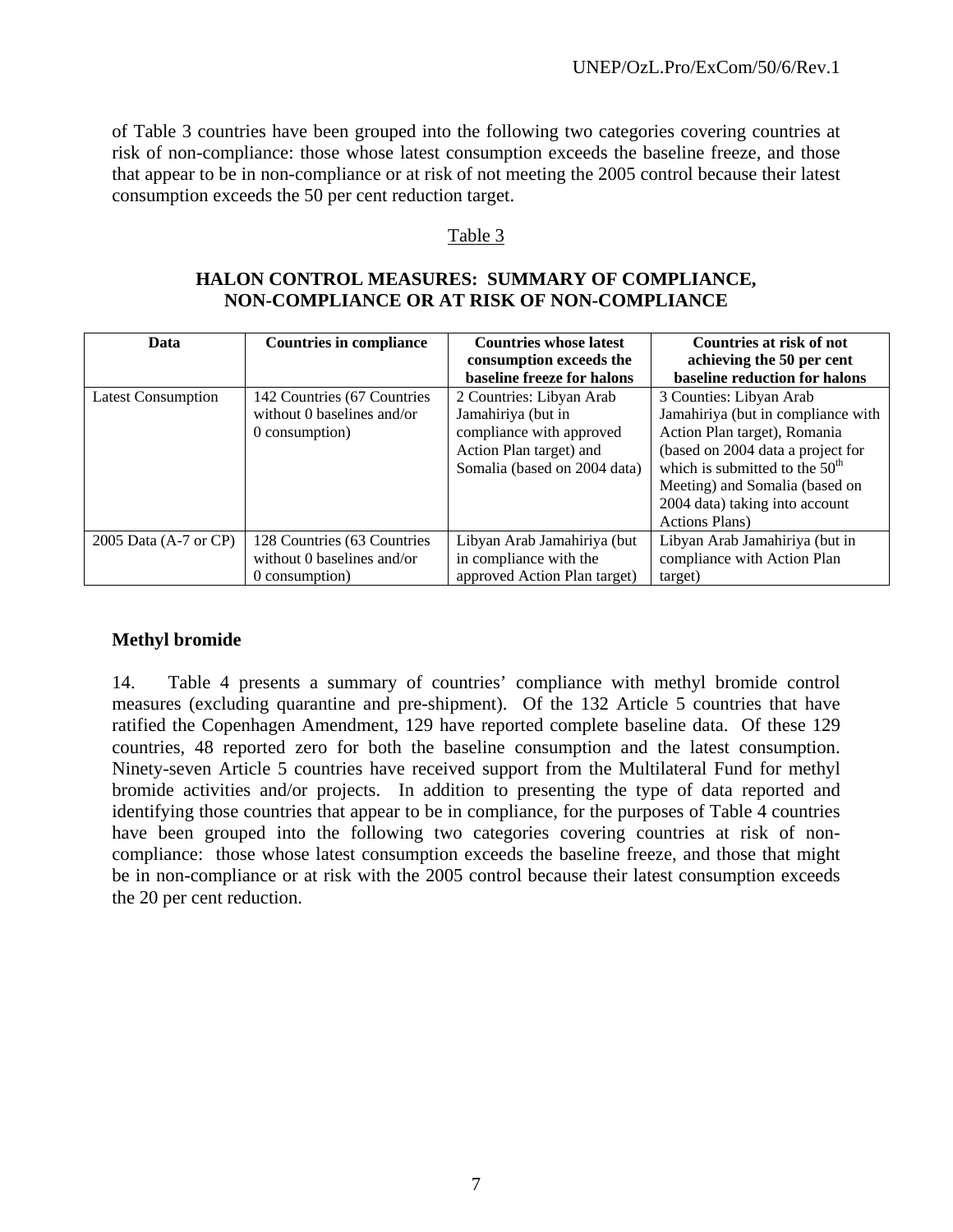of Table 3 countries have been grouped into the following two categories covering countries at risk of non-compliance: those whose latest consumption exceeds the baseline freeze, and those that appear to be in non-compliance or at risk of not meeting the 2005 control because their latest consumption exceeds the 50 per cent reduction target.

#### Table 3

### **HALON CONTROL MEASURES: SUMMARY OF COMPLIANCE, NON-COMPLIANCE OR AT RISK OF NON-COMPLIANCE**

| Data                      | <b>Countries in compliance</b> | <b>Countries whose latest</b><br>consumption exceeds the | <b>Countries at risk of not</b><br>achieving the 50 per cent |
|---------------------------|--------------------------------|----------------------------------------------------------|--------------------------------------------------------------|
|                           |                                | baseline freeze for halons                               | baseline reduction for halons                                |
| <b>Latest Consumption</b> | 142 Countries (67 Countries    | 2 Countries: Libyan Arab                                 | 3 Counties: Libyan Arab                                      |
|                           | without 0 baselines and/or     | Jamahiriya (but in                                       | Jamahiriya (but in compliance with                           |
|                           | 0 consumption)                 | compliance with approved                                 | Action Plan target), Romania                                 |
|                           |                                | Action Plan target) and                                  | (based on 2004 data a project for                            |
|                           |                                | Somalia (based on 2004 data)                             | which is submitted to the $50th$                             |
|                           |                                |                                                          | Meeting) and Somalia (based on                               |
|                           |                                |                                                          | 2004 data) taking into account                               |
|                           |                                |                                                          | <b>Actions Plans</b> )                                       |
| 2005 Data (A-7 or CP)     | 128 Countries (63 Countries)   | Libyan Arab Jamahiriya (but                              | Libyan Arab Jamahiriya (but in                               |
|                           | without 0 baselines and/or     | in compliance with the                                   | compliance with Action Plan                                  |
|                           | 0 consumption)                 | approved Action Plan target)                             | target)                                                      |

#### **Methyl bromide**

14. Table 4 presents a summary of countries' compliance with methyl bromide control measures (excluding quarantine and pre-shipment). Of the 132 Article 5 countries that have ratified the Copenhagen Amendment, 129 have reported complete baseline data. Of these 129 countries, 48 reported zero for both the baseline consumption and the latest consumption. Ninety-seven Article 5 countries have received support from the Multilateral Fund for methyl bromide activities and/or projects. In addition to presenting the type of data reported and identifying those countries that appear to be in compliance, for the purposes of Table 4 countries have been grouped into the following two categories covering countries at risk of noncompliance: those whose latest consumption exceeds the baseline freeze, and those that might be in non-compliance or at risk with the 2005 control because their latest consumption exceeds the 20 per cent reduction.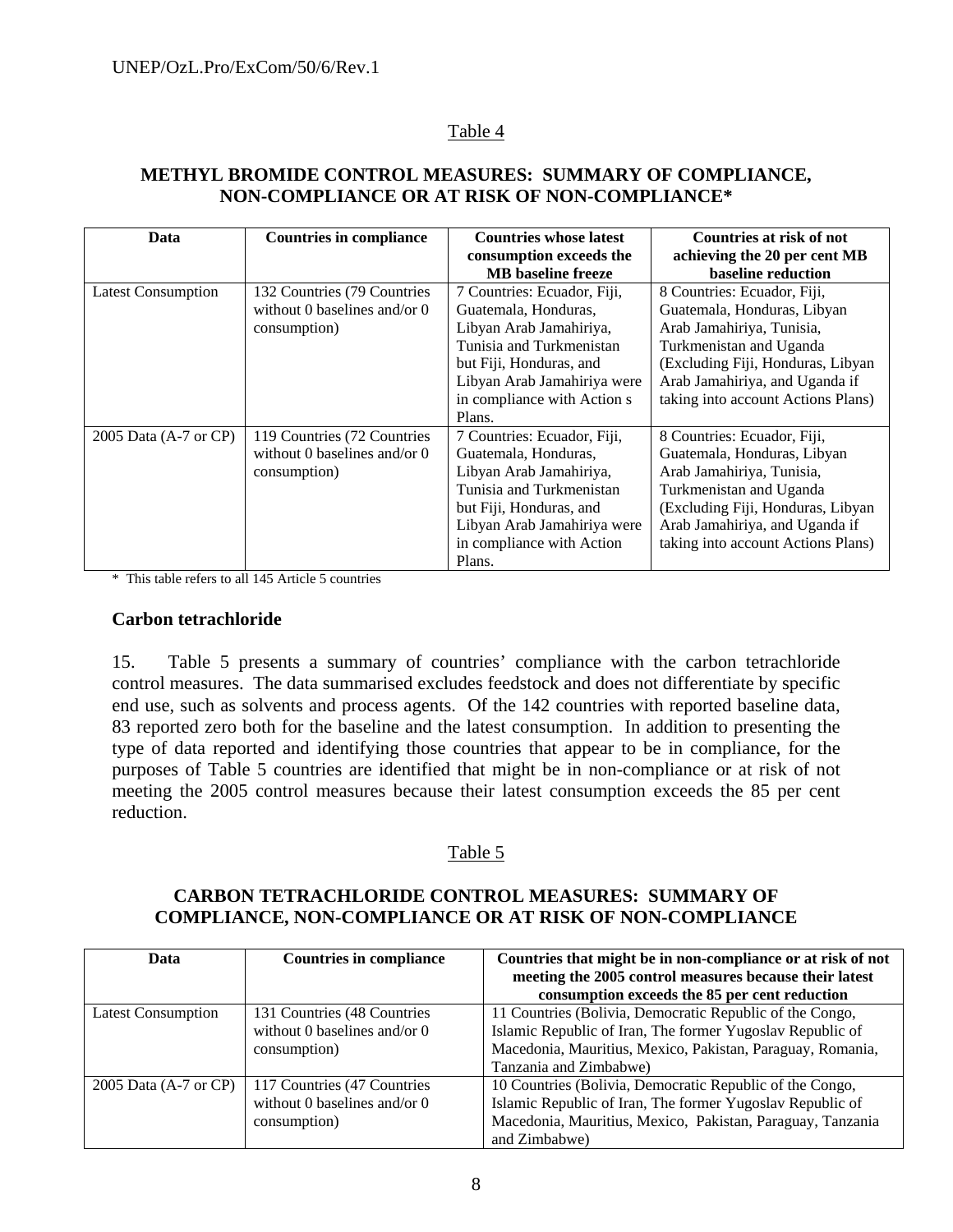### Table 4

### **METHYL BROMIDE CONTROL MEASURES: SUMMARY OF COMPLIANCE, NON-COMPLIANCE OR AT RISK OF NON-COMPLIANCE\***

| Data                      | <b>Countries in compliance</b>      | <b>Countries whose latest</b> | Countries at risk of not           |
|---------------------------|-------------------------------------|-------------------------------|------------------------------------|
|                           |                                     | consumption exceeds the       | achieving the 20 per cent MB       |
|                           |                                     | <b>MB</b> baseline freeze     | baseline reduction                 |
| <b>Latest Consumption</b> | 132 Countries (79 Countries         | 7 Countries: Ecuador, Fiji,   | 8 Countries: Ecuador, Fiji,        |
|                           | without 0 baselines and/or $\theta$ | Guatemala, Honduras,          | Guatemala, Honduras, Libyan        |
|                           | consumption)                        | Libyan Arab Jamahiriya,       | Arab Jamahiriya, Tunisia,          |
|                           |                                     | Tunisia and Turkmenistan      | Turkmenistan and Uganda            |
|                           |                                     | but Fiji, Honduras, and       | (Excluding Fiji, Honduras, Libyan  |
|                           |                                     | Libyan Arab Jamahiriya were   | Arab Jamahiriya, and Uganda if     |
|                           |                                     | in compliance with Action s   | taking into account Actions Plans) |
|                           |                                     | Plans.                        |                                    |
| 2005 Data (A-7 or CP)     | 119 Countries (72 Countries)        | 7 Countries: Ecuador, Fiji,   | 8 Countries: Ecuador, Fiji,        |
|                           | without 0 baselines and/or $0$      | Guatemala, Honduras,          | Guatemala, Honduras, Libyan        |
|                           | consumption)                        | Libyan Arab Jamahiriya,       | Arab Jamahiriya, Tunisia,          |
|                           |                                     | Tunisia and Turkmenistan      | Turkmenistan and Uganda            |
|                           |                                     | but Fiji, Honduras, and       | (Excluding Fiji, Honduras, Libyan  |
|                           |                                     | Libyan Arab Jamahiriya were   | Arab Jamahiriya, and Uganda if     |
|                           |                                     | in compliance with Action     | taking into account Actions Plans) |
|                           |                                     | Plans.                        |                                    |

\* This table refers to all 145 Article 5 countries

#### **Carbon tetrachloride**

15. Table 5 presents a summary of countries' compliance with the carbon tetrachloride control measures. The data summarised excludes feedstock and does not differentiate by specific end use, such as solvents and process agents. Of the 142 countries with reported baseline data, 83 reported zero both for the baseline and the latest consumption. In addition to presenting the type of data reported and identifying those countries that appear to be in compliance, for the purposes of Table 5 countries are identified that might be in non-compliance or at risk of not meeting the 2005 control measures because their latest consumption exceeds the 85 per cent reduction.

### Table 5

# **CARBON TETRACHLORIDE CONTROL MEASURES: SUMMARY OF COMPLIANCE, NON-COMPLIANCE OR AT RISK OF NON-COMPLIANCE**

| Data                      | <b>Countries in compliance</b> | Countries that might be in non-compliance or at risk of not |
|---------------------------|--------------------------------|-------------------------------------------------------------|
|                           |                                | meeting the 2005 control measures because their latest      |
|                           |                                | consumption exceeds the 85 per cent reduction               |
| <b>Latest Consumption</b> | 131 Countries (48 Countries    | 11 Countries (Bolivia, Democratic Republic of the Congo,    |
|                           | without 0 baselines and/or $0$ | Islamic Republic of Iran, The former Yugoslav Republic of   |
|                           | consumption)                   | Macedonia, Mauritius, Mexico, Pakistan, Paraguay, Romania,  |
|                           |                                | Tanzania and Zimbabwe)                                      |
| 2005 Data (A-7 or CP)     | 117 Countries (47 Countries    | 10 Countries (Bolivia, Democratic Republic of the Congo,    |
|                           | without 0 baselines and/or $0$ | Islamic Republic of Iran, The former Yugoslav Republic of   |
|                           | consumption)                   | Macedonia, Mauritius, Mexico, Pakistan, Paraguay, Tanzania  |
|                           |                                | and Zimbabwe)                                               |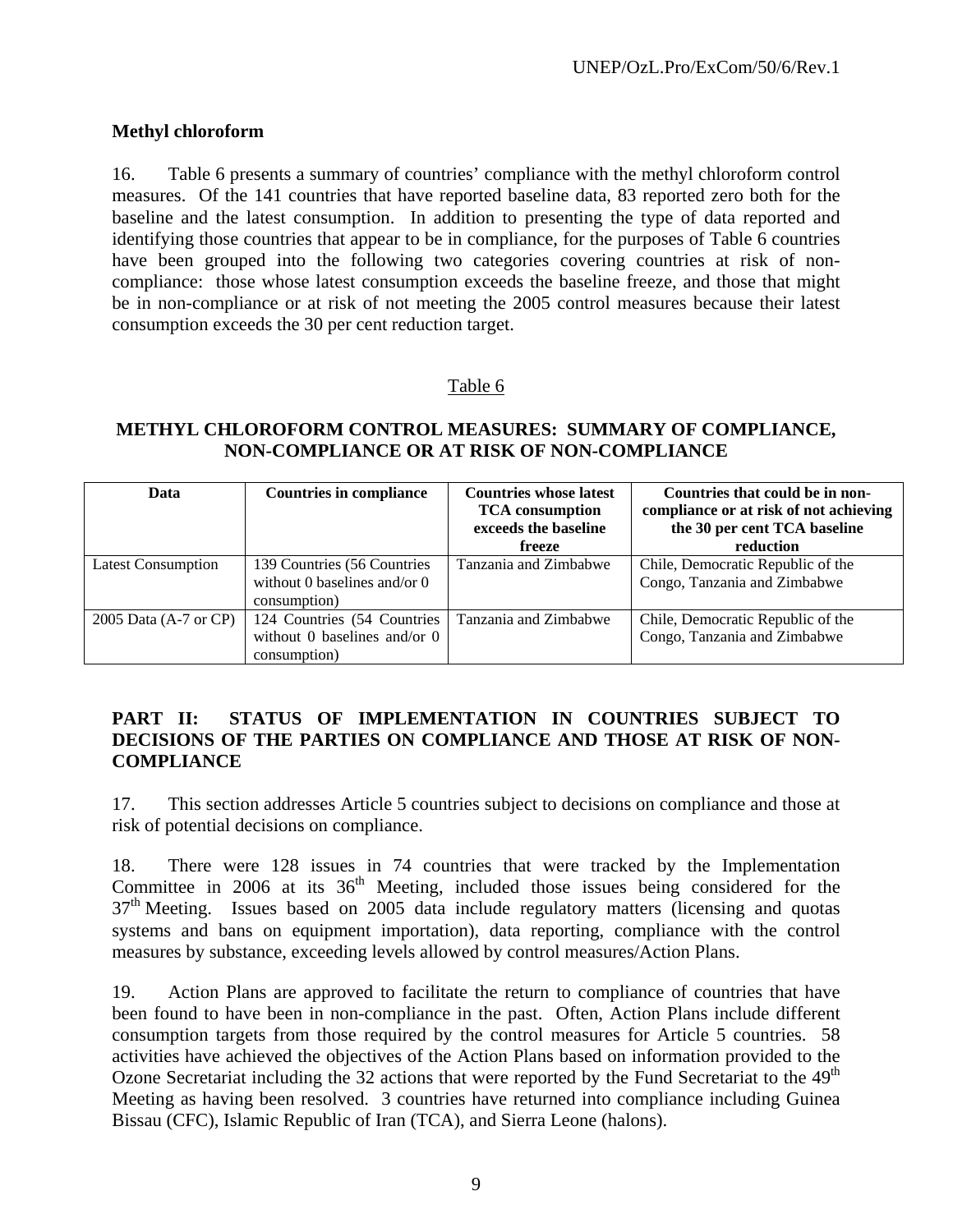### **Methyl chloroform**

16. Table 6 presents a summary of countries' compliance with the methyl chloroform control measures. Of the 141 countries that have reported baseline data, 83 reported zero both for the baseline and the latest consumption. In addition to presenting the type of data reported and identifying those countries that appear to be in compliance, for the purposes of Table 6 countries have been grouped into the following two categories covering countries at risk of noncompliance: those whose latest consumption exceeds the baseline freeze, and those that might be in non-compliance or at risk of not meeting the 2005 control measures because their latest consumption exceeds the 30 per cent reduction target.

### Table 6

### **METHYL CHLOROFORM CONTROL MEASURES: SUMMARY OF COMPLIANCE, NON-COMPLIANCE OR AT RISK OF NON-COMPLIANCE**

| Data                      | <b>Countries in compliance</b>                                              | <b>Countries whose latest</b><br><b>TCA</b> consumption<br>exceeds the baseline<br>freeze | Countries that could be in non-<br>compliance or at risk of not achieving<br>the 30 per cent TCA baseline<br>reduction |
|---------------------------|-----------------------------------------------------------------------------|-------------------------------------------------------------------------------------------|------------------------------------------------------------------------------------------------------------------------|
| <b>Latest Consumption</b> | 139 Countries (56 Countries<br>without 0 baselines and/or 0<br>consumption) | Tanzania and Zimbabwe                                                                     | Chile, Democratic Republic of the<br>Congo, Tanzania and Zimbabwe                                                      |
| 2005 Data (A-7 or CP)     | 124 Countries (54 Countries<br>without 0 baselines and/or 0<br>consumption) | Tanzania and Zimbabwe                                                                     | Chile, Democratic Republic of the<br>Congo, Tanzania and Zimbabwe                                                      |

### **PART II: STATUS OF IMPLEMENTATION IN COUNTRIES SUBJECT TO DECISIONS OF THE PARTIES ON COMPLIANCE AND THOSE AT RISK OF NON-COMPLIANCE**

17. This section addresses Article 5 countries subject to decisions on compliance and those at risk of potential decisions on compliance.

18. There were 128 issues in 74 countries that were tracked by the Implementation Committee in 2006 at its  $36<sup>th</sup>$  Meeting, included those issues being considered for the  $37<sup>th</sup>$  Meeting. Issues based on 2005 data include regulatory matters (licensing and quotas systems and bans on equipment importation), data reporting, compliance with the control measures by substance, exceeding levels allowed by control measures/Action Plans.

19. Action Plans are approved to facilitate the return to compliance of countries that have been found to have been in non-compliance in the past. Often, Action Plans include different consumption targets from those required by the control measures for Article 5 countries. 58 activities have achieved the objectives of the Action Plans based on information provided to the Ozone Secretariat including the 32 actions that were reported by the Fund Secretariat to the  $49<sup>th</sup>$ Meeting as having been resolved. 3 countries have returned into compliance including Guinea Bissau (CFC), Islamic Republic of Iran (TCA), and Sierra Leone (halons).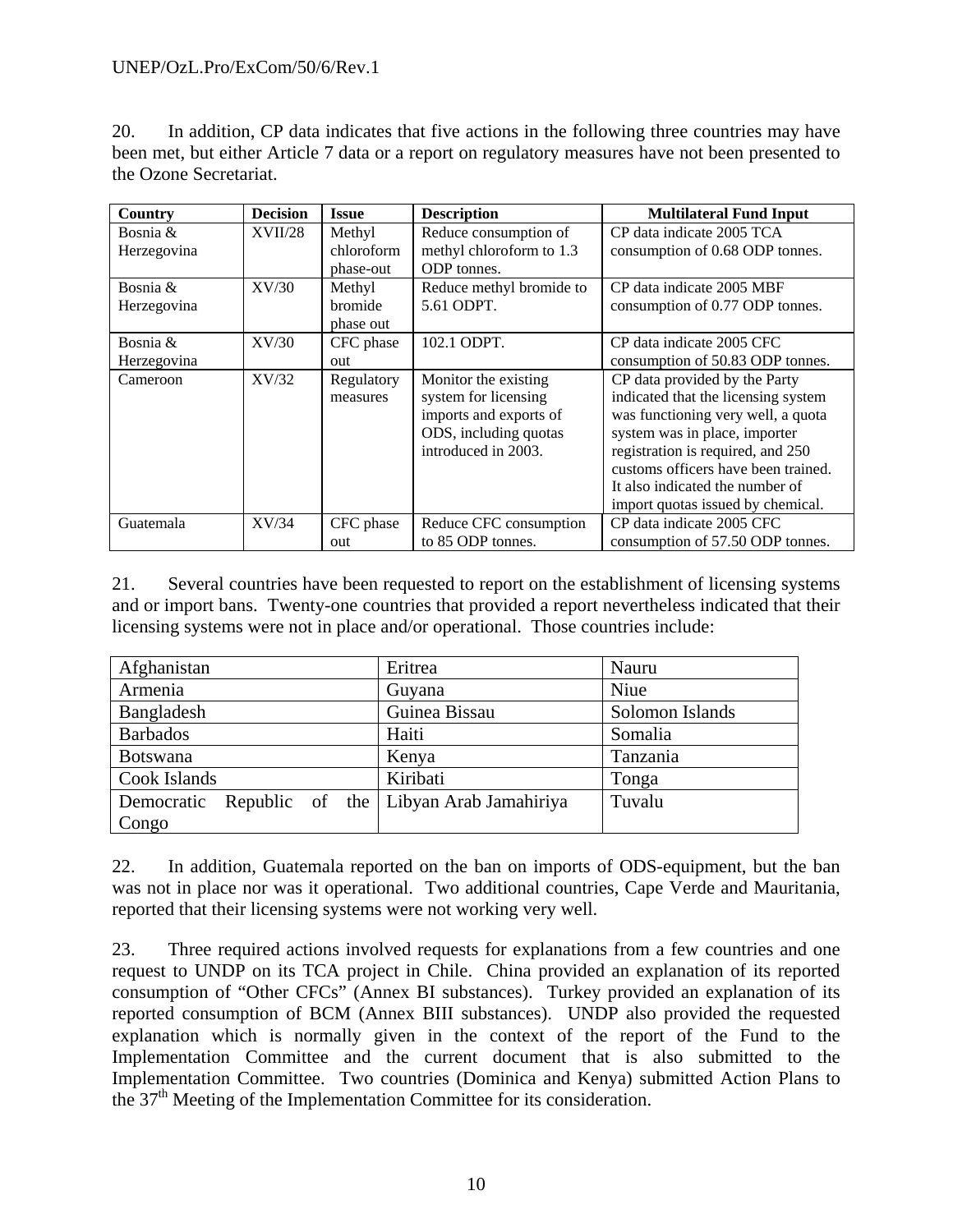### UNEP/OzL.Pro/ExCom/50/6/Rev.1

20. In addition, CP data indicates that five actions in the following three countries may have been met, but either Article 7 data or a report on regulatory measures have not been presented to the Ozone Secretariat.

| Country     | <b>Decision</b> | <b>Issue</b> | <b>Description</b>       | <b>Multilateral Fund Input</b>      |
|-------------|-----------------|--------------|--------------------------|-------------------------------------|
| Bosnia &    | <b>XVII/28</b>  | Methyl       | Reduce consumption of    | CP data indicate 2005 TCA           |
| Herzegovina |                 | chloroform   | methyl chloroform to 1.3 | consumption of 0.68 ODP tonnes.     |
|             |                 | phase-out    | <b>ODP</b> tonnes.       |                                     |
| Bosnia $\&$ | XV/30           | Methyl       | Reduce methyl bromide to | CP data indicate 2005 MBF           |
| Herzegovina |                 | bromide      | 5.61 ODPT.               | consumption of 0.77 ODP tonnes.     |
|             |                 | phase out    |                          |                                     |
| Bosnia $\&$ | XV/30           | CFC phase    | 102.1 ODPT.              | CP data indicate 2005 CFC           |
| Herzegovina |                 | out          |                          | consumption of 50.83 ODP tonnes.    |
| Cameroon    | XV/32           | Regulatory   | Monitor the existing     | CP data provided by the Party       |
|             |                 | measures     | system for licensing     | indicated that the licensing system |
|             |                 |              | imports and exports of   | was functioning very well, a quota  |
|             |                 |              | ODS, including quotas    | system was in place, importer       |
|             |                 |              | introduced in 2003.      | registration is required, and 250   |
|             |                 |              |                          | customs officers have been trained. |
|             |                 |              |                          | It also indicated the number of     |
|             |                 |              |                          | import quotas issued by chemical.   |
| Guatemala   | XV/34           | CFC phase    | Reduce CFC consumption   | CP data indicate 2005 CFC           |
|             |                 | out          | to 85 ODP tonnes.        | consumption of 57.50 ODP tonnes.    |

21. Several countries have been requested to report on the establishment of licensing systems and or import bans. Twenty-one countries that provided a report nevertheless indicated that their licensing systems were not in place and/or operational. Those countries include:

| Afghanistan     | Eritrea                                | Nauru           |
|-----------------|----------------------------------------|-----------------|
| Armenia         | Guyana                                 | Niue            |
| Bangladesh      | Guinea Bissau                          | Solomon Islands |
| <b>Barbados</b> | Haiti                                  | Somalia         |
| <b>Botswana</b> | Kenya                                  | Tanzania        |
| Cook Islands    | Kiribati                               | Tonga           |
| Democratic      | Republic of the Libyan Arab Jamahiriya | Tuvalu          |
| Congo           |                                        |                 |

22. In addition, Guatemala reported on the ban on imports of ODS-equipment, but the ban was not in place nor was it operational. Two additional countries, Cape Verde and Mauritania, reported that their licensing systems were not working very well.

23. Three required actions involved requests for explanations from a few countries and one request to UNDP on its TCA project in Chile. China provided an explanation of its reported consumption of "Other CFCs" (Annex BI substances). Turkey provided an explanation of its reported consumption of BCM (Annex BIII substances). UNDP also provided the requested explanation which is normally given in the context of the report of the Fund to the Implementation Committee and the current document that is also submitted to the Implementation Committee. Two countries (Dominica and Kenya) submitted Action Plans to the 37<sup>th</sup> Meeting of the Implementation Committee for its consideration.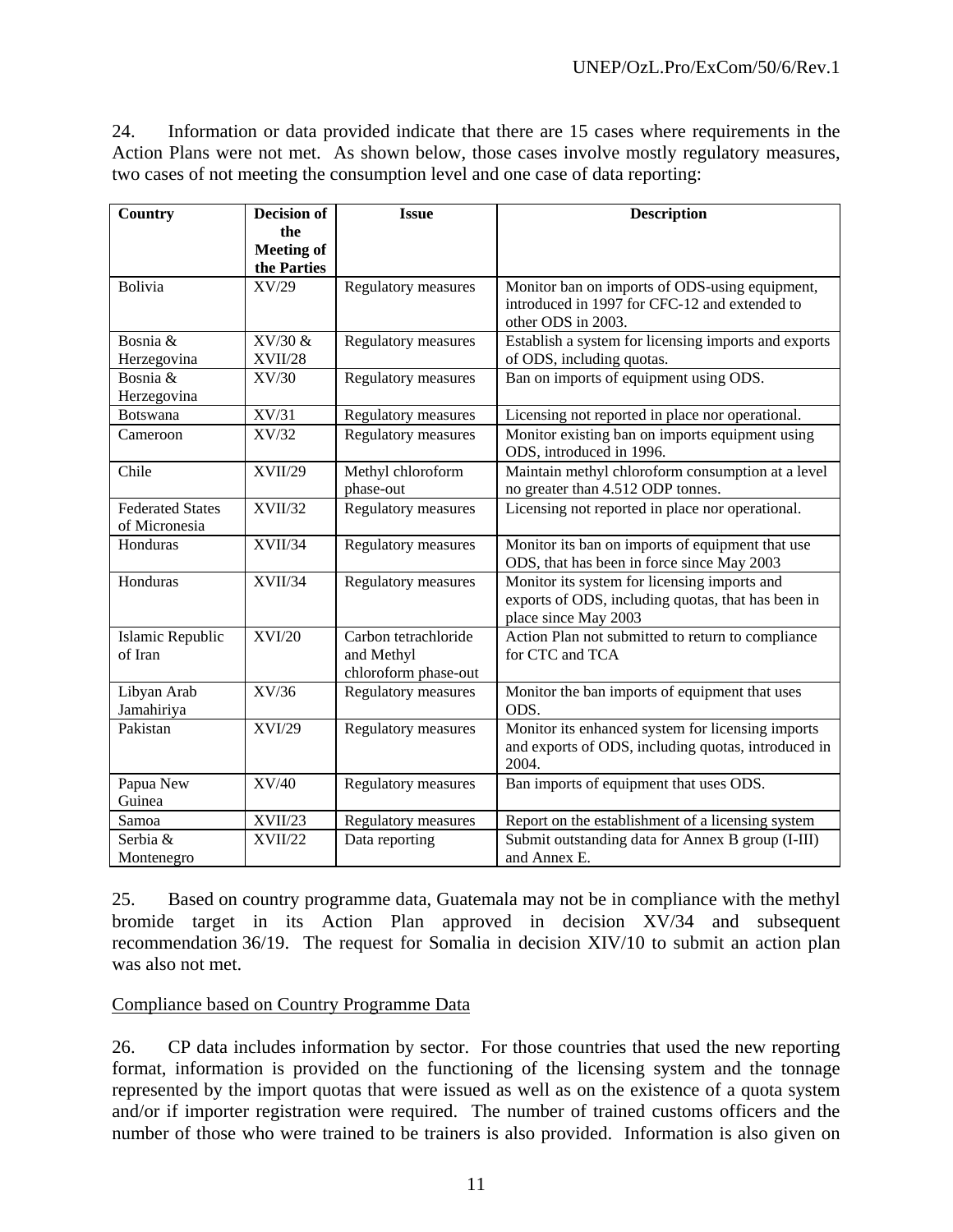24. Information or data provided indicate that there are 15 cases where requirements in the Action Plans were not met. As shown below, those cases involve mostly regulatory measures, two cases of not meeting the consumption level and one case of data reporting:

| Country                                  | <b>Decision of</b> | <b>Issue</b>                                               | <b>Description</b>                                                                                                         |
|------------------------------------------|--------------------|------------------------------------------------------------|----------------------------------------------------------------------------------------------------------------------------|
|                                          | the                |                                                            |                                                                                                                            |
|                                          | <b>Meeting of</b>  |                                                            |                                                                                                                            |
|                                          | the Parties        |                                                            |                                                                                                                            |
| Bolivia                                  | XV/29              | <b>Regulatory measures</b>                                 | Monitor ban on imports of ODS-using equipment,<br>introduced in 1997 for CFC-12 and extended to<br>other ODS in 2003.      |
| Bosnia &                                 | $XV/30$ &          | Regulatory measures                                        | Establish a system for licensing imports and exports                                                                       |
| Herzegovina                              | <b>XVII/28</b>     |                                                            | of ODS, including quotas.                                                                                                  |
| Bosnia &                                 | XV/30              | Regulatory measures                                        | Ban on imports of equipment using ODS.                                                                                     |
| Herzegovina                              |                    |                                                            |                                                                                                                            |
| <b>Botswana</b>                          | XV/31              | Regulatory measures                                        | Licensing not reported in place nor operational.                                                                           |
| Cameroon                                 | XV/32              | Regulatory measures                                        | Monitor existing ban on imports equipment using<br>ODS, introduced in 1996.                                                |
| Chile                                    | XVII/29            | Methyl chloroform<br>phase-out                             | Maintain methyl chloroform consumption at a level<br>no greater than 4.512 ODP tonnes.                                     |
| <b>Federated States</b><br>of Micronesia | XVII/32            | Regulatory measures                                        | Licensing not reported in place nor operational.                                                                           |
| Honduras                                 | XVII/34            | Regulatory measures                                        | Monitor its ban on imports of equipment that use<br>ODS, that has been in force since May 2003                             |
| Honduras                                 | XVII/34            | Regulatory measures                                        | Monitor its system for licensing imports and<br>exports of ODS, including quotas, that has been in<br>place since May 2003 |
| Islamic Republic<br>of Iran              | <b>XVI/20</b>      | Carbon tetrachloride<br>and Methyl<br>chloroform phase-out | Action Plan not submitted to return to compliance<br>for CTC and TCA                                                       |
| Libyan Arab<br>Jamahiriya                | XV/36              | Regulatory measures                                        | Monitor the ban imports of equipment that uses<br>ODS.                                                                     |
| Pakistan                                 | XVI/29             | <b>Regulatory measures</b>                                 | Monitor its enhanced system for licensing imports<br>and exports of ODS, including quotas, introduced in<br>2004.          |
| Papua New<br>Guinea                      | XV/40              | <b>Regulatory measures</b>                                 | Ban imports of equipment that uses ODS.                                                                                    |
| Samoa                                    | XVII/23            | Regulatory measures                                        | Report on the establishment of a licensing system                                                                          |
| Serbia &<br>Montenegro                   | XVII/22            | Data reporting                                             | Submit outstanding data for Annex B group (I-III)<br>and Annex E.                                                          |

25. Based on country programme data, Guatemala may not be in compliance with the methyl bromide target in its Action Plan approved in decision XV/34 and subsequent recommendation 36/19. The request for Somalia in decision XIV/10 to submit an action plan was also not met.

Compliance based on Country Programme Data

26. CP data includes information by sector. For those countries that used the new reporting format, information is provided on the functioning of the licensing system and the tonnage represented by the import quotas that were issued as well as on the existence of a quota system and/or if importer registration were required. The number of trained customs officers and the number of those who were trained to be trainers is also provided. Information is also given on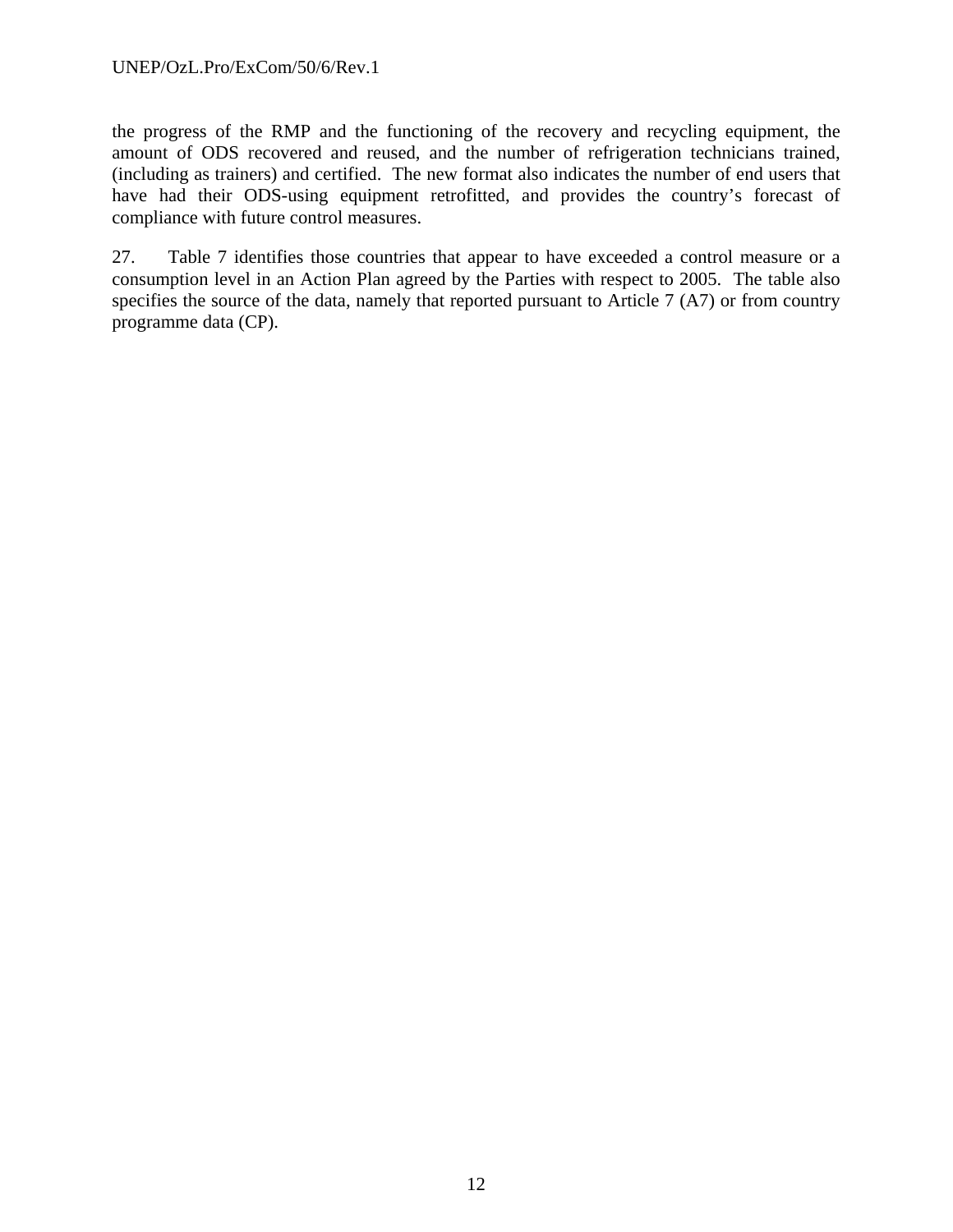#### UNEP/OzL.Pro/ExCom/50/6/Rev.1

the progress of the RMP and the functioning of the recovery and recycling equipment, the amount of ODS recovered and reused, and the number of refrigeration technicians trained, (including as trainers) and certified. The new format also indicates the number of end users that have had their ODS-using equipment retrofitted, and provides the country's forecast of compliance with future control measures.

27. Table 7 identifies those countries that appear to have exceeded a control measure or a consumption level in an Action Plan agreed by the Parties with respect to 2005. The table also specifies the source of the data, namely that reported pursuant to Article 7 (A7) or from country programme data (CP).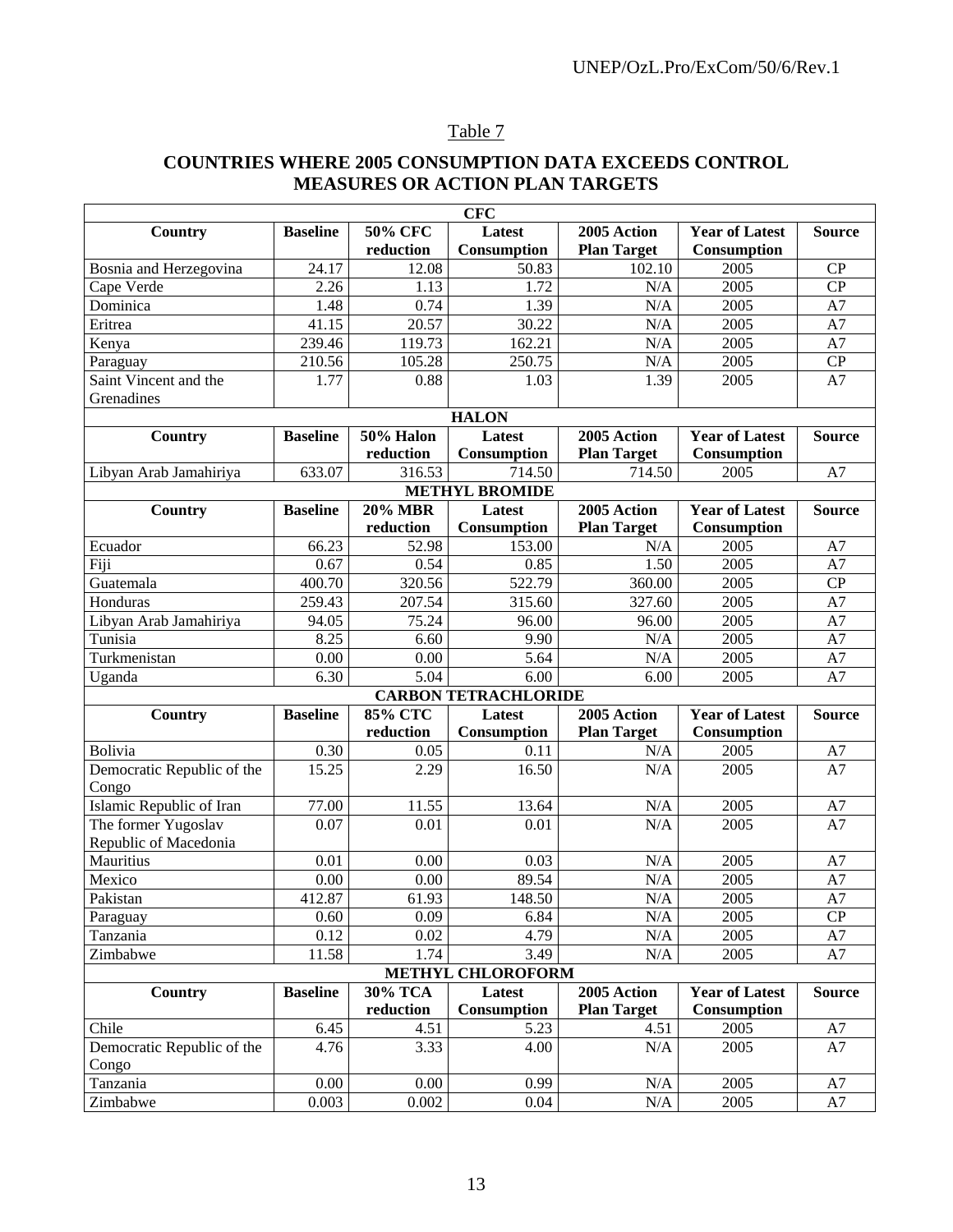# Table 7

# **COUNTRIES WHERE 2005 CONSUMPTION DATA EXCEEDS CONTROL MEASURES OR ACTION PLAN TARGETS**

| <b>CFC</b>                 |                 |                |                             |                    |                       |               |
|----------------------------|-----------------|----------------|-----------------------------|--------------------|-----------------------|---------------|
| Country                    | <b>Baseline</b> | <b>50% CFC</b> | Latest                      | 2005 Action        | <b>Year of Latest</b> | <b>Source</b> |
|                            |                 | reduction      | Consumption                 | <b>Plan Target</b> | Consumption           |               |
| Bosnia and Herzegovina     | 24.17           | 12.08          | 50.83                       | 102.10             | 2005                  | CP            |
| Cape Verde                 | 2.26            | 1.13           | 1.72                        | N/A                | 2005                  | CP            |
| Dominica                   | 1.48            | 0.74           | 1.39                        | N/A                | 2005                  | A7            |
| Eritrea                    | 41.15           | 20.57          | 30.22                       | N/A                | 2005                  | A7            |
| Kenya                      | 239.46          | 119.73         | 162.21                      | N/A                | 2005                  | A7            |
| Paraguay                   | 210.56          | 105.28         | 250.75                      | N/A                | 2005                  | CP            |
| Saint Vincent and the      | 1.77            | 0.88           | 1.03                        | 1.39               | 2005                  | A7            |
| Grenadines                 |                 |                |                             |                    |                       |               |
|                            |                 |                | <b>HALON</b>                |                    |                       |               |
| Country                    | <b>Baseline</b> | 50% Halon      | Latest                      | 2005 Action        | <b>Year of Latest</b> | <b>Source</b> |
|                            |                 | reduction      | Consumption                 | <b>Plan Target</b> | Consumption           |               |
| Libyan Arab Jamahiriya     | 633.07          | 316.53         | 714.50                      | 714.50             | 2005                  | A7            |
|                            |                 |                | <b>METHYL BROMIDE</b>       |                    |                       |               |
| <b>Country</b>             | <b>Baseline</b> | $20\%$ MBR     | Latest                      | 2005 Action        | <b>Year of Latest</b> | <b>Source</b> |
|                            |                 | reduction      | Consumption                 | <b>Plan Target</b> | Consumption           |               |
| Ecuador                    | 66.23           | 52.98          | 153.00                      | N/A                | 2005                  | A7            |
| Fiji                       | 0.67            | 0.54           | 0.85                        | 1.50               | 2005                  | A7            |
| Guatemala                  | 400.70          | 320.56         | 522.79                      | 360.00             | 2005                  | CP            |
| Honduras                   | 259.43          | 207.54         | 315.60                      | 327.60             | 2005                  | A7            |
| Libyan Arab Jamahiriya     | 94.05           | 75.24          | 96.00                       | 96.00              | 2005                  | A7            |
| Tunisia                    | 8.25            | 6.60           | 9.90                        | N/A                | 2005                  | A7            |
| Turkmenistan               | 0.00            | 0.00           | 5.64                        | N/A                | 2005                  | A7            |
| Uganda                     | 6.30            | 5.04           | 6.00                        | 6.00               | 2005                  | A7            |
|                            |                 |                | <b>CARBON TETRACHLORIDE</b> |                    |                       |               |
| Country                    | <b>Baseline</b> | <b>85% CTC</b> | Latest                      | 2005 Action        | <b>Year of Latest</b> | <b>Source</b> |
|                            |                 | reduction      | Consumption                 | <b>Plan Target</b> | Consumption           |               |
| Bolivia                    | 0.30            | 0.05           | 0.11                        | N/A                | 2005                  | A7            |
| Democratic Republic of the | 15.25           | 2.29           | 16.50                       | N/A                | 2005                  | A7            |
| Congo                      |                 |                |                             |                    |                       |               |
| Islamic Republic of Iran   | 77.00           | 11.55          | 13.64                       | N/A                | 2005                  | A7            |
| The former Yugoslav        | 0.07            | 0.01           | 0.01                        | N/A                | 2005                  | A7            |
| Republic of Macedonia      |                 |                |                             |                    |                       |               |
| Mauritius                  | 0.01            | 0.00           | 0.03                        | N/A                | 2005                  | A7            |
| Mexico                     | 0.00            | 0.00           | 89.54                       | N/A                | 2005                  | A7            |
| Pakistan                   | 412.87          | 61.93          | 148.50                      | $\rm N/A$          | 2005                  | $\rm A7$      |
| Paraguay                   | 0.60            | 0.09           | 6.84                        | N/A                | 2005                  | CP            |
| Tanzania                   | 0.12            | 0.02           | 4.79                        | $\rm N/A$          | 2005                  | A7            |
| Zimbabwe                   | 11.58           | 1.74           | 3.49                        | $\rm N/A$          | 2005                  | A7            |
|                            |                 |                | METHYL CHLOROFORM           |                    |                       |               |
| <b>Country</b>             | <b>Baseline</b> | 30% TCA        | Latest                      | 2005 Action        | <b>Year of Latest</b> | <b>Source</b> |
|                            |                 | reduction      | Consumption                 | <b>Plan Target</b> | Consumption           |               |
| Chile                      | 6.45            | 4.51           | 5.23                        | 4.51               | 2005                  | A7            |
| Democratic Republic of the | 4.76            | 3.33           | 4.00                        | $\rm N/A$          | 2005                  | A7            |
| Congo                      |                 |                |                             |                    |                       |               |
| Tanzania                   | 0.00            | 0.00           | 0.99                        | N/A                | 2005                  | A7            |
| Zimbabwe                   | 0.003           | 0.002          | 0.04                        | N/A                | 2005                  | A7            |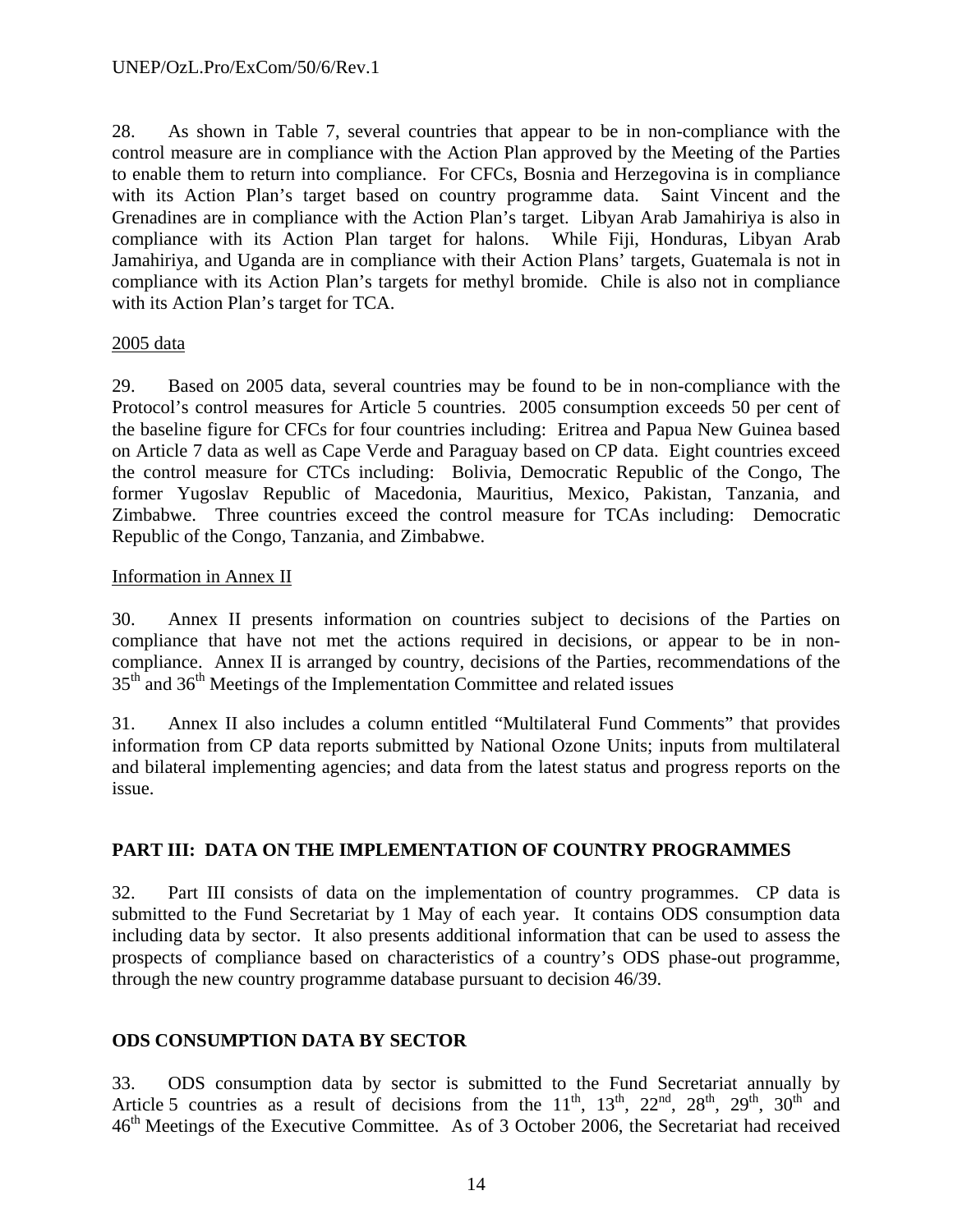28. As shown in Table 7, several countries that appear to be in non-compliance with the control measure are in compliance with the Action Plan approved by the Meeting of the Parties to enable them to return into compliance. For CFCs, Bosnia and Herzegovina is in compliance with its Action Plan's target based on country programme data. Saint Vincent and the Grenadines are in compliance with the Action Plan's target. Libyan Arab Jamahiriya is also in compliance with its Action Plan target for halons. While Fiji, Honduras, Libyan Arab Jamahiriya, and Uganda are in compliance with their Action Plans' targets, Guatemala is not in compliance with its Action Plan's targets for methyl bromide. Chile is also not in compliance with its Action Plan's target for TCA.

#### 2005 data

29. Based on 2005 data, several countries may be found to be in non-compliance with the Protocol's control measures for Article 5 countries. 2005 consumption exceeds 50 per cent of the baseline figure for CFCs for four countries including: Eritrea and Papua New Guinea based on Article 7 data as well as Cape Verde and Paraguay based on CP data. Eight countries exceed the control measure for CTCs including: Bolivia, Democratic Republic of the Congo, The former Yugoslav Republic of Macedonia, Mauritius, Mexico, Pakistan, Tanzania, and Zimbabwe. Three countries exceed the control measure for TCAs including: Democratic Republic of the Congo, Tanzania, and Zimbabwe.

### Information in Annex II

30. Annex II presents information on countries subject to decisions of the Parties on compliance that have not met the actions required in decisions, or appear to be in noncompliance. Annex II is arranged by country, decisions of the Parties, recommendations of the  $35<sup>th</sup>$  and  $36<sup>th</sup>$  Meetings of the Implementation Committee and related issues

31. Annex II also includes a column entitled "Multilateral Fund Comments" that provides information from CP data reports submitted by National Ozone Units; inputs from multilateral and bilateral implementing agencies; and data from the latest status and progress reports on the issue.

### **PART III: DATA ON THE IMPLEMENTATION OF COUNTRY PROGRAMMES**

32. Part III consists of data on the implementation of country programmes. CP data is submitted to the Fund Secretariat by 1 May of each year. It contains ODS consumption data including data by sector. It also presents additional information that can be used to assess the prospects of compliance based on characteristics of a country's ODS phase-out programme, through the new country programme database pursuant to decision 46/39.

### **ODS CONSUMPTION DATA BY SECTOR**

33. ODS consumption data by sector is submitted to the Fund Secretariat annually by Article 5 countries as a result of decisions from the  $11^{th}$ ,  $13^{th}$ ,  $22^{nd}$ ,  $28^{th}$ ,  $29^{th}$ ,  $30^{th}$  and 46th Meetings of the Executive Committee. As of 3 October 2006, the Secretariat had received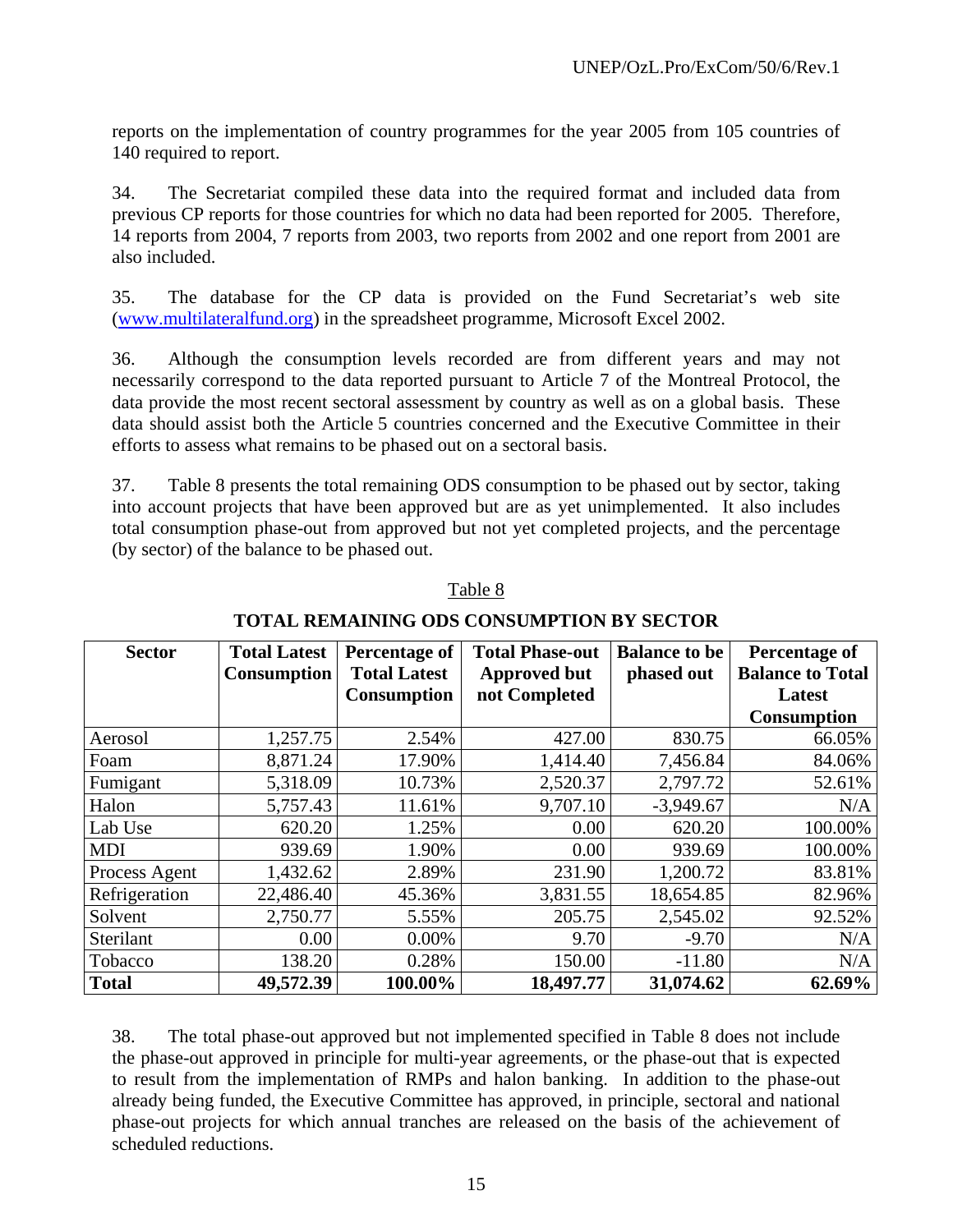reports on the implementation of country programmes for the year 2005 from 105 countries of 140 required to report.

34. The Secretariat compiled these data into the required format and included data from previous CP reports for those countries for which no data had been reported for 2005. Therefore, 14 reports from 2004, 7 reports from 2003, two reports from 2002 and one report from 2001 are also included.

35. The database for the CP data is provided on the Fund Secretariat's web site (www.multilateralfund.org) in the spreadsheet programme, Microsoft Excel 2002.

36. Although the consumption levels recorded are from different years and may not necessarily correspond to the data reported pursuant to Article 7 of the Montreal Protocol, the data provide the most recent sectoral assessment by country as well as on a global basis. These data should assist both the Article 5 countries concerned and the Executive Committee in their efforts to assess what remains to be phased out on a sectoral basis.

37. Table 8 presents the total remaining ODS consumption to be phased out by sector, taking into account projects that have been approved but are as yet unimplemented. It also includes total consumption phase-out from approved but not yet completed projects, and the percentage (by sector) of the balance to be phased out.

| <b>Sector</b> | <b>Total Latest</b><br><b>Consumption</b> | Percentage of<br><b>Total Latest</b><br><b>Consumption</b> | <b>Total Phase-out</b><br><b>Approved but</b><br>not Completed | <b>Balance to be</b><br>phased out | Percentage of<br><b>Balance to Total</b><br>Latest |
|---------------|-------------------------------------------|------------------------------------------------------------|----------------------------------------------------------------|------------------------------------|----------------------------------------------------|
|               |                                           |                                                            |                                                                |                                    | <b>Consumption</b>                                 |
| Aerosol       | 1,257.75                                  | 2.54%                                                      | 427.00                                                         | 830.75                             | 66.05%                                             |
| Foam          | 8,871.24                                  | 17.90%                                                     | 1,414.40                                                       | 7,456.84                           | 84.06%                                             |
| Fumigant      | 5,318.09                                  | 10.73%                                                     | 2,520.37                                                       | 2,797.72                           | 52.61%                                             |
| Halon         | 5,757.43                                  | 11.61%                                                     | 9,707.10                                                       | $-3,949.67$                        | N/A                                                |
| Lab Use       | 620.20                                    | 1.25%                                                      | 0.00                                                           | 620.20                             | 100.00%                                            |
| <b>MDI</b>    | 939.69                                    | 1.90%                                                      | 0.00                                                           | 939.69                             | 100.00%                                            |
| Process Agent | 1,432.62                                  | 2.89%                                                      | 231.90                                                         | 1,200.72                           | 83.81%                                             |
| Refrigeration | 22,486.40                                 | 45.36%                                                     | 3,831.55                                                       | 18,654.85                          | 82.96%                                             |
| Solvent       | 2,750.77                                  | 5.55%                                                      | 205.75                                                         | 2,545.02                           | 92.52%                                             |
| Sterilant     | 0.00                                      | 0.00%                                                      | 9.70                                                           | $-9.70$                            | N/A                                                |
| Tobacco       | 138.20                                    | 0.28%                                                      | 150.00                                                         | $-11.80$                           | N/A                                                |
| <b>Total</b>  | 49,572.39                                 | 100.00%                                                    | 18,497.77                                                      | 31,074.62                          | 62.69%                                             |

### Table 8

### **TOTAL REMAINING ODS CONSUMPTION BY SECTOR**

38. The total phase-out approved but not implemented specified in Table 8 does not include the phase-out approved in principle for multi-year agreements, or the phase-out that is expected to result from the implementation of RMPs and halon banking. In addition to the phase-out already being funded, the Executive Committee has approved, in principle, sectoral and national phase-out projects for which annual tranches are released on the basis of the achievement of scheduled reductions.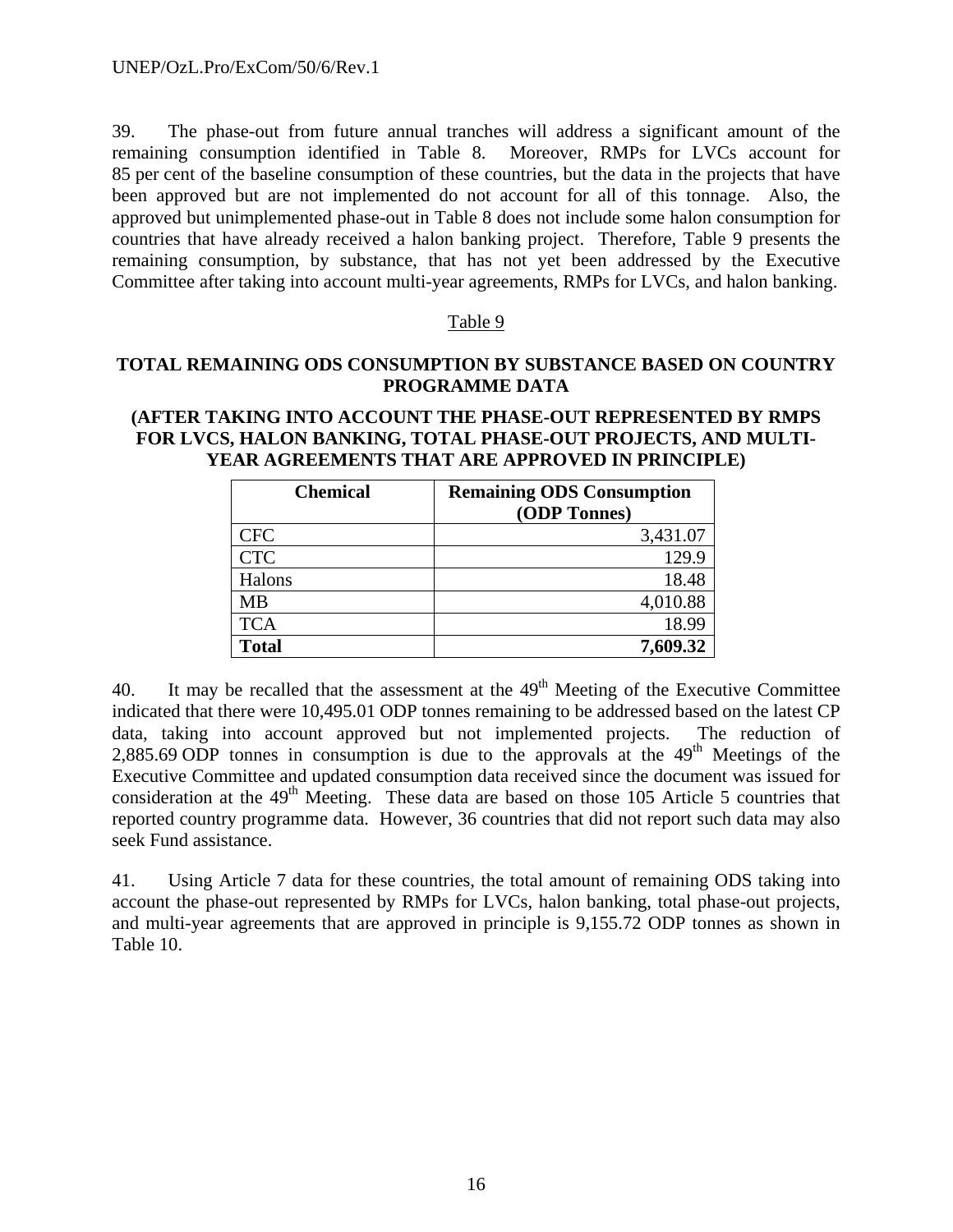39. The phase-out from future annual tranches will address a significant amount of the remaining consumption identified in Table 8. Moreover, RMPs for LVCs account for 85 per cent of the baseline consumption of these countries, but the data in the projects that have been approved but are not implemented do not account for all of this tonnage. Also, the approved but unimplemented phase-out in Table 8 does not include some halon consumption for countries that have already received a halon banking project. Therefore, Table 9 presents the remaining consumption, by substance, that has not yet been addressed by the Executive Committee after taking into account multi-year agreements, RMPs for LVCs, and halon banking.

#### Table 9

### **TOTAL REMAINING ODS CONSUMPTION BY SUBSTANCE BASED ON COUNTRY PROGRAMME DATA**

### **(AFTER TAKING INTO ACCOUNT THE PHASE-OUT REPRESENTED BY RMPS FOR LVCS, HALON BANKING, TOTAL PHASE-OUT PROJECTS, AND MULTI-YEAR AGREEMENTS THAT ARE APPROVED IN PRINCIPLE)**

| <b>Chemical</b> | <b>Remaining ODS Consumption</b> |
|-----------------|----------------------------------|
|                 | (ODP Tonnes)                     |
| <b>CFC</b>      | 3,431.07                         |
| <b>CTC</b>      | 129.9                            |
| Halons          | 18.48                            |
| MВ              | 4,010.88                         |
| <b>TCA</b>      | 18.99                            |
| <b>Total</b>    | 7,609.32                         |

40. It may be recalled that the assessment at the  $49<sup>th</sup>$  Meeting of the Executive Committee indicated that there were 10,495.01 ODP tonnes remaining to be addressed based on the latest CP data, taking into account approved but not implemented projects. The reduction of 2,885.69 ODP tonnes in consumption is due to the approvals at the  $49<sup>th</sup>$  Meetings of the Executive Committee and updated consumption data received since the document was issued for consideration at the  $49<sup>th</sup>$  Meeting. These data are based on those 105 Article 5 countries that reported country programme data. However, 36 countries that did not report such data may also seek Fund assistance.

41. Using Article 7 data for these countries, the total amount of remaining ODS taking into account the phase-out represented by RMPs for LVCs, halon banking, total phase-out projects, and multi-year agreements that are approved in principle is 9,155.72 ODP tonnes as shown in Table 10.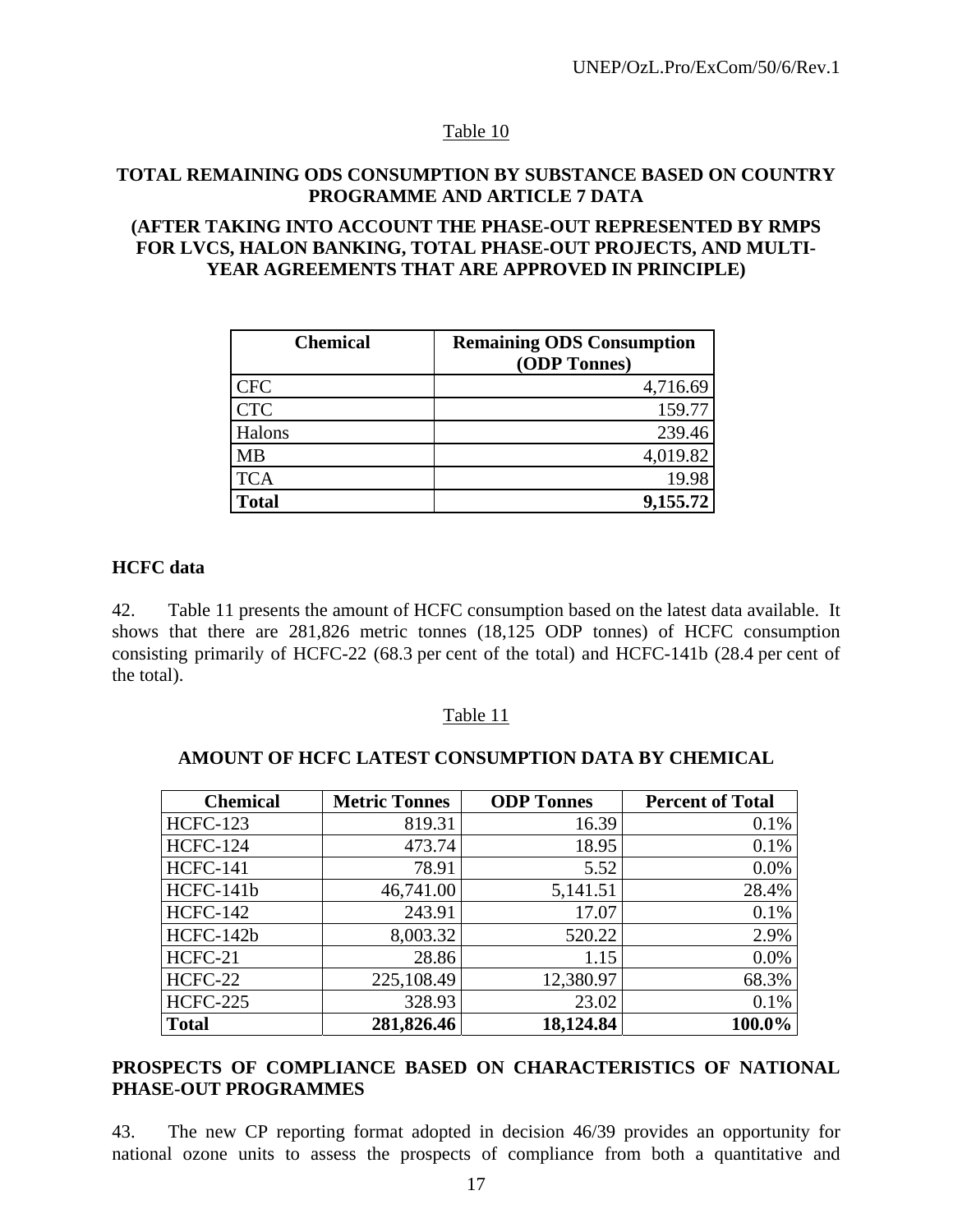# Table 10

### **TOTAL REMAINING ODS CONSUMPTION BY SUBSTANCE BASED ON COUNTRY PROGRAMME AND ARTICLE 7 DATA**

#### **(AFTER TAKING INTO ACCOUNT THE PHASE-OUT REPRESENTED BY RMPS FOR LVCS, HALON BANKING, TOTAL PHASE-OUT PROJECTS, AND MULTI-YEAR AGREEMENTS THAT ARE APPROVED IN PRINCIPLE)**

| <b>Chemical</b> | <b>Remaining ODS Consumption</b><br>(ODP Tonnes) |
|-----------------|--------------------------------------------------|
| <b>CFC</b>      | 4,716.69                                         |
| <b>CTC</b>      | 159.77                                           |
| Halons          | 239.46                                           |
| <b>MB</b>       | 4,019.82                                         |
| <b>TCA</b>      | 19.98                                            |
| <b>Total</b>    | 9,155.72                                         |

#### **HCFC data**

42. Table 11 presents the amount of HCFC consumption based on the latest data available. It shows that there are 281,826 metric tonnes (18,125 ODP tonnes) of HCFC consumption consisting primarily of HCFC-22 (68.3 per cent of the total) and HCFC-141b (28.4 per cent of the total).

#### Table 11

| <b>Chemical</b> | <b>Metric Tonnes</b> | <b>ODP</b> Tonnes | <b>Percent of Total</b> |
|-----------------|----------------------|-------------------|-------------------------|
| <b>HCFC-123</b> | 819.31               | 16.39             | 0.1%                    |
| <b>HCFC-124</b> | 473.74               | 18.95             | 0.1%                    |
| <b>HCFC-141</b> | 78.91                | 5.52              | 0.0%                    |
| HCFC-141b       | 46,741.00            | 5,141.51          | 28.4%                   |
| <b>HCFC-142</b> | 243.91               | 17.07             | 0.1%                    |
| HCFC-142b       | 8,003.32             | 520.22            | 2.9%                    |
| HCFC-21         | 28.86                | 1.15              | 0.0%                    |
| HCFC-22         | 225,108.49           | 12,380.97         | 68.3%                   |
| <b>HCFC-225</b> | 328.93               | 23.02             | 0.1%                    |
| <b>Total</b>    | 281,826.46           | 18,124.84         | 100.0%                  |

#### **AMOUNT OF HCFC LATEST CONSUMPTION DATA BY CHEMICAL**

### **PROSPECTS OF COMPLIANCE BASED ON CHARACTERISTICS OF NATIONAL PHASE-OUT PROGRAMMES**

43. The new CP reporting format adopted in decision 46/39 provides an opportunity for national ozone units to assess the prospects of compliance from both a quantitative and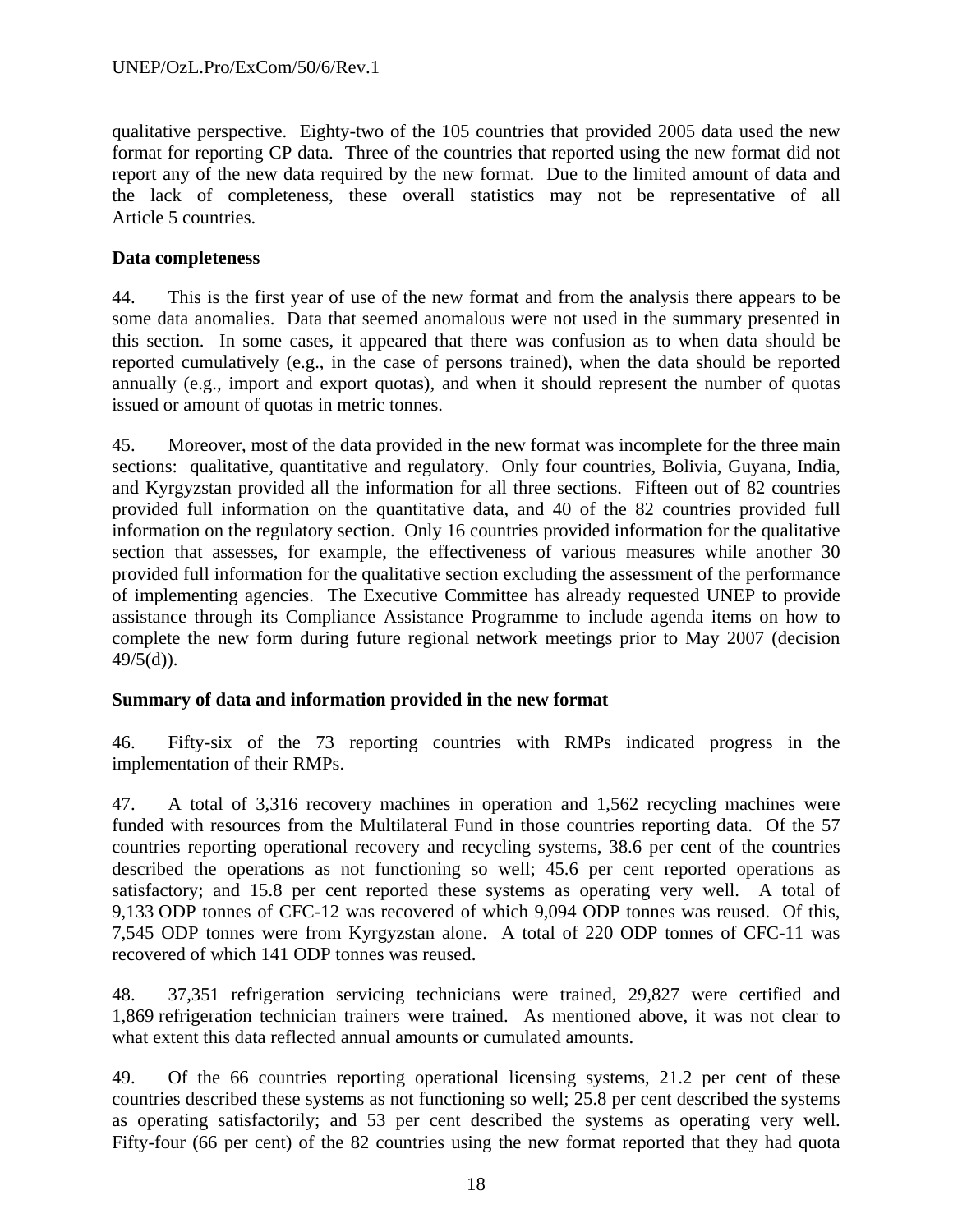qualitative perspective. Eighty-two of the 105 countries that provided 2005 data used the new format for reporting CP data. Three of the countries that reported using the new format did not report any of the new data required by the new format. Due to the limited amount of data and the lack of completeness, these overall statistics may not be representative of all Article 5 countries.

### **Data completeness**

44. This is the first year of use of the new format and from the analysis there appears to be some data anomalies. Data that seemed anomalous were not used in the summary presented in this section. In some cases, it appeared that there was confusion as to when data should be reported cumulatively (e.g., in the case of persons trained), when the data should be reported annually (e.g., import and export quotas), and when it should represent the number of quotas issued or amount of quotas in metric tonnes.

45. Moreover, most of the data provided in the new format was incomplete for the three main sections: qualitative, quantitative and regulatory. Only four countries, Bolivia, Guyana, India, and Kyrgyzstan provided all the information for all three sections. Fifteen out of 82 countries provided full information on the quantitative data, and 40 of the 82 countries provided full information on the regulatory section. Only 16 countries provided information for the qualitative section that assesses, for example, the effectiveness of various measures while another 30 provided full information for the qualitative section excluding the assessment of the performance of implementing agencies. The Executive Committee has already requested UNEP to provide assistance through its Compliance Assistance Programme to include agenda items on how to complete the new form during future regional network meetings prior to May 2007 (decision  $49/5(d)$ ).

### **Summary of data and information provided in the new format**

46. Fifty-six of the 73 reporting countries with RMPs indicated progress in the implementation of their RMPs.

47. A total of 3,316 recovery machines in operation and 1,562 recycling machines were funded with resources from the Multilateral Fund in those countries reporting data. Of the 57 countries reporting operational recovery and recycling systems, 38.6 per cent of the countries described the operations as not functioning so well; 45.6 per cent reported operations as satisfactory; and 15.8 per cent reported these systems as operating very well. A total of 9,133 ODP tonnes of CFC-12 was recovered of which 9,094 ODP tonnes was reused. Of this, 7,545 ODP tonnes were from Kyrgyzstan alone. A total of 220 ODP tonnes of CFC-11 was recovered of which 141 ODP tonnes was reused.

48. 37,351 refrigeration servicing technicians were trained, 29,827 were certified and 1,869 refrigeration technician trainers were trained. As mentioned above, it was not clear to what extent this data reflected annual amounts or cumulated amounts.

49. Of the 66 countries reporting operational licensing systems, 21.2 per cent of these countries described these systems as not functioning so well; 25.8 per cent described the systems as operating satisfactorily; and 53 per cent described the systems as operating very well. Fifty-four (66 per cent) of the 82 countries using the new format reported that they had quota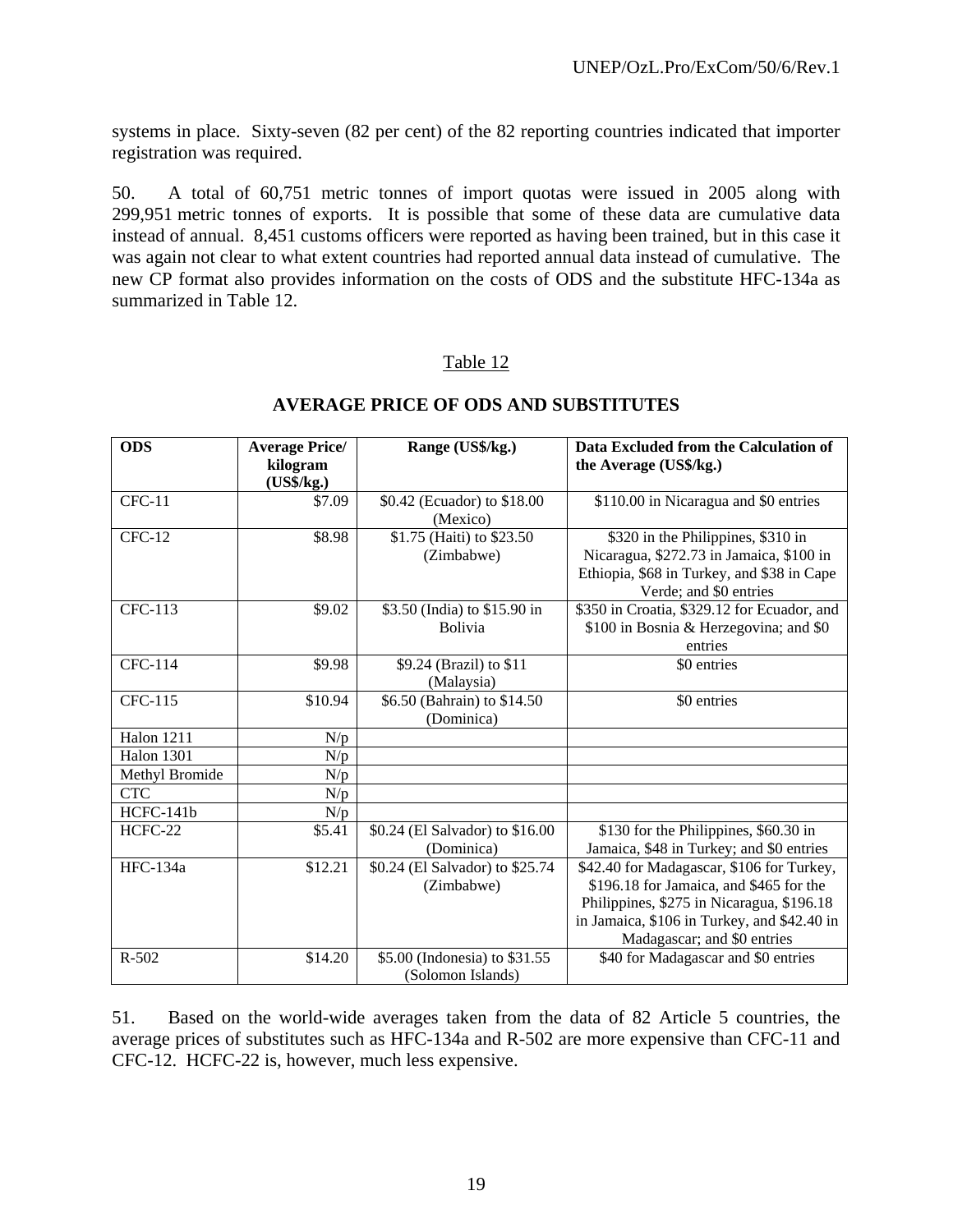systems in place. Sixty-seven (82 per cent) of the 82 reporting countries indicated that importer registration was required.

50. A total of 60,751 metric tonnes of import quotas were issued in 2005 along with 299,951 metric tonnes of exports. It is possible that some of these data are cumulative data instead of annual. 8,451 customs officers were reported as having been trained, but in this case it was again not clear to what extent countries had reported annual data instead of cumulative. The new CP format also provides information on the costs of ODS and the substitute HFC-134a as summarized in Table 12.

### Table 12

| <b>ODS</b>        | <b>Average Price/</b><br>kilogram<br>(US\$/kg.) | Range (US\$/kg.)                                   | Data Excluded from the Calculation of<br>the Average (US\$/kg.)                                                                                                                                                 |
|-------------------|-------------------------------------------------|----------------------------------------------------|-----------------------------------------------------------------------------------------------------------------------------------------------------------------------------------------------------------------|
| $CFC-11$          | \$7.09                                          | \$0.42 (Ecuador) to \$18.00<br>(Mexico)            | \$110.00 in Nicaragua and \$0 entries                                                                                                                                                                           |
| $CFC-12$          | \$8.98                                          | \$1.75 (Haiti) to \$23.50<br>(Zimbabwe)            | \$320 in the Philippines, \$310 in<br>Nicaragua, \$272.73 in Jamaica, \$100 in<br>Ethiopia, \$68 in Turkey, and \$38 in Cape<br>Verde; and \$0 entries                                                          |
| <b>CFC-113</b>    | \$9.02                                          | \$3.50 (India) to \$15.90 in<br><b>Bolivia</b>     | \$350 in Croatia, \$329.12 for Ecuador, and<br>\$100 in Bosnia & Herzegovina; and \$0<br>entries                                                                                                                |
| <b>CFC-114</b>    | \$9.98                                          | \$9.24 (Brazil) to \$11<br>(Malaysia)              | \$0 entries                                                                                                                                                                                                     |
| <b>CFC-115</b>    | \$10.94                                         | \$6.50 (Bahrain) to \$14.50<br>(Dominica)          | \$0 entries                                                                                                                                                                                                     |
| <b>Halon 1211</b> | N/p                                             |                                                    |                                                                                                                                                                                                                 |
| <b>Halon 1301</b> | N/p                                             |                                                    |                                                                                                                                                                                                                 |
| Methyl Bromide    | N/p                                             |                                                    |                                                                                                                                                                                                                 |
| <b>CTC</b>        | N/p                                             |                                                    |                                                                                                                                                                                                                 |
| HCFC-141b         | N/p                                             |                                                    |                                                                                                                                                                                                                 |
| HCFC-22           | \$5.41                                          | \$0.24 (El Salvador) to \$16.00<br>(Dominica)      | \$130 for the Philippines, \$60.30 in<br>Jamaica, \$48 in Turkey; and \$0 entries                                                                                                                               |
| <b>HFC-134a</b>   | \$12.21                                         | \$0.24 (El Salvador) to \$25.74<br>(Zimbabwe)      | \$42.40 for Madagascar, \$106 for Turkey,<br>\$196.18 for Jamaica, and \$465 for the<br>Philippines, \$275 in Nicaragua, \$196.18<br>in Jamaica, \$106 in Turkey, and \$42.40 in<br>Madagascar; and \$0 entries |
| $R - 502$         | \$14.20                                         | \$5.00 (Indonesia) to \$31.55<br>(Solomon Islands) | \$40 for Madagascar and \$0 entries                                                                                                                                                                             |

### **AVERAGE PRICE OF ODS AND SUBSTITUTES**

51. Based on the world-wide averages taken from the data of 82 Article 5 countries, the average prices of substitutes such as HFC-134a and R-502 are more expensive than CFC-11 and CFC-12. HCFC-22 is, however, much less expensive.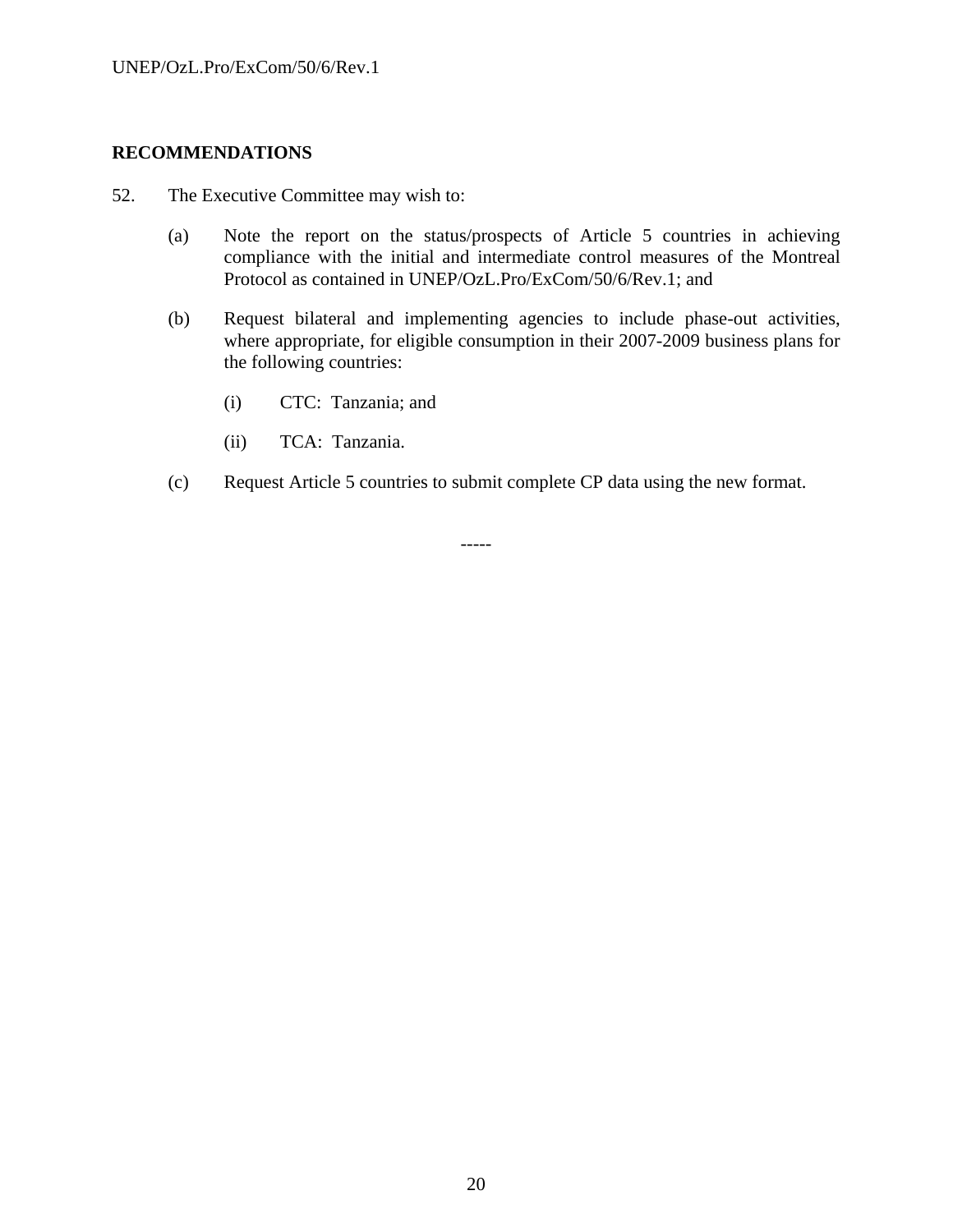#### **RECOMMENDATIONS**

- 52. The Executive Committee may wish to:
	- (a) Note the report on the status/prospects of Article 5 countries in achieving compliance with the initial and intermediate control measures of the Montreal Protocol as contained in UNEP/OzL.Pro/ExCom/50/6/Rev.1; and
	- (b) Request bilateral and implementing agencies to include phase-out activities, where appropriate, for eligible consumption in their 2007-2009 business plans for the following countries:
		- (i) CTC: Tanzania; and
		- (ii) TCA: Tanzania.
	- (c) Request Article 5 countries to submit complete CP data using the new format.

-----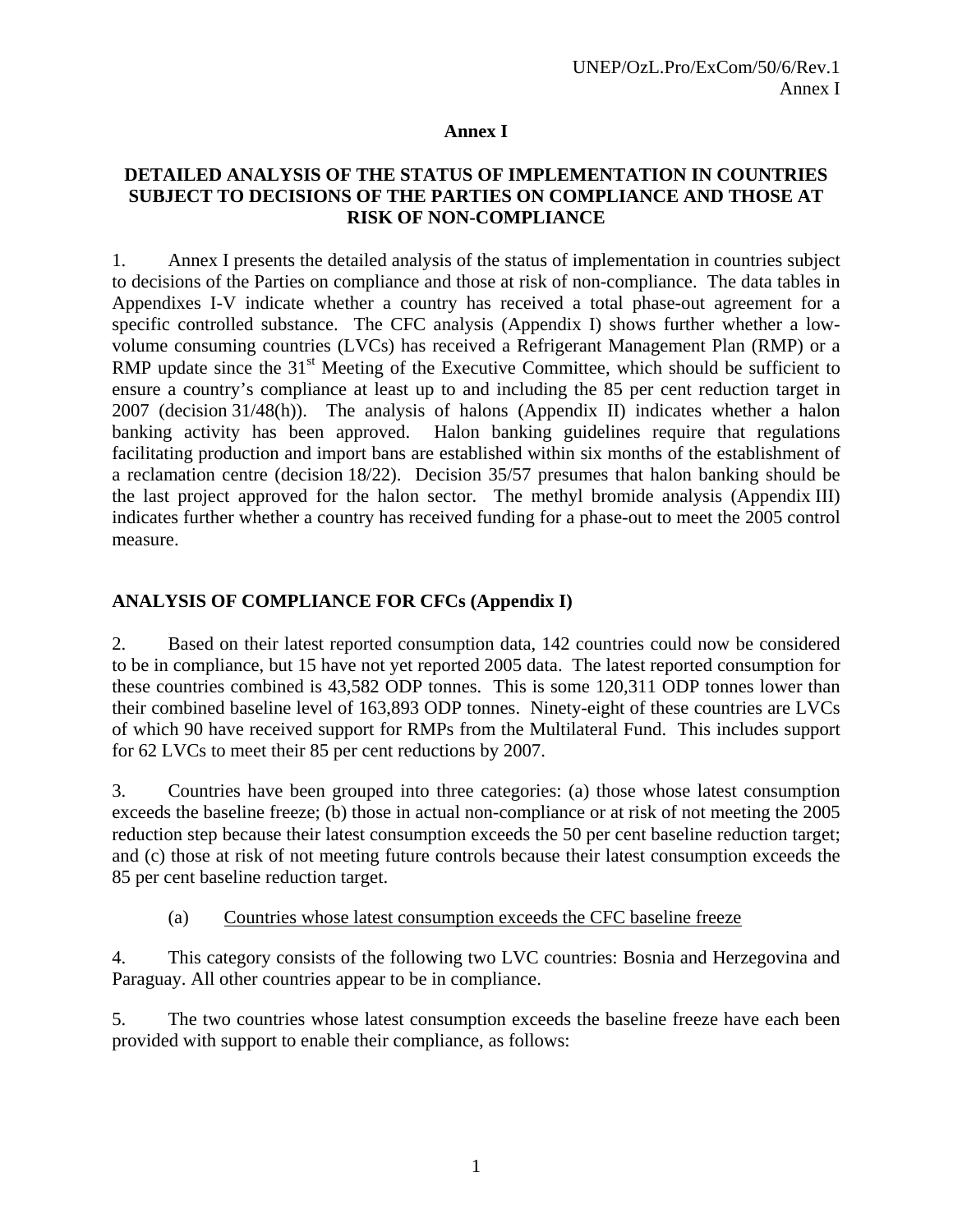### **Annex I**

### **DETAILED ANALYSIS OF THE STATUS OF IMPLEMENTATION IN COUNTRIES SUBJECT TO DECISIONS OF THE PARTIES ON COMPLIANCE AND THOSE AT RISK OF NON-COMPLIANCE**

1. Annex I presents the detailed analysis of the status of implementation in countries subject to decisions of the Parties on compliance and those at risk of non-compliance. The data tables in Appendixes I-V indicate whether a country has received a total phase-out agreement for a specific controlled substance. The CFC analysis (Appendix I) shows further whether a lowvolume consuming countries (LVCs) has received a Refrigerant Management Plan (RMP) or a RMP update since the  $31<sup>st</sup>$  Meeting of the Executive Committee, which should be sufficient to ensure a country's compliance at least up to and including the 85 per cent reduction target in 2007 (decision 31/48(h)). The analysis of halons (Appendix II) indicates whether a halon banking activity has been approved. Halon banking guidelines require that regulations facilitating production and import bans are established within six months of the establishment of a reclamation centre (decision 18/22). Decision 35/57 presumes that halon banking should be the last project approved for the halon sector. The methyl bromide analysis (Appendix III) indicates further whether a country has received funding for a phase-out to meet the 2005 control measure.

# **ANALYSIS OF COMPLIANCE FOR CFCs (Appendix I)**

2. Based on their latest reported consumption data, 142 countries could now be considered to be in compliance, but 15 have not yet reported 2005 data. The latest reported consumption for these countries combined is 43,582 ODP tonnes. This is some 120,311 ODP tonnes lower than their combined baseline level of 163,893 ODP tonnes. Ninety-eight of these countries are LVCs of which 90 have received support for RMPs from the Multilateral Fund. This includes support for 62 LVCs to meet their 85 per cent reductions by 2007.

3. Countries have been grouped into three categories: (a) those whose latest consumption exceeds the baseline freeze; (b) those in actual non-compliance or at risk of not meeting the 2005 reduction step because their latest consumption exceeds the 50 per cent baseline reduction target; and (c) those at risk of not meeting future controls because their latest consumption exceeds the 85 per cent baseline reduction target.

# (a) Countries whose latest consumption exceeds the CFC baseline freeze

4. This category consists of the following two LVC countries: Bosnia and Herzegovina and Paraguay. All other countries appear to be in compliance.

5. The two countries whose latest consumption exceeds the baseline freeze have each been provided with support to enable their compliance, as follows: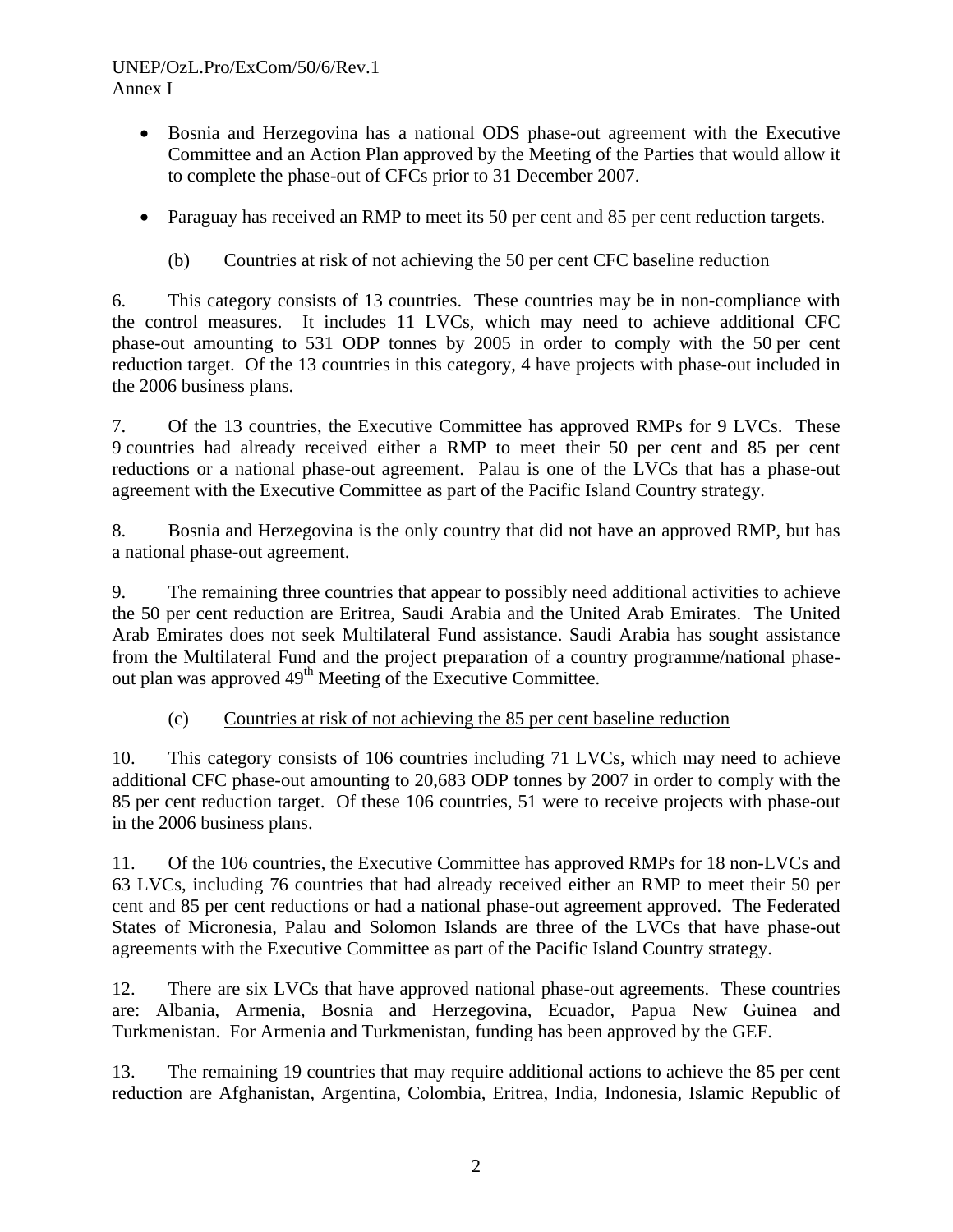### UNEP/OzL.Pro/ExCom/50/6/Rev.1 Annex I

- Bosnia and Herzegovina has a national ODS phase-out agreement with the Executive Committee and an Action Plan approved by the Meeting of the Parties that would allow it to complete the phase-out of CFCs prior to 31 December 2007.
- Paraguay has received an RMP to meet its 50 per cent and 85 per cent reduction targets.

# (b) Countries at risk of not achieving the 50 per cent CFC baseline reduction

6. This category consists of 13 countries. These countries may be in non-compliance with the control measures. It includes 11 LVCs, which may need to achieve additional CFC phase-out amounting to 531 ODP tonnes by 2005 in order to comply with the 50 per cent reduction target. Of the 13 countries in this category, 4 have projects with phase-out included in the 2006 business plans.

7. Of the 13 countries, the Executive Committee has approved RMPs for 9 LVCs. These 9 countries had already received either a RMP to meet their 50 per cent and 85 per cent reductions or a national phase-out agreement. Palau is one of the LVCs that has a phase-out agreement with the Executive Committee as part of the Pacific Island Country strategy.

8. Bosnia and Herzegovina is the only country that did not have an approved RMP, but has a national phase-out agreement.

9. The remaining three countries that appear to possibly need additional activities to achieve the 50 per cent reduction are Eritrea, Saudi Arabia and the United Arab Emirates. The United Arab Emirates does not seek Multilateral Fund assistance. Saudi Arabia has sought assistance from the Multilateral Fund and the project preparation of a country programme/national phaseout plan was approved 49<sup>th</sup> Meeting of the Executive Committee.

# (c) Countries at risk of not achieving the 85 per cent baseline reduction

10. This category consists of 106 countries including 71 LVCs, which may need to achieve additional CFC phase-out amounting to 20,683 ODP tonnes by 2007 in order to comply with the 85 per cent reduction target. Of these 106 countries, 51 were to receive projects with phase-out in the 2006 business plans.

11. Of the 106 countries, the Executive Committee has approved RMPs for 18 non-LVCs and 63 LVCs, including 76 countries that had already received either an RMP to meet their 50 per cent and 85 per cent reductions or had a national phase-out agreement approved. The Federated States of Micronesia, Palau and Solomon Islands are three of the LVCs that have phase-out agreements with the Executive Committee as part of the Pacific Island Country strategy.

12. There are six LVCs that have approved national phase-out agreements. These countries are: Albania, Armenia, Bosnia and Herzegovina, Ecuador, Papua New Guinea and Turkmenistan. For Armenia and Turkmenistan, funding has been approved by the GEF.

13. The remaining 19 countries that may require additional actions to achieve the 85 per cent reduction are Afghanistan, Argentina, Colombia, Eritrea, India, Indonesia, Islamic Republic of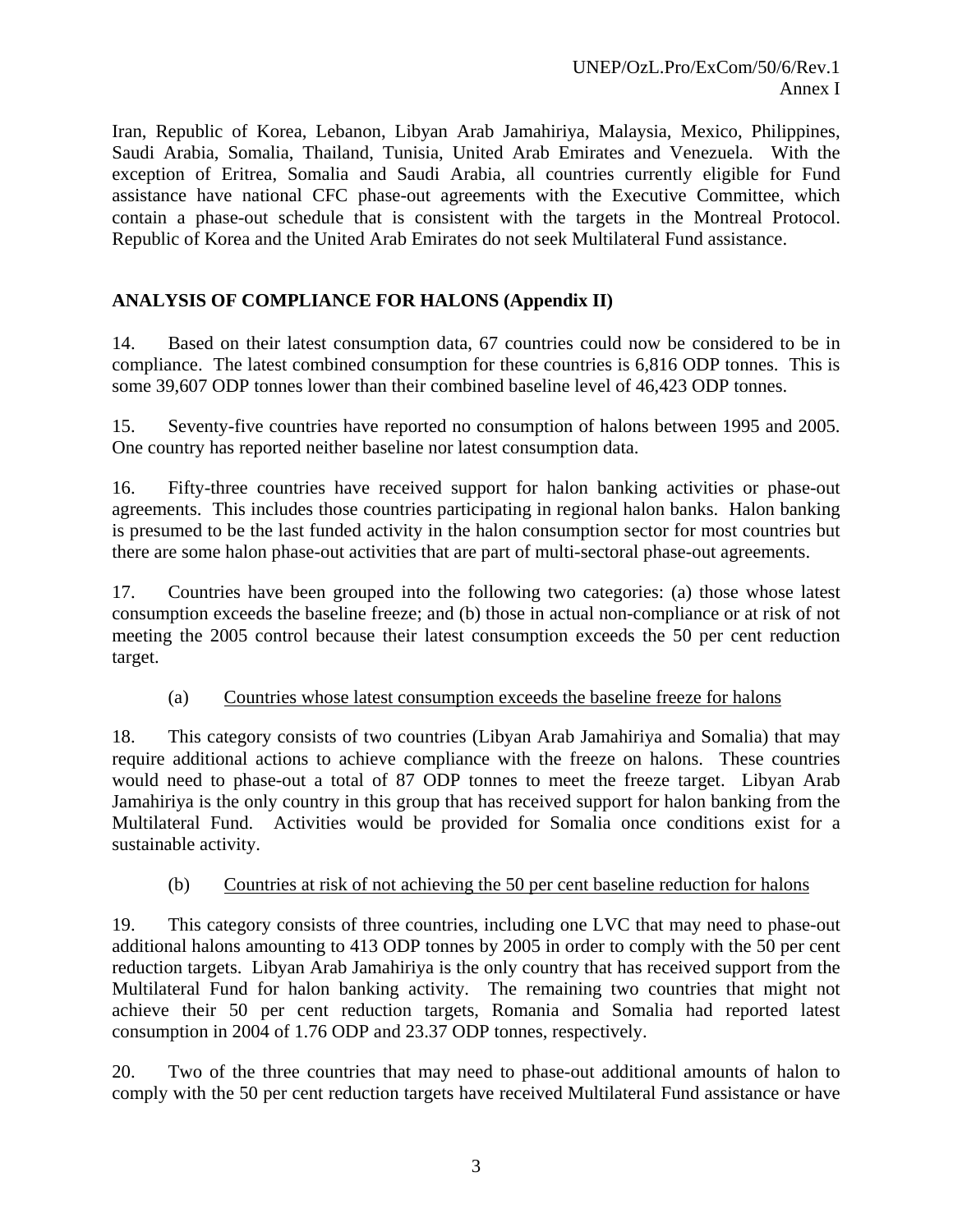Iran, Republic of Korea, Lebanon, Libyan Arab Jamahiriya, Malaysia, Mexico, Philippines, Saudi Arabia, Somalia, Thailand, Tunisia, United Arab Emirates and Venezuela. With the exception of Eritrea, Somalia and Saudi Arabia, all countries currently eligible for Fund assistance have national CFC phase-out agreements with the Executive Committee, which contain a phase-out schedule that is consistent with the targets in the Montreal Protocol. Republic of Korea and the United Arab Emirates do not seek Multilateral Fund assistance.

# **ANALYSIS OF COMPLIANCE FOR HALONS (Appendix II)**

14. Based on their latest consumption data, 67 countries could now be considered to be in compliance. The latest combined consumption for these countries is 6,816 ODP tonnes. This is some 39,607 ODP tonnes lower than their combined baseline level of 46,423 ODP tonnes.

15. Seventy-five countries have reported no consumption of halons between 1995 and 2005. One country has reported neither baseline nor latest consumption data.

16. Fifty-three countries have received support for halon banking activities or phase-out agreements. This includes those countries participating in regional halon banks. Halon banking is presumed to be the last funded activity in the halon consumption sector for most countries but there are some halon phase-out activities that are part of multi-sectoral phase-out agreements.

17. Countries have been grouped into the following two categories: (a) those whose latest consumption exceeds the baseline freeze; and (b) those in actual non-compliance or at risk of not meeting the 2005 control because their latest consumption exceeds the 50 per cent reduction target.

#### (a) Countries whose latest consumption exceeds the baseline freeze for halons

18. This category consists of two countries (Libyan Arab Jamahiriya and Somalia) that may require additional actions to achieve compliance with the freeze on halons. These countries would need to phase-out a total of 87 ODP tonnes to meet the freeze target. Libyan Arab Jamahiriya is the only country in this group that has received support for halon banking from the Multilateral Fund. Activities would be provided for Somalia once conditions exist for a sustainable activity.

### (b) Countries at risk of not achieving the 50 per cent baseline reduction for halons

19. This category consists of three countries, including one LVC that may need to phase-out additional halons amounting to 413 ODP tonnes by 2005 in order to comply with the 50 per cent reduction targets. Libyan Arab Jamahiriya is the only country that has received support from the Multilateral Fund for halon banking activity. The remaining two countries that might not achieve their 50 per cent reduction targets, Romania and Somalia had reported latest consumption in 2004 of 1.76 ODP and 23.37 ODP tonnes, respectively.

20. Two of the three countries that may need to phase-out additional amounts of halon to comply with the 50 per cent reduction targets have received Multilateral Fund assistance or have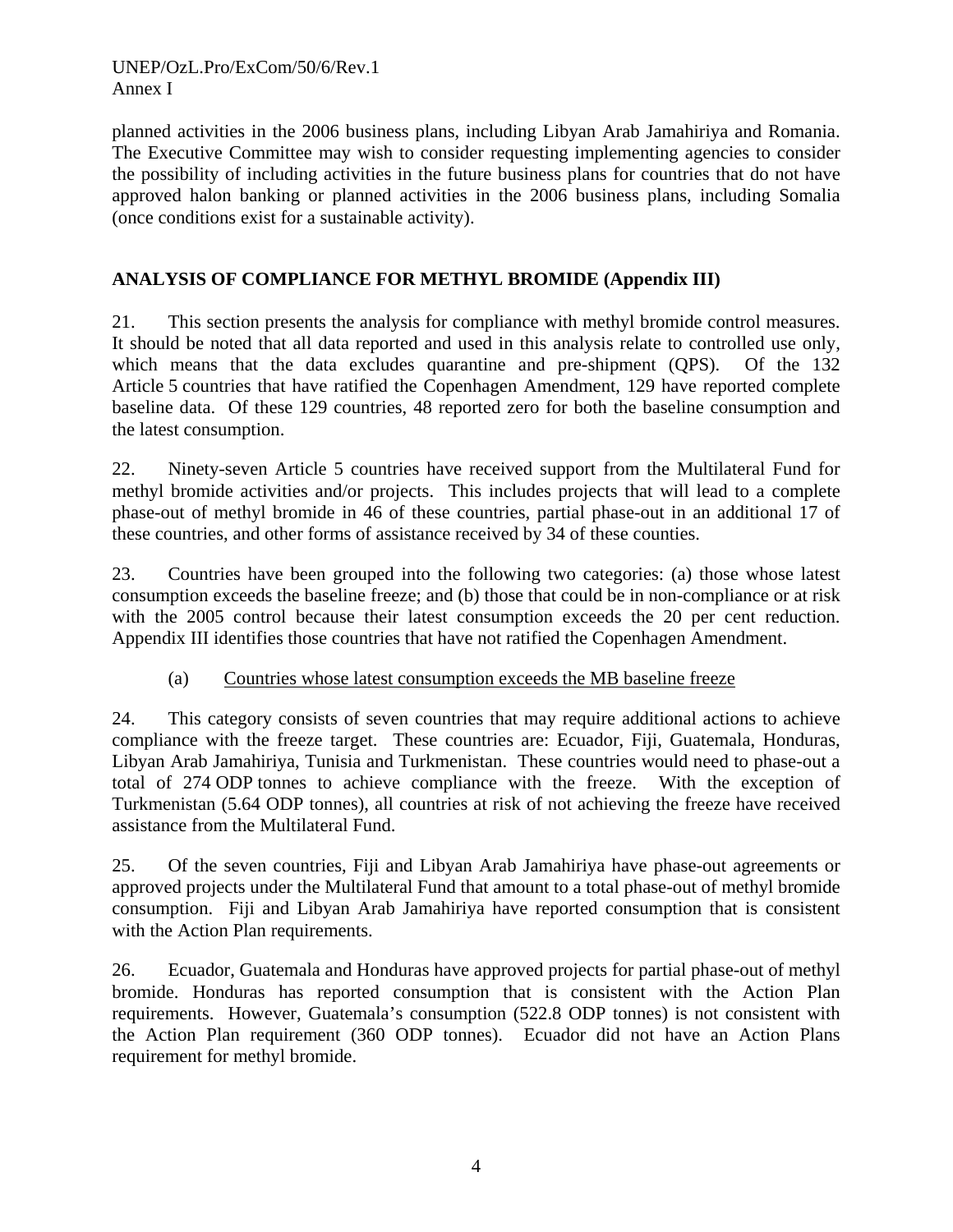### UNEP/OzL.Pro/ExCom/50/6/Rev.1 Annex I

planned activities in the 2006 business plans, including Libyan Arab Jamahiriya and Romania. The Executive Committee may wish to consider requesting implementing agencies to consider the possibility of including activities in the future business plans for countries that do not have approved halon banking or planned activities in the 2006 business plans, including Somalia (once conditions exist for a sustainable activity).

# **ANALYSIS OF COMPLIANCE FOR METHYL BROMIDE (Appendix III)**

21. This section presents the analysis for compliance with methyl bromide control measures. It should be noted that all data reported and used in this analysis relate to controlled use only, which means that the data excludes quarantine and pre-shipment (QPS). Of the 132 Article 5 countries that have ratified the Copenhagen Amendment, 129 have reported complete baseline data. Of these 129 countries, 48 reported zero for both the baseline consumption and the latest consumption.

22. Ninety-seven Article 5 countries have received support from the Multilateral Fund for methyl bromide activities and/or projects. This includes projects that will lead to a complete phase-out of methyl bromide in 46 of these countries, partial phase-out in an additional 17 of these countries, and other forms of assistance received by 34 of these counties.

23. Countries have been grouped into the following two categories: (a) those whose latest consumption exceeds the baseline freeze; and (b) those that could be in non-compliance or at risk with the 2005 control because their latest consumption exceeds the 20 per cent reduction. Appendix III identifies those countries that have not ratified the Copenhagen Amendment.

### (a) Countries whose latest consumption exceeds the MB baseline freeze

24. This category consists of seven countries that may require additional actions to achieve compliance with the freeze target. These countries are: Ecuador, Fiji, Guatemala, Honduras, Libyan Arab Jamahiriya, Tunisia and Turkmenistan. These countries would need to phase-out a total of 274 ODP tonnes to achieve compliance with the freeze. With the exception of Turkmenistan (5.64 ODP tonnes), all countries at risk of not achieving the freeze have received assistance from the Multilateral Fund.

25. Of the seven countries, Fiji and Libyan Arab Jamahiriya have phase-out agreements or approved projects under the Multilateral Fund that amount to a total phase-out of methyl bromide consumption. Fiji and Libyan Arab Jamahiriya have reported consumption that is consistent with the Action Plan requirements.

26. Ecuador, Guatemala and Honduras have approved projects for partial phase-out of methyl bromide. Honduras has reported consumption that is consistent with the Action Plan requirements. However, Guatemala's consumption (522.8 ODP tonnes) is not consistent with the Action Plan requirement (360 ODP tonnes). Ecuador did not have an Action Plans requirement for methyl bromide.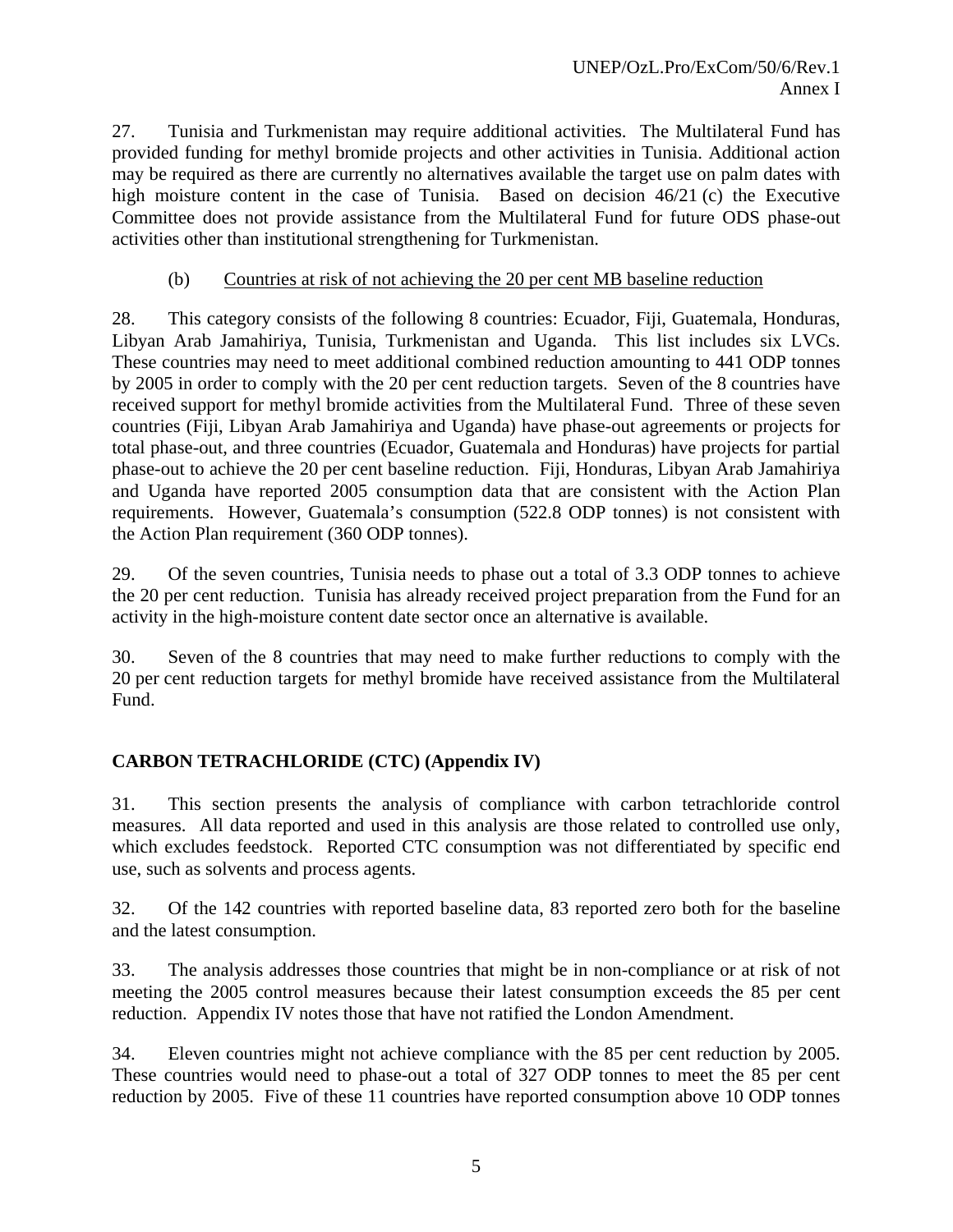27. Tunisia and Turkmenistan may require additional activities. The Multilateral Fund has provided funding for methyl bromide projects and other activities in Tunisia. Additional action may be required as there are currently no alternatives available the target use on palm dates with high moisture content in the case of Tunisia. Based on decision 46/21 (c) the Executive Committee does not provide assistance from the Multilateral Fund for future ODS phase-out activities other than institutional strengthening for Turkmenistan.

# (b) Countries at risk of not achieving the 20 per cent MB baseline reduction

28. This category consists of the following 8 countries: Ecuador, Fiji, Guatemala, Honduras, Libyan Arab Jamahiriya, Tunisia, Turkmenistan and Uganda. This list includes six LVCs. These countries may need to meet additional combined reduction amounting to 441 ODP tonnes by 2005 in order to comply with the 20 per cent reduction targets. Seven of the 8 countries have received support for methyl bromide activities from the Multilateral Fund. Three of these seven countries (Fiji, Libyan Arab Jamahiriya and Uganda) have phase-out agreements or projects for total phase-out, and three countries (Ecuador, Guatemala and Honduras) have projects for partial phase-out to achieve the 20 per cent baseline reduction. Fiji, Honduras, Libyan Arab Jamahiriya and Uganda have reported 2005 consumption data that are consistent with the Action Plan requirements. However, Guatemala's consumption (522.8 ODP tonnes) is not consistent with the Action Plan requirement (360 ODP tonnes).

29. Of the seven countries, Tunisia needs to phase out a total of 3.3 ODP tonnes to achieve the 20 per cent reduction. Tunisia has already received project preparation from the Fund for an activity in the high-moisture content date sector once an alternative is available.

30. Seven of the 8 countries that may need to make further reductions to comply with the 20 per cent reduction targets for methyl bromide have received assistance from the Multilateral Fund.

# **CARBON TETRACHLORIDE (CTC) (Appendix IV)**

31. This section presents the analysis of compliance with carbon tetrachloride control measures. All data reported and used in this analysis are those related to controlled use only, which excludes feedstock. Reported CTC consumption was not differentiated by specific end use, such as solvents and process agents.

32. Of the 142 countries with reported baseline data, 83 reported zero both for the baseline and the latest consumption.

33. The analysis addresses those countries that might be in non-compliance or at risk of not meeting the 2005 control measures because their latest consumption exceeds the 85 per cent reduction. Appendix IV notes those that have not ratified the London Amendment.

34. Eleven countries might not achieve compliance with the 85 per cent reduction by 2005. These countries would need to phase-out a total of 327 ODP tonnes to meet the 85 per cent reduction by 2005. Five of these 11 countries have reported consumption above 10 ODP tonnes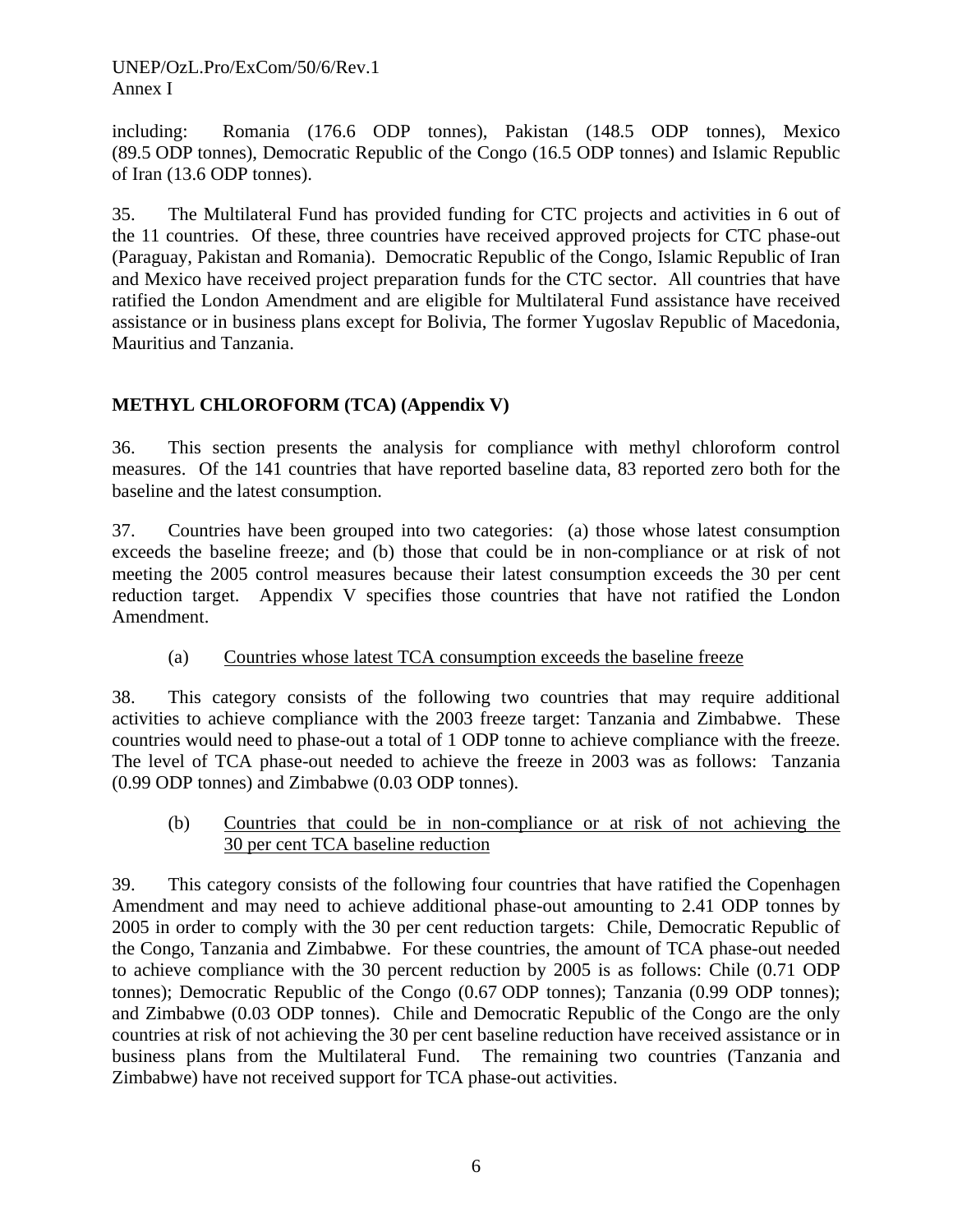UNEP/OzL.Pro/ExCom/50/6/Rev.1 Annex I

including: Romania (176.6 ODP tonnes), Pakistan (148.5 ODP tonnes), Mexico (89.5 ODP tonnes), Democratic Republic of the Congo (16.5 ODP tonnes) and Islamic Republic of Iran (13.6 ODP tonnes).

35. The Multilateral Fund has provided funding for CTC projects and activities in 6 out of the 11 countries. Of these, three countries have received approved projects for CTC phase-out (Paraguay, Pakistan and Romania). Democratic Republic of the Congo, Islamic Republic of Iran and Mexico have received project preparation funds for the CTC sector. All countries that have ratified the London Amendment and are eligible for Multilateral Fund assistance have received assistance or in business plans except for Bolivia, The former Yugoslav Republic of Macedonia, Mauritius and Tanzania.

# **METHYL CHLOROFORM (TCA) (Appendix V)**

36. This section presents the analysis for compliance with methyl chloroform control measures. Of the 141 countries that have reported baseline data, 83 reported zero both for the baseline and the latest consumption.

37. Countries have been grouped into two categories: (a) those whose latest consumption exceeds the baseline freeze; and (b) those that could be in non-compliance or at risk of not meeting the 2005 control measures because their latest consumption exceeds the 30 per cent reduction target. Appendix V specifies those countries that have not ratified the London Amendment.

### (a) Countries whose latest TCA consumption exceeds the baseline freeze

38. This category consists of the following two countries that may require additional activities to achieve compliance with the 2003 freeze target: Tanzania and Zimbabwe. These countries would need to phase-out a total of 1 ODP tonne to achieve compliance with the freeze. The level of TCA phase-out needed to achieve the freeze in 2003 was as follows: Tanzania (0.99 ODP tonnes) and Zimbabwe (0.03 ODP tonnes).

(b) Countries that could be in non-compliance or at risk of not achieving the 30 per cent TCA baseline reduction

39. This category consists of the following four countries that have ratified the Copenhagen Amendment and may need to achieve additional phase-out amounting to 2.41 ODP tonnes by 2005 in order to comply with the 30 per cent reduction targets: Chile, Democratic Republic of the Congo, Tanzania and Zimbabwe. For these countries, the amount of TCA phase-out needed to achieve compliance with the 30 percent reduction by 2005 is as follows: Chile (0.71 ODP tonnes); Democratic Republic of the Congo (0.67 ODP tonnes); Tanzania (0.99 ODP tonnes); and Zimbabwe (0.03 ODP tonnes). Chile and Democratic Republic of the Congo are the only countries at risk of not achieving the 30 per cent baseline reduction have received assistance or in business plans from the Multilateral Fund. The remaining two countries (Tanzania and Zimbabwe) have not received support for TCA phase-out activities.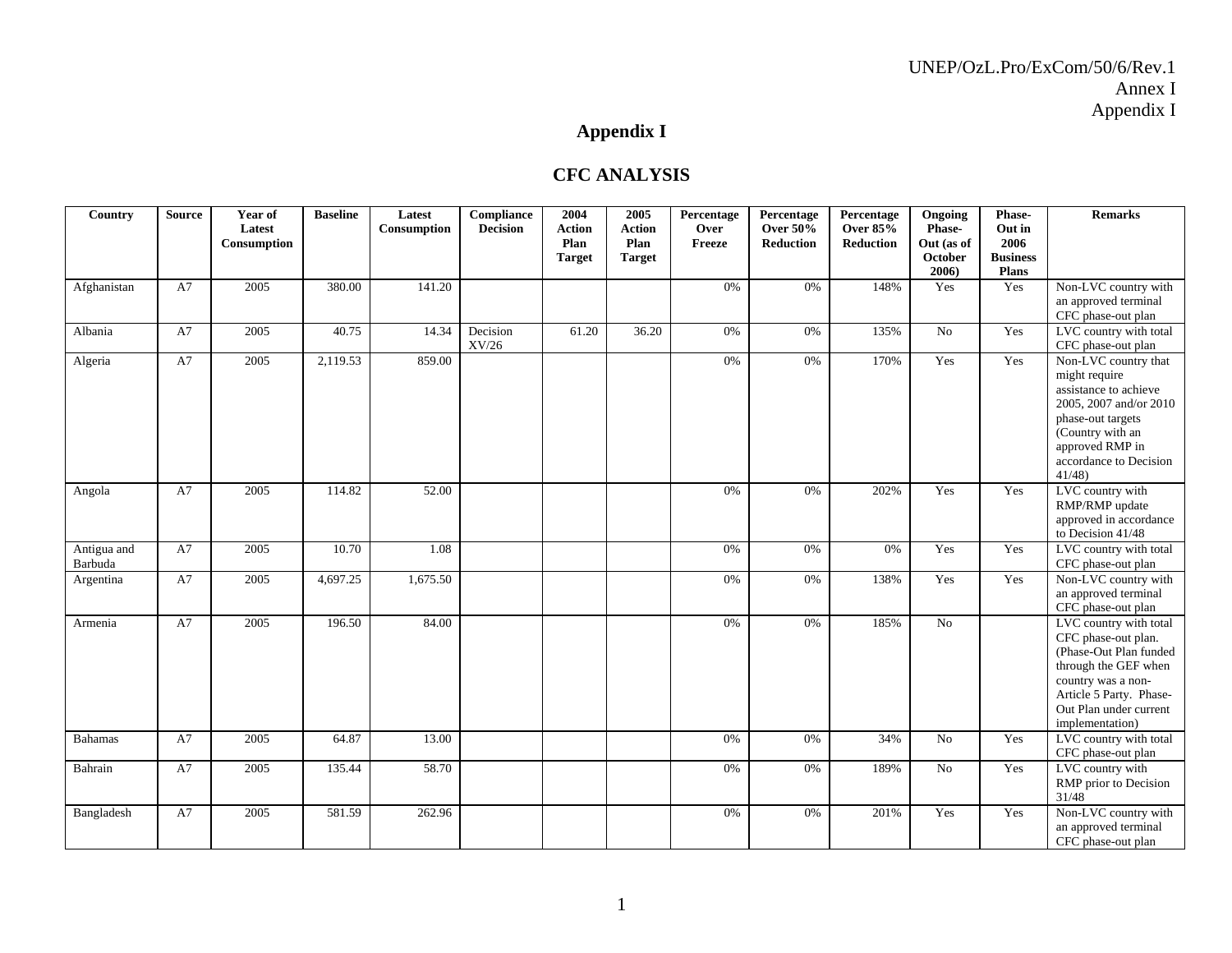# **Appendix I**

#### **CFC ANALYSIS**

| Country                | <b>Source</b> | Year of<br>Latest<br>Consumption | <b>Baseline</b> | Latest<br>Consumption | Compliance<br><b>Decision</b> | 2004<br><b>Action</b><br>Plan<br><b>Target</b> | 2005<br><b>Action</b><br>Plan<br><b>Target</b> | Percentage<br>Over<br>Freeze | Percentage<br><b>Over 50%</b><br><b>Reduction</b> | Percentage<br><b>Over 85%</b><br>Reduction | Ongoing<br>Phase-<br>Out (as of<br>October<br>2006) | Phase-<br>Out in<br>2006<br><b>Business</b><br>Plans | <b>Remarks</b>                                                                                                                                                                                |
|------------------------|---------------|----------------------------------|-----------------|-----------------------|-------------------------------|------------------------------------------------|------------------------------------------------|------------------------------|---------------------------------------------------|--------------------------------------------|-----------------------------------------------------|------------------------------------------------------|-----------------------------------------------------------------------------------------------------------------------------------------------------------------------------------------------|
| Afghanistan            | A7            | 2005                             | 380.00          | 141.20                |                               |                                                |                                                | 0%                           | 0%                                                | 148%                                       | Yes                                                 | Yes                                                  | Non-LVC country with<br>an approved terminal<br>CFC phase-out plan                                                                                                                            |
| Albania                | A7            | 2005                             | 40.75           | 14.34                 | Decision<br>${\rm XV/26}$     | 61.20                                          | 36.20                                          | 0%                           | 0%                                                | 135%                                       | No                                                  | Yes                                                  | LVC country with total<br>CFC phase-out plan                                                                                                                                                  |
| Algeria                | A7            | 2005                             | 2,119.53        | 859.00                |                               |                                                |                                                | 0%                           | 0%                                                | 170%                                       | Yes                                                 | Yes                                                  | Non-LVC country that<br>might require<br>assistance to achieve<br>2005, 2007 and/or 2010<br>phase-out targets<br>(Country with an<br>approved RMP in<br>accordance to Decision<br>41/48       |
| Angola                 | A7            | 2005                             | 114.82          | 52.00                 |                               |                                                |                                                | 0%                           | 0%                                                | 202%                                       | Yes                                                 | Yes                                                  | LVC country with<br>RMP/RMP update<br>approved in accordance<br>to Decision 41/48                                                                                                             |
| Antigua and<br>Barbuda | A7            | 2005                             | 10.70           | 1.08                  |                               |                                                |                                                | 0%                           | 0%                                                | 0%                                         | Yes                                                 | Yes                                                  | LVC country with total<br>CFC phase-out plan                                                                                                                                                  |
| Argentina              | A7            | 2005                             | 4,697.25        | 1,675.50              |                               |                                                |                                                | 0%                           | 0%                                                | 138%                                       | Yes                                                 | Yes                                                  | Non-LVC country with<br>an approved terminal<br>CFC phase-out plan                                                                                                                            |
| Armenia                | A7            | 2005                             | 196.50          | 84.00                 |                               |                                                |                                                | 0%                           | 0%                                                | 185%                                       | No                                                  |                                                      | LVC country with total<br>CFC phase-out plan.<br>(Phase-Out Plan funded<br>through the GEF when<br>country was a non-<br>Article 5 Party. Phase-<br>Out Plan under current<br>implementation) |
| <b>Bahamas</b>         | A7            | 2005                             | 64.87           | 13.00                 |                               |                                                |                                                | 0%                           | 0%                                                | 34%                                        | No                                                  | Yes                                                  | LVC country with total<br>CFC phase-out plan                                                                                                                                                  |
| Bahrain                | A7            | 2005                             | 135.44          | 58.70                 |                               |                                                |                                                | 0%                           | 0%                                                | 189%                                       | N <sub>0</sub>                                      | Yes                                                  | LVC country with<br>RMP prior to Decision<br>31/48                                                                                                                                            |
| Bangladesh             | A7            | 2005                             | 581.59          | 262.96                |                               |                                                |                                                | 0%                           | 0%                                                | 201%                                       | Yes                                                 | Yes                                                  | Non-LVC country with<br>an approved terminal<br>CFC phase-out plan                                                                                                                            |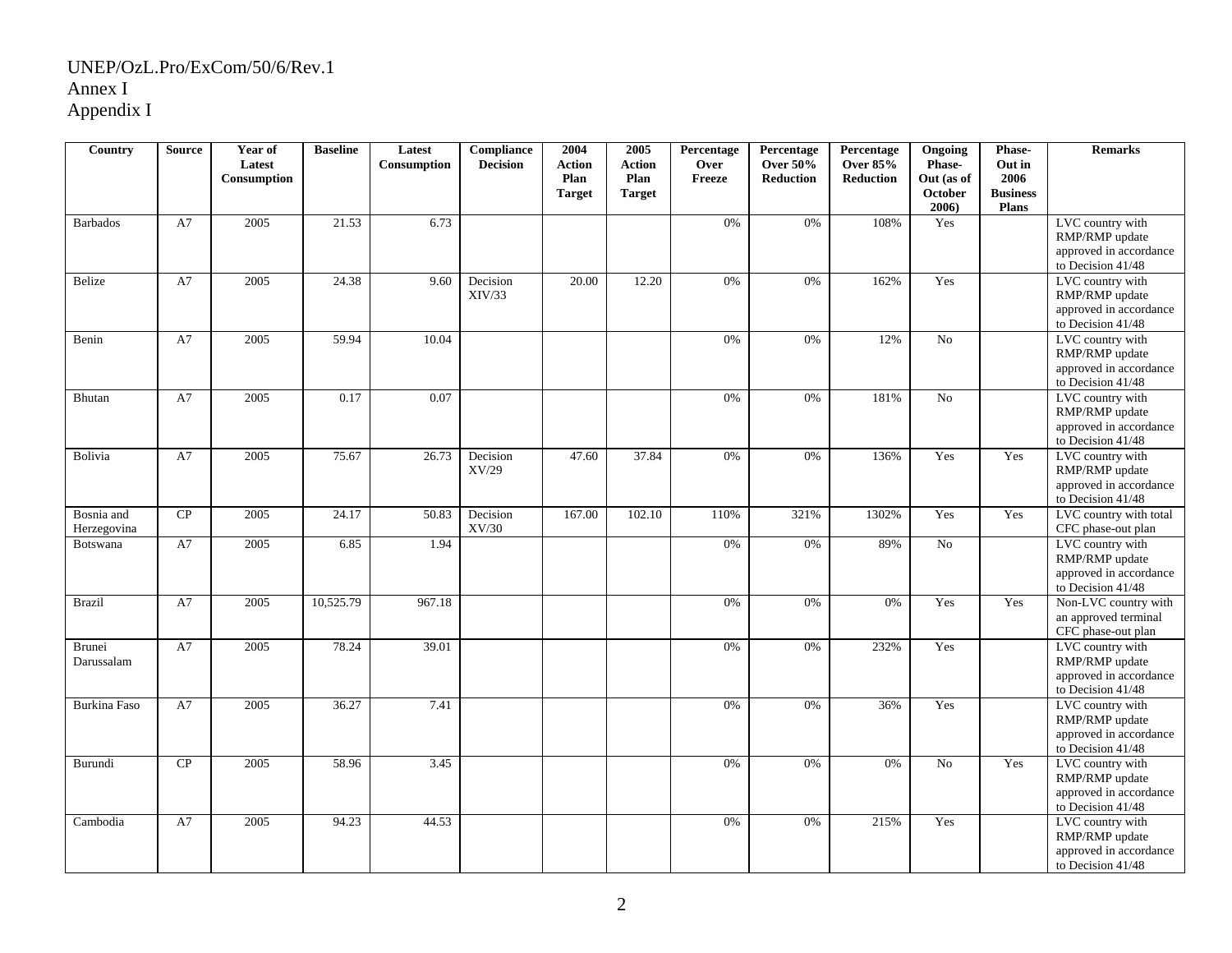| Country                     | <b>Source</b> | Year of<br>Latest<br>Consumption | <b>Baseline</b> | Latest<br>Consumption | Compliance<br><b>Decision</b> | 2004<br><b>Action</b><br>Plan<br><b>Target</b> | 2005<br><b>Action</b><br>Plan<br><b>Target</b> | Percentage<br>Over<br>Freeze | Percentage<br><b>Over 50%</b><br><b>Reduction</b> | Percentage<br><b>Over 85%</b><br><b>Reduction</b> | Ongoing<br>Phase-<br>Out (as of<br>October<br>2006) | Phase-<br>Out in<br>2006<br><b>Business</b><br><b>Plans</b> | <b>Remarks</b>                                                                    |
|-----------------------------|---------------|----------------------------------|-----------------|-----------------------|-------------------------------|------------------------------------------------|------------------------------------------------|------------------------------|---------------------------------------------------|---------------------------------------------------|-----------------------------------------------------|-------------------------------------------------------------|-----------------------------------------------------------------------------------|
| <b>Barbados</b>             | A7            | 2005                             | 21.53           | 6.73                  |                               |                                                |                                                | 0%                           | 0%                                                | 108%                                              | Yes                                                 |                                                             | LVC country with<br>RMP/RMP update<br>approved in accordance<br>to Decision 41/48 |
| Belize                      | A7            | 2005                             | 24.38           | 9.60                  | Decision<br>XIV/33            | 20.00                                          | 12.20                                          | 0%                           | 0%                                                | 162%                                              | Yes                                                 |                                                             | LVC country with<br>RMP/RMP update<br>approved in accordance<br>to Decision 41/48 |
| Benin                       | A7            | 2005                             | 59.94           | 10.04                 |                               |                                                |                                                | 0%                           | 0%                                                | 12%                                               | N <sub>o</sub>                                      |                                                             | LVC country with<br>RMP/RMP update<br>approved in accordance<br>to Decision 41/48 |
| Bhutan                      | A7            | 2005                             | 0.17            | 0.07                  |                               |                                                |                                                | 0%                           | 0%                                                | 181%                                              | No                                                  |                                                             | LVC country with<br>RMP/RMP update<br>approved in accordance<br>to Decision 41/48 |
| Bolivia                     | A7            | 2005                             | 75.67           | 26.73                 | Decision<br>XV/29             | 47.60                                          | 37.84                                          | 0%                           | 0%                                                | 136%                                              | Yes                                                 | Yes                                                         | LVC country with<br>RMP/RMP update<br>approved in accordance<br>to Decision 41/48 |
| Bosnia and<br>Herzegovina   | CP            | 2005                             | 24.17           | 50.83                 | Decision<br>XV/30             | 167.00                                         | 102.10                                         | 110%                         | 321%                                              | 1302%                                             | Yes                                                 | Yes                                                         | LVC country with total<br>CFC phase-out plan                                      |
| Botswana                    | A7            | 2005                             | 6.85            | 1.94                  |                               |                                                |                                                | 0%                           | 0%                                                | 89%                                               | No                                                  |                                                             | LVC country with<br>RMP/RMP update<br>approved in accordance<br>to Decision 41/48 |
| <b>Brazil</b>               | A7            | 2005                             | 10,525.79       | 967.18                |                               |                                                |                                                | 0%                           | 0%                                                | 0%                                                | Yes                                                 | Yes                                                         | Non-LVC country with<br>an approved terminal<br>CFC phase-out plan                |
| <b>Brunei</b><br>Darussalam | A7            | 2005                             | 78.24           | 39.01                 |                               |                                                |                                                | 0%                           | 0%                                                | 232%                                              | Yes                                                 |                                                             | LVC country with<br>RMP/RMP update<br>approved in accordance<br>to Decision 41/48 |
| <b>Burkina Faso</b>         | A7            | 2005                             | 36.27           | 7.41                  |                               |                                                |                                                | 0%                           | $0\%$                                             | 36%                                               | Yes                                                 |                                                             | LVC country with<br>RMP/RMP update<br>approved in accordance<br>to Decision 41/48 |
| Burundi                     | CP            | 2005                             | 58.96           | 3.45                  |                               |                                                |                                                | 0%                           | 0%                                                | 0%                                                | N <sub>o</sub>                                      | Yes                                                         | LVC country with<br>RMP/RMP update<br>approved in accordance<br>to Decision 41/48 |
| Cambodia                    | A7            | 2005                             | 94.23           | 44.53                 |                               |                                                |                                                | 0%                           | 0%                                                | 215%                                              | Yes                                                 |                                                             | LVC country with<br>RMP/RMP update<br>approved in accordance<br>to Decision 41/48 |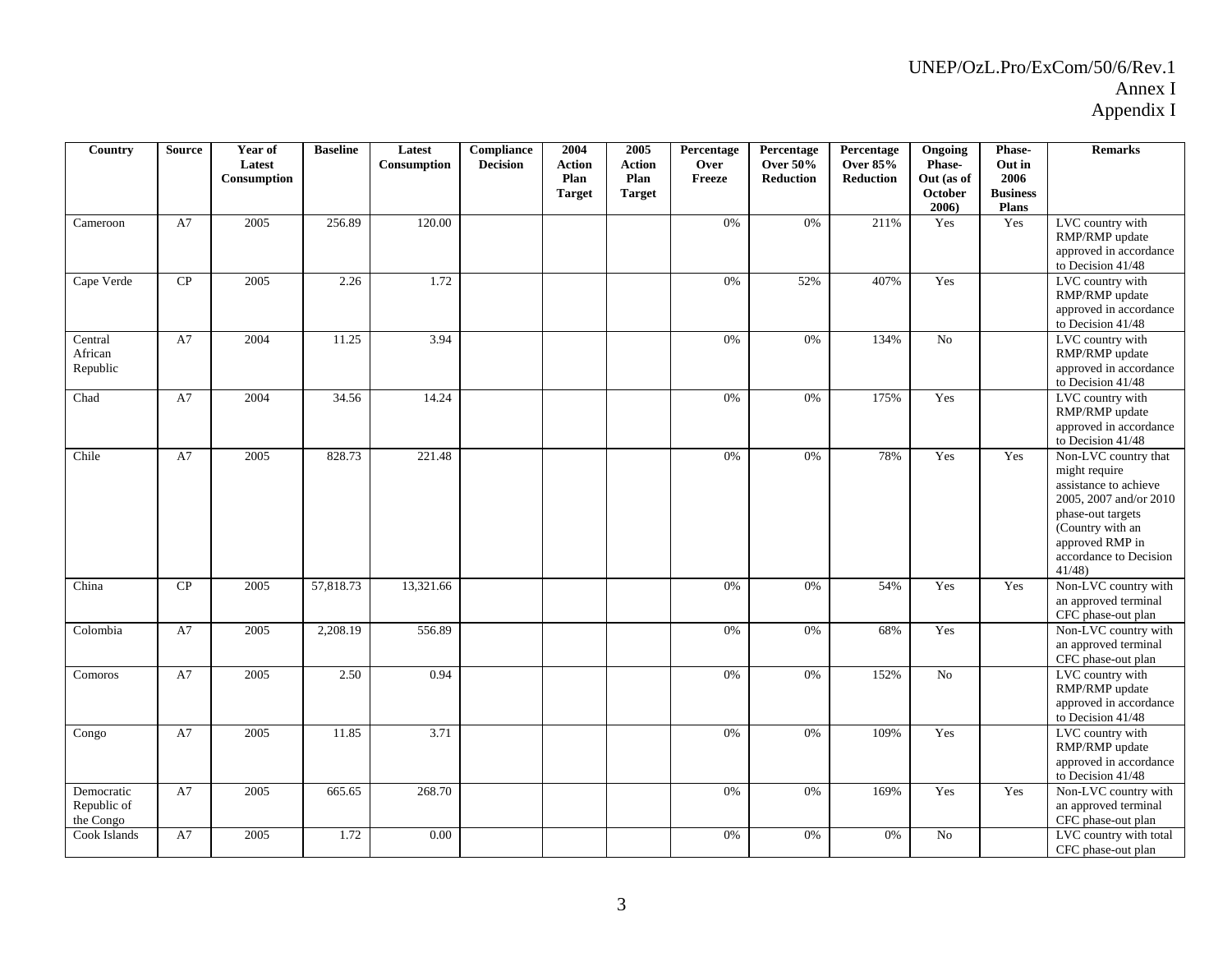| Country                                | <b>Source</b> | Year of<br>Latest<br>Consumption | <b>Baseline</b> | Latest<br>Consumption | <b>Compliance</b><br><b>Decision</b> | 2004<br><b>Action</b><br>Plan<br><b>Target</b> | 2005<br><b>Action</b><br>Plan<br><b>Target</b> | Percentage<br>Over<br>Freeze | Percentage<br><b>Over 50%</b><br><b>Reduction</b> | Percentage<br><b>Over 85%</b><br><b>Reduction</b> | Ongoing<br>Phase-<br>Out (as of<br><b>October</b><br>2006) | Phase-<br>Out in<br>2006<br><b>Business</b><br><b>Plans</b> | <b>Remarks</b>                                                                                                                                                                          |
|----------------------------------------|---------------|----------------------------------|-----------------|-----------------------|--------------------------------------|------------------------------------------------|------------------------------------------------|------------------------------|---------------------------------------------------|---------------------------------------------------|------------------------------------------------------------|-------------------------------------------------------------|-----------------------------------------------------------------------------------------------------------------------------------------------------------------------------------------|
| Cameroon                               | A7            | 2005                             | 256.89          | 120.00                |                                      |                                                |                                                | 0%                           | 0%                                                | 211%                                              | Yes                                                        | Yes                                                         | LVC country with<br>RMP/RMP update<br>approved in accordance<br>to Decision 41/48                                                                                                       |
| Cape Verde                             | CP            | 2005                             | 2.26            | 1.72                  |                                      |                                                |                                                | 0%                           | 52%                                               | 407%                                              | Yes                                                        |                                                             | LVC country with<br>RMP/RMP update<br>approved in accordance<br>to Decision $41/48$                                                                                                     |
| Central<br>African<br>Republic         | A7            | 2004                             | 11.25           | 3.94                  |                                      |                                                |                                                | 0%                           | 0%                                                | 134%                                              | N <sub>o</sub>                                             |                                                             | LVC country with<br>RMP/RMP update<br>approved in accordance<br>to Decision $41/48$                                                                                                     |
| Chad                                   | A7            | 2004                             | 34.56           | 14.24                 |                                      |                                                |                                                | 0%                           | $0\%$                                             | 175%                                              | Yes                                                        |                                                             | LVC country with<br>RMP/RMP update<br>approved in accordance<br>to Decision 41/48                                                                                                       |
| Chile                                  | A7            | 2005                             | 828.73          | 221.48                |                                      |                                                |                                                | 0%                           | 0%                                                | 78%                                               | Yes                                                        | Yes                                                         | Non-LVC country that<br>might require<br>assistance to achieve<br>2005, 2007 and/or 2010<br>phase-out targets<br>(Country with an<br>approved RMP in<br>accordance to Decision<br>41/48 |
| China                                  | CP            | 2005                             | 57,818.73       | 13,321.66             |                                      |                                                |                                                | 0%                           | 0%                                                | 54%                                               | Yes                                                        | Yes                                                         | Non-LVC country with<br>an approved terminal<br>CFC phase-out plan                                                                                                                      |
| Colombia                               | A7            | 2005                             | 2,208.19        | 556.89                |                                      |                                                |                                                | 0%                           | $0\%$                                             | 68%                                               | Yes                                                        |                                                             | Non-LVC country with<br>an approved terminal<br>CFC phase-out plan                                                                                                                      |
| Comoros                                | A7            | 2005                             | 2.50            | 0.94                  |                                      |                                                |                                                | 0%                           | 0%                                                | 152%                                              | N <sub>o</sub>                                             |                                                             | LVC country with<br>RMP/RMP update<br>approved in accordance<br>to Decision 41/48                                                                                                       |
| Congo                                  | A7            | 2005                             | 11.85           | 3.71                  |                                      |                                                |                                                | 0%                           | 0%                                                | 109%                                              | Yes                                                        |                                                             | LVC country with<br>RMP/RMP update<br>approved in accordance<br>to Decision 41/48                                                                                                       |
| Democratic<br>Republic of<br>the Congo | A7            | 2005                             | 665.65          | 268.70                |                                      |                                                |                                                | 0%                           | 0%                                                | 169%                                              | Yes                                                        | Yes                                                         | Non-LVC country with<br>an approved terminal<br>CFC phase-out plan                                                                                                                      |
| Cook Islands                           | A7            | 2005                             | 1.72            | 0.00                  |                                      |                                                |                                                | 0%                           | 0%                                                | 0%                                                | No                                                         |                                                             | LVC country with total<br>CFC phase-out plan                                                                                                                                            |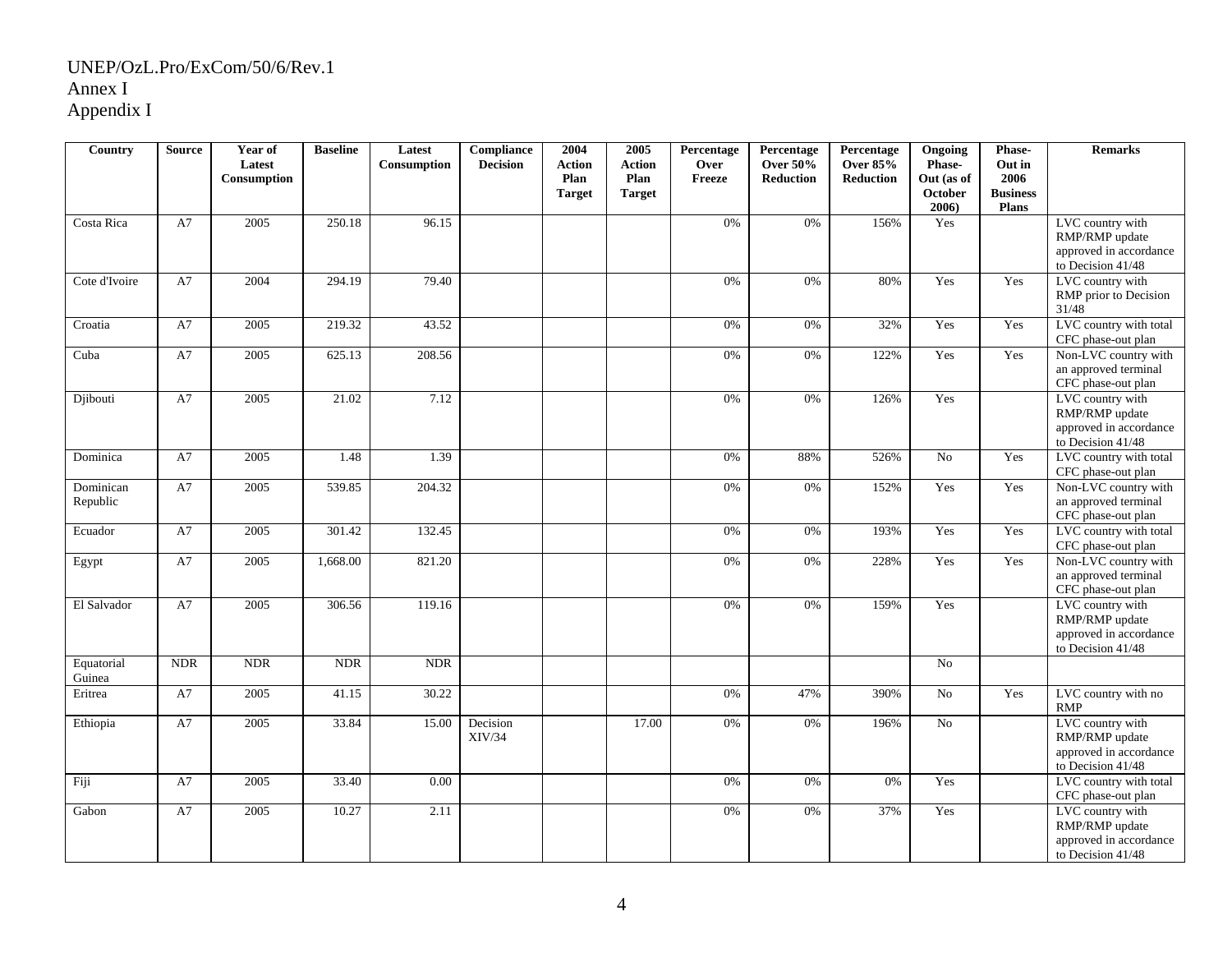| Country               | <b>Source</b> | Year of<br>Latest<br>Consumption | <b>Baseline</b> | Latest<br>Consumption | Compliance<br><b>Decision</b> | 2004<br><b>Action</b><br>Plan | 2005<br><b>Action</b><br>Plan | Percentage<br>Over<br>Freeze | Percentage<br><b>Over 50%</b><br><b>Reduction</b> | Percentage<br><b>Over 85%</b><br><b>Reduction</b> | Ongoing<br>Phase-<br>Out (as of | Phase-<br>Out in<br>2006        | <b>Remarks</b>                                                                      |
|-----------------------|---------------|----------------------------------|-----------------|-----------------------|-------------------------------|-------------------------------|-------------------------------|------------------------------|---------------------------------------------------|---------------------------------------------------|---------------------------------|---------------------------------|-------------------------------------------------------------------------------------|
|                       |               |                                  |                 |                       |                               | <b>Target</b>                 | <b>Target</b>                 |                              |                                                   |                                                   | October<br>$2006$ )             | <b>Business</b><br><b>Plans</b> |                                                                                     |
| Costa Rica            | A7            | 2005                             | 250.18          | 96.15                 |                               |                               |                               | 0%                           | 0%                                                | 156%                                              | Yes                             |                                 | LVC country with<br>RMP/RMP update<br>approved in accordance<br>to Decision $41/48$ |
| Cote d'Ivoire         | A7            | 2004                             | 294.19          | 79.40                 |                               |                               |                               | 0%                           | 0%                                                | 80%                                               | Yes                             | Yes                             | LVC country with<br>RMP prior to Decision<br>31/48                                  |
| Croatia               | A7            | 2005                             | 219.32          | 43.52                 |                               |                               |                               | 0%                           | 0%                                                | 32%                                               | Yes                             | Yes                             | LVC country with total<br>CFC phase-out plan                                        |
| Cuba                  | A7            | 2005                             | 625.13          | 208.56                |                               |                               |                               | 0%                           | 0%                                                | 122%                                              | Yes                             | Yes                             | Non-LVC country with<br>an approved terminal<br>CFC phase-out plan                  |
| Djibouti              | A7            | 2005                             | 21.02           | 7.12                  |                               |                               |                               | 0%                           | 0%                                                | 126%                                              | Yes                             |                                 | LVC country with<br>RMP/RMP update<br>approved in accordance<br>to Decision 41/48   |
| Dominica              | A7            | 2005                             | 1.48            | 1.39                  |                               |                               |                               | 0%                           | 88%                                               | 526%                                              | N <sub>o</sub>                  | Yes                             | LVC country with total<br>CFC phase-out plan                                        |
| Dominican<br>Republic | A7            | 2005                             | 539.85          | 204.32                |                               |                               |                               | 0%                           | 0%                                                | 152%                                              | Yes                             | Yes                             | Non-LVC country with<br>an approved terminal<br>CFC phase-out plan                  |
| Ecuador               | A7            | 2005                             | 301.42          | 132.45                |                               |                               |                               | 0%                           | 0%                                                | 193%                                              | Yes                             | Yes                             | LVC country with total<br>CFC phase-out plan                                        |
| Egypt                 | A7            | 2005                             | 1,668.00        | 821.20                |                               |                               |                               | 0%                           | 0%                                                | 228%                                              | Yes                             | Yes                             | Non-LVC country with<br>an approved terminal<br>CFC phase-out plan                  |
| El Salvador           | A7            | 2005                             | 306.56          | 119.16                |                               |                               |                               | 0%                           | 0%                                                | 159%                                              | Yes                             |                                 | LVC country with<br>RMP/RMP update<br>approved in accordance<br>to Decision 41/48   |
| Equatorial<br>Guinea  | <b>NDR</b>    | <b>NDR</b>                       | <b>NDR</b>      | <b>NDR</b>            |                               |                               |                               |                              |                                                   |                                                   | N <sub>0</sub>                  |                                 |                                                                                     |
| Eritrea               | A7            | 2005                             | 41.15           | 30.22                 |                               |                               |                               | 0%                           | 47%                                               | 390%                                              | N <sub>o</sub>                  | Yes                             | LVC country with no<br><b>RMP</b>                                                   |
| Ethiopia              | A7            | 2005                             | 33.84           | 15.00                 | Decision<br>XIV/34            |                               | 17.00                         | 0%                           | 0%                                                | 196%                                              | $\rm No$                        |                                 | LVC country with<br>RMP/RMP update<br>approved in accordance<br>to Decision 41/48   |
| Fiji                  | A7            | 2005                             | 33.40           | 0.00                  |                               |                               |                               | 0%                           | 0%                                                | 0%                                                | Yes                             |                                 | LVC country with total<br>CFC phase-out plan                                        |
| Gabon                 | A7            | 2005                             | 10.27           | 2.11                  |                               |                               |                               | 0%                           | 0%                                                | 37%                                               | Yes                             |                                 | LVC country with<br>RMP/RMP update<br>approved in accordance<br>to Decision 41/48   |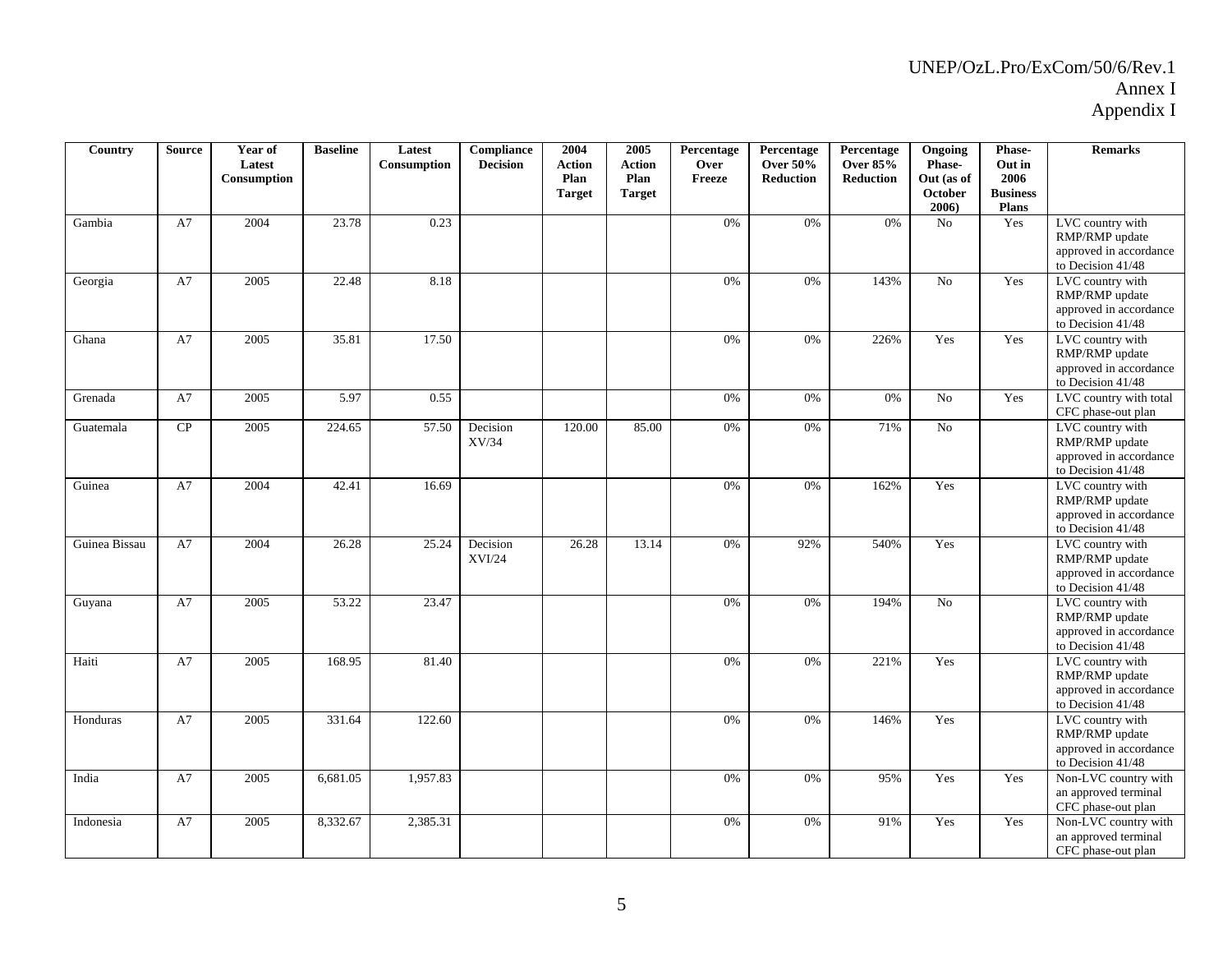| Country       | <b>Source</b> | Year of<br>Latest<br>Consumption | <b>Baseline</b> | Latest<br>Consumption | Compliance<br><b>Decision</b> | 2004<br><b>Action</b><br>Plan<br><b>Target</b> | 2005<br><b>Action</b><br>Plan<br><b>Target</b> | Percentage<br>Over<br>Freeze | Percentage<br><b>Over 50%</b><br><b>Reduction</b> | Percentage<br><b>Over 85%</b><br>Reduction | Ongoing<br>Phase-<br>Out (as of<br><b>October</b><br>$2006$ ) | Phase-<br>Out in<br>2006<br><b>Business</b><br><b>Plans</b> | <b>Remarks</b>                                                                      |
|---------------|---------------|----------------------------------|-----------------|-----------------------|-------------------------------|------------------------------------------------|------------------------------------------------|------------------------------|---------------------------------------------------|--------------------------------------------|---------------------------------------------------------------|-------------------------------------------------------------|-------------------------------------------------------------------------------------|
| Gambia        | A7            | 2004                             | 23.78           | 0.23                  |                               |                                                |                                                | 0%                           | 0%                                                | 0%                                         | $\rm No$                                                      | Yes                                                         | LVC country with<br>RMP/RMP update<br>approved in accordance<br>to Decision 41/48   |
| Georgia       | A7            | 2005                             | 22.48           | 8.18                  |                               |                                                |                                                | 0%                           | 0%                                                | 143%                                       | N <sub>o</sub>                                                | Yes                                                         | LVC country with<br>RMP/RMP update<br>approved in accordance<br>to Decision $41/48$ |
| Ghana         | A7            | 2005                             | 35.81           | 17.50                 |                               |                                                |                                                | 0%                           | 0%                                                | 226%                                       | Yes                                                           | Yes                                                         | LVC country with<br>RMP/RMP update<br>approved in accordance<br>to Decision 41/48   |
| Grenada       | A7            | 2005                             | 5.97            | 0.55                  |                               |                                                |                                                | 0%                           | 0%                                                | 0%                                         | No                                                            | Yes                                                         | LVC country with total<br>CFC phase-out plan                                        |
| Guatemala     | CP            | 2005                             | 224.65          | 57.50                 | Decision<br>XV/34             | 120.00                                         | 85.00                                          | 0%                           | 0%                                                | 71%                                        | $\overline{No}$                                               |                                                             | LVC country with<br>RMP/RMP update<br>approved in accordance<br>to Decision 41/48   |
| Guinea        | A7            | 2004                             | 42.41           | 16.69                 |                               |                                                |                                                | 0%                           | 0%                                                | 162%                                       | Yes                                                           |                                                             | LVC country with<br>RMP/RMP update<br>approved in accordance<br>to Decision 41/48   |
| Guinea Bissau | A7            | 2004                             | 26.28           | 25.24                 | Decision<br>XVI/24            | 26.28                                          | 13.14                                          | 0%                           | 92%                                               | 540%                                       | Yes                                                           |                                                             | LVC country with<br>RMP/RMP update<br>approved in accordance<br>to Decision $41/48$ |
| Guyana        | A7            | 2005                             | 53.22           | 23.47                 |                               |                                                |                                                | 0%                           | 0%                                                | 194%                                       | No                                                            |                                                             | LVC country with<br>RMP/RMP update<br>approved in accordance<br>to Decision 41/48   |
| Haiti         | A7            | 2005                             | 168.95          | 81.40                 |                               |                                                |                                                | 0%                           | 0%                                                | 221%                                       | Yes                                                           |                                                             | LVC country with<br>RMP/RMP update<br>approved in accordance<br>to Decision 41/48   |
| Honduras      | A7            | 2005                             | 331.64          | 122.60                |                               |                                                |                                                | 0%                           | 0%                                                | 146%                                       | Yes                                                           |                                                             | LVC country with<br>RMP/RMP update<br>approved in accordance<br>to Decision $41/48$ |
| India         | A7            | 2005                             | 6,681.05        | 1,957.83              |                               |                                                |                                                | 0%                           | 0%                                                | 95%                                        | Yes                                                           | Yes                                                         | Non-LVC country with<br>an approved terminal<br>CFC phase-out plan                  |
| Indonesia     | A7            | 2005                             | 8,332.67        | 2,385.31              |                               |                                                |                                                | 0%                           | 0%                                                | 91%                                        | Yes                                                           | Yes                                                         | Non-LVC country with<br>an approved terminal<br>CFC phase-out plan                  |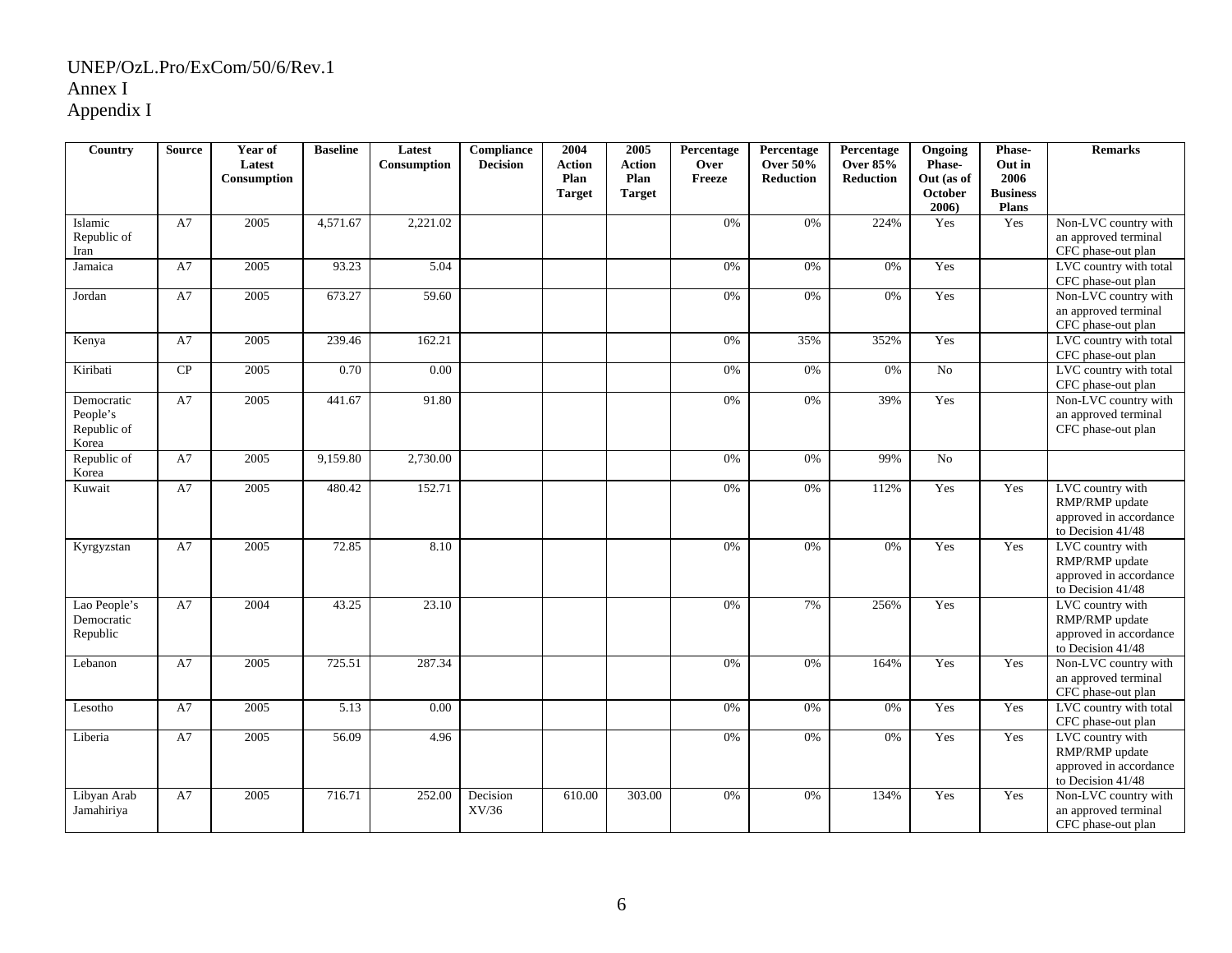| Country                                        | <b>Source</b> | Year of<br>Latest<br>Consumption | <b>Baseline</b> | Latest<br>Consumption | Compliance<br><b>Decision</b> | 2004<br><b>Action</b><br>Plan<br><b>Target</b> | 2005<br><b>Action</b><br>Plan<br><b>Target</b> | Percentage<br>Over<br>Freeze | Percentage<br><b>Over 50%</b><br><b>Reduction</b> | Percentage<br><b>Over 85%</b><br><b>Reduction</b> | Ongoing<br>Phase-<br>Out (as of<br>October<br>2006) | Phase-<br>Out in<br>2006<br><b>Business</b><br><b>Plans</b> | <b>Remarks</b>                                                                    |
|------------------------------------------------|---------------|----------------------------------|-----------------|-----------------------|-------------------------------|------------------------------------------------|------------------------------------------------|------------------------------|---------------------------------------------------|---------------------------------------------------|-----------------------------------------------------|-------------------------------------------------------------|-----------------------------------------------------------------------------------|
| Islamic<br>Republic of<br>Iran                 | A7            | 2005                             | 4,571.67        | 2,221.02              |                               |                                                |                                                | 0%                           | 0%                                                | 224%                                              | Yes                                                 | Yes                                                         | Non-LVC country with<br>an approved terminal<br>CFC phase-out plan                |
| Jamaica                                        | A7            | 2005                             | 93.23           | 5.04                  |                               |                                                |                                                | 0%                           | 0%                                                | 0%                                                | Yes                                                 |                                                             | LVC country with total<br>CFC phase-out plan                                      |
| Jordan                                         | A7            | 2005                             | 673.27          | 59.60                 |                               |                                                |                                                | 0%                           | 0%                                                | 0%                                                | Yes                                                 |                                                             | Non-LVC country with<br>an approved terminal<br>CFC phase-out plan                |
| Kenya                                          | A7            | 2005                             | 239.46          | 162.21                |                               |                                                |                                                | 0%                           | 35%                                               | 352%                                              | Yes                                                 |                                                             | LVC country with total<br>CFC phase-out plan                                      |
| Kiribati                                       | CP            | 2005                             | 0.70            | 0.00                  |                               |                                                |                                                | 0%                           | 0%                                                | 0%                                                | No                                                  |                                                             | LVC country with total<br>CFC phase-out plan                                      |
| Democratic<br>People's<br>Republic of<br>Korea | A7            | 2005                             | 441.67          | 91.80                 |                               |                                                |                                                | 0%                           | 0%                                                | 39%                                               | Yes                                                 |                                                             | Non-LVC country with<br>an approved terminal<br>CFC phase-out plan                |
| Republic of<br>Korea                           | A7            | 2005                             | 9,159.80        | 2,730.00              |                               |                                                |                                                | 0%                           | 0%                                                | 99%                                               | No                                                  |                                                             |                                                                                   |
| Kuwait                                         | A7            | 2005                             | 480.42          | 152.71                |                               |                                                |                                                | 0%                           | 0%                                                | 112%                                              | Yes                                                 | Yes                                                         | LVC country with<br>RMP/RMP update<br>approved in accordance<br>to Decision 41/48 |
| Kyrgyzstan                                     | A7            | 2005                             | 72.85           | 8.10                  |                               |                                                |                                                | 0%                           | 0%                                                | 0%                                                | Yes                                                 | Yes                                                         | LVC country with<br>RMP/RMP update<br>approved in accordance<br>to Decision 41/48 |
| Lao People's<br>Democratic<br>Republic         | A7            | 2004                             | 43.25           | 23.10                 |                               |                                                |                                                | 0%                           | 7%                                                | 256%                                              | Yes                                                 |                                                             | LVC country with<br>RMP/RMP update<br>approved in accordance<br>to Decision 41/48 |
| Lebanon                                        | A7            | 2005                             | 725.51          | 287.34                |                               |                                                |                                                | 0%                           | 0%                                                | 164%                                              | Yes                                                 | Yes                                                         | Non-LVC country with<br>an approved terminal<br>CFC phase-out plan                |
| Lesotho                                        | A7            | 2005                             | 5.13            | 0.00                  |                               |                                                |                                                | 0%                           | 0%                                                | 0%                                                | Yes                                                 | Yes                                                         | LVC country with total<br>CFC phase-out plan                                      |
| Liberia                                        | A7            | 2005                             | 56.09           | 4.96                  |                               |                                                |                                                | 0%                           | 0%                                                | 0%                                                | Yes                                                 | Yes                                                         | LVC country with<br>RMP/RMP update<br>approved in accordance<br>to Decision 41/48 |
| Libyan Arab<br>Jamahiriya                      | A7            | 2005                             | 716.71          | 252.00                | Decision<br>XV/36             | 610.00                                         | 303.00                                         | 0%                           | 0%                                                | 134%                                              | Yes                                                 | Yes                                                         | Non-LVC country with<br>an approved terminal<br>CFC phase-out plan                |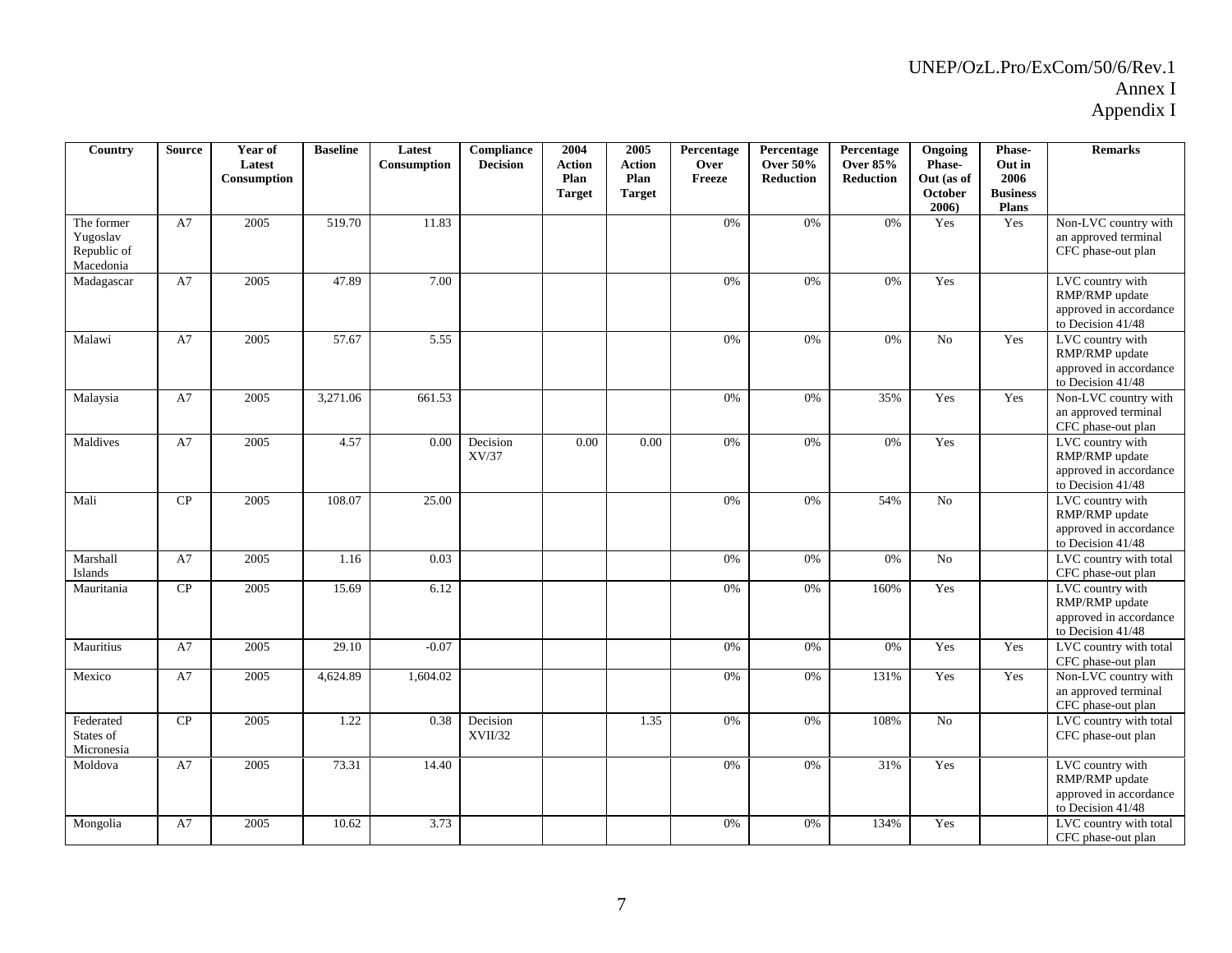| Country                                            | <b>Source</b> | Year of<br>Latest<br>Consumption | <b>Baseline</b> | Latest<br>Consumption | Compliance<br><b>Decision</b> | 2004<br><b>Action</b><br>Plan<br><b>Target</b> | 2005<br><b>Action</b><br>Plan<br><b>Target</b> | Percentage<br>Over<br>Freeze | Percentage<br><b>Over 50%</b><br><b>Reduction</b> | Percentage<br><b>Over 85%</b><br>Reduction | Ongoing<br>Phase-<br>Out (as of<br>October<br>2006) | Phase-<br>Out in<br>2006<br><b>Business</b><br><b>Plans</b> | <b>Remarks</b>                                                                    |
|----------------------------------------------------|---------------|----------------------------------|-----------------|-----------------------|-------------------------------|------------------------------------------------|------------------------------------------------|------------------------------|---------------------------------------------------|--------------------------------------------|-----------------------------------------------------|-------------------------------------------------------------|-----------------------------------------------------------------------------------|
| The former<br>Yugoslav<br>Republic of<br>Macedonia | A7            | 2005                             | 519.70          | 11.83                 |                               |                                                |                                                | 0%                           | 0%                                                | 0%                                         | Yes                                                 | Yes                                                         | Non-LVC country with<br>an approved terminal<br>CFC phase-out plan                |
| Madagascar                                         | A7            | 2005                             | 47.89           | 7.00                  |                               |                                                |                                                | 0%                           | $0\%$                                             | 0%                                         | Yes                                                 |                                                             | LVC country with<br>RMP/RMP update<br>approved in accordance<br>to Decision 41/48 |
| Malawi                                             | A7            | 2005                             | 57.67           | 5.55                  |                               |                                                |                                                | 0%                           | $0\%$                                             | 0%                                         | No                                                  | Yes                                                         | LVC country with<br>RMP/RMP update<br>approved in accordance<br>to Decision 41/48 |
| Malaysia                                           | A7            | 2005                             | 3,271.06        | 661.53                |                               |                                                |                                                | 0%                           | 0%                                                | 35%                                        | Yes                                                 | Yes                                                         | Non-LVC country with<br>an approved terminal<br>CFC phase-out plan                |
| Maldives                                           | A7            | 2005                             | 4.57            | 0.00                  | Decision<br>XV/37             | 0.00                                           | 0.00                                           | 0%                           | 0%                                                | 0%                                         | Yes                                                 |                                                             | LVC country with<br>RMP/RMP update<br>approved in accordance<br>to Decision 41/48 |
| Mali                                               | CP            | 2005                             | 108.07          | 25.00                 |                               |                                                |                                                | 0%                           | 0%                                                | 54%                                        | N <sub>o</sub>                                      |                                                             | LVC country with<br>RMP/RMP update<br>approved in accordance<br>to Decision 41/48 |
| Marshall<br>Islands                                | A7            | 2005                             | 1.16            | 0.03                  |                               |                                                |                                                | 0%                           | 0%                                                | $0\%$                                      | No                                                  |                                                             | LVC country with total<br>CFC phase-out plan                                      |
| Mauritania                                         | ${\bf CP}$    | 2005                             | 15.69           | 6.12                  |                               |                                                |                                                | 0%                           | 0%                                                | 160%                                       | Yes                                                 |                                                             | LVC country with<br>RMP/RMP update<br>approved in accordance<br>to Decision 41/48 |
| Mauritius                                          | A7            | 2005                             | 29.10           | $-0.07$               |                               |                                                |                                                | 0%                           | 0%                                                | 0%                                         | Yes                                                 | Yes                                                         | LVC country with total<br>CFC phase-out plan                                      |
| Mexico                                             | A7            | 2005                             | 4,624.89        | 1,604.02              |                               |                                                |                                                | 0%                           | 0%                                                | 131%                                       | Yes                                                 | Yes                                                         | Non-LVC country with<br>an approved terminal<br>CFC phase-out plan                |
| Federated<br>States of<br>Micronesia               | CP            | 2005                             | 1.22            | 0.38                  | Decision<br>XVII/32           |                                                | 1.35                                           | 0%                           | 0%                                                | 108%                                       | N <sub>o</sub>                                      |                                                             | LVC country with total<br>CFC phase-out plan                                      |
| Moldova                                            | A7            | 2005                             | 73.31           | 14.40                 |                               |                                                |                                                | 0%                           | 0%                                                | 31%                                        | Yes                                                 |                                                             | LVC country with<br>RMP/RMP update<br>approved in accordance<br>to Decision 41/48 |
| Mongolia                                           | A7            | 2005                             | 10.62           | 3.73                  |                               |                                                |                                                | 0%                           | 0%                                                | 134%                                       | Yes                                                 |                                                             | LVC country with total<br>CFC phase-out plan                                      |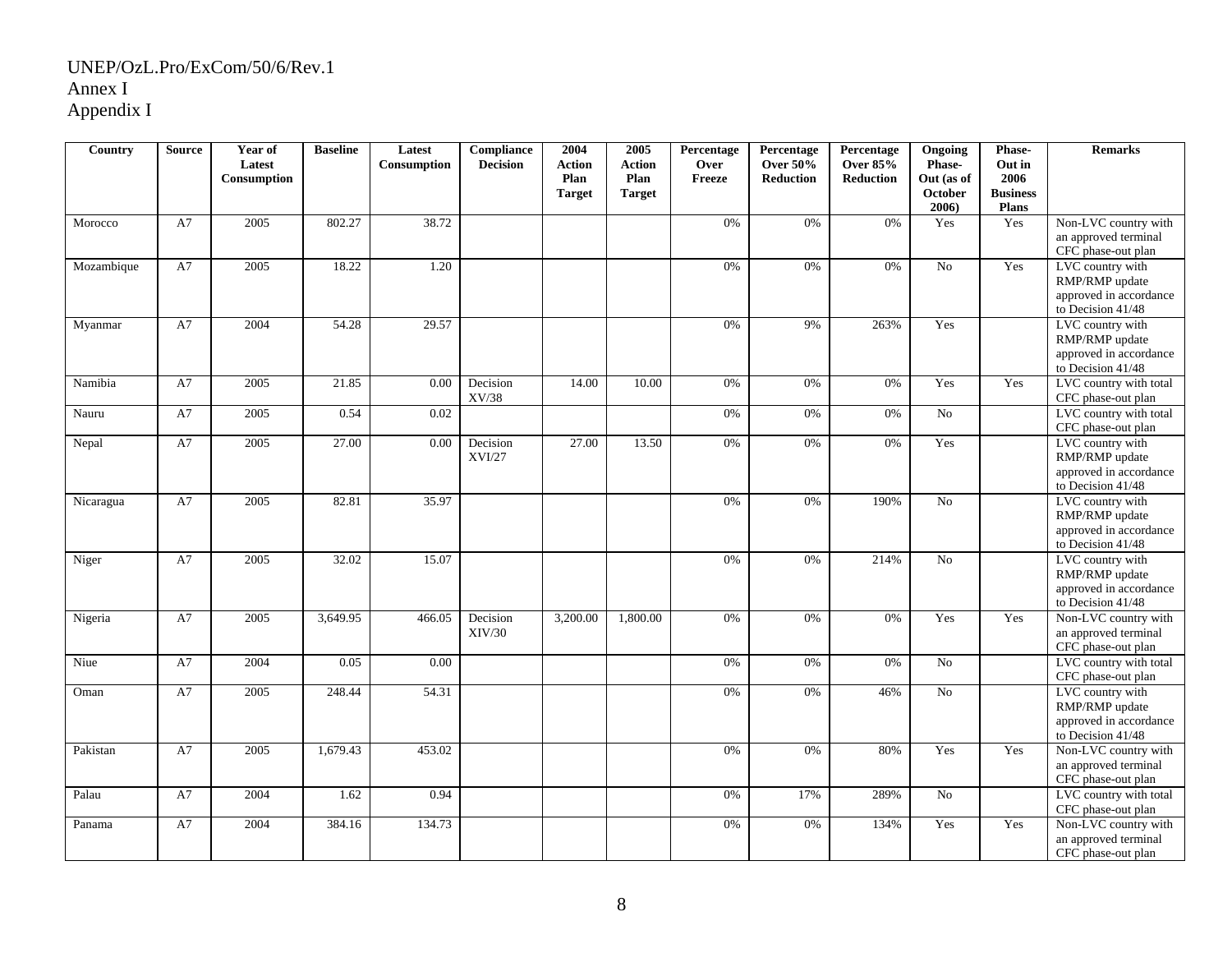| Country    | <b>Source</b> | Year of<br>Latest<br>Consumption | <b>Baseline</b> | Latest<br>Consumption | Compliance<br><b>Decision</b> | 2004<br><b>Action</b><br>Plan | 2005<br><b>Action</b><br>Plan | Percentage<br>Over<br>Freeze | Percentage<br><b>Over 50%</b><br><b>Reduction</b> | Percentage<br><b>Over 85%</b><br><b>Reduction</b> | Ongoing<br>Phase-<br>Out (as of | Phase-<br>Out in<br>2006        | <b>Remarks</b>                                                                                         |
|------------|---------------|----------------------------------|-----------------|-----------------------|-------------------------------|-------------------------------|-------------------------------|------------------------------|---------------------------------------------------|---------------------------------------------------|---------------------------------|---------------------------------|--------------------------------------------------------------------------------------------------------|
|            |               |                                  |                 |                       |                               | <b>Target</b>                 | <b>Target</b>                 |                              |                                                   |                                                   | October<br>2006                 | <b>Business</b><br><b>Plans</b> |                                                                                                        |
| Morocco    | A7            | 2005                             | 802.27          | 38.72                 |                               |                               |                               | 0%                           | 0%                                                | 0%                                                | Yes                             | Yes                             | Non-LVC country with<br>an approved terminal<br>CFC phase-out plan                                     |
| Mozambique | A7            | 2005                             | 18.22           | 1.20                  |                               |                               |                               | 0%                           | 0%                                                | 0%                                                | No                              | Yes                             | LVC country with<br>RMP/RMP update<br>approved in accordance<br>to Decision 41/48                      |
| Myanmar    | A7            | 2004                             | 54.28           | 29.57                 |                               |                               |                               | 0%                           | 9%                                                | 263%                                              | Yes                             |                                 | LVC country with<br>RMP/RMP update<br>approved in accordance<br>to Decision 41/48                      |
| Namibia    | A7            | 2005                             | 21.85           | 0.00                  | Decision<br>XV/38             | 14.00                         | 10.00                         | 0%                           | 0%                                                | 0%                                                | Yes                             | Yes                             | LVC country with total<br>CFC phase-out plan                                                           |
| Nauru      | A7            | 2005                             | 0.54            | 0.02                  |                               |                               |                               | $0\%$                        | 0%                                                | 0%                                                | No                              |                                 | LVC country with total<br>CFC phase-out plan                                                           |
| Nepal      | A7            | 2005                             | 27.00           | 0.00                  | Decision<br><b>XVI/27</b>     | 27.00                         | 13.50                         | 0%                           | 0%                                                | 0%                                                | Yes                             |                                 | LVC country with<br>RMP/RMP update<br>approved in accordance                                           |
| Nicaragua  | A7            | 2005                             | 82.81           | 35.97                 |                               |                               |                               | 0%                           | 0%                                                | 190%                                              | No                              |                                 | to Decision 41/48<br>LVC country with<br>RMP/RMP update<br>approved in accordance<br>to Decision 41/48 |
| Niger      | A7            | 2005                             | 32.02           | 15.07                 |                               |                               |                               | 0%                           | 0%                                                | 214%                                              | N <sub>o</sub>                  |                                 | LVC country with<br>RMP/RMP update<br>approved in accordance<br>to Decision 41/48                      |
| Nigeria    | A7            | 2005                             | 3,649.95        | 466.05                | Decision<br>XIV/30            | 3,200.00                      | 1,800.00                      | 0%                           | 0%                                                | 0%                                                | Yes                             | Yes                             | Non-LVC country with<br>an approved terminal<br>CFC phase-out plan                                     |
| Niue       | A7            | 2004                             | 0.05            | 0.00                  |                               |                               |                               | 0%                           | 0%                                                | 0%                                                | N <sub>o</sub>                  |                                 | LVC country with total<br>CFC phase-out plan                                                           |
| Oman       | A7            | 2005                             | 248.44          | 54.31                 |                               |                               |                               | $0\%$                        | 0%                                                | 46%                                               | No                              |                                 | LVC country with<br>RMP/RMP update<br>approved in accordance<br>to Decision 41/48                      |
| Pakistan   | A7            | 2005                             | 1,679.43        | 453.02                |                               |                               |                               | 0%                           | 0%                                                | 80%                                               | Yes                             | Yes                             | Non-LVC country with<br>an approved terminal<br>CFC phase-out plan                                     |
| Palau      | A7            | 2004                             | 1.62            | 0.94                  |                               |                               |                               | 0%                           | 17%                                               | 289%                                              | N <sub>o</sub>                  |                                 | LVC country with total<br>CFC phase-out plan                                                           |
| Panama     | A7            | 2004                             | 384.16          | 134.73                |                               |                               |                               | 0%                           | 0%                                                | 134%                                              | Yes                             | Yes                             | Non-LVC country with<br>an approved terminal<br>CFC phase-out plan                                     |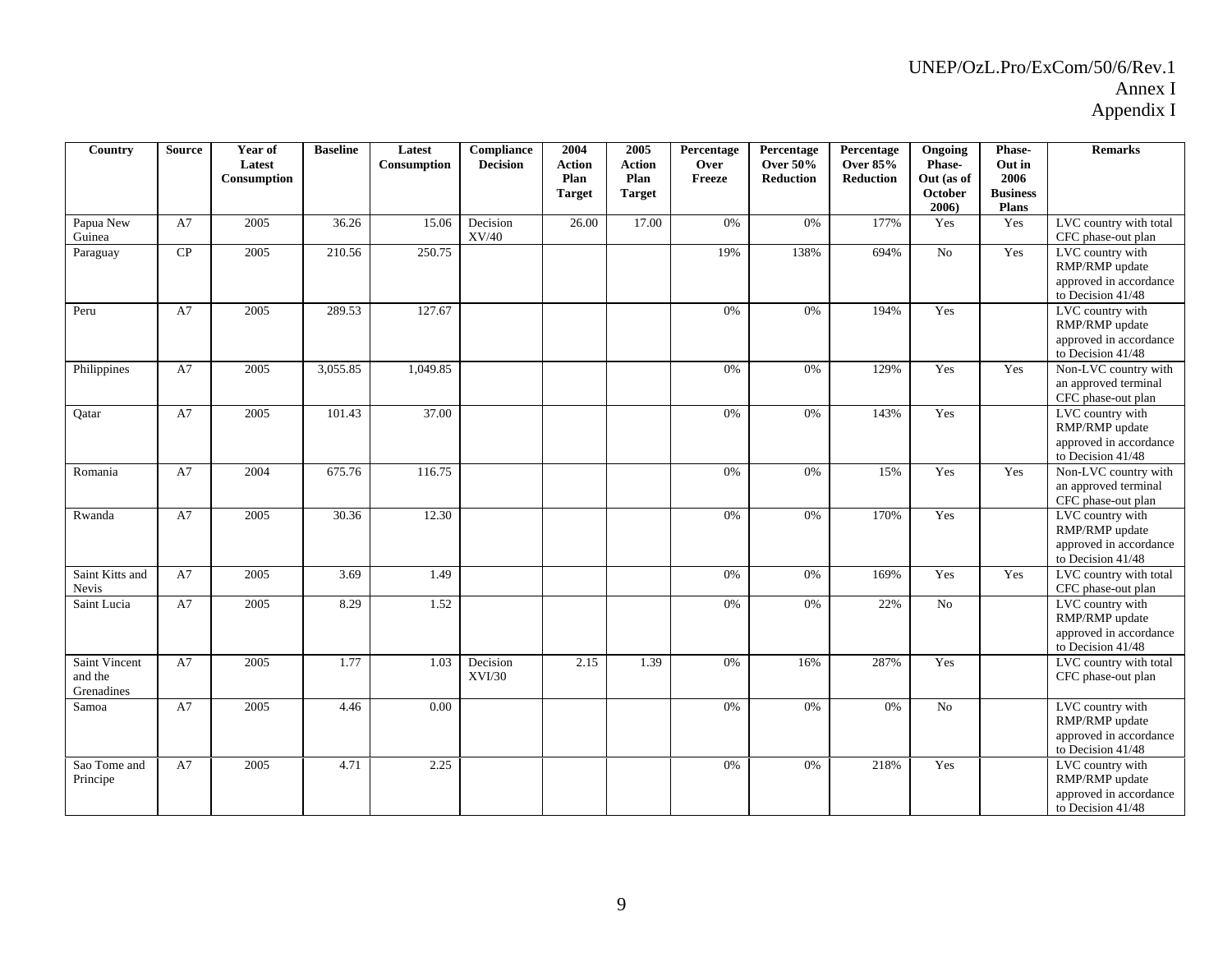| Country                                | <b>Source</b> | Year of<br>Latest<br>Consumption | <b>Baseline</b> | Latest<br>Consumption | Compliance<br><b>Decision</b> | 2004<br><b>Action</b><br>Plan<br><b>Target</b> | 2005<br><b>Action</b><br>Plan<br><b>Target</b> | Percentage<br>Over<br>Freeze | Percentage<br><b>Over 50%</b><br><b>Reduction</b> | Percentage<br><b>Over 85%</b><br><b>Reduction</b> | Ongoing<br>Phase-<br>Out (as of<br>October<br>2006) | Phase-<br>Out in<br>2006<br><b>Business</b><br>Plans | <b>Remarks</b>                                                                      |
|----------------------------------------|---------------|----------------------------------|-----------------|-----------------------|-------------------------------|------------------------------------------------|------------------------------------------------|------------------------------|---------------------------------------------------|---------------------------------------------------|-----------------------------------------------------|------------------------------------------------------|-------------------------------------------------------------------------------------|
| Papua New<br>Guinea                    | A7            | 2005                             | 36.26           | 15.06                 | Decision<br>XV/40             | 26.00                                          | 17.00                                          | 0%                           | 0%                                                | 177%                                              | Yes                                                 | Yes                                                  | LVC country with total<br>CFC phase-out plan                                        |
| Paraguay                               | CP            | 2005                             | 210.56          | 250.75                |                               |                                                |                                                | 19%                          | 138%                                              | 694%                                              | No                                                  | Yes                                                  | LVC country with<br>RMP/RMP update<br>approved in accordance<br>to Decision 41/48   |
| Peru                                   | A7            | 2005                             | 289.53          | 127.67                |                               |                                                |                                                | 0%                           | 0%                                                | 194%                                              | Yes                                                 |                                                      | LVC country with<br>RMP/RMP update<br>approved in accordance<br>to Decision 41/48   |
| Philippines                            | A7            | 2005                             | 3,055.85        | 1,049.85              |                               |                                                |                                                | 0%                           | 0%                                                | 129%                                              | Yes                                                 | Yes                                                  | Non-LVC country with<br>an approved terminal<br>CFC phase-out plan                  |
| Oatar                                  | A7            | 2005                             | 101.43          | 37.00                 |                               |                                                |                                                | 0%                           | 0%                                                | 143%                                              | Yes                                                 |                                                      | LVC country with<br>RMP/RMP update<br>approved in accordance<br>to Decision 41/48   |
| Romania                                | A7            | 2004                             | 675.76          | 116.75                |                               |                                                |                                                | 0%                           | 0%                                                | 15%                                               | Yes                                                 | Yes                                                  | Non-LVC country with<br>an approved terminal<br>CFC phase-out plan                  |
| Rwanda                                 | A7            | 2005                             | 30.36           | 12.30                 |                               |                                                |                                                | 0%                           | 0%                                                | 170%                                              | Yes                                                 |                                                      | LVC country with<br>RMP/RMP update<br>approved in accordance<br>to Decision 41/48   |
| Saint Kitts and<br>Nevis               | A7            | 2005                             | 3.69            | 1.49                  |                               |                                                |                                                | 0%                           | 0%                                                | 169%                                              | Yes                                                 | Yes                                                  | LVC country with total<br>CFC phase-out plan                                        |
| Saint Lucia                            | A7            | 2005                             | 8.29            | 1.52                  |                               |                                                |                                                | 0%                           | 0%                                                | 22%                                               | No                                                  |                                                      | LVC country with<br>RMP/RMP update<br>approved in accordance<br>to Decision $41/48$ |
| Saint Vincent<br>and the<br>Grenadines | A7            | 2005                             | 1.77            | 1.03                  | Decision<br>XVI/30            | 2.15                                           | 1.39                                           | 0%                           | 16%                                               | 287%                                              | Yes                                                 |                                                      | LVC country with total<br>CFC phase-out plan                                        |
| Samoa                                  | A7            | 2005                             | 4.46            | 0.00                  |                               |                                                |                                                | 0%                           | 0%                                                | $0\%$                                             | No                                                  |                                                      | LVC country with<br>RMP/RMP update<br>approved in accordance<br>to Decision 41/48   |
| Sao Tome and<br>Principe               | A7            | 2005                             | 4.71            | 2.25                  |                               |                                                |                                                | 0%                           | 0%                                                | 218%                                              | Yes                                                 |                                                      | LVC country with<br>RMP/RMP update<br>approved in accordance<br>to Decision 41/48   |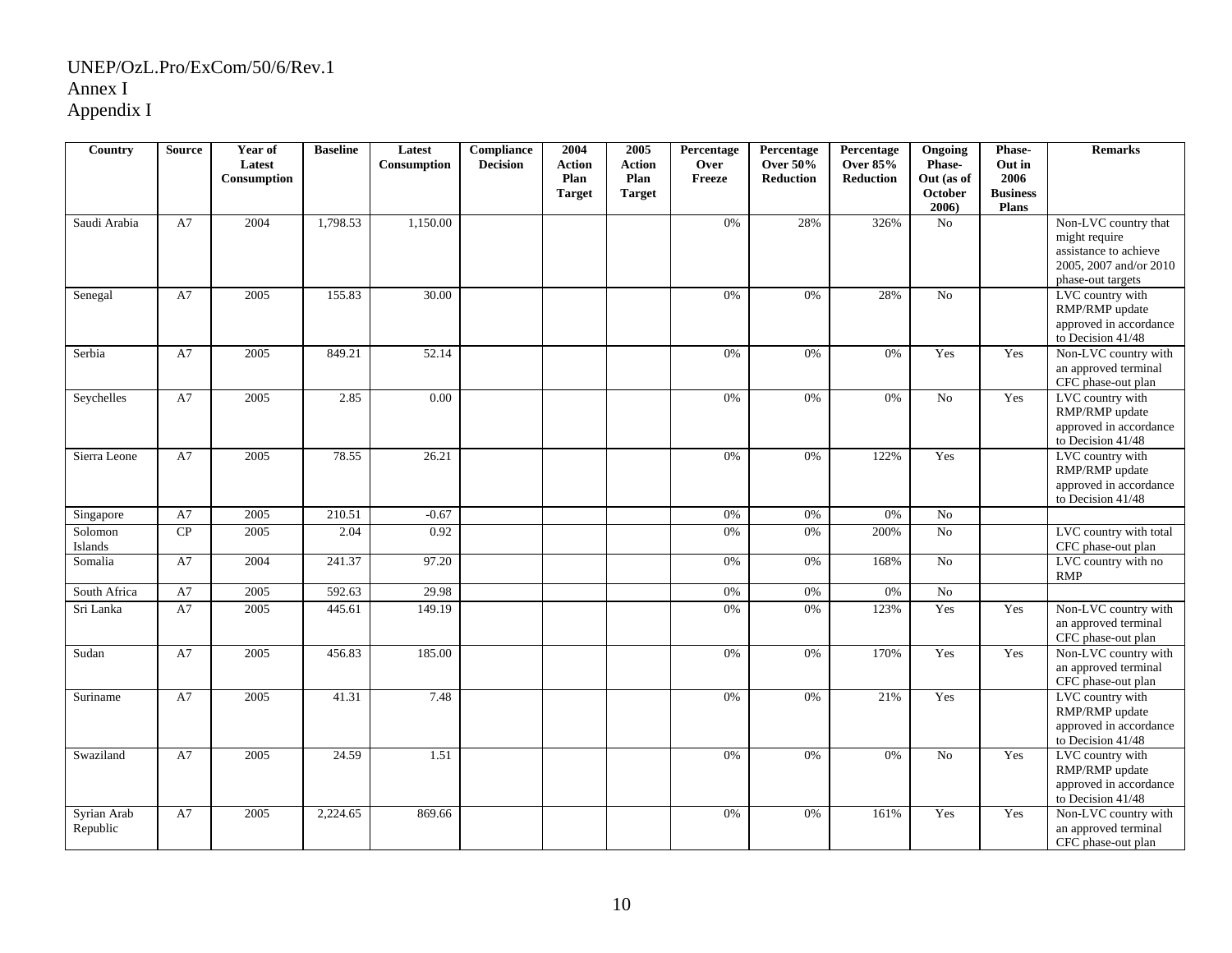| Country                 | <b>Source</b> | Year of<br>Latest<br>Consumption | <b>Baseline</b> | Latest<br>Consumption | Compliance<br><b>Decision</b> | 2004<br><b>Action</b><br>Plan<br><b>Target</b> | 2005<br><b>Action</b><br>Plan<br><b>Target</b> | Percentage<br>Over<br>Freeze | Percentage<br><b>Over 50%</b><br><b>Reduction</b> | Percentage<br><b>Over 85%</b><br><b>Reduction</b> | Ongoing<br>Phase-<br>Out (as of<br>October<br>2006 | Phase-<br>Out in<br>2006<br><b>Business</b><br><b>Plans</b> | <b>Remarks</b>                                                                                                |
|-------------------------|---------------|----------------------------------|-----------------|-----------------------|-------------------------------|------------------------------------------------|------------------------------------------------|------------------------------|---------------------------------------------------|---------------------------------------------------|----------------------------------------------------|-------------------------------------------------------------|---------------------------------------------------------------------------------------------------------------|
| Saudi Arabia            | A7            | 2004                             | 1,798.53        | 1,150.00              |                               |                                                |                                                | 0%                           | 28%                                               | 326%                                              | No                                                 |                                                             | Non-LVC country that<br>might require<br>assistance to achieve<br>2005, 2007 and/or 2010<br>phase-out targets |
| Senegal                 | A7            | 2005                             | 155.83          | 30.00                 |                               |                                                |                                                | 0%                           | 0%                                                | 28%                                               | N <sub>o</sub>                                     |                                                             | LVC country with<br>RMP/RMP update<br>approved in accordance<br>to Decision 41/48                             |
| Serbia                  | A7            | 2005                             | 849.21          | 52.14                 |                               |                                                |                                                | 0%                           | 0%                                                | 0%                                                | Yes                                                | Yes                                                         | Non-LVC country with<br>an approved terminal<br>CFC phase-out plan                                            |
| Seychelles              | A7            | 2005                             | 2.85            | 0.00                  |                               |                                                |                                                | 0%                           | 0%                                                | 0%                                                | No                                                 | Yes                                                         | LVC country with<br>RMP/RMP update<br>approved in accordance<br>to Decision 41/48                             |
| Sierra Leone            | A7            | 2005                             | 78.55           | 26.21                 |                               |                                                |                                                | 0%                           | $0\%$                                             | 122%                                              | Yes                                                |                                                             | LVC country with<br>RMP/RMP update<br>approved in accordance<br>to Decision 41/48                             |
| Singapore               | A7            | 2005                             | 210.51          | $-0.67$               |                               |                                                |                                                | 0%                           | 0%                                                | $0\%$                                             | No                                                 |                                                             |                                                                                                               |
| Solomon<br>Islands      | CP            | 2005                             | 2.04            | 0.92                  |                               |                                                |                                                | $0\%$                        | $0\%$                                             | 200%                                              | $\overline{No}$                                    |                                                             | LVC country with total<br>CFC phase-out plan                                                                  |
| Somalia                 | A7            | 2004                             | 241.37          | 97.20                 |                               |                                                |                                                | 0%                           | 0%                                                | 168%                                              | $\overline{No}$                                    |                                                             | LVC country with no<br><b>RMP</b>                                                                             |
| South Africa            | A7            | 2005                             | 592.63          | 29.98                 |                               |                                                |                                                | 0%                           | 0%                                                | 0%                                                | No                                                 |                                                             |                                                                                                               |
| Sri Lanka               | A7            | 2005                             | 445.61          | 149.19                |                               |                                                |                                                | $0\%$                        | $0\%$                                             | 123%                                              | Yes                                                | Yes                                                         | Non-LVC country with<br>an approved terminal<br>CFC phase-out plan                                            |
| Sudan                   | A7            | 2005                             | 456.83          | 185.00                |                               |                                                |                                                | 0%                           | 0%                                                | 170%                                              | Yes                                                | Yes                                                         | Non-LVC country with<br>an approved terminal<br>CFC phase-out plan                                            |
| Suriname                | A7            | 2005                             | 41.31           | 7.48                  |                               |                                                |                                                | 0%                           | 0%                                                | 21%                                               | Yes                                                |                                                             | LVC country with<br>RMP/RMP update<br>approved in accordance<br>to Decision 41/48                             |
| Swaziland               | A7            | 2005                             | 24.59           | 1.51                  |                               |                                                |                                                | 0%                           | 0%                                                | 0%                                                | No                                                 | Yes                                                         | LVC country with<br>RMP/RMP update<br>approved in accordance<br>to Decision 41/48                             |
| Syrian Arab<br>Republic | A7            | 2005                             | 2,224.65        | 869.66                |                               |                                                |                                                | 0%                           | 0%                                                | 161%                                              | Yes                                                | Yes                                                         | Non-LVC country with<br>an approved terminal<br>CFC phase-out plan                                            |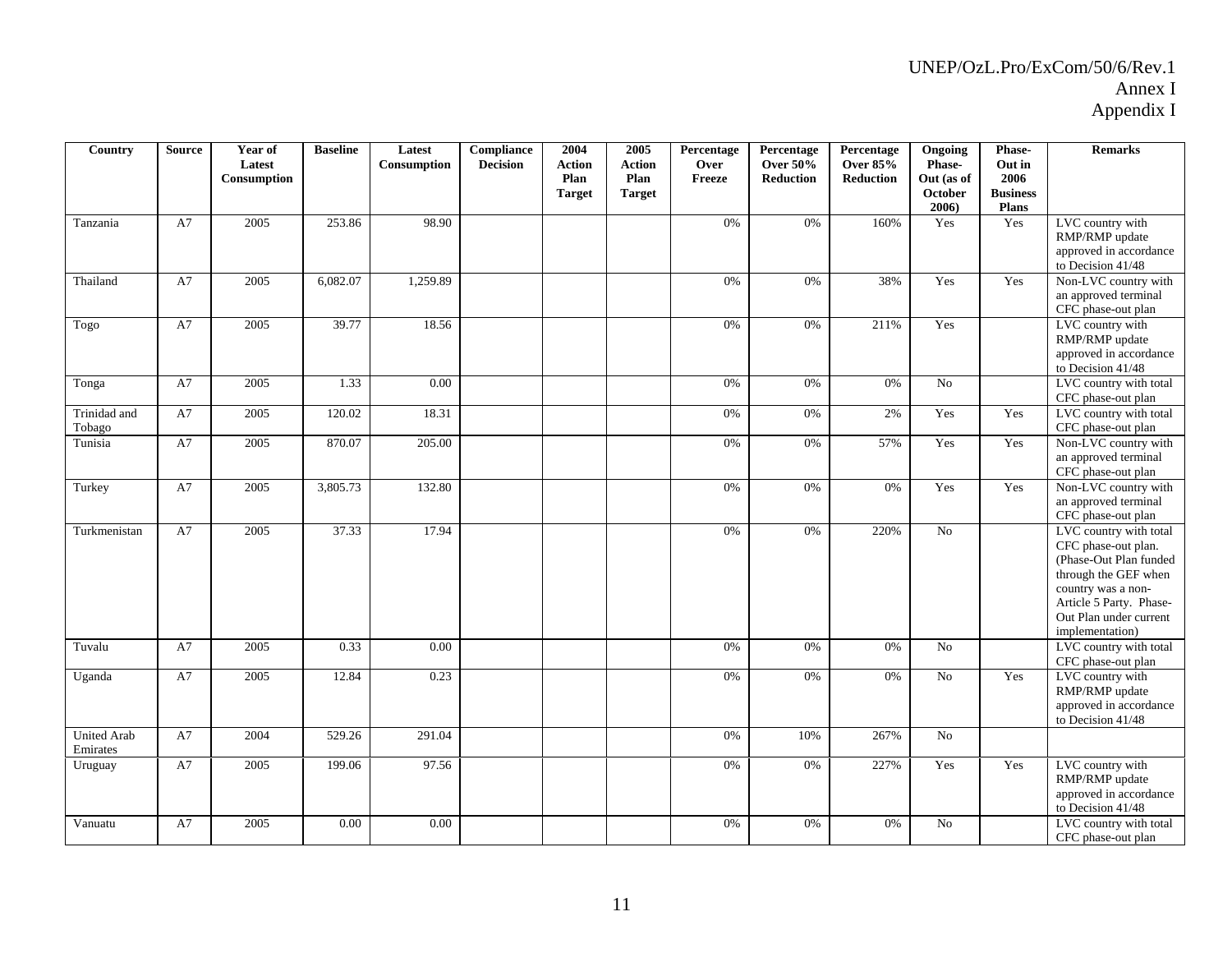| Country                        | <b>Source</b> | Year of<br>Latest<br>Consumption | <b>Baseline</b> | Latest<br>Consumption | <b>Compliance</b><br><b>Decision</b> | 2004<br><b>Action</b><br>Plan<br><b>Target</b> | 2005<br><b>Action</b><br>Plan<br><b>Target</b> | Percentage<br>Over<br>Freeze | Percentage<br><b>Over 50%</b><br><b>Reduction</b> | Percentage<br><b>Over 85%</b><br><b>Reduction</b> | Ongoing<br>Phase-<br>Out (as of<br>October<br>2006) | Phase-<br>Out in<br>2006<br><b>Business</b><br><b>Plans</b> | <b>Remarks</b>                                                                                                                                                                                |
|--------------------------------|---------------|----------------------------------|-----------------|-----------------------|--------------------------------------|------------------------------------------------|------------------------------------------------|------------------------------|---------------------------------------------------|---------------------------------------------------|-----------------------------------------------------|-------------------------------------------------------------|-----------------------------------------------------------------------------------------------------------------------------------------------------------------------------------------------|
| Tanzania                       | A7            | 2005                             | 253.86          | 98.90                 |                                      |                                                |                                                | 0%                           | $0\%$                                             | 160%                                              | Yes                                                 | Yes                                                         | LVC country with<br>RMP/RMP update<br>approved in accordance<br>to Decision 41/48                                                                                                             |
| Thailand                       | A7            | 2005                             | 6,082.07        | 1,259.89              |                                      |                                                |                                                | 0%                           | 0%                                                | 38%                                               | Yes                                                 | Yes                                                         | Non-LVC country with<br>an approved terminal<br>CFC phase-out plan                                                                                                                            |
| Togo                           | A7            | 2005                             | 39.77           | 18.56                 |                                      |                                                |                                                | 0%                           | 0%                                                | 211%                                              | Yes                                                 |                                                             | LVC country with<br>RMP/RMP update<br>approved in accordance<br>to Decision 41/48                                                                                                             |
| Tonga                          | A7            | 2005                             | 1.33            | 0.00                  |                                      |                                                |                                                | 0%                           | 0%                                                | 0%                                                | N <sub>o</sub>                                      |                                                             | LVC country with total<br>CFC phase-out plan                                                                                                                                                  |
| Trinidad and<br>Tobago         | A7            | 2005                             | 120.02          | 18.31                 |                                      |                                                |                                                | 0%                           | 0%                                                | 2%                                                | Yes                                                 | Yes                                                         | LVC country with total<br>CFC phase-out plan                                                                                                                                                  |
| Tunisia                        | A7            | 2005                             | 870.07          | 205.00                |                                      |                                                |                                                | 0%                           | 0%                                                | 57%                                               | Yes                                                 | Yes                                                         | Non-LVC country with<br>an approved terminal<br>CFC phase-out plan                                                                                                                            |
| Turkey                         | A7            | 2005                             | 3,805.73        | 132.80                |                                      |                                                |                                                | 0%                           | 0%                                                | 0%                                                | Yes                                                 | Yes                                                         | Non-LVC country with<br>an approved terminal<br>CFC phase-out plan                                                                                                                            |
| Turkmenistan                   | A7            | 2005                             | 37.33           | 17.94                 |                                      |                                                |                                                | 0%                           | $0\%$                                             | 220%                                              | No                                                  |                                                             | LVC country with total<br>CFC phase-out plan.<br>(Phase-Out Plan funded<br>through the GEF when<br>country was a non-<br>Article 5 Party. Phase-<br>Out Plan under current<br>implementation) |
| Tuvalu                         | A7            | 2005                             | 0.33            | 0.00                  |                                      |                                                |                                                | 0%                           | 0%                                                | 0%                                                | N <sub>o</sub>                                      |                                                             | LVC country with total<br>CFC phase-out plan                                                                                                                                                  |
| Uganda                         | A7            | 2005                             | 12.84           | 0.23                  |                                      |                                                |                                                | 0%                           | 0%                                                | 0%                                                | No                                                  | Yes                                                         | LVC country with<br>RMP/RMP update<br>approved in accordance<br>to Decision 41/48                                                                                                             |
| <b>United Arab</b><br>Emirates | A7            | 2004                             | 529.26          | 291.04                |                                      |                                                |                                                | 0%                           | 10%                                               | 267%                                              | No                                                  |                                                             |                                                                                                                                                                                               |
| Uruguay                        | A7            | 2005                             | 199.06          | 97.56                 |                                      |                                                |                                                | 0%                           | 0%                                                | 227%                                              | Yes                                                 | Yes                                                         | LVC country with<br>RMP/RMP update<br>approved in accordance<br>to Decision 41/48                                                                                                             |
| Vanuatu                        | A7            | 2005                             | 0.00            | 0.00                  |                                      |                                                |                                                | 0%                           | 0%                                                | 0%                                                | No                                                  |                                                             | LVC country with total<br>CFC phase-out plan                                                                                                                                                  |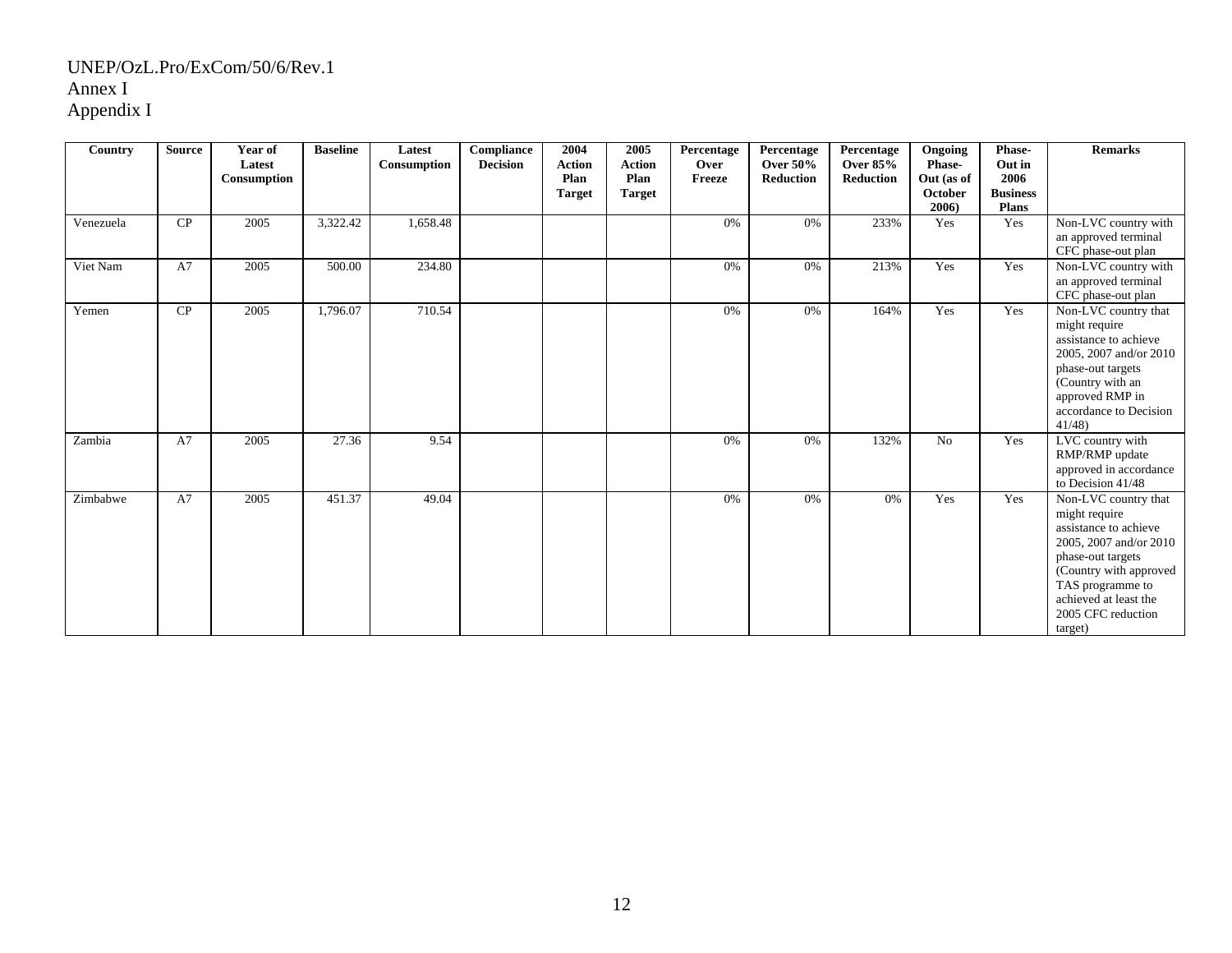| Country   | <b>Source</b> | Year of<br>Latest<br>Consumption | <b>Baseline</b> | Latest<br>Consumption | <b>Compliance</b><br><b>Decision</b> | 2004<br><b>Action</b><br>Plan<br><b>Target</b> | 2005<br><b>Action</b><br>Plan<br><b>Target</b> | Percentage<br>Over<br>Freeze | Percentage<br><b>Over 50%</b><br>Reduction | Percentage<br><b>Over 85%</b><br><b>Reduction</b> | Ongoing<br><b>Phase-</b><br>Out (as of<br>October<br>2006) | Phase-<br>Out in<br>2006<br><b>Business</b><br><b>Plans</b> | <b>Remarks</b>                                                                                                                                                                                                        |
|-----------|---------------|----------------------------------|-----------------|-----------------------|--------------------------------------|------------------------------------------------|------------------------------------------------|------------------------------|--------------------------------------------|---------------------------------------------------|------------------------------------------------------------|-------------------------------------------------------------|-----------------------------------------------------------------------------------------------------------------------------------------------------------------------------------------------------------------------|
| Venezuela | CP            | 2005                             | 3,322.42        | 1,658.48              |                                      |                                                |                                                | 0%                           | 0%                                         | 233%                                              | Yes                                                        | Yes                                                         | Non-LVC country with<br>an approved terminal<br>CFC phase-out plan                                                                                                                                                    |
| Viet Nam  | A7            | 2005                             | 500.00          | 234.80                |                                      |                                                |                                                | 0%                           | 0%                                         | 213%                                              | Yes                                                        | Yes                                                         | Non-LVC country with<br>an approved terminal<br>CFC phase-out plan                                                                                                                                                    |
| Yemen     | CP            | 2005                             | 1,796.07        | 710.54                |                                      |                                                |                                                | 0%                           | 0%                                         | 164%                                              | Yes                                                        | Yes                                                         | Non-LVC country that<br>might require<br>assistance to achieve<br>2005, 2007 and/or 2010<br>phase-out targets<br>(Country with an<br>approved RMP in<br>accordance to Decision<br>41/48                               |
| Zambia    | A7            | 2005                             | 27.36           | 9.54                  |                                      |                                                |                                                | 0%                           | 0%                                         | 132%                                              | N <sub>o</sub>                                             | Yes                                                         | LVC country with<br>RMP/RMP update<br>approved in accordance<br>to Decision 41/48                                                                                                                                     |
| Zimbabwe  | A7            | 2005                             | 451.37          | 49.04                 |                                      |                                                |                                                | 0%                           | 0%                                         | 0%                                                | Yes                                                        | Yes                                                         | Non-LVC country that<br>might require<br>assistance to achieve<br>2005, 2007 and/or 2010<br>phase-out targets<br>(Country with approved<br>TAS programme to<br>achieved at least the<br>2005 CFC reduction<br>target) |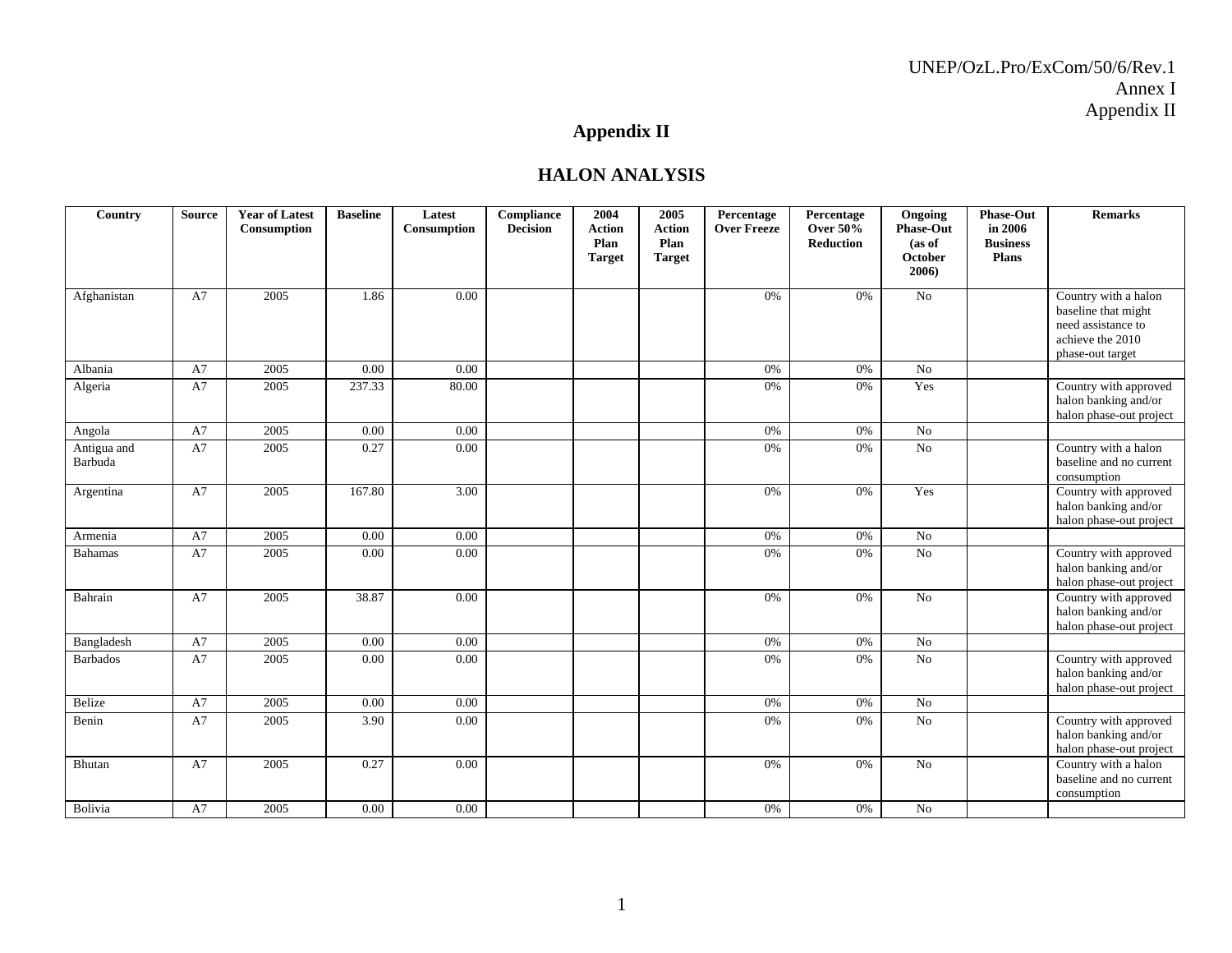# **Appendix II**

#### **HALON ANALYSIS**

| Country                | <b>Source</b> | <b>Year of Latest</b><br>Consumption | <b>Baseline</b> | Latest<br>Consumption | Compliance<br><b>Decision</b> | 2004<br><b>Action</b><br>Plan<br><b>Target</b> | 2005<br><b>Action</b><br>Plan<br><b>Target</b> | Percentage<br><b>Over Freeze</b> | Percentage<br><b>Over 50%</b><br>Reduction | Ongoing<br><b>Phase-Out</b><br>(as of<br>October<br>2006) | <b>Phase-Out</b><br>in 2006<br><b>Business</b><br>Plans | <b>Remarks</b>                                                                                            |
|------------------------|---------------|--------------------------------------|-----------------|-----------------------|-------------------------------|------------------------------------------------|------------------------------------------------|----------------------------------|--------------------------------------------|-----------------------------------------------------------|---------------------------------------------------------|-----------------------------------------------------------------------------------------------------------|
| Afghanistan            | A7            | 2005                                 | 1.86            | 0.00                  |                               |                                                |                                                | 0%                               | 0%                                         | N <sub>o</sub>                                            |                                                         | Country with a halon<br>baseline that might<br>need assistance to<br>achieve the 2010<br>phase-out target |
| Albania                | A7            | 2005                                 | 0.00            | 0.00                  |                               |                                                |                                                | 0%                               | 0%                                         | No                                                        |                                                         |                                                                                                           |
| Algeria                | A7            | 2005                                 | 237.33          | 80.00                 |                               |                                                |                                                | 0%                               | 0%                                         | Yes                                                       |                                                         | Country with approved<br>halon banking and/or<br>halon phase-out project                                  |
| Angola                 | A7            | 2005                                 | 0.00            | 0.00                  |                               |                                                |                                                | 0%                               | 0%                                         | No                                                        |                                                         |                                                                                                           |
| Antigua and<br>Barbuda | A7            | 2005                                 | 0.27            | 0.00                  |                               |                                                |                                                | 0%                               | 0%                                         | N <sub>o</sub>                                            |                                                         | Country with a halon<br>baseline and no current<br>consumption                                            |
| Argentina              | A7            | 2005                                 | 167.80          | 3.00                  |                               |                                                |                                                | 0%                               | 0%                                         | Yes                                                       |                                                         | Country with approved<br>halon banking and/or<br>halon phase-out project                                  |
| Armenia                | A7            | 2005                                 | 0.00            | 0.00                  |                               |                                                |                                                | 0%                               | 0%                                         | No                                                        |                                                         |                                                                                                           |
| <b>Bahamas</b>         | A7            | 2005                                 | 0.00            | 0.00                  |                               |                                                |                                                | 0%                               | 0%                                         | No                                                        |                                                         | Country with approved<br>halon banking and/or<br>halon phase-out project                                  |
| Bahrain                | A7            | 2005                                 | 38.87           | 0.00                  |                               |                                                |                                                | 0%                               | 0%                                         | N <sub>o</sub>                                            |                                                         | Country with approved<br>halon banking and/or<br>halon phase-out project                                  |
| Bangladesh             | A7            | 2005                                 | 0.00            | 0.00                  |                               |                                                |                                                | 0%                               | 0%                                         | No                                                        |                                                         |                                                                                                           |
| <b>Barbados</b>        | A7            | 2005                                 | 0.00            | 0.00                  |                               |                                                |                                                | 0%                               | 0%                                         | No                                                        |                                                         | Country with approved<br>halon banking and/or<br>halon phase-out project                                  |
| Belize                 | A7            | 2005                                 | 0.00            | 0.00                  |                               |                                                |                                                | 0%                               | 0%                                         | No                                                        |                                                         |                                                                                                           |
| Benin                  | A7            | 2005                                 | 3.90            | 0.00                  |                               |                                                |                                                | 0%                               | 0%                                         | $\rm No$                                                  |                                                         | Country with approved<br>halon banking and/or<br>halon phase-out project                                  |
| Bhutan                 | A7            | 2005                                 | 0.27            | 0.00                  |                               |                                                |                                                | 0%                               | 0%                                         | No                                                        |                                                         | Country with a halon<br>baseline and no current<br>consumption                                            |
| Bolivia                | A7            | 2005                                 | 0.00            | 0.00                  |                               |                                                |                                                | 0%                               | 0%                                         | $\rm No$                                                  |                                                         |                                                                                                           |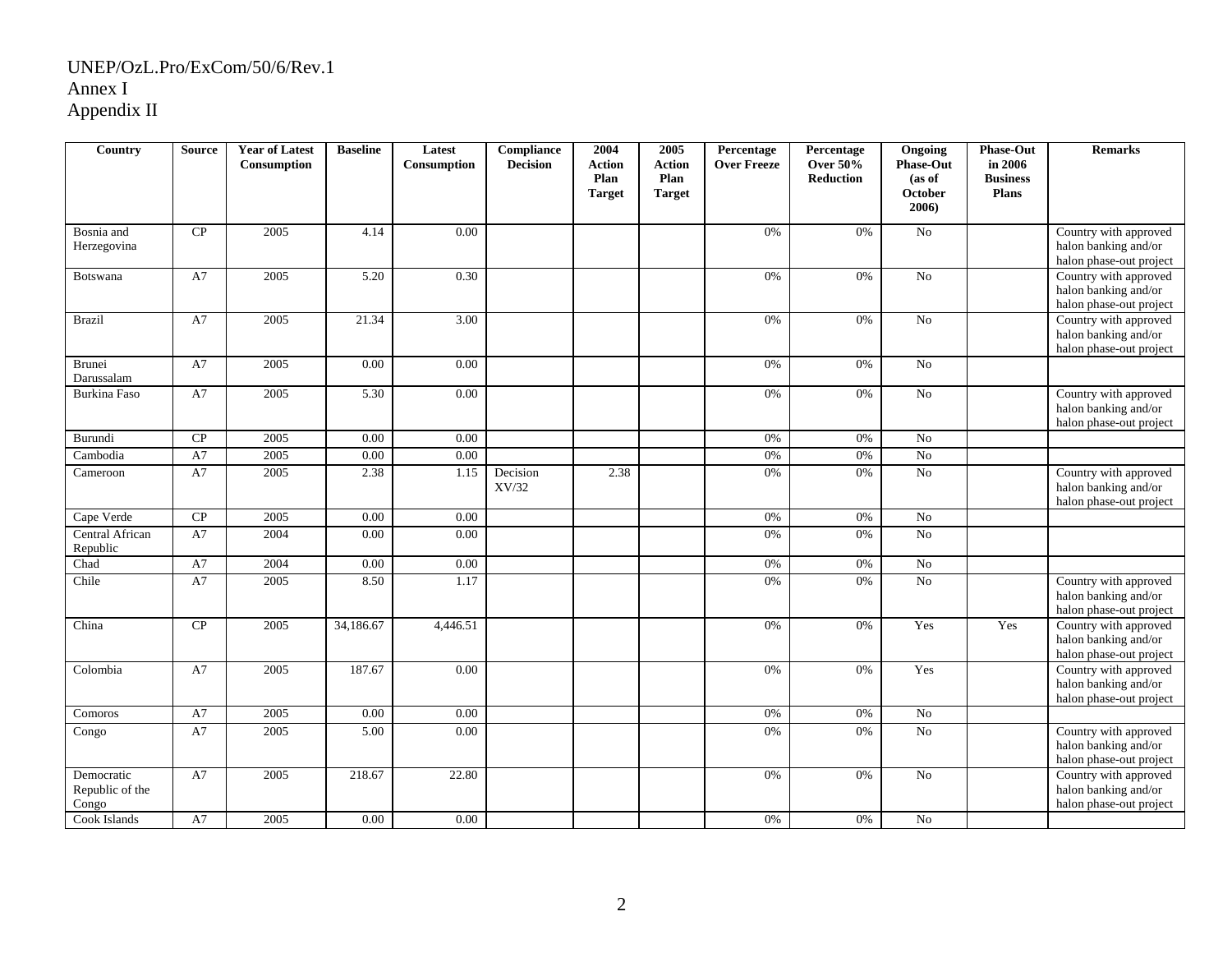| Country                                | <b>Source</b> | <b>Year of Latest</b><br>Consumption | <b>Baseline</b> | Latest<br>Consumption | Compliance<br><b>Decision</b> | 2004<br><b>Action</b> | 2005<br><b>Action</b> | Percentage<br><b>Over Freeze</b> | Percentage<br><b>Over 50%</b> | Ongoing<br><b>Phase-Out</b>       | <b>Phase-Out</b><br>in 2006     | <b>Remarks</b>                                                           |
|----------------------------------------|---------------|--------------------------------------|-----------------|-----------------------|-------------------------------|-----------------------|-----------------------|----------------------------------|-------------------------------|-----------------------------------|---------------------------------|--------------------------------------------------------------------------|
|                                        |               |                                      |                 |                       |                               | Plan<br><b>Target</b> | Plan<br><b>Target</b> |                                  | <b>Reduction</b>              | (as of<br><b>October</b><br>2006) | <b>Business</b><br><b>Plans</b> |                                                                          |
| Bosnia and<br>Herzegovina              | CP            | 2005                                 | 4.14            | 0.00                  |                               |                       |                       | 0%                               | 0%                            | ${\rm No}$                        |                                 | Country with approved<br>halon banking and/or<br>halon phase-out project |
| Botswana                               | A7            | 2005                                 | 5.20            | 0.30                  |                               |                       |                       | 0%                               | 0%                            | No                                |                                 | Country with approved<br>halon banking and/or<br>halon phase-out project |
| <b>Brazil</b>                          | A7            | 2005                                 | 21.34           | 3.00                  |                               |                       |                       | $0\%$                            | 0%                            | $\overline{No}$                   |                                 | Country with approved<br>halon banking and/or<br>halon phase-out project |
| <b>Brunei</b><br>Darussalam            | A7            | 2005                                 | 0.00            | 0.00                  |                               |                       |                       | 0%                               | 0%                            | No                                |                                 |                                                                          |
| <b>Burkina Faso</b>                    | A7            | 2005                                 | 5.30            | $0.00\,$              |                               |                       |                       | $0\%$                            | $0\%$                         | ${\rm No}$                        |                                 | Country with approved<br>halon banking and/or<br>halon phase-out project |
| Burundi                                | CP            | 2005                                 | 0.00            | 0.00                  |                               |                       |                       | 0%                               | 0%                            | No                                |                                 |                                                                          |
| Cambodia                               | A7            | 2005                                 | 0.00            | 0.00                  |                               |                       |                       | $0\%$                            | $0\%$                         | $\rm No$                          |                                 |                                                                          |
| Cameroon                               | A7            | 2005                                 | 2.38            | 1.15                  | Decision<br>XV/32             | 2.38                  |                       | 0%                               | 0%                            | No                                |                                 | Country with approved<br>halon banking and/or<br>halon phase-out project |
| Cape Verde                             | CP            | 2005                                 | 0.00            | 0.00                  |                               |                       |                       | 0%                               | 0%                            | N <sub>0</sub>                    |                                 |                                                                          |
| Central African<br>Republic            | A7            | 2004                                 | 0.00            | 0.00                  |                               |                       |                       | 0%                               | 0%                            | No                                |                                 |                                                                          |
| Chad                                   | A7            | 2004                                 | 0.00            | 0.00                  |                               |                       |                       | 0%                               | 0%                            | No                                |                                 |                                                                          |
| Chile                                  | A7            | 2005                                 | 8.50            | 1.17                  |                               |                       |                       | $0\%$                            | 0%                            | $\overline{No}$                   |                                 | Country with approved<br>halon banking and/or<br>halon phase-out project |
| China                                  | CP            | 2005                                 | 34,186.67       | 4,446.51              |                               |                       |                       | 0%                               | 0%                            | Yes                               | Yes                             | Country with approved<br>halon banking and/or<br>halon phase-out project |
| Colombia                               | A7            | 2005                                 | 187.67          | 0.00                  |                               |                       |                       | 0%                               | 0%                            | Yes                               |                                 | Country with approved<br>halon banking and/or<br>halon phase-out project |
| Comoros                                | A7            | 2005                                 | 0.00            | 0.00                  |                               |                       |                       | 0%                               | 0%                            | ${\rm No}$                        |                                 |                                                                          |
| Congo                                  | A7            | 2005                                 | 5.00            | 0.00                  |                               |                       |                       | 0%                               | 0%                            | No                                |                                 | Country with approved<br>halon banking and/or<br>halon phase-out project |
| Democratic<br>Republic of the<br>Congo | A7            | 2005                                 | 218.67          | 22.80                 |                               |                       |                       | 0%                               | 0%                            | $\rm No$                          |                                 | Country with approved<br>halon banking and/or<br>halon phase-out project |
| Cook Islands                           | A7            | 2005                                 | 0.00            | 0.00                  |                               |                       |                       | 0%                               | 0%                            | No                                |                                 |                                                                          |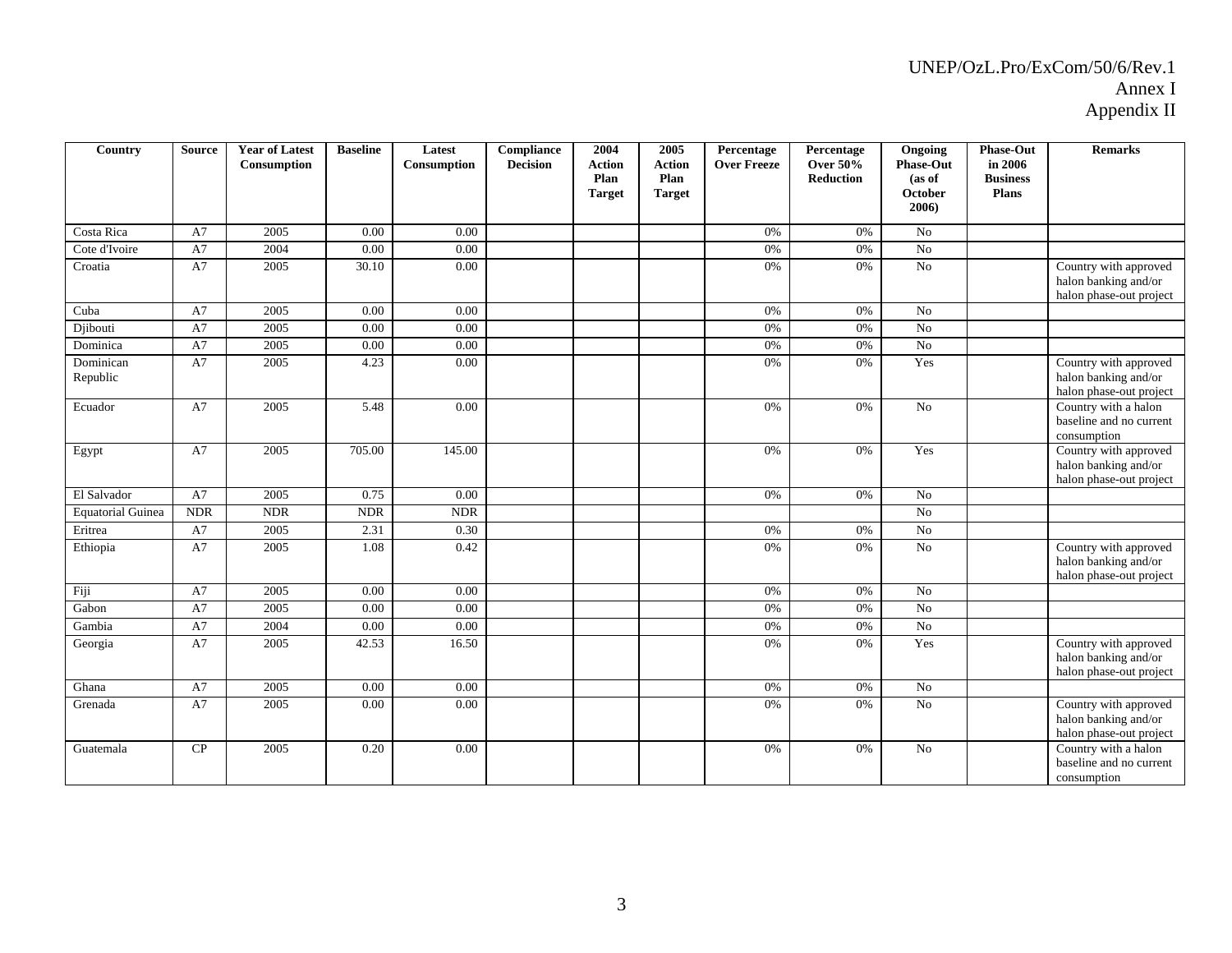| Country                  | <b>Source</b> | <b>Year of Latest</b><br>Consumption | <b>Baseline</b> | Latest<br>Consumption | Compliance<br><b>Decision</b> | 2004<br><b>Action</b><br>Plan<br><b>Target</b> | 2005<br><b>Action</b><br>Plan<br><b>Target</b> | Percentage<br><b>Over Freeze</b> | Percentage<br><b>Over 50%</b><br><b>Reduction</b> | Ongoing<br><b>Phase-Out</b><br>(as of<br>October<br>2006) | <b>Phase-Out</b><br>in 2006<br><b>Business</b><br><b>Plans</b> | <b>Remarks</b>                                                           |
|--------------------------|---------------|--------------------------------------|-----------------|-----------------------|-------------------------------|------------------------------------------------|------------------------------------------------|----------------------------------|---------------------------------------------------|-----------------------------------------------------------|----------------------------------------------------------------|--------------------------------------------------------------------------|
| Costa Rica               | A7            | 2005                                 | 0.00            | 0.00                  |                               |                                                |                                                | 0%                               | 0%                                                | No                                                        |                                                                |                                                                          |
| Cote d'Ivoire            | A7            | 2004                                 | 0.00            | 0.00                  |                               |                                                |                                                | 0%                               | 0%                                                | $\overline{No}$                                           |                                                                |                                                                          |
| Croatia                  | A7            | 2005                                 | 30.10           | 0.00                  |                               |                                                |                                                | 0%                               | 0%                                                | No                                                        |                                                                | Country with approved                                                    |
|                          |               |                                      |                 |                       |                               |                                                |                                                |                                  |                                                   |                                                           |                                                                | halon banking and/or<br>halon phase-out project                          |
| Cuba                     | A7            | 2005                                 | 0.00            | 0.00                  |                               |                                                |                                                | 0%                               | 0%                                                | No                                                        |                                                                |                                                                          |
| Djibouti                 | A7            | 2005                                 | 0.00            | 0.00                  |                               |                                                |                                                | 0%                               | 0%                                                | $\overline{No}$                                           |                                                                |                                                                          |
| Dominica                 | A7            | 2005                                 | 0.00            | 0.00                  |                               |                                                |                                                | 0%                               | 0%                                                | N <sub>o</sub>                                            |                                                                |                                                                          |
| Dominican<br>Republic    | A7            | 2005                                 | 4.23            | 0.00                  |                               |                                                |                                                | 0%                               | 0%                                                | Yes                                                       |                                                                | Country with approved<br>halon banking and/or<br>halon phase-out project |
| Ecuador                  | A7            | 2005                                 | 5.48            | 0.00                  |                               |                                                |                                                | 0%                               | 0%                                                | No                                                        |                                                                | Country with a halon<br>baseline and no current<br>consumption           |
| Egypt                    | A7            | 2005                                 | 705.00          | 145.00                |                               |                                                |                                                | 0%                               | 0%                                                | Yes                                                       |                                                                | Country with approved<br>halon banking and/or<br>halon phase-out project |
| El Salvador              | A7            | 2005                                 | 0.75            | 0.00                  |                               |                                                |                                                | 0%                               | 0%                                                | No                                                        |                                                                |                                                                          |
| <b>Equatorial Guinea</b> | <b>NDR</b>    | <b>NDR</b>                           | <b>NDR</b>      | <b>NDR</b>            |                               |                                                |                                                |                                  |                                                   | No                                                        |                                                                |                                                                          |
| Eritrea                  | A7            | 2005                                 | 2.31            | 0.30                  |                               |                                                |                                                | 0%                               | 0%                                                | $\overline{No}$                                           |                                                                |                                                                          |
| Ethiopia                 | A7            | 2005                                 | 1.08            | 0.42                  |                               |                                                |                                                | 0%                               | 0%                                                | No                                                        |                                                                | Country with approved<br>halon banking and/or<br>halon phase-out project |
| Fiji                     | A7            | 2005                                 | 0.00            | 0.00                  |                               |                                                |                                                | 0%                               | 0%                                                | No                                                        |                                                                |                                                                          |
| Gabon                    | A7            | 2005                                 | 0.00            | 0.00                  |                               |                                                |                                                | 0%                               | 0%                                                | No                                                        |                                                                |                                                                          |
| Gambia                   | A7            | 2004                                 | 0.00            | 0.00                  |                               |                                                |                                                | 0%                               | 0%                                                | N <sub>o</sub>                                            |                                                                |                                                                          |
| Georgia                  | A7            | 2005                                 | 42.53           | 16.50                 |                               |                                                |                                                | 0%                               | 0%                                                | Yes                                                       |                                                                | Country with approved<br>halon banking and/or<br>halon phase-out project |
| Ghana                    | A7            | 2005                                 | 0.00            | 0.00                  |                               |                                                |                                                | 0%                               | 0%                                                | No                                                        |                                                                |                                                                          |
| Grenada                  | A7            | 2005                                 | 0.00            | 0.00                  |                               |                                                |                                                | 0%                               | 0%                                                | N <sub>o</sub>                                            |                                                                | Country with approved<br>halon banking and/or<br>halon phase-out project |
| Guatemala                | CP            | 2005                                 | 0.20            | 0.00                  |                               |                                                |                                                | 0%                               | 0%                                                | N <sub>o</sub>                                            |                                                                | Country with a halon<br>baseline and no current<br>consumption           |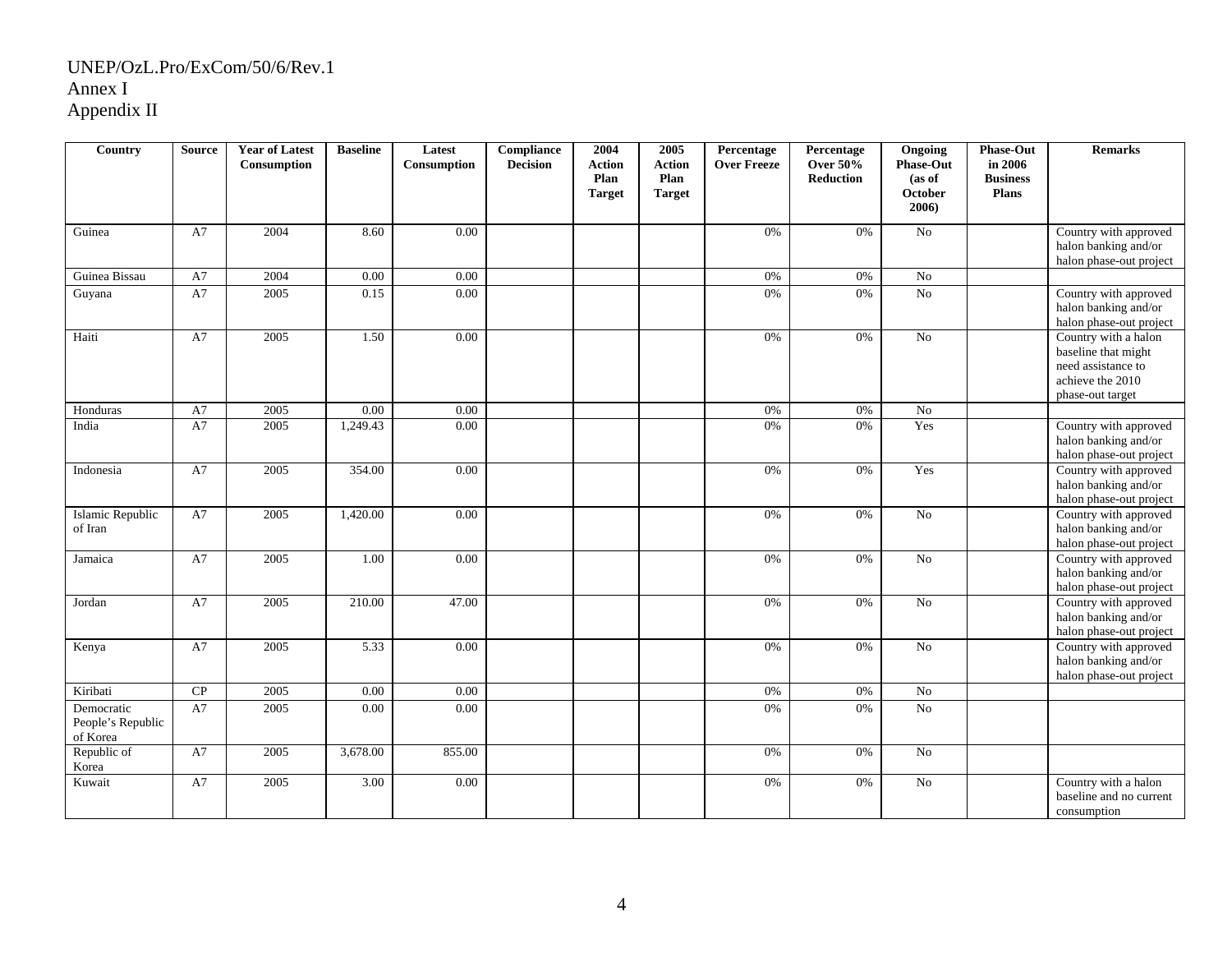| Country                                     | <b>Source</b> | <b>Year of Latest</b><br>Consumption | <b>Baseline</b> | Latest<br>Consumption | <b>Compliance</b><br><b>Decision</b> | 2004<br><b>Action</b><br>Plan | 2005<br><b>Action</b><br>Plan | Percentage<br><b>Over Freeze</b> | Percentage<br><b>Over 50%</b><br>Reduction | Ongoing<br><b>Phase-Out</b><br>(as of | <b>Phase-Out</b><br>in 2006<br><b>Business</b> | <b>Remarks</b>                                                                                            |
|---------------------------------------------|---------------|--------------------------------------|-----------------|-----------------------|--------------------------------------|-------------------------------|-------------------------------|----------------------------------|--------------------------------------------|---------------------------------------|------------------------------------------------|-----------------------------------------------------------------------------------------------------------|
|                                             |               |                                      |                 |                       |                                      | <b>Target</b>                 | <b>Target</b>                 |                                  |                                            | <b>October</b><br>2006)               | <b>Plans</b>                                   |                                                                                                           |
| Guinea                                      | A7            | 2004                                 | 8.60            | 0.00                  |                                      |                               |                               | 0%                               | 0%                                         | No                                    |                                                | Country with approved<br>halon banking and/or<br>halon phase-out project                                  |
| Guinea Bissau                               | A7            | 2004                                 | 0.00            | 0.00                  |                                      |                               |                               | 0%                               | 0%                                         | N <sub>0</sub>                        |                                                |                                                                                                           |
| Guyana                                      | A7            | 2005                                 | 0.15            | 0.00                  |                                      |                               |                               | 0%                               | 0%                                         | $\rm No$                              |                                                | Country with approved<br>halon banking and/or<br>halon phase-out project                                  |
| Haiti                                       | A7            | 2005                                 | 1.50            | 0.00                  |                                      |                               |                               | 0%                               | 0%                                         | No                                    |                                                | Country with a halon<br>baseline that might<br>need assistance to<br>achieve the 2010<br>phase-out target |
| Honduras                                    | A7            | 2005                                 | 0.00            | 0.00                  |                                      |                               |                               | 0%                               | $0\%$                                      | No                                    |                                                |                                                                                                           |
| India                                       | A7            | 2005                                 | 1,249.43        | 0.00                  |                                      |                               |                               | 0%                               | 0%                                         | Yes                                   |                                                | Country with approved<br>halon banking and/or<br>halon phase-out project                                  |
| Indonesia                                   | A7            | 2005                                 | 354.00          | 0.00                  |                                      |                               |                               | 0%                               | 0%                                         | Yes                                   |                                                | Country with approved<br>halon banking and/or<br>halon phase-out project                                  |
| Islamic Republic<br>of Iran                 | A7            | 2005                                 | 1,420.00        | 0.00                  |                                      |                               |                               | 0%                               | $0\%$                                      | $\rm No$                              |                                                | Country with approved<br>halon banking and/or<br>halon phase-out project                                  |
| Jamaica                                     | A7            | 2005                                 | 1.00            | 0.00                  |                                      |                               |                               | 0%                               | 0%                                         | No                                    |                                                | Country with approved<br>halon banking and/or<br>halon phase-out project                                  |
| Jordan                                      | A7            | 2005                                 | 210.00          | 47.00                 |                                      |                               |                               | 0%                               | 0%                                         | No                                    |                                                | Country with approved<br>halon banking and/or<br>halon phase-out project                                  |
| Kenya                                       | A7            | 2005                                 | 5.33            | 0.00                  |                                      |                               |                               | 0%                               | 0%                                         | $\rm No$                              |                                                | Country with approved<br>halon banking and/or<br>halon phase-out project                                  |
| Kiribati                                    | CP            | 2005                                 | 0.00            | 0.00                  |                                      |                               |                               | 0%                               | 0%                                         | No                                    |                                                |                                                                                                           |
| Democratic<br>People's Republic<br>of Korea | A7            | 2005                                 | 0.00            | 0.00                  |                                      |                               |                               | 0%                               | 0%                                         | No                                    |                                                |                                                                                                           |
| Republic of<br>Korea                        | A7            | 2005                                 | 3,678.00        | 855.00                |                                      |                               |                               | 0%                               | $0\%$                                      | $\rm No$                              |                                                |                                                                                                           |
| Kuwait                                      | A7            | 2005                                 | 3.00            | 0.00                  |                                      |                               |                               | 0%                               | 0%                                         | $\rm No$                              |                                                | Country with a halon<br>baseline and no current<br>consumption                                            |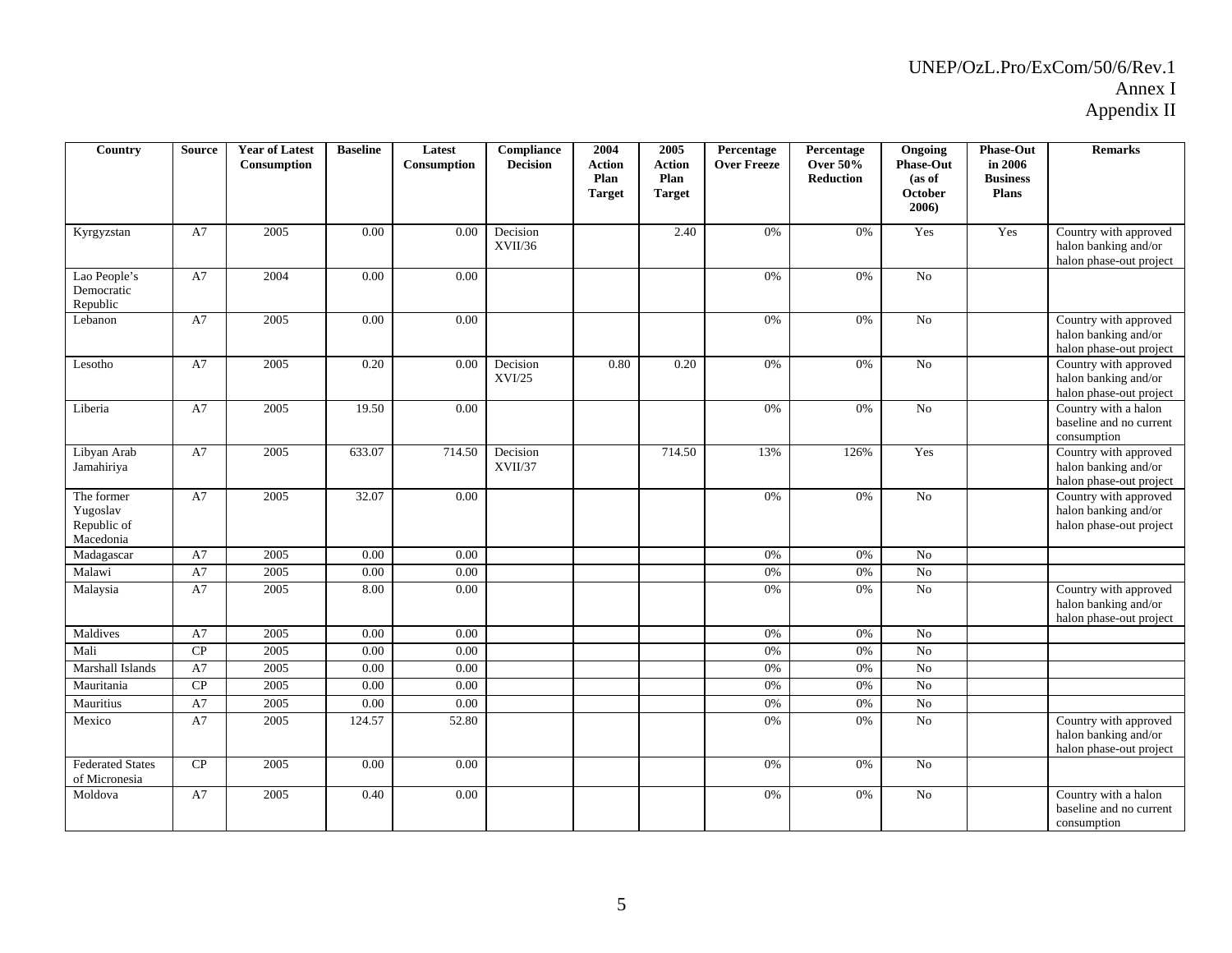| Country                                            | <b>Source</b> | <b>Year of Latest</b><br>Consumption | <b>Baseline</b> | Latest<br>Consumption | Compliance<br><b>Decision</b> | 2004<br><b>Action</b><br>Plan<br><b>Target</b> | 2005<br><b>Action</b><br>Plan<br><b>Target</b> | Percentage<br><b>Over Freeze</b> | Percentage<br><b>Over 50%</b><br><b>Reduction</b> | Ongoing<br><b>Phase-Out</b><br>(as of<br>October<br>2006) | <b>Phase-Out</b><br>in 2006<br><b>Business</b><br><b>Plans</b> | <b>Remarks</b>                                                           |
|----------------------------------------------------|---------------|--------------------------------------|-----------------|-----------------------|-------------------------------|------------------------------------------------|------------------------------------------------|----------------------------------|---------------------------------------------------|-----------------------------------------------------------|----------------------------------------------------------------|--------------------------------------------------------------------------|
| Kyrgyzstan                                         | A7            | 2005                                 | 0.00            | 0.00                  | Decision<br>XVII/36           |                                                | 2.40                                           | 0%                               | 0%                                                | Yes                                                       | Yes                                                            | Country with approved<br>halon banking and/or<br>halon phase-out project |
| Lao People's<br>Democratic<br>Republic             | A7            | 2004                                 | 0.00            | 0.00                  |                               |                                                |                                                | 0%                               | 0%                                                | N <sub>o</sub>                                            |                                                                |                                                                          |
| Lebanon                                            | A7            | 2005                                 | 0.00            | 0.00                  |                               |                                                |                                                | 0%                               | 0%                                                | N <sub>o</sub>                                            |                                                                | Country with approved<br>halon banking and/or<br>halon phase-out project |
| Lesotho                                            | A7            | 2005                                 | 0.20            | 0.00                  | Decision<br>XVI/25            | 0.80                                           | 0.20                                           | 0%                               | 0%                                                | N <sub>o</sub>                                            |                                                                | Country with approved<br>halon banking and/or<br>halon phase-out project |
| Liberia                                            | A7            | 2005                                 | 19.50           | 0.00                  |                               |                                                |                                                | 0%                               | 0%                                                | No                                                        |                                                                | Country with a halon<br>baseline and no current<br>consumption           |
| Libyan Arab<br>Jamahiriya                          | A7            | 2005                                 | 633.07          | 714.50                | Decision<br>XVII/37           |                                                | 714.50                                         | 13%                              | 126%                                              | Yes                                                       |                                                                | Country with approved<br>halon banking and/or<br>halon phase-out project |
| The former<br>Yugoslav<br>Republic of<br>Macedonia | A7            | 2005                                 | 32.07           | 0.00                  |                               |                                                |                                                | 0%                               | 0%                                                | $\overline{No}$                                           |                                                                | Country with approved<br>halon banking and/or<br>halon phase-out project |
| Madagascar                                         | A7            | 2005                                 | 0.00            | $0.00\,$              |                               |                                                |                                                | 0%                               | 0%                                                | No                                                        |                                                                |                                                                          |
| Malawi                                             | A7            | 2005                                 | 0.00            | 0.00                  |                               |                                                |                                                | 0%                               | 0%                                                | $\overline{No}$                                           |                                                                |                                                                          |
| Malaysia                                           | A7            | 2005                                 | 8.00            | 0.00                  |                               |                                                |                                                | 0%                               | 0%                                                | No                                                        |                                                                | Country with approved<br>halon banking and/or<br>halon phase-out project |
| Maldives                                           | A7            | 2005                                 | 0.00            | 0.00                  |                               |                                                |                                                | 0%                               | 0%                                                | N <sub>o</sub>                                            |                                                                |                                                                          |
| Mali                                               | CP            | 2005                                 | 0.00            | 0.00                  |                               |                                                |                                                | 0%                               | 0%                                                | No                                                        |                                                                |                                                                          |
| Marshall Islands                                   | A7            | 2005                                 | 0.00            | 0.00                  |                               |                                                |                                                | 0%                               | 0%                                                | No                                                        |                                                                |                                                                          |
| Mauritania                                         | CP            | 2005                                 | 0.00            | 0.00                  |                               |                                                |                                                | 0%                               | 0%                                                | $\rm No$                                                  |                                                                |                                                                          |
| Mauritius                                          | A7            | 2005                                 | 0.00            | 0.00                  |                               |                                                |                                                | 0%                               | 0%                                                | N <sub>o</sub>                                            |                                                                |                                                                          |
| Mexico                                             | A7            | 2005                                 | 124.57          | 52.80                 |                               |                                                |                                                | 0%                               | 0%                                                | No                                                        |                                                                | Country with approved<br>halon banking and/or<br>halon phase-out project |
| <b>Federated States</b><br>of Micronesia           | CP            | 2005                                 | 0.00            | 0.00                  |                               |                                                |                                                | 0%                               | 0%                                                | $\rm No$                                                  |                                                                |                                                                          |
| Moldova                                            | A7            | 2005                                 | 0.40            | 0.00                  |                               |                                                |                                                | 0%                               | 0%                                                | N <sub>o</sub>                                            |                                                                | Country with a halon<br>baseline and no current<br>consumption           |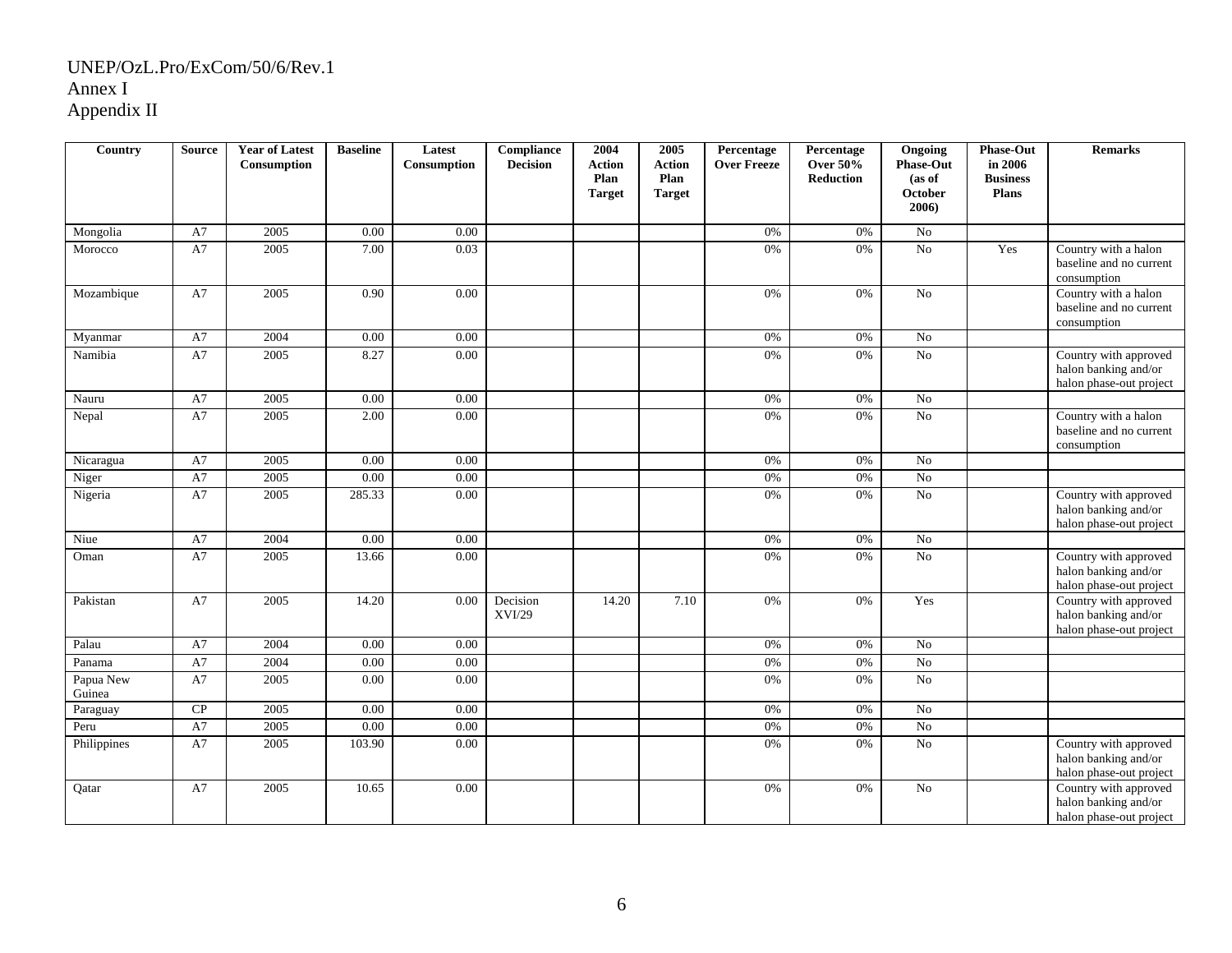| Country             | <b>Source</b> | <b>Year of Latest</b><br>Consumption | <b>Baseline</b> | Latest<br><b>Consumption</b> | Compliance<br><b>Decision</b> | 2004<br><b>Action</b><br>Plan | 2005<br><b>Action</b><br>Plan | Percentage<br><b>Over Freeze</b> | Percentage<br><b>Over 50%</b><br><b>Reduction</b> | Ongoing<br><b>Phase-Out</b><br>(as of | <b>Phase-Out</b><br>in 2006<br><b>Business</b> | <b>Remarks</b>                                                           |
|---------------------|---------------|--------------------------------------|-----------------|------------------------------|-------------------------------|-------------------------------|-------------------------------|----------------------------------|---------------------------------------------------|---------------------------------------|------------------------------------------------|--------------------------------------------------------------------------|
|                     |               |                                      |                 |                              |                               | <b>Target</b>                 | <b>Target</b>                 |                                  |                                                   | <b>October</b><br>2006)               | Plans                                          |                                                                          |
| Mongolia            | A7            | 2005                                 | 0.00            | 0.00                         |                               |                               |                               | 0%                               | 0%                                                | $\rm No$                              |                                                |                                                                          |
| Morocco             | A7            | 2005                                 | 7.00            | 0.03                         |                               |                               |                               | 0%                               | 0%                                                | $\overline{No}$                       | Yes                                            | Country with a halon<br>baseline and no current<br>consumption           |
| Mozambique          | A7            | 2005                                 | 0.90            | 0.00                         |                               |                               |                               | 0%                               | 0%                                                | No                                    |                                                | Country with a halon<br>baseline and no current<br>consumption           |
| Myanmar             | A7            | 2004                                 | 0.00            | 0.00                         |                               |                               |                               | 0%                               | 0%                                                | N <sub>o</sub>                        |                                                |                                                                          |
| Namibia             | A7            | 2005                                 | 8.27            | 0.00                         |                               |                               |                               | 0%                               | 0%                                                | No                                    |                                                | Country with approved<br>halon banking and/or<br>halon phase-out project |
| Nauru               | A7            | 2005                                 | 0.00            | 0.00                         |                               |                               |                               | 0%                               | 0%                                                | No                                    |                                                |                                                                          |
| Nepal               | A7            | 2005                                 | 2.00            | 0.00                         |                               |                               |                               | 0%                               | 0%                                                | No                                    |                                                | Country with a halon<br>baseline and no current<br>consumption           |
| Nicaragua           | A7            | 2005                                 | 0.00            | 0.00                         |                               |                               |                               | $0\%$                            | $0\%$                                             | $\overline{No}$                       |                                                |                                                                          |
| Niger               | A7            | 2005                                 | 0.00            | 0.00                         |                               |                               |                               | $0\%$                            | $0\%$                                             | $\overline{No}$                       |                                                |                                                                          |
| Nigeria             | A7            | 2005                                 | 285.33          | 0.00                         |                               |                               |                               | 0%                               | 0%                                                | $\overline{N_0}$                      |                                                | Country with approved<br>halon banking and/or<br>halon phase-out project |
| Niue                | A7            | 2004                                 | 0.00            | 0.00                         |                               |                               |                               | 0%                               | $0\%$                                             | $\rm No$                              |                                                |                                                                          |
| Oman                | A7            | 2005                                 | 13.66           | 0.00                         |                               |                               |                               | 0%                               | 0%                                                | $\rm No$                              |                                                | Country with approved<br>halon banking and/or<br>halon phase-out project |
| Pakistan            | A7            | 2005                                 | 14.20           | 0.00                         | Decision<br>XVI/29            | 14.20                         | 7.10                          | 0%                               | 0%                                                | Yes                                   |                                                | Country with approved<br>halon banking and/or<br>halon phase-out project |
| Palau               | A7            | 2004                                 | 0.00            | 0.00                         |                               |                               |                               | 0%                               | 0%                                                | No                                    |                                                |                                                                          |
| Panama              | A7            | 2004                                 | $0.00\,$        | $0.00\,$                     |                               |                               |                               | 0%                               | 0%                                                | $\overline{No}$                       |                                                |                                                                          |
| Papua New<br>Guinea | A7            | 2005                                 | 0.00            | 0.00                         |                               |                               |                               | $0\%$                            | $0\%$                                             | $\rm No$                              |                                                |                                                                          |
| Paraguay            | ${\bf CP}$    | 2005                                 | 0.00            | 0.00                         |                               |                               |                               | $0\%$                            | $0\%$                                             | $\rm No$                              |                                                |                                                                          |
| Peru                | A7            | 2005                                 | 0.00            | $0.00\,$                     |                               |                               |                               | 0%                               | 0%                                                | No                                    |                                                |                                                                          |
| Philippines         | A7            | 2005                                 | 103.90          | 0.00                         |                               |                               |                               | 0%                               | 0%                                                | No                                    |                                                | Country with approved<br>halon banking and/or<br>halon phase-out project |
| Qatar               | A7            | 2005                                 | 10.65           | $0.00\,$                     |                               |                               |                               | 0%                               | 0%                                                | $\rm No$                              |                                                | Country with approved<br>halon banking and/or<br>halon phase-out project |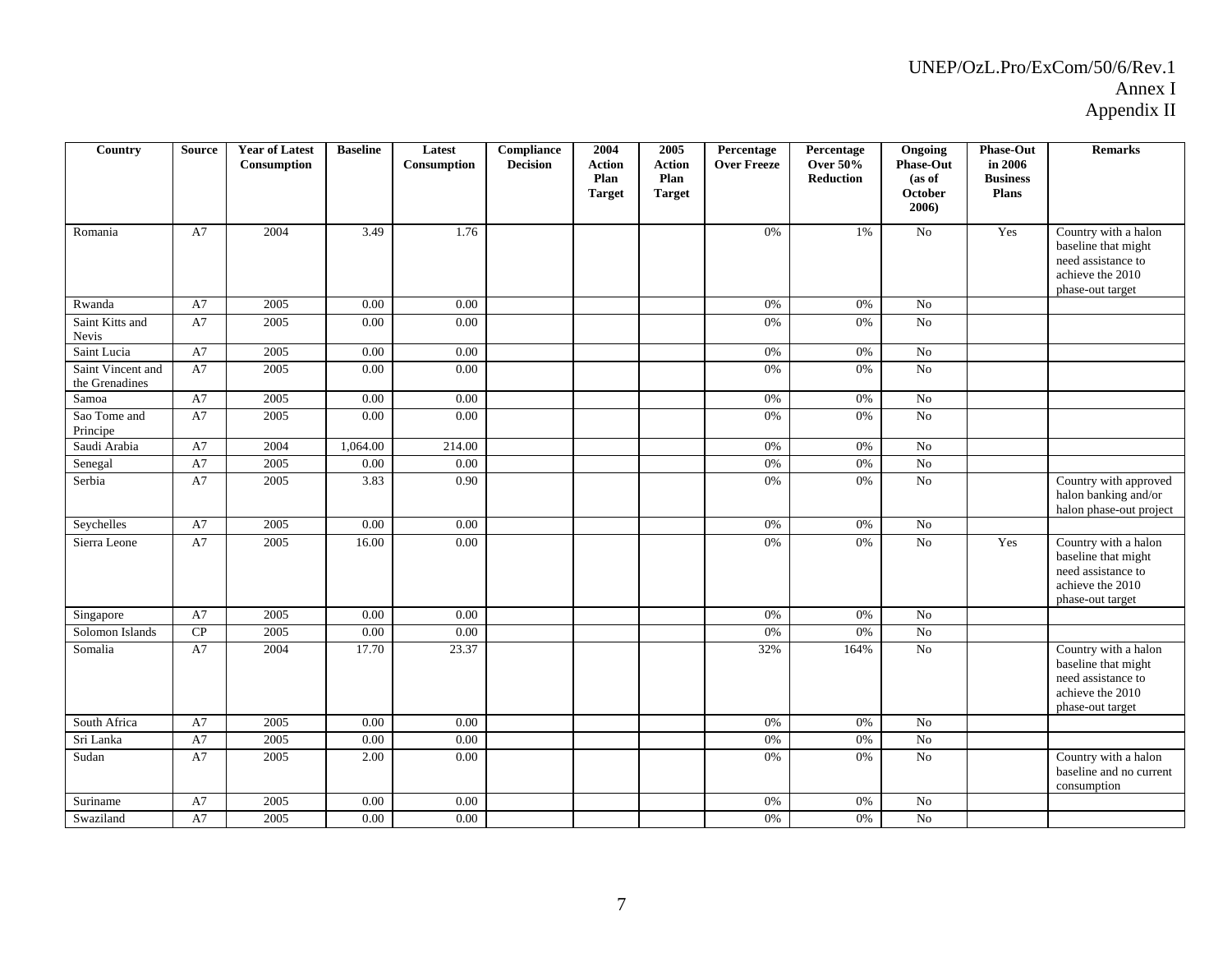| Country                             | <b>Source</b> | <b>Year of Latest</b><br>Consumption | <b>Baseline</b> | Latest<br>Consumption | Compliance<br><b>Decision</b> | 2004<br><b>Action</b><br>Plan<br><b>Target</b> | 2005<br><b>Action</b><br>Plan<br><b>Target</b> | Percentage<br><b>Over Freeze</b> | Percentage<br><b>Over 50%</b><br>Reduction | Ongoing<br><b>Phase-Out</b><br>(as of<br>October<br>2006) | <b>Phase-Out</b><br>in 2006<br><b>Business</b><br>Plans | <b>Remarks</b>                                                                                            |
|-------------------------------------|---------------|--------------------------------------|-----------------|-----------------------|-------------------------------|------------------------------------------------|------------------------------------------------|----------------------------------|--------------------------------------------|-----------------------------------------------------------|---------------------------------------------------------|-----------------------------------------------------------------------------------------------------------|
| Romania                             | A7            | 2004                                 | 3.49            | 1.76                  |                               |                                                |                                                | 0%                               | 1%                                         | No                                                        | Yes                                                     | Country with a halon<br>baseline that might<br>need assistance to<br>achieve the 2010<br>phase-out target |
| Rwanda                              | A7            | 2005                                 | 0.00            | 0.00                  |                               |                                                |                                                | 0%                               | 0%                                         | $\rm No$                                                  |                                                         |                                                                                                           |
| Saint Kitts and<br>Nevis            | A7            | 2005                                 | 0.00            | 0.00                  |                               |                                                |                                                | 0%                               | 0%                                         | $\overline{No}$                                           |                                                         |                                                                                                           |
| Saint Lucia                         | A7            | 2005                                 | 0.00            | 0.00                  |                               |                                                |                                                | 0%                               | 0%                                         | N <sub>o</sub>                                            |                                                         |                                                                                                           |
| Saint Vincent and<br>the Grenadines | A7            | 2005                                 | 0.00            | 0.00                  |                               |                                                |                                                | $0\%$                            | $0\%$                                      | $\overline{No}$                                           |                                                         |                                                                                                           |
| Samoa                               | A7            | 2005                                 | 0.00            | 0.00                  |                               |                                                |                                                | 0%                               | 0%                                         | No                                                        |                                                         |                                                                                                           |
| Sao Tome and<br>Principe            | A7            | 2005                                 | 0.00            | 0.00                  |                               |                                                |                                                | 0%                               | 0%                                         | $\rm No$                                                  |                                                         |                                                                                                           |
| Saudi Arabia                        | A7            | 2004                                 | 1,064.00        | 214.00                |                               |                                                |                                                | $0\%$                            | $0\%$                                      | No                                                        |                                                         |                                                                                                           |
| Senegal                             | A7            | 2005                                 | 0.00            | 0.00                  |                               |                                                |                                                | 0%                               | 0%                                         | No                                                        |                                                         |                                                                                                           |
| Serbia                              | A7            | 2005                                 | 3.83            | 0.90                  |                               |                                                |                                                | 0%                               | 0%                                         | No                                                        |                                                         | Country with approved<br>halon banking and/or<br>halon phase-out project                                  |
| Seychelles                          | A7            | 2005                                 | 0.00            | 0.00                  |                               |                                                |                                                | 0%                               | 0%                                         | No                                                        |                                                         |                                                                                                           |
| Sierra Leone                        | A7            | 2005                                 | 16.00           | 0.00                  |                               |                                                |                                                | 0%                               | 0%                                         | $\overline{No}$                                           | Yes                                                     | Country with a halon<br>baseline that might<br>need assistance to<br>achieve the 2010<br>phase-out target |
| Singapore                           | A7            | 2005                                 | 0.00            | 0.00                  |                               |                                                |                                                | 0%                               | 0%                                         | N <sub>0</sub>                                            |                                                         |                                                                                                           |
| Solomon Islands                     | ${\bf CP}$    | 2005                                 | 0.00            | 0.00                  |                               |                                                |                                                | 0%                               | 0%                                         | No                                                        |                                                         |                                                                                                           |
| Somalia                             | A7            | 2004                                 | 17.70           | 23.37                 |                               |                                                |                                                | 32%                              | 164%                                       | $\rm No$                                                  |                                                         | Country with a halon<br>baseline that might<br>need assistance to<br>achieve the 2010<br>phase-out target |
| South Africa                        | A7            | 2005                                 | 0.00            | 0.00                  |                               |                                                |                                                | 0%                               | $0\%$                                      | $\rm No$                                                  |                                                         |                                                                                                           |
| Sri Lanka                           | A7            | 2005                                 | 0.00            | 0.00                  |                               |                                                |                                                | 0%                               | 0%                                         | $\overline{No}$                                           |                                                         |                                                                                                           |
| Sudan                               | A7            | 2005                                 | 2.00            | 0.00                  |                               |                                                |                                                | 0%                               | 0%                                         | $\rm No$                                                  |                                                         | Country with a halon<br>baseline and no current<br>consumption                                            |
| Suriname                            | A7            | 2005                                 | 0.00            | 0.00                  |                               |                                                |                                                | 0%                               | 0%                                         | No                                                        |                                                         |                                                                                                           |
| Swaziland                           | A7            | 2005                                 | 0.00            | 0.00                  |                               |                                                |                                                | $0\%$                            | 0%                                         | $\rm No$                                                  |                                                         |                                                                                                           |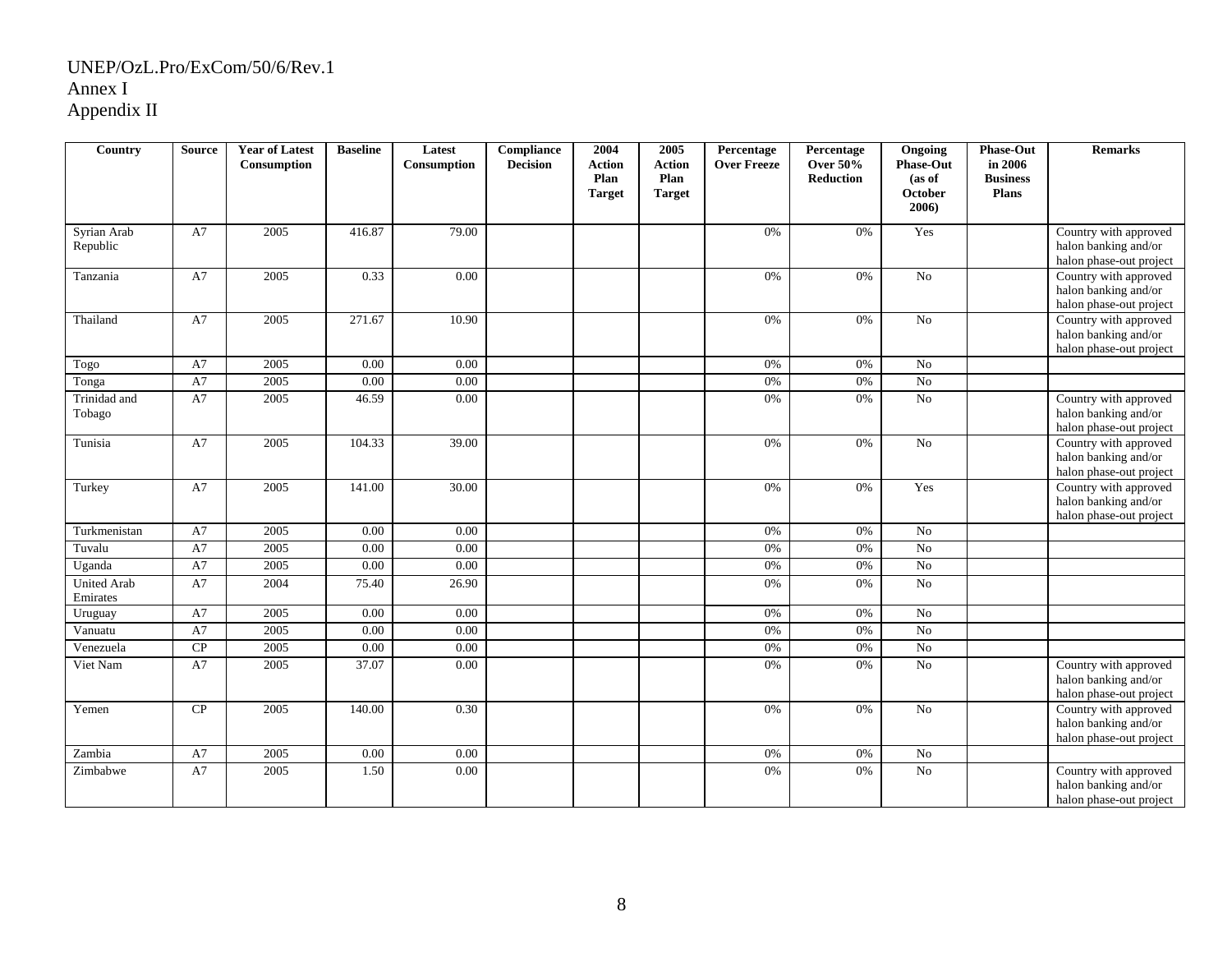| Country                        | <b>Source</b> | <b>Year of Latest</b><br>Consumption | <b>Baseline</b> | Latest<br>Consumption | Compliance<br><b>Decision</b> | 2004<br><b>Action</b><br>Plan<br><b>Target</b> | 2005<br>Action<br>Plan<br><b>Target</b> | Percentage<br><b>Over Freeze</b> | Percentage<br><b>Over 50%</b><br><b>Reduction</b> | Ongoing<br><b>Phase-Out</b><br>(as of<br><b>October</b><br>2006) | <b>Phase-Out</b><br>in 2006<br><b>Business</b><br>Plans | <b>Remarks</b>                                                           |
|--------------------------------|---------------|--------------------------------------|-----------------|-----------------------|-------------------------------|------------------------------------------------|-----------------------------------------|----------------------------------|---------------------------------------------------|------------------------------------------------------------------|---------------------------------------------------------|--------------------------------------------------------------------------|
| Syrian Arab<br>Republic        | A7            | 2005                                 | 416.87          | 79.00                 |                               |                                                |                                         | 0%                               | 0%                                                | Yes                                                              |                                                         | Country with approved<br>halon banking and/or<br>halon phase-out project |
| Tanzania                       | A7            | 2005                                 | 0.33            | 0.00                  |                               |                                                |                                         | 0%                               | 0%                                                | $\overline{No}$                                                  |                                                         | Country with approved<br>halon banking and/or<br>halon phase-out project |
| Thailand                       | A7            | 2005                                 | 271.67          | 10.90                 |                               |                                                |                                         | 0%                               | 0%                                                | No                                                               |                                                         | Country with approved<br>halon banking and/or<br>halon phase-out project |
| Togo                           | A7            | 2005                                 | 0.00            | 0.00                  |                               |                                                |                                         | 0%                               | 0%                                                | $\rm No$                                                         |                                                         |                                                                          |
| Tonga                          | A7            | $\sqrt{2005}$                        | 0.00            | 0.00                  |                               |                                                |                                         | $0\%$                            | 0%                                                | $\overline{No}$                                                  |                                                         |                                                                          |
| Trinidad and<br>Tobago         | A7            | 2005                                 | 46.59           | 0.00                  |                               |                                                |                                         | 0%                               | 0%                                                | $\overline{No}$                                                  |                                                         | Country with approved<br>halon banking and/or<br>halon phase-out project |
| Tunisia                        | A7            | 2005                                 | 104.33          | 39.00                 |                               |                                                |                                         | 0%                               | 0%                                                | No                                                               |                                                         | Country with approved<br>halon banking and/or<br>halon phase-out project |
| Turkey                         | A7            | 2005                                 | 141.00          | 30.00                 |                               |                                                |                                         | 0%                               | 0%                                                | Yes                                                              |                                                         | Country with approved<br>halon banking and/or<br>halon phase-out project |
| Turkmenistan                   | A7            | 2005                                 | 0.00            | $0.00\,$              |                               |                                                |                                         | 0%                               | 0%                                                | $\rm No$                                                         |                                                         |                                                                          |
| Tuvalu                         | A7            | 2005                                 | 0.00            | 0.00                  |                               |                                                |                                         | 0%                               | 0%                                                | $\overline{No}$                                                  |                                                         |                                                                          |
| Uganda                         | A7            | 2005                                 | 0.00            | 0.00                  |                               |                                                |                                         | $0\%$                            | 0%                                                | ${\rm No}$                                                       |                                                         |                                                                          |
| <b>United Arab</b><br>Emirates | A7            | 2004                                 | 75.40           | 26.90                 |                               |                                                |                                         | 0%                               | 0%                                                | No                                                               |                                                         |                                                                          |
| Uruguay                        | A7            | 2005                                 | 0.00            | 0.00                  |                               |                                                |                                         | $0\%$                            | $0\%$                                             | $\rm No$                                                         |                                                         |                                                                          |
| Vanuatu                        | A7            | 2005                                 | 0.00            | $0.00\,$              |                               |                                                |                                         | $0\%$                            | $0\%$                                             | $\rm No$                                                         |                                                         |                                                                          |
| Venezuela                      | CP            | 2005                                 | 0.00            | $0.00\,$              |                               |                                                |                                         | 0%                               | $0\%$                                             | $\rm No$                                                         |                                                         |                                                                          |
| Viet Nam                       | A7            | 2005                                 | 37.07           | 0.00                  |                               |                                                |                                         | 0%                               | 0%                                                | $\overline{No}$                                                  |                                                         | Country with approved<br>halon banking and/or<br>halon phase-out project |
| Yemen                          | CP            | 2005                                 | 140.00          | 0.30                  |                               |                                                |                                         | 0%                               | 0%                                                | $\rm No$                                                         |                                                         | Country with approved<br>halon banking and/or<br>halon phase-out project |
| Zambia                         | A7            | 2005                                 | 0.00            | 0.00                  |                               |                                                |                                         | $0\%$                            | 0%                                                | ${\rm No}$                                                       |                                                         |                                                                          |
| Zimbabwe                       | A7            | 2005                                 | 1.50            | 0.00                  |                               |                                                |                                         | 0%                               | 0%                                                | ${\rm No}$                                                       |                                                         | Country with approved<br>halon banking and/or<br>halon phase-out project |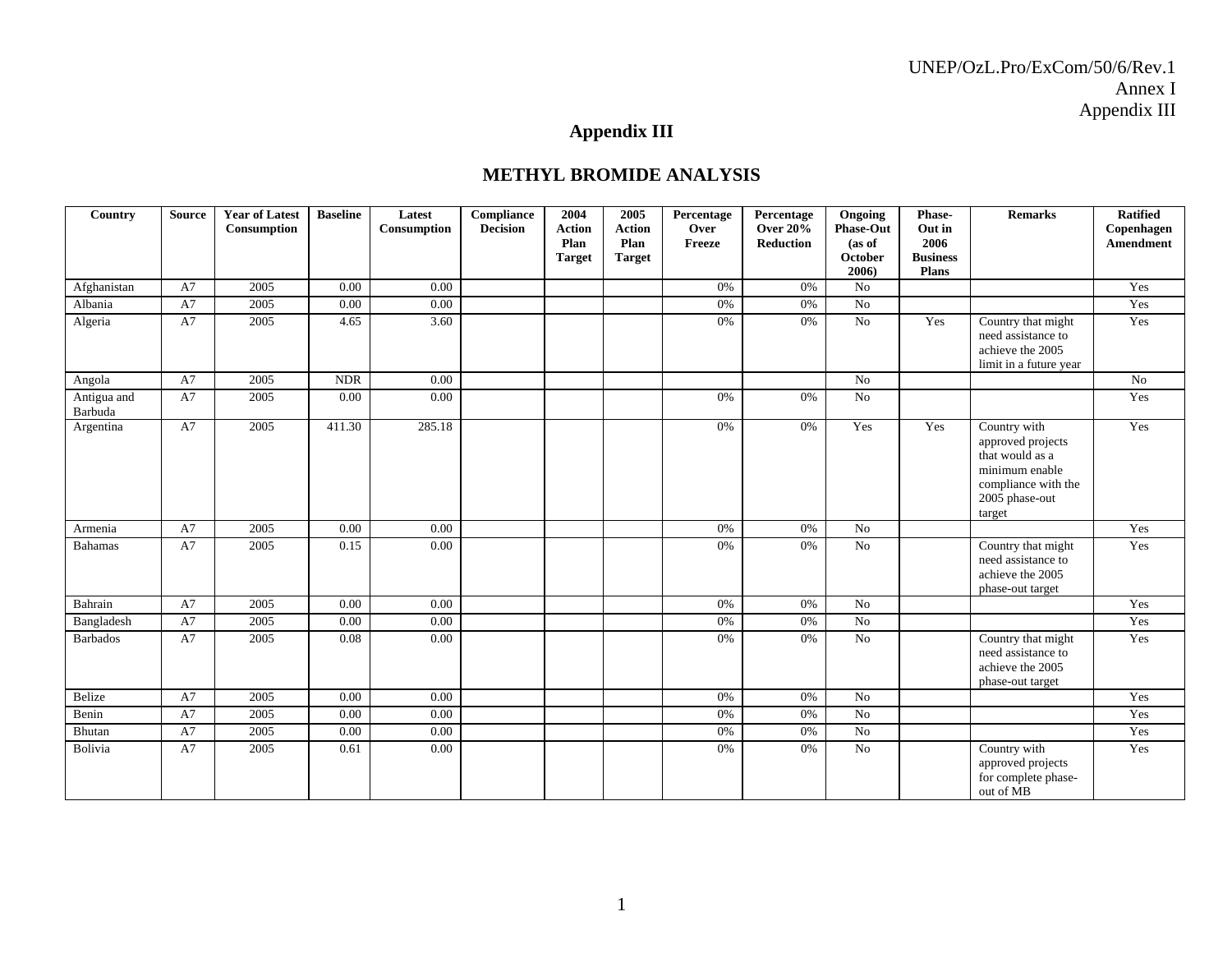## **Appendix III**

#### **METHYL BROMIDE ANALYSIS**

| Country         | <b>Source</b> | <b>Year of Latest</b> | <b>Baseline</b> | Latest      | Compliance      | 2004                  | 2005                  | Percentage     | Percentage                   | Ongoing                    | Phase-          | <b>Remarks</b>                           | <b>Ratified</b>         |
|-----------------|---------------|-----------------------|-----------------|-------------|-----------------|-----------------------|-----------------------|----------------|------------------------------|----------------------------|-----------------|------------------------------------------|-------------------------|
|                 |               | Consumption           |                 | Consumption | <b>Decision</b> | <b>Action</b><br>Plan | <b>Action</b><br>Plan | Over<br>Freeze | <b>Over 20%</b><br>Reduction | <b>Phase-Out</b><br>(as of | Out in<br>2006  |                                          | Copenhagen<br>Amendment |
|                 |               |                       |                 |             |                 | <b>Target</b>         | <b>Target</b>         |                |                              | <b>October</b>             | <b>Business</b> |                                          |                         |
|                 |               |                       |                 |             |                 |                       |                       |                |                              | 2006)                      | <b>Plans</b>    |                                          |                         |
| Afghanistan     | A7            | 2005                  | 0.00            | 0.00        |                 |                       |                       | 0%             | 0%                           | N <sub>o</sub>             |                 |                                          | Yes                     |
| Albania         | A7            | 2005                  | 0.00            | 0.00        |                 |                       |                       | 0%             | 0%                           | No                         |                 |                                          | Yes                     |
| Algeria         | A7            | 2005                  | 4.65            | 3.60        |                 |                       |                       | 0%             | 0%                           | $\overline{No}$            | Yes             | Country that might                       | Yes                     |
|                 |               |                       |                 |             |                 |                       |                       |                |                              |                            |                 | need assistance to<br>achieve the 2005   |                         |
|                 |               |                       |                 |             |                 |                       |                       |                |                              |                            |                 | limit in a future year                   |                         |
| Angola          | A7            | 2005                  | <b>NDR</b>      | 0.00        |                 |                       |                       |                |                              | N <sub>o</sub>             |                 |                                          | No                      |
| Antigua and     | A7            | 2005                  | $0.00\,$        | 0.00        |                 |                       |                       | 0%             | 0%                           | No                         |                 |                                          | Yes                     |
| Barbuda         |               |                       |                 |             |                 |                       |                       |                |                              |                            |                 |                                          |                         |
| Argentina       | A7            | 2005                  | 411.30          | 285.18      |                 |                       |                       | 0%             | 0%                           | Yes                        | Yes             | Country with                             | Yes                     |
|                 |               |                       |                 |             |                 |                       |                       |                |                              |                            |                 | approved projects<br>that would as a     |                         |
|                 |               |                       |                 |             |                 |                       |                       |                |                              |                            |                 | minimum enable                           |                         |
|                 |               |                       |                 |             |                 |                       |                       |                |                              |                            |                 | compliance with the                      |                         |
|                 |               |                       |                 |             |                 |                       |                       |                |                              |                            |                 | 2005 phase-out                           |                         |
|                 |               |                       |                 |             |                 |                       |                       |                |                              |                            |                 | target                                   |                         |
| Armenia         | A7            | 2005                  | 0.00            | 0.00        |                 |                       |                       | 0%             | 0%                           | No                         |                 |                                          | Yes                     |
| <b>Bahamas</b>  | A7            | 2005                  | 0.15            | 0.00        |                 |                       |                       | 0%             | 0%                           | No                         |                 | Country that might<br>need assistance to | Yes                     |
|                 |               |                       |                 |             |                 |                       |                       |                |                              |                            |                 | achieve the 2005                         |                         |
|                 |               |                       |                 |             |                 |                       |                       |                |                              |                            |                 | phase-out target                         |                         |
| Bahrain         | A7            | 2005                  | 0.00            | 0.00        |                 |                       |                       | 0%             | 0%                           | No                         |                 |                                          | Yes                     |
| Bangladesh      | A7            | 2005                  | 0.00            | 0.00        |                 |                       |                       | 0%             | 0%                           | No                         |                 |                                          | Yes                     |
| <b>Barbados</b> | A7            | 2005                  | 0.08            | 0.00        |                 |                       |                       | 0%             | 0%                           | No                         |                 | Country that might                       | Yes                     |
|                 |               |                       |                 |             |                 |                       |                       |                |                              |                            |                 | need assistance to                       |                         |
|                 |               |                       |                 |             |                 |                       |                       |                |                              |                            |                 | achieve the 2005<br>phase-out target     |                         |
| Belize          | A7            | 2005                  | 0.00            | 0.00        |                 |                       |                       | 0%             | 0%                           | No                         |                 |                                          | Yes                     |
| Benin           | A7            | 2005                  | 0.00            | 0.00        |                 |                       |                       | 0%             | 0%                           | No                         |                 |                                          | Yes                     |
| Bhutan          | A7            | 2005                  | 0.00            | 0.00        |                 |                       |                       | 0%             | 0%                           | No                         |                 |                                          | Yes                     |
| Bolivia         | A7            | 2005                  | 0.61            | 0.00        |                 |                       |                       | 0%             | 0%                           | No                         |                 | Country with                             | Yes                     |
|                 |               |                       |                 |             |                 |                       |                       |                |                              |                            |                 | approved projects                        |                         |
|                 |               |                       |                 |             |                 |                       |                       |                |                              |                            |                 | for complete phase-                      |                         |
|                 |               |                       |                 |             |                 |                       |                       |                |                              |                            |                 | out of MB                                |                         |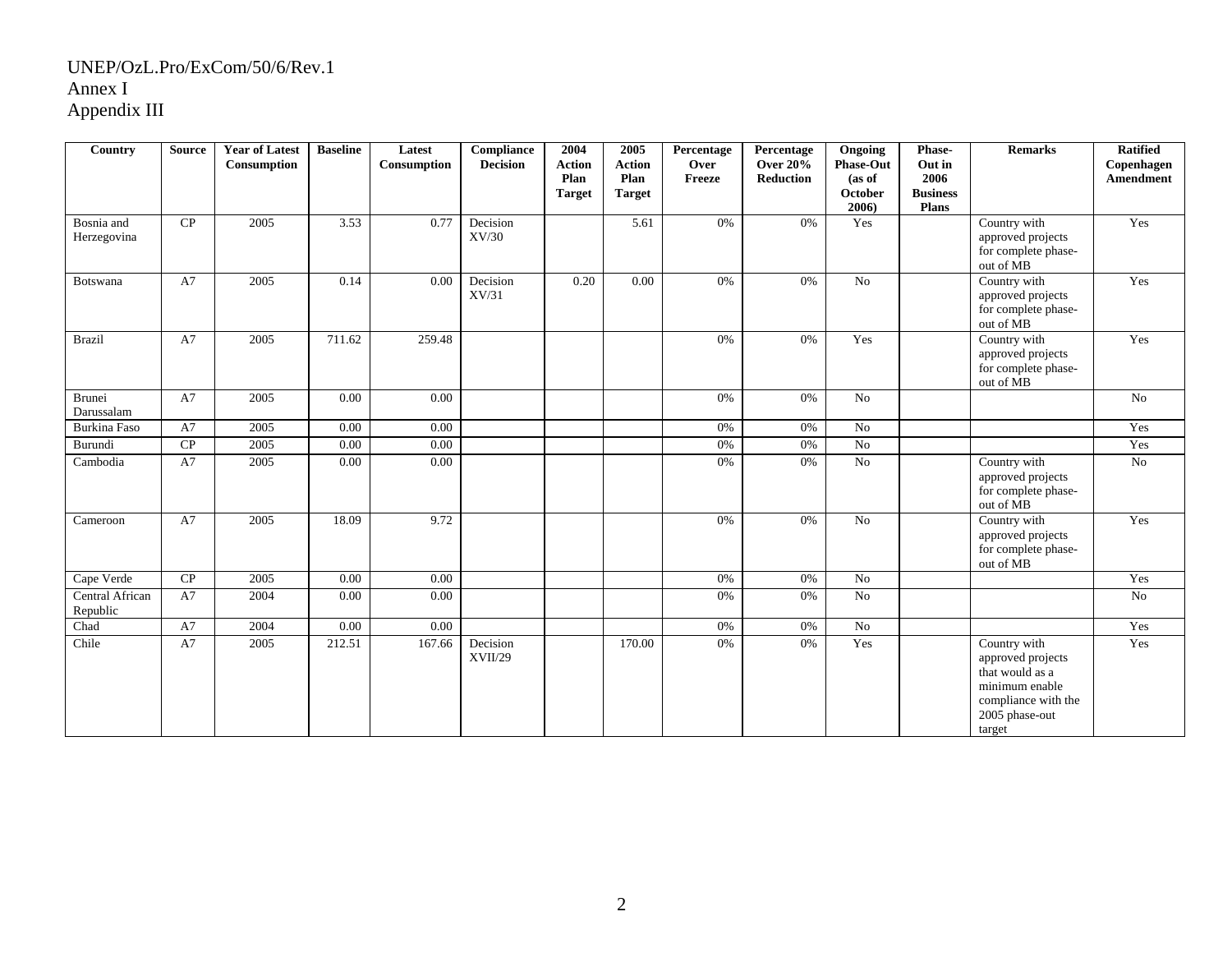| Country                     | <b>Source</b> | <b>Year of Latest</b><br>Consumption | <b>Baseline</b> | Latest<br>Consumption | <b>Compliance</b><br><b>Decision</b> | 2004<br><b>Action</b><br>Plan<br><b>Target</b> | 2005<br><b>Action</b><br>Plan<br><b>Target</b> | Percentage<br>Over<br>Freeze | Percentage<br><b>Over 20%</b><br><b>Reduction</b> | Ongoing<br><b>Phase-Out</b><br>(as of<br><b>October</b><br>2006) | Phase-<br>Out in<br>2006<br><b>Business</b><br>Plans | <b>Remarks</b>                                                                                                            | <b>Ratified</b><br>Copenhagen<br>Amendment |
|-----------------------------|---------------|--------------------------------------|-----------------|-----------------------|--------------------------------------|------------------------------------------------|------------------------------------------------|------------------------------|---------------------------------------------------|------------------------------------------------------------------|------------------------------------------------------|---------------------------------------------------------------------------------------------------------------------------|--------------------------------------------|
| Bosnia and<br>Herzegovina   | CP            | 2005                                 | 3.53            | 0.77                  | Decision<br>XV/30                    |                                                | 5.61                                           | 0%                           | 0%                                                | Yes                                                              |                                                      | Country with<br>approved projects<br>for complete phase-<br>out of MB                                                     | Yes                                        |
| Botswana                    | A7            | 2005                                 | 0.14            | 0.00                  | Decision<br>XV/31                    | 0.20                                           | 0.00                                           | 0%                           | 0%                                                | No                                                               |                                                      | Country with<br>approved projects<br>for complete phase-<br>out of MB                                                     | Yes                                        |
| <b>Brazil</b>               | A7            | 2005                                 | 711.62          | 259.48                |                                      |                                                |                                                | $0\%$                        | 0%                                                | Yes                                                              |                                                      | Country with<br>approved projects<br>for complete phase-<br>out of MB                                                     | Yes                                        |
| Brunei<br>Darussalam        | A7            | 2005                                 | 0.00            | 0.00                  |                                      |                                                |                                                | 0%                           | 0%                                                | No                                                               |                                                      |                                                                                                                           | No                                         |
| Burkina Faso                | A7            | 2005                                 | 0.00            | 0.00                  |                                      |                                                |                                                | 0%                           | 0%                                                | No                                                               |                                                      |                                                                                                                           | Yes                                        |
| Burundi                     | CP            | 2005                                 | 0.00            | 0.00                  |                                      |                                                |                                                | 0%                           | 0%                                                | No                                                               |                                                      |                                                                                                                           | Yes                                        |
| Cambodia                    | A7            | 2005                                 | 0.00            | 0.00                  |                                      |                                                |                                                | 0%                           | 0%                                                | No                                                               |                                                      | Country with<br>approved projects<br>for complete phase-<br>out of MB                                                     | No                                         |
| Cameroon                    | A7            | 2005                                 | 18.09           | 9.72                  |                                      |                                                |                                                | 0%                           | 0%                                                | No                                                               |                                                      | Country with<br>approved projects<br>for complete phase-<br>out of MB                                                     | Yes                                        |
| Cape Verde                  | CP            | 2005                                 | 0.00            | 0.00                  |                                      |                                                |                                                | 0%                           | 0%                                                | No                                                               |                                                      |                                                                                                                           | Yes                                        |
| Central African<br>Republic | A7            | 2004                                 | 0.00            | 0.00                  |                                      |                                                |                                                | 0%                           | 0%                                                | No                                                               |                                                      |                                                                                                                           | No                                         |
| Chad                        | A7            | 2004                                 | 0.00            | 0.00                  |                                      |                                                |                                                | 0%                           | 0%                                                | No                                                               |                                                      |                                                                                                                           | Yes                                        |
| Chile                       | A7            | 2005                                 | 212.51          | 167.66                | Decision<br>XVII/29                  |                                                | 170.00                                         | 0%                           | 0%                                                | Yes                                                              |                                                      | Country with<br>approved projects<br>that would as a<br>minimum enable<br>compliance with the<br>2005 phase-out<br>target | Yes                                        |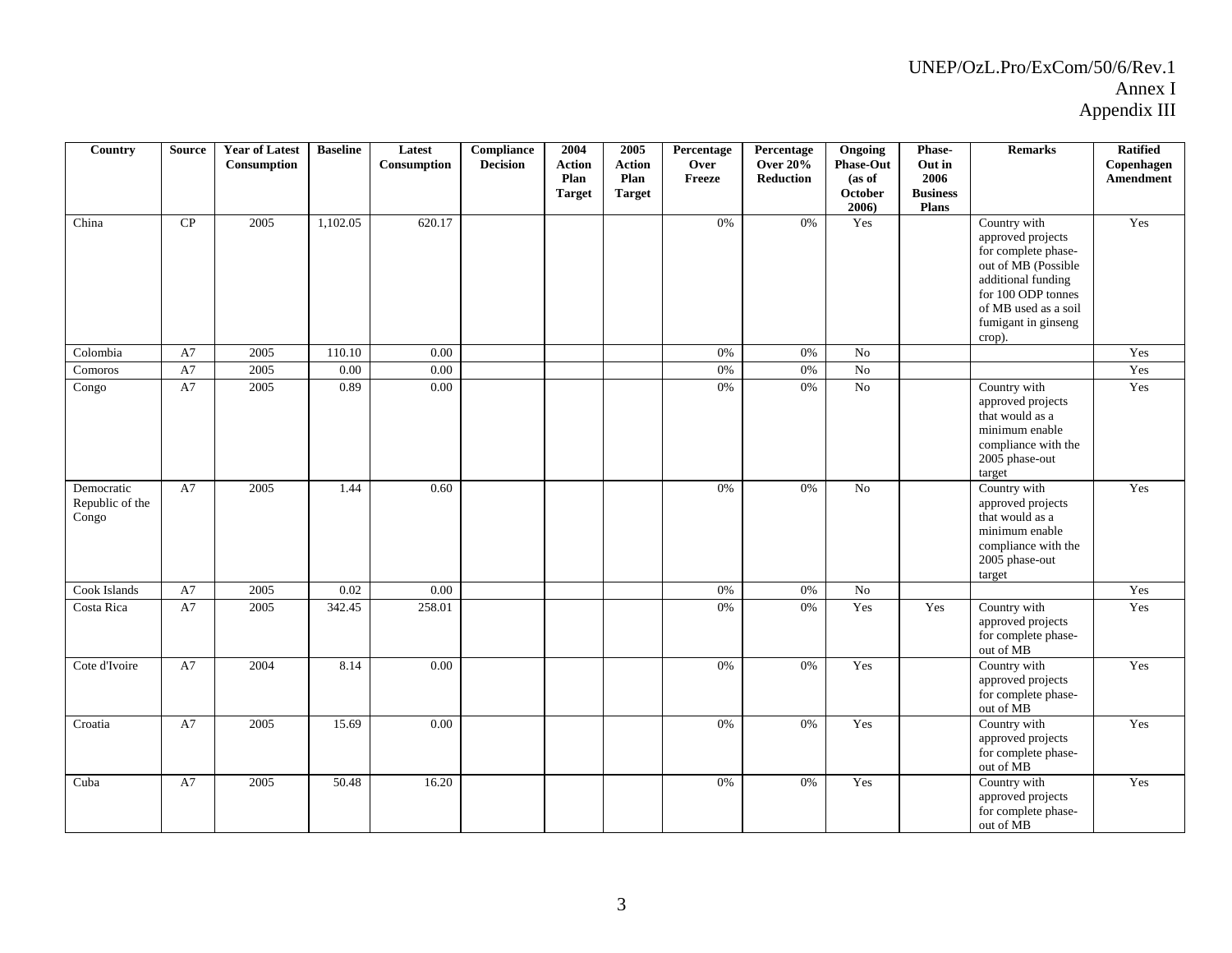| Country                                | <b>Source</b> | <b>Year of Latest</b><br>Consumption | <b>Baseline</b> | Latest<br>Consumption | Compliance<br><b>Decision</b> | 2004<br><b>Action</b><br>Plan<br><b>Target</b> | 2005<br><b>Action</b><br>Plan<br><b>Target</b> | Percentage<br>Over<br>Freeze | Percentage<br><b>Over 20%</b><br>Reduction | Ongoing<br><b>Phase-Out</b><br>(as of<br>October<br>$2006$ ) | Phase-<br>Out in<br>2006<br><b>Business</b><br><b>Plans</b> | <b>Remarks</b>                                                                                                                                                                       | <b>Ratified</b><br>Copenhagen<br>Amendment |
|----------------------------------------|---------------|--------------------------------------|-----------------|-----------------------|-------------------------------|------------------------------------------------|------------------------------------------------|------------------------------|--------------------------------------------|--------------------------------------------------------------|-------------------------------------------------------------|--------------------------------------------------------------------------------------------------------------------------------------------------------------------------------------|--------------------------------------------|
| China                                  | CP            | 2005                                 | 1,102.05        | 620.17                |                               |                                                |                                                | 0%                           | 0%                                         | Yes                                                          |                                                             | Country with<br>approved projects<br>for complete phase-<br>out of MB (Possible<br>additional funding<br>for 100 ODP tonnes<br>of MB used as a soil<br>fumigant in ginseng<br>crop). | Yes                                        |
| Colombia                               | A7            | 2005                                 | 110.10          | 0.00                  |                               |                                                |                                                | $0\%$                        | 0%                                         | No                                                           |                                                             |                                                                                                                                                                                      | Yes                                        |
| Comoros                                | A7            | 2005                                 | 0.00            | $0.00\,$              |                               |                                                |                                                | 0%                           | 0%                                         | No                                                           |                                                             |                                                                                                                                                                                      | Yes                                        |
| Congo                                  | A7            | 2005                                 | 0.89            | $0.00\,$              |                               |                                                |                                                | 0%                           | 0%                                         | $_{\rm No}$                                                  |                                                             | Country with<br>approved projects<br>that would as a<br>minimum enable<br>compliance with the<br>2005 phase-out<br>target                                                            | Yes                                        |
| Democratic<br>Republic of the<br>Congo | A7            | 2005                                 | 1.44            | 0.60                  |                               |                                                |                                                | 0%                           | 0%                                         | No                                                           |                                                             | Country with<br>approved projects<br>that would as a<br>minimum enable<br>compliance with the<br>2005 phase-out<br>target                                                            | Yes                                        |
| Cook Islands                           | A7            | 2005                                 | 0.02            | 0.00                  |                               |                                                |                                                | 0%                           | 0%                                         | $\overline{No}$                                              |                                                             |                                                                                                                                                                                      | Yes                                        |
| Costa Rica                             | A7            | 2005                                 | 342.45          | 258.01                |                               |                                                |                                                | 0%                           | 0%                                         | Yes                                                          | Yes                                                         | Country with<br>approved projects<br>for complete phase-<br>out of MB                                                                                                                | Yes                                        |
| Cote d'Ivoire                          | A7            | 2004                                 | 8.14            | 0.00                  |                               |                                                |                                                | $0\%$                        | 0%                                         | Yes                                                          |                                                             | Country with<br>approved projects<br>for complete phase-<br>out of MB                                                                                                                | Yes                                        |
| Croatia                                | A7            | 2005                                 | 15.69           | $0.00\,$              |                               |                                                |                                                | 0%                           | 0%                                         | Yes                                                          |                                                             | Country with<br>approved projects<br>for complete phase-<br>out of MB                                                                                                                | Yes                                        |
| Cuba                                   | A7            | 2005                                 | 50.48           | 16.20                 |                               |                                                |                                                | 0%                           | 0%                                         | Yes                                                          |                                                             | Country with<br>approved projects<br>for complete phase-<br>out of MB                                                                                                                | Yes                                        |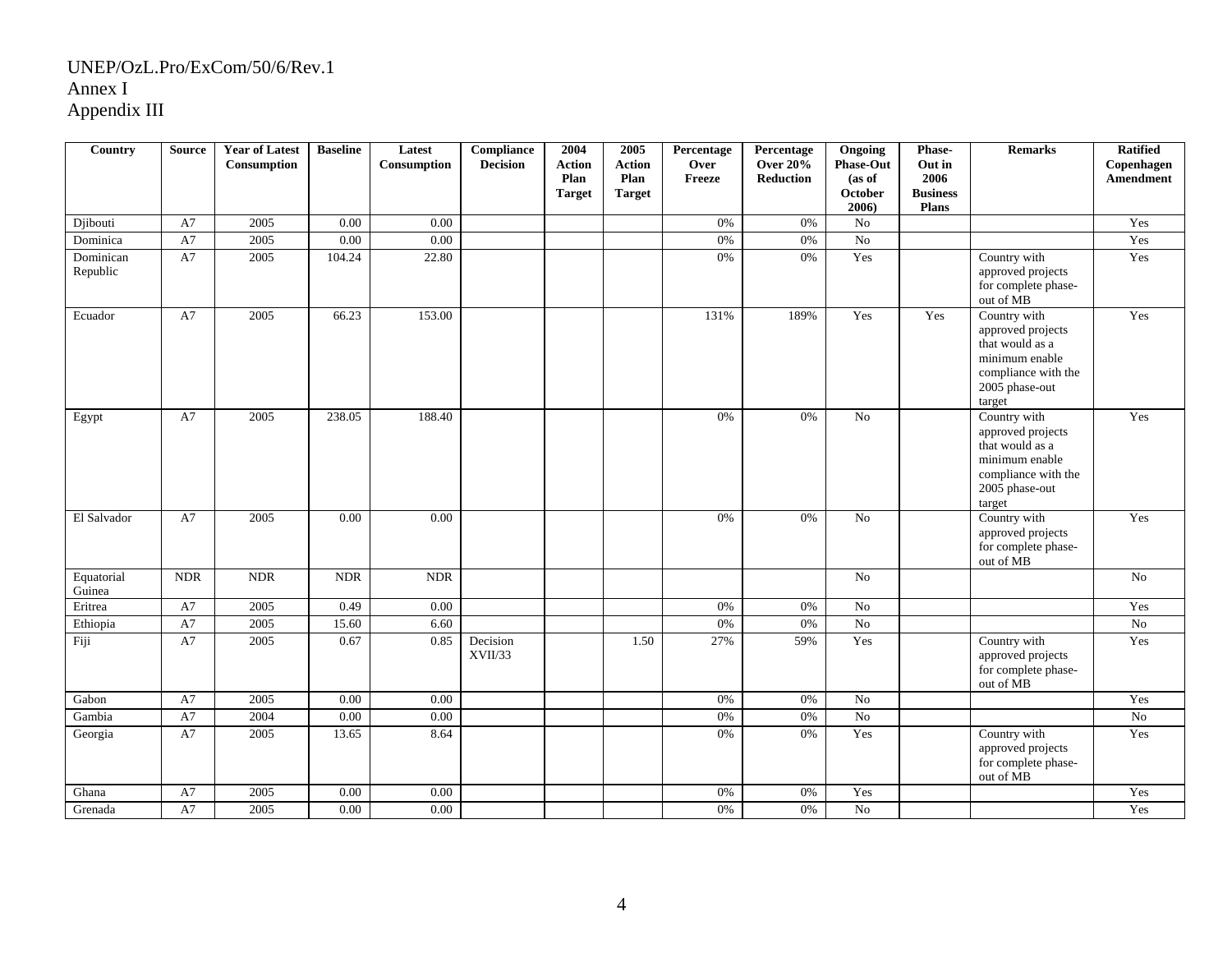| <b>Country</b>        | <b>Source</b> | <b>Year of Latest</b><br>Consumption | <b>Baseline</b> | Latest<br>Consumption | <b>Compliance</b><br><b>Decision</b> | 2004<br><b>Action</b><br>Plan<br><b>Target</b> | 2005<br><b>Action</b><br>Plan<br><b>Target</b> | Percentage<br>Over<br>Freeze | Percentage<br><b>Over 20%</b><br>Reduction | Ongoing<br><b>Phase-Out</b><br>(as of<br>October<br>2006) | Phase-<br>Out in<br>2006<br><b>Business</b><br>Plans | <b>Remarks</b>                                                                                                            | <b>Ratified</b><br>Copenhagen<br>Amendment |
|-----------------------|---------------|--------------------------------------|-----------------|-----------------------|--------------------------------------|------------------------------------------------|------------------------------------------------|------------------------------|--------------------------------------------|-----------------------------------------------------------|------------------------------------------------------|---------------------------------------------------------------------------------------------------------------------------|--------------------------------------------|
| Djibouti              | A7            | 2005                                 | 0.00            | 0.00                  |                                      |                                                |                                                | 0%                           | 0%                                         | No                                                        |                                                      |                                                                                                                           | Yes                                        |
| Dominica              | A7            | 2005                                 | $0.00\,$        | 0.00                  |                                      |                                                |                                                | 0%                           | 0%                                         | No                                                        |                                                      |                                                                                                                           | Yes                                        |
| Dominican<br>Republic | A7            | 2005                                 | 104.24          | 22.80                 |                                      |                                                |                                                | 0%                           | $0\%$                                      | Yes                                                       |                                                      | Country with<br>approved projects<br>for complete phase-<br>out of MB                                                     | Yes                                        |
| Ecuador               | A7            | 2005                                 | 66.23           | 153.00                |                                      |                                                |                                                | 131%                         | 189%                                       | Yes                                                       | Yes                                                  | Country with<br>approved projects<br>that would as a<br>minimum enable<br>compliance with the<br>2005 phase-out<br>target | Yes                                        |
| Egypt                 | A7            | 2005                                 | 238.05          | 188.40                |                                      |                                                |                                                | $0\%$                        | 0%                                         | No                                                        |                                                      | Country with<br>approved projects<br>that would as a<br>minimum enable<br>compliance with the<br>2005 phase-out<br>target | Yes                                        |
| El Salvador           | A7            | 2005                                 | 0.00            | 0.00                  |                                      |                                                |                                                | 0%                           | 0%                                         | No                                                        |                                                      | Country with<br>approved projects<br>for complete phase-<br>out of MB                                                     | Yes                                        |
| Equatorial<br>Guinea  | <b>NDR</b>    | <b>NDR</b>                           | <b>NDR</b>      | <b>NDR</b>            |                                      |                                                |                                                |                              |                                            | No                                                        |                                                      |                                                                                                                           | No                                         |
| Eritrea               | A7            | 2005                                 | 0.49            | 0.00                  |                                      |                                                |                                                | 0%                           | 0%                                         | No                                                        |                                                      |                                                                                                                           | Yes                                        |
| Ethiopia              | A7            | 2005                                 | 15.60           | 6.60                  |                                      |                                                |                                                | 0%                           | 0%                                         | No                                                        |                                                      |                                                                                                                           | $\rm No$                                   |
| Fiji                  | A7            | 2005                                 | 0.67            | 0.85                  | Decision<br>XVII/33                  |                                                | 1.50                                           | 27%                          | 59%                                        | Yes                                                       |                                                      | Country with<br>approved projects<br>for complete phase-<br>out of MB                                                     | Yes                                        |
| Gabon                 | A7            | 2005                                 | 0.00            | 0.00                  |                                      |                                                |                                                | 0%                           | $0\%$                                      | No                                                        |                                                      |                                                                                                                           | Yes                                        |
| Gambia                | A7            | 2004                                 | 0.00            | $0.00\,$              |                                      |                                                |                                                | 0%                           | 0%                                         | $\rm No$                                                  |                                                      |                                                                                                                           | $\overline{No}$                            |
| Georgia               | A7            | 2005                                 | 13.65           | 8.64                  |                                      |                                                |                                                | 0%                           | 0%                                         | Yes                                                       |                                                      | Country with<br>approved projects<br>for complete phase-<br>out of MB                                                     | Yes                                        |
| Ghana                 | A7            | 2005                                 | 0.00            | $0.00\,$              |                                      |                                                |                                                | 0%                           | 0%                                         | Yes                                                       |                                                      |                                                                                                                           | Yes                                        |
| Grenada               | A7            | 2005                                 | 0.00            | 0.00                  |                                      |                                                |                                                | 0%                           | 0%                                         | $\rm No$                                                  |                                                      |                                                                                                                           | Yes                                        |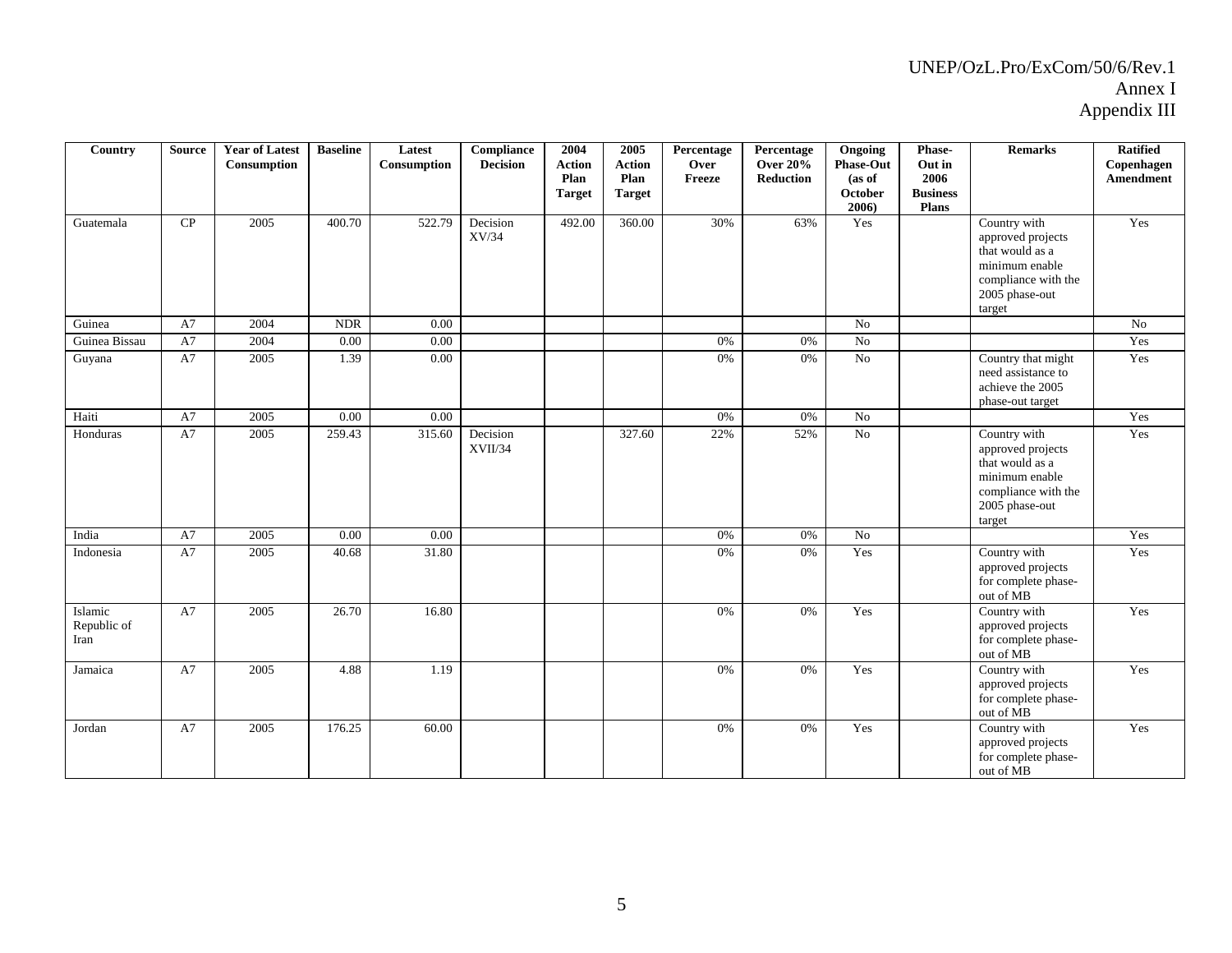| Country                        | <b>Source</b> | <b>Year of Latest</b><br>Consumption | <b>Baseline</b> | Latest<br>Consumption | <b>Compliance</b><br><b>Decision</b> | 2004<br><b>Action</b><br>Plan<br><b>Target</b> | 2005<br><b>Action</b><br>Plan<br><b>Target</b> | Percentage<br>Over<br>Freeze | Percentage<br><b>Over 20%</b><br>Reduction | Ongoing<br><b>Phase-Out</b><br>(as of<br><b>October</b><br>2006) | Phase-<br>Out in<br>2006<br><b>Business</b><br><b>Plans</b> | <b>Remarks</b>                                                                                                            | <b>Ratified</b><br>Copenhagen<br><b>Amendment</b> |
|--------------------------------|---------------|--------------------------------------|-----------------|-----------------------|--------------------------------------|------------------------------------------------|------------------------------------------------|------------------------------|--------------------------------------------|------------------------------------------------------------------|-------------------------------------------------------------|---------------------------------------------------------------------------------------------------------------------------|---------------------------------------------------|
| Guatemala                      | CP            | 2005                                 | 400.70          | 522.79                | Decision<br>XV/34                    | 492.00                                         | 360.00                                         | 30%                          | 63%                                        | Yes                                                              |                                                             | Country with<br>approved projects<br>that would as a<br>minimum enable<br>compliance with the<br>2005 phase-out<br>target | Yes                                               |
| Guinea                         | A7            | 2004                                 | <b>NDR</b>      | 0.00                  |                                      |                                                |                                                |                              |                                            | No                                                               |                                                             |                                                                                                                           | No                                                |
| Guinea Bissau                  | A7            | 2004                                 | 0.00            | 0.00                  |                                      |                                                |                                                | 0%                           | 0%                                         | No                                                               |                                                             |                                                                                                                           | Yes                                               |
| Guyana                         | A7            | 2005                                 | 1.39            | 0.00                  |                                      |                                                |                                                | 0%                           | 0%                                         | No                                                               |                                                             | Country that might<br>need assistance to<br>achieve the 2005<br>phase-out target                                          | Yes                                               |
| Haiti                          | A7            | 2005                                 | 0.00            | 0.00                  |                                      |                                                |                                                | 0%                           | 0%                                         | No                                                               |                                                             |                                                                                                                           | Yes                                               |
| Honduras                       | A7            | 2005                                 | 259.43          | 315.60                | Decision<br>XVII/34                  |                                                | 327.60                                         | 22%                          | 52%                                        | $\overline{No}$                                                  |                                                             | Country with<br>approved projects<br>that would as a<br>minimum enable<br>compliance with the<br>2005 phase-out<br>target | Yes                                               |
| India                          | A7            | 2005                                 | 0.00            | 0.00                  |                                      |                                                |                                                | 0%                           | 0%                                         | No                                                               |                                                             |                                                                                                                           | Yes                                               |
| Indonesia                      | A7            | 2005                                 | 40.68           | 31.80                 |                                      |                                                |                                                | 0%                           | $0\%$                                      | Yes                                                              |                                                             | Country with<br>approved projects<br>for complete phase-<br>out of MB                                                     | Yes                                               |
| Islamic<br>Republic of<br>Iran | A7            | 2005                                 | 26.70           | 16.80                 |                                      |                                                |                                                | 0%                           | 0%                                         | Yes                                                              |                                                             | Country with<br>approved projects<br>for complete phase-<br>out of MB                                                     | Yes                                               |
| Jamaica                        | A7            | 2005                                 | 4.88            | 1.19                  |                                      |                                                |                                                | 0%                           | 0%                                         | Yes                                                              |                                                             | Country with<br>approved projects<br>for complete phase-<br>out of MB                                                     | Yes                                               |
| Jordan                         | A7            | 2005                                 | 176.25          | 60.00                 |                                      |                                                |                                                | 0%                           | 0%                                         | Yes                                                              |                                                             | Country with<br>approved projects<br>for complete phase-<br>out of MB                                                     | Yes                                               |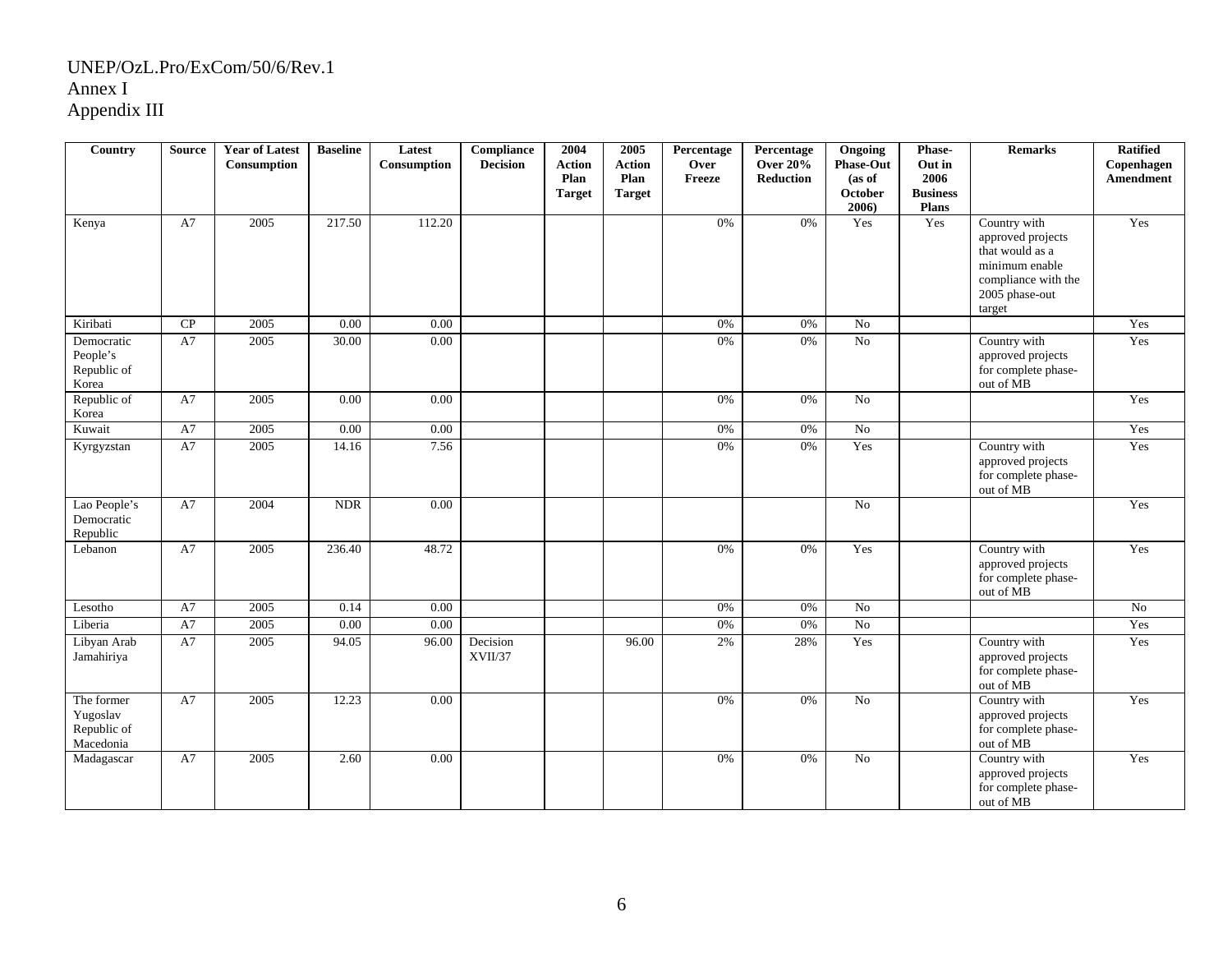| Country                                            | <b>Source</b> | <b>Year of Latest</b><br>Consumption | <b>Baseline</b> | Latest<br>Consumption | <b>Compliance</b><br><b>Decision</b> | 2004<br><b>Action</b> | 2005<br><b>Action</b> | Percentage<br>Over | Percentage<br><b>Over 20%</b> | Ongoing<br><b>Phase-Out</b> | Phase-<br>Out in        | <b>Remarks</b>                                                                                                            | <b>Ratified</b><br>Copenhagen |
|----------------------------------------------------|---------------|--------------------------------------|-----------------|-----------------------|--------------------------------------|-----------------------|-----------------------|--------------------|-------------------------------|-----------------------------|-------------------------|---------------------------------------------------------------------------------------------------------------------------|-------------------------------|
|                                                    |               |                                      |                 |                       |                                      | Plan<br><b>Target</b> | Plan<br><b>Target</b> | Freeze             | Reduction                     | (as of<br>October           | 2006<br><b>Business</b> |                                                                                                                           | Amendment                     |
|                                                    |               |                                      |                 |                       |                                      |                       |                       |                    |                               | 2006)                       | Plans                   |                                                                                                                           |                               |
| Kenya                                              | A7            | 2005                                 | 217.50          | 112.20                |                                      |                       |                       | 0%                 | 0%                            | Yes                         | Yes                     | Country with<br>approved projects<br>that would as a<br>minimum enable<br>compliance with the<br>2005 phase-out<br>target | Yes                           |
| Kiribati                                           | CP            | 2005                                 | 0.00            | 0.00                  |                                      |                       |                       | 0%                 | 0%                            | No                          |                         |                                                                                                                           | Yes                           |
| Democratic<br>People's<br>Republic of<br>Korea     | A7            | 2005                                 | 30.00           | 0.00                  |                                      |                       |                       | 0%                 | 0%                            | No                          |                         | Country with<br>approved projects<br>for complete phase-<br>out of MB                                                     | Yes                           |
| Republic of<br>Korea                               | A7            | 2005                                 | 0.00            | 0.00                  |                                      |                       |                       | 0%                 | 0%                            | No                          |                         |                                                                                                                           | Yes                           |
| Kuwait                                             | A7            | 2005                                 | 0.00            | 0.00                  |                                      |                       |                       | $0\%$              | 0%                            | N <sub>o</sub>              |                         |                                                                                                                           | Yes                           |
| Kyrgyzstan                                         | A7            | 2005                                 | 14.16           | 7.56                  |                                      |                       |                       | 0%                 | 0%                            | Yes                         |                         | Country with<br>approved projects<br>for complete phase-<br>out of MB                                                     | Yes                           |
| Lao People's<br>Democratic<br>Republic             | A7            | 2004                                 | <b>NDR</b>      | 0.00                  |                                      |                       |                       |                    |                               | N <sub>0</sub>              |                         |                                                                                                                           | Yes                           |
| Lebanon                                            | A7            | 2005                                 | 236.40          | 48.72                 |                                      |                       |                       | 0%                 | 0%                            | Yes                         |                         | Country with<br>approved projects<br>for complete phase-<br>out of MB                                                     | Yes                           |
| Lesotho                                            | A7            | 2005                                 | 0.14            | 0.00                  |                                      |                       |                       | 0%                 | 0%                            | No                          |                         |                                                                                                                           | No                            |
| Liberia                                            | A7            | 2005                                 | 0.00            | 0.00                  |                                      |                       |                       | 0%                 | 0%                            | N <sub>o</sub>              |                         |                                                                                                                           | Yes                           |
| Libyan Arab<br>Jamahiriya                          | A7            | 2005                                 | 94.05           | 96.00                 | Decision<br>XVII/37                  |                       | 96.00                 | 2%                 | 28%                           | Yes                         |                         | Country with<br>approved projects<br>for complete phase-<br>out of MB                                                     | Yes                           |
| The former<br>Yugoslav<br>Republic of<br>Macedonia | A7            | 2005                                 | 12.23           | 0.00                  |                                      |                       |                       | $0\%$              | $0\%$                         | $\rm No$                    |                         | Country with<br>approved projects<br>for complete phase-<br>out of MB                                                     | Yes                           |
| Madagascar                                         | A7            | 2005                                 | 2.60            | 0.00                  |                                      |                       |                       | 0%                 | 0%                            | No                          |                         | Country with<br>approved projects<br>for complete phase-<br>out of MB                                                     | Yes                           |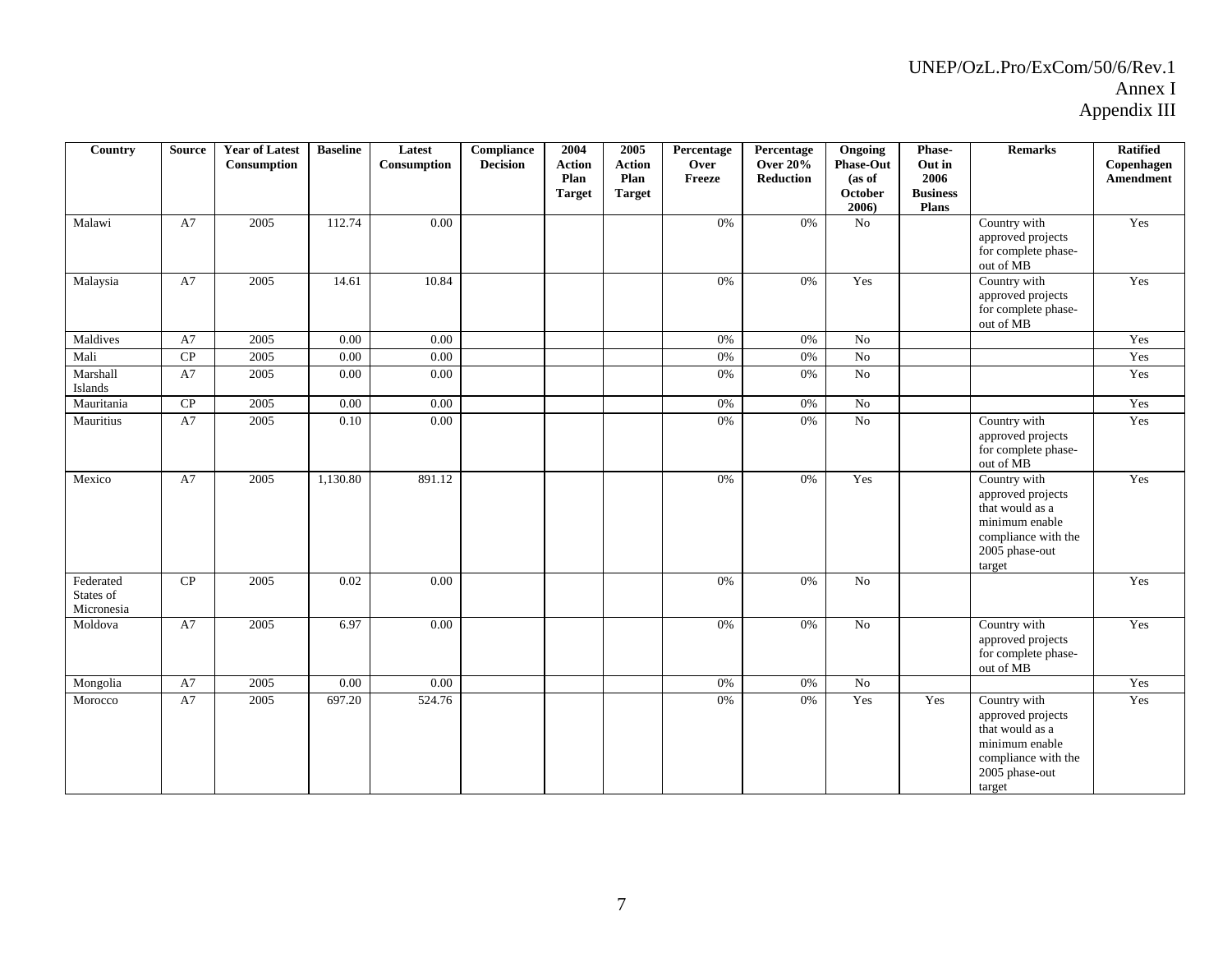| Country                              | <b>Source</b> | <b>Year of Latest</b><br>Consumption | <b>Baseline</b> | Latest<br>$\begin{minipage}{.4\linewidth} \textbf{Consumption} \end{minipage}$ | Compliance<br><b>Decision</b> | 2004<br><b>Action</b><br>Plan<br><b>Target</b> | 2005<br><b>Action</b><br>Plan<br><b>Target</b> | Percentage<br>Over<br>Freeze | Percentage<br><b>Over 20%</b><br><b>Reduction</b> | Ongoing<br><b>Phase-Out</b><br>(as of<br>October<br>2006) | Phase-<br>Out in<br>2006<br><b>Business</b><br><b>Plans</b> | <b>Remarks</b>                                                                                                            | <b>Ratified</b><br>Copenhagen<br>Amendment |
|--------------------------------------|---------------|--------------------------------------|-----------------|--------------------------------------------------------------------------------|-------------------------------|------------------------------------------------|------------------------------------------------|------------------------------|---------------------------------------------------|-----------------------------------------------------------|-------------------------------------------------------------|---------------------------------------------------------------------------------------------------------------------------|--------------------------------------------|
| Malawi                               | A7            | 2005                                 | 112.74          | 0.00                                                                           |                               |                                                |                                                | 0%                           | 0%                                                | $\rm No$                                                  |                                                             | Country with<br>approved projects<br>for complete phase-<br>out of MB                                                     | Yes                                        |
| Malaysia                             | A7            | 2005                                 | 14.61           | 10.84                                                                          |                               |                                                |                                                | 0%                           | 0%                                                | Yes                                                       |                                                             | Country with<br>approved projects<br>for complete phase-<br>out of MB                                                     | Yes                                        |
| Maldives                             | A7            | 2005                                 | 0.00            | 0.00                                                                           |                               |                                                |                                                | 0%                           | 0%                                                | $\rm No$                                                  |                                                             |                                                                                                                           | Yes                                        |
| Mali                                 | CP            | 2005                                 | 0.00            | 0.00                                                                           |                               |                                                |                                                | 0%                           | $0\%$                                             | No                                                        |                                                             |                                                                                                                           | Yes                                        |
| Marshall<br>Islands                  | A7            | 2005                                 | 0.00            | 0.00                                                                           |                               |                                                |                                                | 0%                           | 0%                                                | No                                                        |                                                             |                                                                                                                           | Yes                                        |
| Mauritania                           | CP            | 2005                                 | 0.00            | 0.00                                                                           |                               |                                                |                                                | 0%                           | 0%                                                | No                                                        |                                                             |                                                                                                                           | Yes                                        |
| Mauritius                            | A7            | 2005                                 | 0.10            | 0.00                                                                           |                               |                                                |                                                | 0%                           | 0%                                                | No                                                        |                                                             | Country with<br>approved projects<br>for complete phase-<br>out of MB                                                     | Yes                                        |
| Mexico                               | A7            | 2005                                 | 1,130.80        | 891.12                                                                         |                               |                                                |                                                | $0\%$                        | 0%                                                | Yes                                                       |                                                             | Country with<br>approved projects<br>that would as a<br>minimum enable<br>compliance with the<br>2005 phase-out<br>target | Yes                                        |
| Federated<br>States of<br>Micronesia | CP            | 2005                                 | 0.02            | 0.00                                                                           |                               |                                                |                                                | 0%                           | 0%                                                | No                                                        |                                                             |                                                                                                                           | Yes                                        |
| Moldova                              | A7            | 2005                                 | 6.97            | 0.00                                                                           |                               |                                                |                                                | 0%                           | 0%                                                | No                                                        |                                                             | Country with<br>approved projects<br>for complete phase-<br>out of MB                                                     | Yes                                        |
| Mongolia                             | A7            | 2005                                 | $0.00\,$        | 0.00                                                                           |                               |                                                |                                                | 0%                           | 0%                                                | $\rm No$                                                  |                                                             |                                                                                                                           | Yes                                        |
| Morocco                              | A7            | 2005                                 | 697.20          | 524.76                                                                         |                               |                                                |                                                | 0%                           | 0%                                                | Yes                                                       | Yes                                                         | Country with<br>approved projects<br>that would as a<br>minimum enable<br>compliance with the<br>2005 phase-out<br>target | Yes                                        |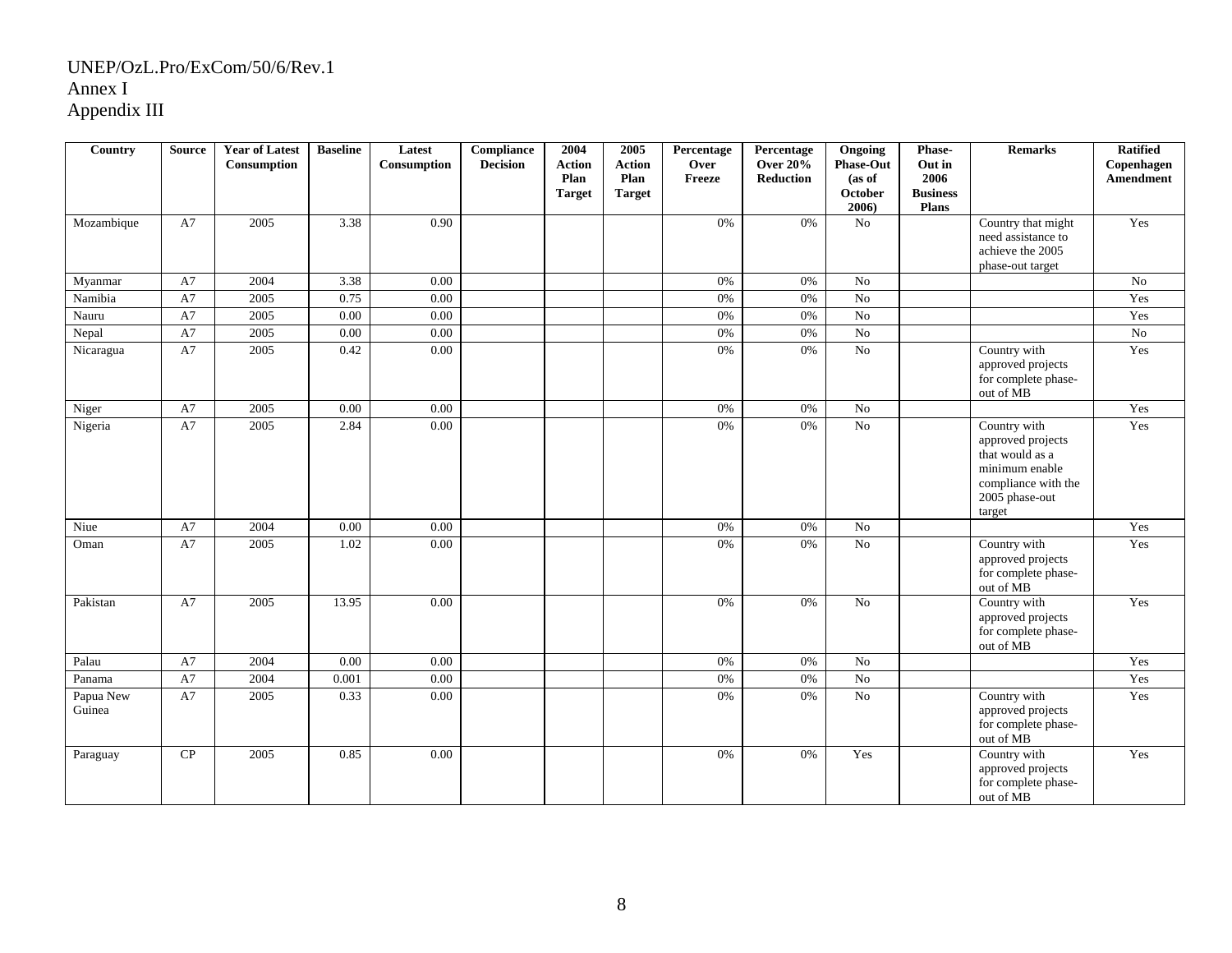| Country             | <b>Source</b> | <b>Year of Latest</b><br>Consumption | <b>Baseline</b> | Latest<br>Consumption | <b>Compliance</b><br><b>Decision</b> | 2004<br><b>Action</b><br>Plan<br><b>Target</b> | 2005<br><b>Action</b><br>Plan<br><b>Target</b> | Percentage<br>Over<br>Freeze | Percentage<br><b>Over 20%</b><br>Reduction | Ongoing<br><b>Phase-Out</b><br>(as of<br>October<br>2006) | Phase-<br>Out in<br>2006<br><b>Business</b><br><b>Plans</b> | <b>Remarks</b>                                                                                                            | <b>Ratified</b><br>Copenhagen<br>Amendment |
|---------------------|---------------|--------------------------------------|-----------------|-----------------------|--------------------------------------|------------------------------------------------|------------------------------------------------|------------------------------|--------------------------------------------|-----------------------------------------------------------|-------------------------------------------------------------|---------------------------------------------------------------------------------------------------------------------------|--------------------------------------------|
| Mozambique          | A7            | 2005                                 | 3.38            | 0.90                  |                                      |                                                |                                                | 0%                           | 0%                                         | No                                                        |                                                             | Country that might<br>need assistance to<br>achieve the 2005<br>phase-out target                                          | Yes                                        |
| Myanmar             | A7            | 2004                                 | 3.38            | 0.00                  |                                      |                                                |                                                | 0%                           | 0%                                         | No                                                        |                                                             |                                                                                                                           | No                                         |
| Namibia             | A7            | 2005                                 | 0.75            | 0.00                  |                                      |                                                |                                                | 0%                           | 0%                                         | No                                                        |                                                             |                                                                                                                           | Yes                                        |
| Nauru               | A7            | 2005                                 | 0.00            | 0.00                  |                                      |                                                |                                                | 0%                           | $0\%$                                      | $\overline{No}$                                           |                                                             |                                                                                                                           | Yes                                        |
| Nepal               | A7            | 2005                                 | 0.00            | 0.00                  |                                      |                                                |                                                | 0%                           | $0\%$                                      | No                                                        |                                                             |                                                                                                                           | No                                         |
| Nicaragua           | A7            | 2005                                 | 0.42            | 0.00                  |                                      |                                                |                                                | 0%                           | 0%                                         | No                                                        |                                                             | Country with<br>approved projects<br>for complete phase-<br>out of MB                                                     | Yes                                        |
| Niger               | A7            | 2005                                 | 0.00            | 0.00                  |                                      |                                                |                                                | 0%                           | 0%                                         | No                                                        |                                                             |                                                                                                                           | Yes                                        |
| Nigeria             | A7            | 2005                                 | 2.84            | 0.00                  |                                      |                                                |                                                | 0%                           | 0%                                         | No                                                        |                                                             | Country with<br>approved projects<br>that would as a<br>minimum enable<br>compliance with the<br>2005 phase-out<br>target | Yes                                        |
| Niue                | A7            | 2004                                 | 0.00            | 0.00                  |                                      |                                                |                                                | 0%                           | 0%                                         | N <sub>o</sub>                                            |                                                             |                                                                                                                           | Yes                                        |
| Oman                | A7            | 2005                                 | 1.02            | 0.00                  |                                      |                                                |                                                | 0%                           | 0%                                         | No                                                        |                                                             | Country with<br>approved projects<br>for complete phase-<br>out of MB                                                     | Yes                                        |
| Pakistan            | A7            | 2005                                 | 13.95           | 0.00                  |                                      |                                                |                                                | 0%                           | 0%                                         | No                                                        |                                                             | Country with<br>approved projects<br>for complete phase-<br>out of MB                                                     | Yes                                        |
| Palau               | A7            | 2004                                 | 0.00            | 0.00                  |                                      |                                                |                                                | 0%                           | $0\%$                                      | No                                                        |                                                             |                                                                                                                           | Yes                                        |
| Panama              | A7            | 2004                                 | 0.001           | 0.00                  |                                      |                                                |                                                | 0%                           | $0\%$                                      | N <sub>o</sub>                                            |                                                             |                                                                                                                           | Yes                                        |
| Papua New<br>Guinea | A7            | 2005                                 | 0.33            | 0.00                  |                                      |                                                |                                                | 0%                           | 0%                                         | No                                                        |                                                             | Country with<br>approved projects<br>for complete phase-<br>out of MB                                                     | Yes                                        |
| Paraguay            | CP            | 2005                                 | 0.85            | 0.00                  |                                      |                                                |                                                | 0%                           | 0%                                         | Yes                                                       |                                                             | Country with<br>approved projects<br>for complete phase-<br>out of MB                                                     | Yes                                        |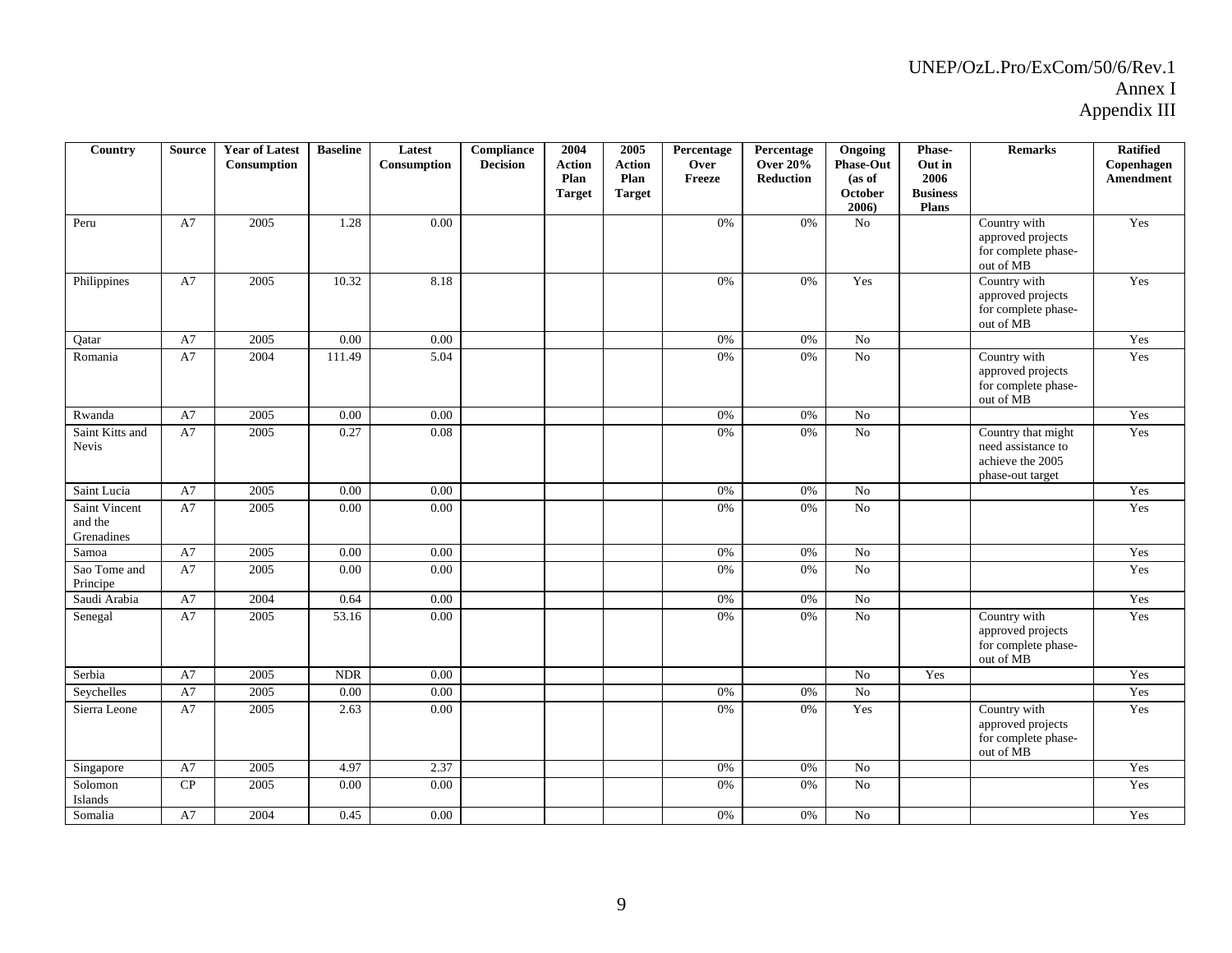| Country                                | <b>Source</b> | <b>Year of Latest</b><br>Consumption | <b>Baseline</b> | Latest<br>Consumption | Compliance<br><b>Decision</b> | 2004<br><b>Action</b><br>Plan | 2005<br><b>Action</b><br>Plan | Percentage<br>Over<br>Freeze | Percentage<br><b>Over 20%</b><br><b>Reduction</b> | Ongoing<br><b>Phase-Out</b><br>(as of | Phase-<br>Out in<br>2006        | <b>Remarks</b>                                                                   | <b>Ratified</b><br>Copenhagen<br>Amendment |
|----------------------------------------|---------------|--------------------------------------|-----------------|-----------------------|-------------------------------|-------------------------------|-------------------------------|------------------------------|---------------------------------------------------|---------------------------------------|---------------------------------|----------------------------------------------------------------------------------|--------------------------------------------|
|                                        |               |                                      |                 |                       |                               | <b>Target</b>                 | <b>Target</b>                 |                              |                                                   | October<br>2006)                      | <b>Business</b><br><b>Plans</b> |                                                                                  |                                            |
| Peru                                   | A7            | 2005                                 | 1.28            | 0.00                  |                               |                               |                               | $0\%$                        | 0%                                                | No                                    |                                 | Country with<br>approved projects<br>for complete phase-<br>out of MB            | Yes                                        |
| Philippines                            | A7            | 2005                                 | 10.32           | 8.18                  |                               |                               |                               | 0%                           | 0%                                                | Yes                                   |                                 | Country with<br>approved projects<br>for complete phase-<br>out of MB            | Yes                                        |
| Qatar                                  | A7            | 2005                                 | 0.00            | 0.00                  |                               |                               |                               | 0%                           | 0%                                                | No                                    |                                 |                                                                                  | Yes                                        |
| Romania                                | A7            | 2004                                 | 111.49          | 5.04                  |                               |                               |                               | 0%                           | 0%                                                | No                                    |                                 | Country with<br>approved projects<br>for complete phase-<br>out of MB            | Yes                                        |
| Rwanda                                 | A7            | 2005                                 | 0.00            | 0.00                  |                               |                               |                               | 0%                           | 0%                                                | N <sub>0</sub>                        |                                 |                                                                                  | Yes                                        |
| Saint Kitts and<br><b>Nevis</b>        | A7            | 2005                                 | 0.27            | 0.08                  |                               |                               |                               | 0%                           | $0\%$                                             | N <sub>o</sub>                        |                                 | Country that might<br>need assistance to<br>achieve the 2005<br>phase-out target | Yes                                        |
| Saint Lucia                            | A7            | 2005                                 | 0.00            | 0.00                  |                               |                               |                               | $0\%$                        | 0%                                                | No                                    |                                 |                                                                                  | Yes                                        |
| Saint Vincent<br>and the<br>Grenadines | A7            | 2005                                 | 0.00            | $0.00\,$              |                               |                               |                               | 0%                           | 0%                                                | No                                    |                                 |                                                                                  | Yes                                        |
| Samoa                                  | A7            | 2005                                 | 0.00            | 0.00                  |                               |                               |                               | $0\%$                        | 0%                                                | No                                    |                                 |                                                                                  | Yes                                        |
| Sao Tome and<br>Principe               | A7            | 2005                                 | 0.00            | 0.00                  |                               |                               |                               | 0%                           | 0%                                                | N <sub>o</sub>                        |                                 |                                                                                  | Yes                                        |
| Saudi Arabia                           | A7            | 2004                                 | 0.64            | 0.00                  |                               |                               |                               | 0%                           | 0%                                                | No                                    |                                 |                                                                                  | Yes                                        |
| Senegal                                | A7            | 2005                                 | 53.16           | 0.00                  |                               |                               |                               | 0%                           | 0%                                                | N <sub>o</sub>                        |                                 | Country with<br>approved projects<br>for complete phase-<br>out of MB            | Yes                                        |
| Serbia                                 | A7            | 2005                                 | <b>NDR</b>      | 0.00                  |                               |                               |                               |                              |                                                   | No                                    | Yes                             |                                                                                  | Yes                                        |
| Seychelles                             | A7            | 2005                                 | 0.00            | 0.00                  |                               |                               |                               | 0%                           | 0%                                                | $\overline{No}$                       |                                 |                                                                                  | Yes                                        |
| Sierra Leone                           | A7            | 2005                                 | 2.63            | 0.00                  |                               |                               |                               | 0%                           | 0%                                                | Yes                                   |                                 | Country with<br>approved projects<br>for complete phase-<br>out of MB            | Yes                                        |
| Singapore                              | A7            | 2005                                 | 4.97            | 2.37                  |                               |                               |                               | $0\%$                        | $0\%$                                             | N <sub>o</sub>                        |                                 |                                                                                  | Yes                                        |
| Solomon<br>Islands                     | CP            | 2005                                 | 0.00            | 0.00                  |                               |                               |                               | 0%                           | 0%                                                | No                                    |                                 |                                                                                  | Yes                                        |
| Somalia                                | A7            | 2004                                 | 0.45            | 0.00                  |                               |                               |                               | 0%                           | 0%                                                | N <sub>o</sub>                        |                                 |                                                                                  | Yes                                        |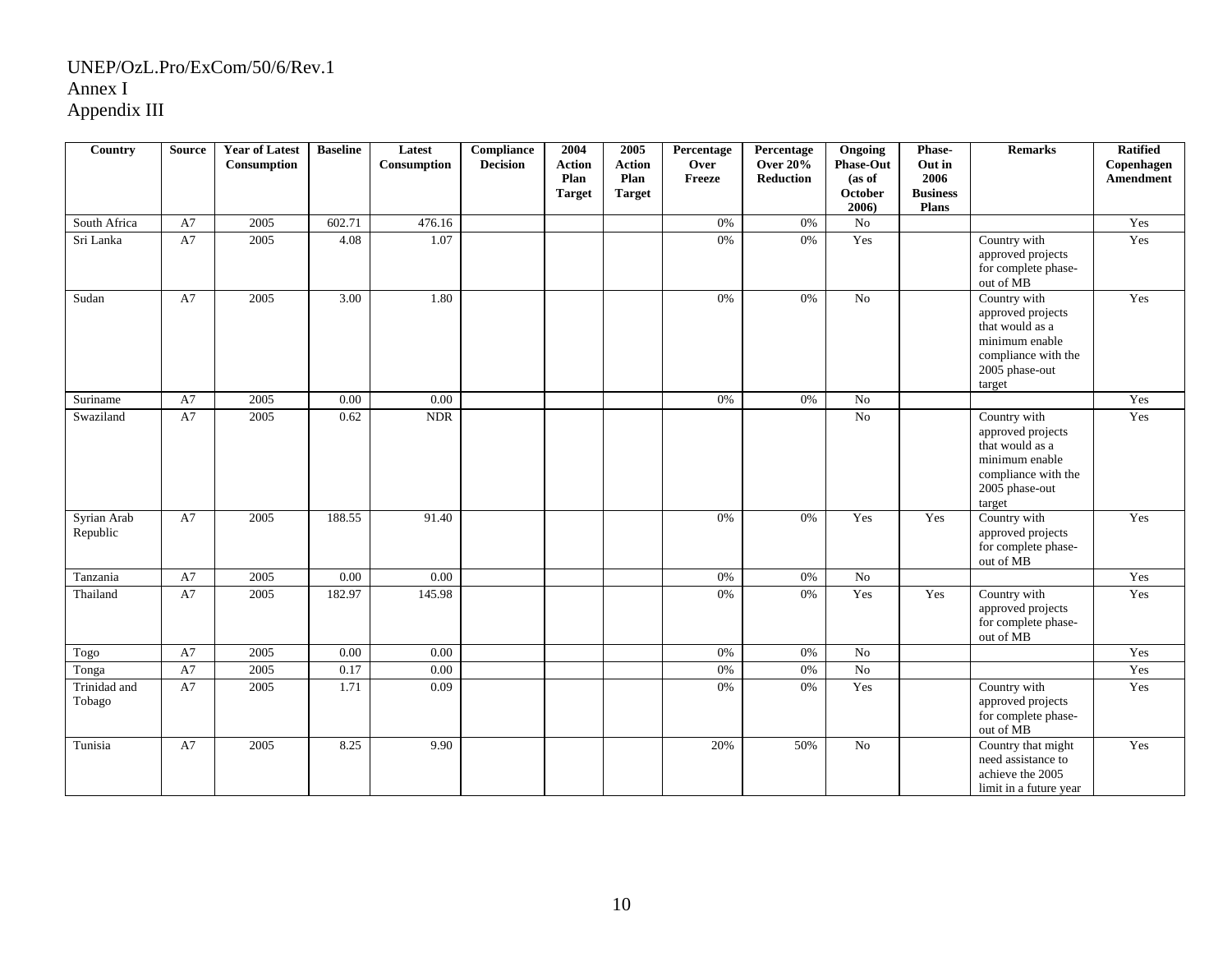| <b>Country</b>          | <b>Source</b> | <b>Year of Latest</b><br>Consumption | <b>Baseline</b> | Latest<br>Consumption | <b>Compliance</b><br><b>Decision</b> | 2004<br><b>Action</b><br>Plan<br><b>Target</b> | 2005<br><b>Action</b><br>Plan<br><b>Target</b> | Percentage<br>Over<br>Freeze | Percentage<br><b>Over 20%</b><br>Reduction | Ongoing<br><b>Phase-Out</b><br>(as of<br>October<br>2006) | Phase-<br>Out in<br>2006<br><b>Business</b><br>Plans | <b>Remarks</b>                                                                                                            | <b>Ratified</b><br>Copenhagen<br>Amendment |
|-------------------------|---------------|--------------------------------------|-----------------|-----------------------|--------------------------------------|------------------------------------------------|------------------------------------------------|------------------------------|--------------------------------------------|-----------------------------------------------------------|------------------------------------------------------|---------------------------------------------------------------------------------------------------------------------------|--------------------------------------------|
| South Africa            | A7            | 2005                                 | 602.71          | 476.16                |                                      |                                                |                                                | 0%                           | 0%                                         | No                                                        |                                                      |                                                                                                                           | Yes                                        |
| Sri Lanka               | A7            | 2005                                 | 4.08            | 1.07                  |                                      |                                                |                                                | 0%                           | 0%                                         | Yes                                                       |                                                      | Country with<br>approved projects<br>for complete phase-<br>out of MB                                                     | Yes                                        |
| Sudan                   | A7            | 2005                                 | 3.00            | 1.80                  |                                      |                                                |                                                | $0\%$                        | 0%                                         | No                                                        |                                                      | Country with<br>approved projects<br>that would as a<br>minimum enable<br>compliance with the<br>2005 phase-out<br>target | Yes                                        |
| Suriname                | A7            | 2005                                 | 0.00            | $0.00\,$              |                                      |                                                |                                                | $0\%$                        | 0%                                         | No                                                        |                                                      |                                                                                                                           | Yes                                        |
| Swaziland               | A7            | 2005                                 | 0.62            | <b>NDR</b>            |                                      |                                                |                                                |                              |                                            | $\rm No$                                                  |                                                      | Country with<br>approved projects<br>that would as a<br>minimum enable<br>compliance with the<br>2005 phase-out<br>target | Yes                                        |
| Syrian Arab<br>Republic | A7            | 2005                                 | 188.55          | 91.40                 |                                      |                                                |                                                | 0%                           | 0%                                         | Yes                                                       | Yes                                                  | Country with<br>approved projects<br>for complete phase-<br>out of MB                                                     | Yes                                        |
| Tanzania                | A7            | 2005                                 | 0.00            | 0.00                  |                                      |                                                |                                                | $0\%$                        | 0%                                         | $\rm No$                                                  |                                                      |                                                                                                                           | Yes                                        |
| Thailand                | A7            | 2005                                 | 182.97          | 145.98                |                                      |                                                |                                                | $0\%$                        | $0\%$                                      | Yes                                                       | Yes                                                  | Country with<br>approved projects<br>for complete phase-<br>out of MB                                                     | Yes                                        |
| Togo                    | A7            | 2005                                 | 0.00            | 0.00                  |                                      |                                                |                                                | $0\%$                        | 0%                                         | $\overline{No}$                                           |                                                      |                                                                                                                           | Yes                                        |
| Tonga                   | A7            | 2005                                 | 0.17            | $0.00\,$              |                                      |                                                |                                                | $0\%$                        | 0%                                         | $\rm No$                                                  |                                                      |                                                                                                                           | Yes                                        |
| Trinidad and<br>Tobago  | A7            | 2005                                 | 1.71            | 0.09                  |                                      |                                                |                                                | 0%                           | 0%                                         | Yes                                                       |                                                      | Country with<br>approved projects<br>for complete phase-<br>out of MB                                                     | Yes                                        |
| Tunisia                 | A7            | 2005                                 | 8.25            | 9.90                  |                                      |                                                |                                                | 20%                          | 50%                                        | No                                                        |                                                      | Country that might<br>need assistance to<br>achieve the 2005<br>limit in a future year                                    | Yes                                        |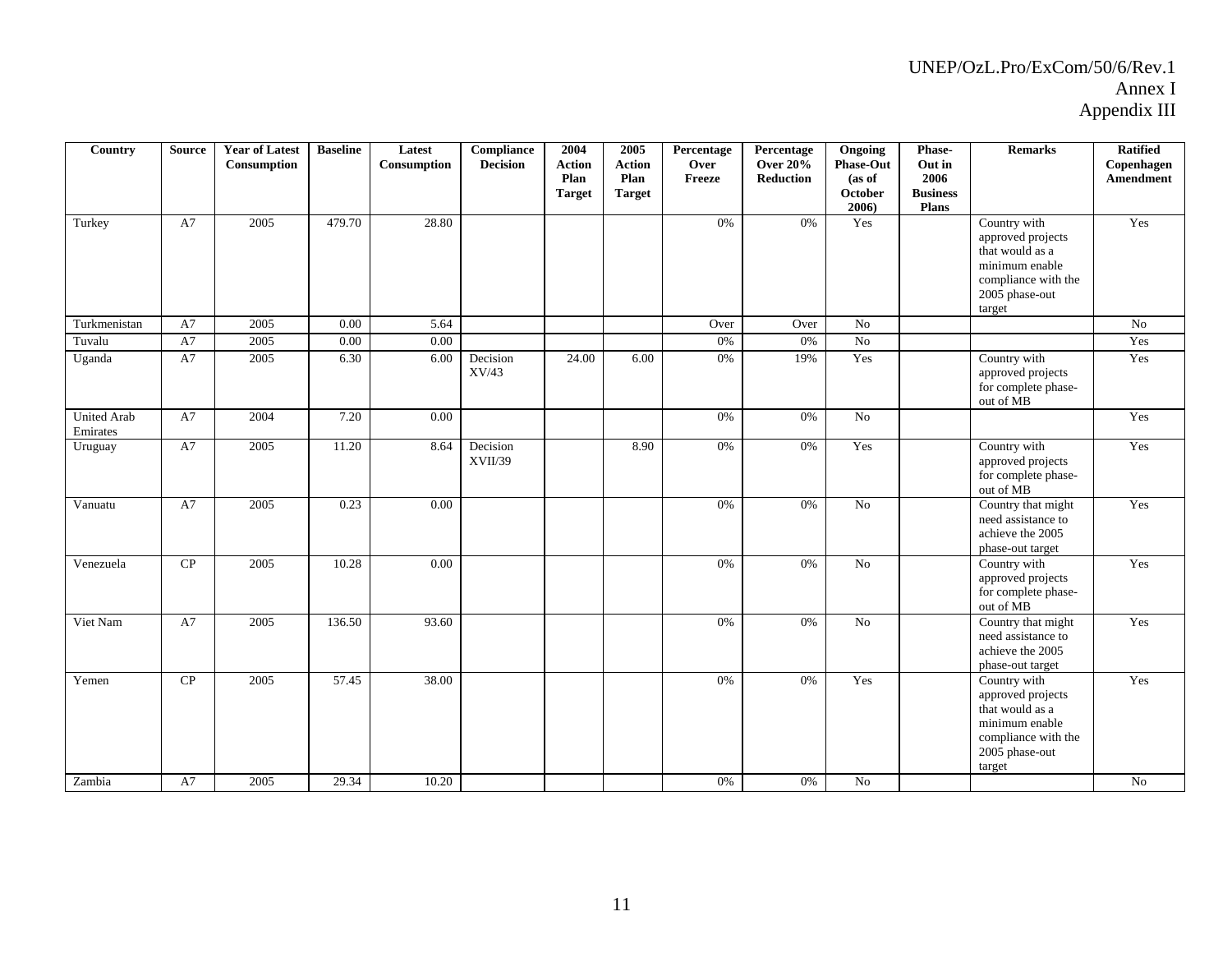| Country                        | <b>Source</b> | <b>Year of Latest</b><br>Consumption | <b>Baseline</b> | Latest<br>Consumption | Compliance<br><b>Decision</b> | 2004<br><b>Action</b><br>Plan<br><b>Target</b> | 2005<br><b>Action</b><br>Plan<br><b>Target</b> | Percentage<br>Over<br>Freeze | Percentage<br><b>Over 20%</b><br><b>Reduction</b> | Ongoing<br>Phase-Out<br>(as of<br><b>October</b><br>2006 | Phase-<br>Out in<br>2006<br><b>Business</b><br>Plans | <b>Remarks</b>                                                                                                            | <b>Ratified</b><br>Copenhagen<br>Amendment |
|--------------------------------|---------------|--------------------------------------|-----------------|-----------------------|-------------------------------|------------------------------------------------|------------------------------------------------|------------------------------|---------------------------------------------------|----------------------------------------------------------|------------------------------------------------------|---------------------------------------------------------------------------------------------------------------------------|--------------------------------------------|
| Turkey                         | A7            | 2005                                 | 479.70          | 28.80                 |                               |                                                |                                                | 0%                           | 0%                                                | Yes                                                      |                                                      | Country with<br>approved projects<br>that would as a<br>minimum enable<br>compliance with the<br>2005 phase-out<br>target | Yes                                        |
| Turkmenistan                   | A7            | 2005                                 | 0.00            | 5.64                  |                               |                                                |                                                | Over                         | Over                                              | No                                                       |                                                      |                                                                                                                           | No                                         |
| Tuvalu                         | A7            | 2005                                 | 0.00            | 0.00                  |                               |                                                |                                                | 0%                           | 0%                                                | No                                                       |                                                      |                                                                                                                           | Yes                                        |
| Uganda                         | A7            | 2005                                 | 6.30            | 6.00                  | Decision<br>XV/43             | 24.00                                          | 6.00                                           | 0%                           | 19%                                               | Yes                                                      |                                                      | Country with<br>approved projects<br>for complete phase-<br>out of MB                                                     | Yes                                        |
| <b>United Arab</b><br>Emirates | A7            | 2004                                 | 7.20            | 0.00                  |                               |                                                |                                                | 0%                           | 0%                                                | N <sub>0</sub>                                           |                                                      |                                                                                                                           | Yes                                        |
| Uruguay                        | A7            | 2005                                 | 11.20           | 8.64                  | Decision<br>XVII/39           |                                                | 8.90                                           | 0%                           | 0%                                                | Yes                                                      |                                                      | Country with<br>approved projects<br>for complete phase-<br>out of MB                                                     | Yes                                        |
| Vanuatu                        | A7            | 2005                                 | 0.23            | 0.00                  |                               |                                                |                                                | 0%                           | $0\%$                                             | No                                                       |                                                      | Country that might<br>need assistance to<br>achieve the 2005<br>phase-out target                                          | Yes                                        |
| Venezuela                      | ${\bf CP}$    | 2005                                 | 10.28           | 0.00                  |                               |                                                |                                                | $0\%$                        | 0%                                                | N <sub>o</sub>                                           |                                                      | Country with<br>approved projects<br>for complete phase-<br>out of MB                                                     | Yes                                        |
| Viet Nam                       | A7            | 2005                                 | 136.50          | 93.60                 |                               |                                                |                                                | 0%                           | 0%                                                | $\overline{No}$                                          |                                                      | Country that might<br>need assistance to<br>achieve the 2005<br>phase-out target                                          | Yes                                        |
| Yemen<br>Zambia                | CP<br>A7      | 2005<br>2005                         | 57.45<br>29.34  | 38.00<br>10.20        |                               |                                                |                                                | 0%<br>$0\%$                  | 0%<br>0%                                          | Yes<br>N <sub>o</sub>                                    |                                                      | Country with<br>approved projects<br>that would as a<br>minimum enable<br>compliance with the<br>2005 phase-out<br>target | Yes<br>N <sub>0</sub>                      |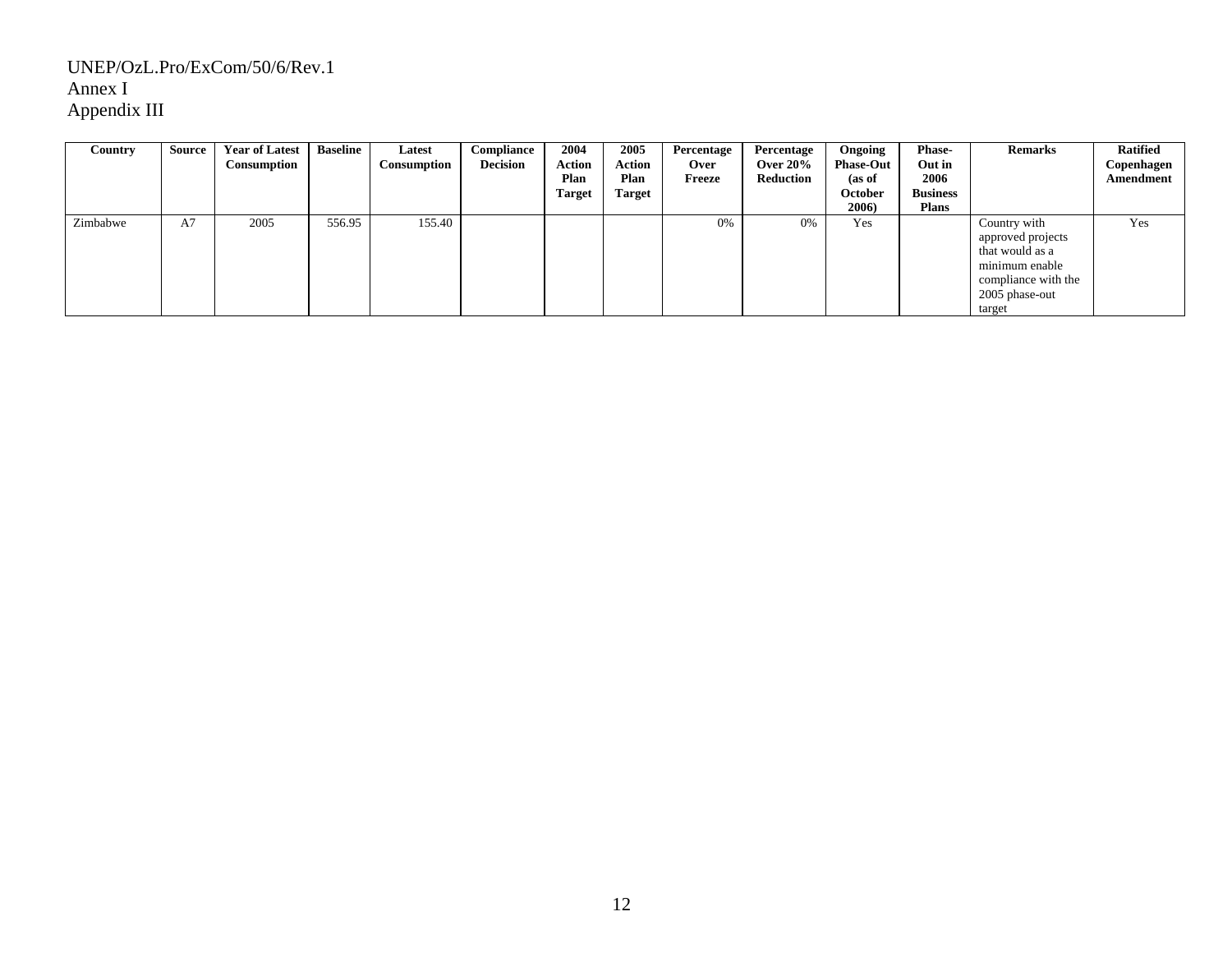| Country  | Source | <b>Year of Latest</b><br>Consumption | <b>Baseline</b> | Latest<br>Consumption | Compliance<br><b>Decision</b> | 2004<br><b>Action</b><br>Plan<br><b>Target</b> | 2005<br>Action<br>Plan<br><b>Target</b> | Percentage<br><b>Over</b><br>Freeze | Percentage<br>Over $20\%$<br>Reduction | Ongoing<br><b>Phase-Out</b><br>(as of<br>October<br>2006) | <b>Phase-</b><br>Out in<br>2006<br><b>Business</b><br><b>Plans</b> | <b>Remarks</b>                                                                                                            | <b>Ratified</b><br>Copenhagen<br>Amendment |
|----------|--------|--------------------------------------|-----------------|-----------------------|-------------------------------|------------------------------------------------|-----------------------------------------|-------------------------------------|----------------------------------------|-----------------------------------------------------------|--------------------------------------------------------------------|---------------------------------------------------------------------------------------------------------------------------|--------------------------------------------|
| Zimbabwe | A7     | 2005                                 | 556.95          | 155.40                |                               |                                                |                                         | 0%                                  | 0%                                     | Yes                                                       |                                                                    | Country with<br>approved projects<br>that would as a<br>minimum enable<br>compliance with the<br>2005 phase-out<br>target | Yes                                        |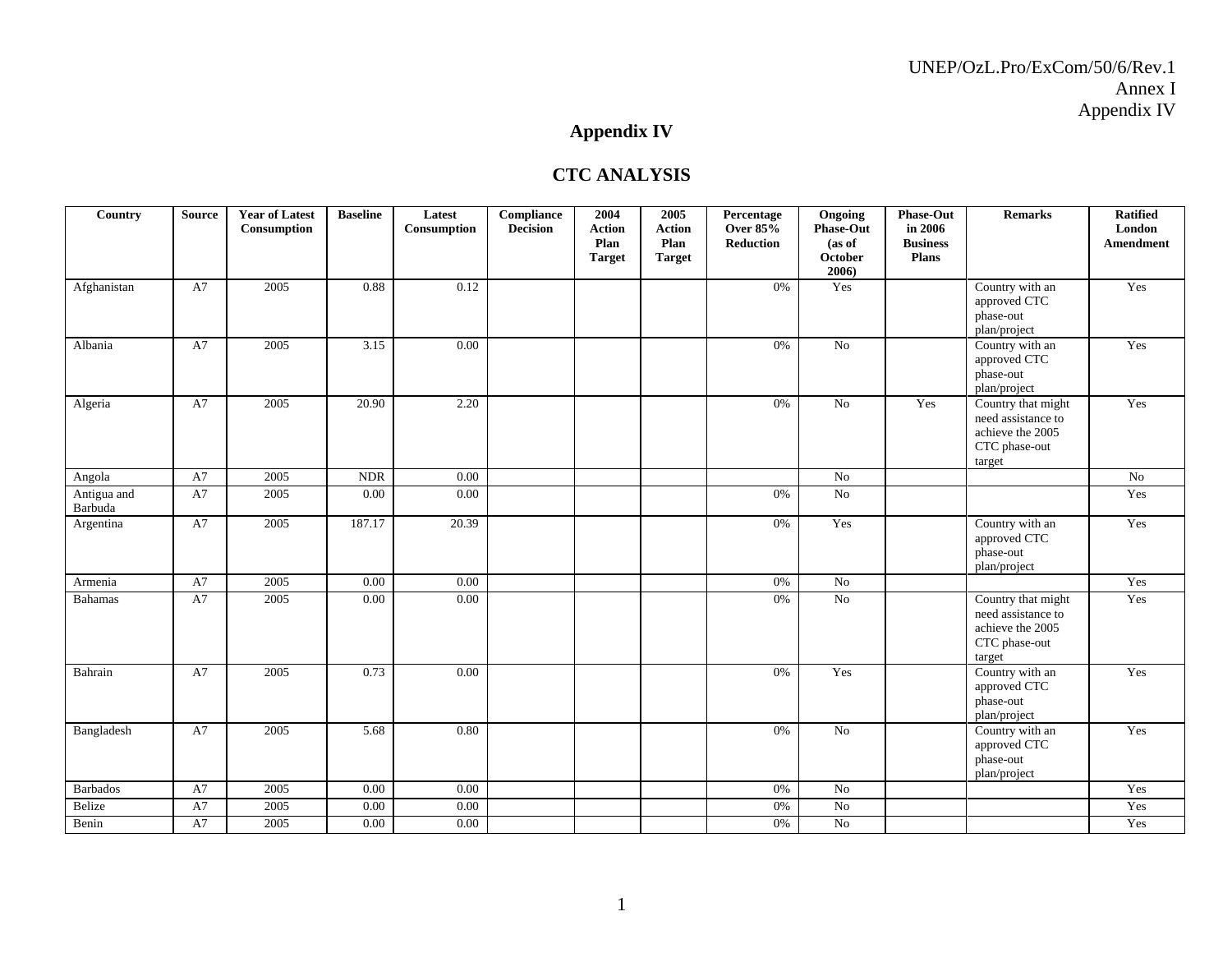# **Appendix IV**

#### **CTC ANALYSIS**

| Country                | <b>Source</b> | <b>Year of Latest</b><br>Consumption | <b>Baseline</b> | Latest<br>Consumption | Compliance<br><b>Decision</b> | 2004<br><b>Action</b><br>Plan<br><b>Target</b> | 2005<br><b>Action</b><br>Plan<br><b>Target</b> | Percentage<br><b>Over 85%</b><br><b>Reduction</b> | Ongoing<br><b>Phase-Out</b><br>(as of<br>October<br>2006) | <b>Phase-Out</b><br>in 2006<br><b>Business</b><br><b>Plans</b> | <b>Remarks</b>                                                                          | <b>Ratified</b><br>London<br>Amendment |
|------------------------|---------------|--------------------------------------|-----------------|-----------------------|-------------------------------|------------------------------------------------|------------------------------------------------|---------------------------------------------------|-----------------------------------------------------------|----------------------------------------------------------------|-----------------------------------------------------------------------------------------|----------------------------------------|
| Afghanistan            | A7            | 2005                                 | 0.88            | 0.12                  |                               |                                                |                                                | 0%                                                | Yes                                                       |                                                                | Country with an<br>approved CTC<br>phase-out<br>plan/project                            | Yes                                    |
| Albania                | A7            | 2005                                 | 3.15            | 0.00                  |                               |                                                |                                                | 0%                                                | No                                                        |                                                                | Country with an<br>approved CTC<br>phase-out<br>plan/project                            | Yes                                    |
| Algeria                | A7            | 2005                                 | 20.90           | 2.20                  |                               |                                                |                                                | 0%                                                | $\overline{No}$                                           | Yes                                                            | Country that might<br>need assistance to<br>achieve the 2005<br>CTC phase-out<br>target | Yes                                    |
| Angola                 | A7            | 2005                                 | $\rm NDR$       | $0.00\,$              |                               |                                                |                                                |                                                   | $\rm No$                                                  |                                                                |                                                                                         | $\rm No$                               |
| Antigua and<br>Barbuda | A7            | 2005                                 | 0.00            | 0.00                  |                               |                                                |                                                | 0%                                                | No                                                        |                                                                |                                                                                         | Yes                                    |
| Argentina              | A7            | 2005                                 | 187.17          | 20.39                 |                               |                                                |                                                | 0%                                                | Yes                                                       |                                                                | Country with an<br>approved CTC<br>phase-out<br>plan/project                            | Yes                                    |
| Armenia                | A7            | 2005                                 | 0.00            | $0.00\,$              |                               |                                                |                                                | $0\%$                                             | No                                                        |                                                                |                                                                                         | Yes                                    |
| <b>Bahamas</b>         | A7            | 2005                                 | 0.00            | 0.00                  |                               |                                                |                                                | 0%                                                | No                                                        |                                                                | Country that might<br>need assistance to<br>achieve the 2005<br>CTC phase-out<br>target | Yes                                    |
| Bahrain                | A7            | 2005                                 | 0.73            | 0.00                  |                               |                                                |                                                | 0%                                                | Yes                                                       |                                                                | Country with an<br>approved CTC<br>phase-out<br>plan/project                            | Yes                                    |
| Bangladesh             | A7            | 2005                                 | 5.68            | 0.80                  |                               |                                                |                                                | 0%                                                | No                                                        |                                                                | Country with an<br>approved CTC<br>phase-out<br>plan/project                            | Yes                                    |
| <b>Barbados</b>        | A7            | 2005                                 | 0.00            | 0.00                  |                               |                                                |                                                | 0%                                                | No                                                        |                                                                |                                                                                         | Yes                                    |
| Belize                 | ${\rm A}7$    | 2005                                 | 0.00            | $0.00\,$              |                               |                                                |                                                | 0%                                                | No                                                        |                                                                |                                                                                         | Yes                                    |
| Benin                  | A7            | 2005                                 | 0.00            | 0.00                  |                               |                                                |                                                | $0\%$                                             | $\rm No$                                                  |                                                                |                                                                                         | Yes                                    |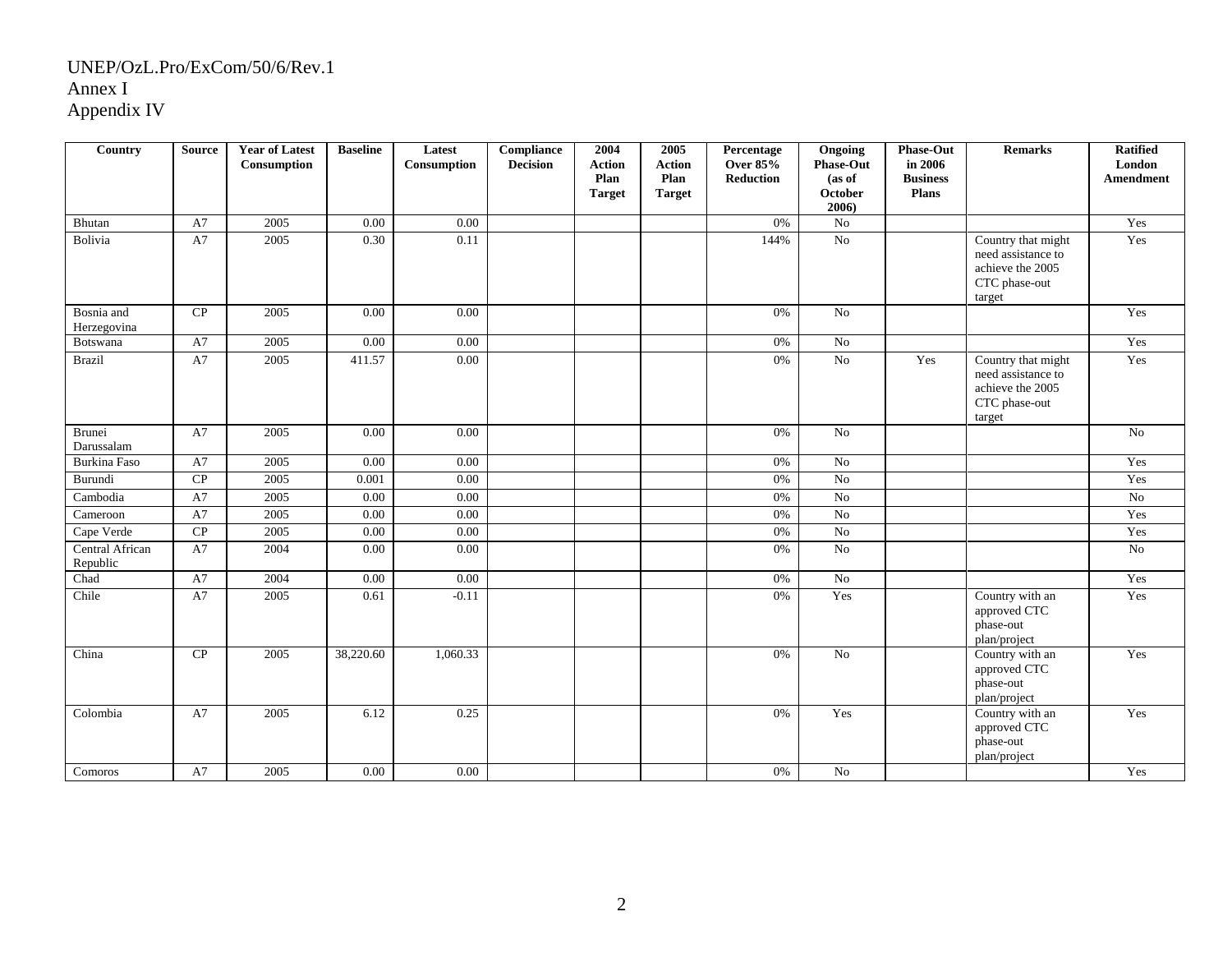| Country                     | <b>Source</b> | <b>Year of Latest</b><br>Consumption | <b>Baseline</b> | Latest<br>Consumption | Compliance<br><b>Decision</b> | 2004<br><b>Action</b><br>Plan<br><b>Target</b> | 2005<br><b>Action</b><br>Plan<br><b>Target</b> | Percentage<br><b>Over 85%</b><br><b>Reduction</b> | Ongoing<br><b>Phase-Out</b><br>(as of<br>October<br>2006) | Phase-Out<br>in 2006<br><b>Business</b><br><b>Plans</b> | <b>Remarks</b>                                                                          | <b>Ratified</b><br>London<br><b>Amendment</b> |
|-----------------------------|---------------|--------------------------------------|-----------------|-----------------------|-------------------------------|------------------------------------------------|------------------------------------------------|---------------------------------------------------|-----------------------------------------------------------|---------------------------------------------------------|-----------------------------------------------------------------------------------------|-----------------------------------------------|
| Bhutan                      | A7            | 2005                                 | 0.00            | 0.00                  |                               |                                                |                                                | 0%                                                | $\rm No$                                                  |                                                         |                                                                                         | Yes                                           |
| Bolivia                     | A7            | 2005                                 | 0.30            | 0.11                  |                               |                                                |                                                | 144%                                              | No                                                        |                                                         | Country that might<br>need assistance to<br>achieve the 2005<br>CTC phase-out<br>target | Yes                                           |
| Bosnia and<br>Herzegovina   | CP            | 2005                                 | 0.00            | 0.00                  |                               |                                                |                                                | 0%                                                | No                                                        |                                                         |                                                                                         | Yes                                           |
| Botswana                    | A7            | 2005                                 | 0.00            | 0.00                  |                               |                                                |                                                | 0%                                                | No                                                        |                                                         |                                                                                         | Yes                                           |
| <b>Brazil</b>               | A7            | 2005                                 | 411.57          | 0.00                  |                               |                                                |                                                | 0%                                                | No                                                        | Yes                                                     | Country that might<br>need assistance to<br>achieve the 2005<br>CTC phase-out<br>target | Yes                                           |
| Brunei<br>Darussalam        | A7            | 2005                                 | 0.00            | 0.00                  |                               |                                                |                                                | 0%                                                | No                                                        |                                                         |                                                                                         | N <sub>o</sub>                                |
| <b>Burkina Faso</b>         | A7            | 2005                                 | 0.00            | $0.00\,$              |                               |                                                |                                                | 0%                                                | $\rm No$                                                  |                                                         |                                                                                         | Yes                                           |
| Burundi                     | CP            | 2005                                 | 0.001           | 0.00                  |                               |                                                |                                                | 0%                                                | No                                                        |                                                         |                                                                                         | Yes                                           |
| Cambodia                    | A7            | 2005                                 | 0.00            | 0.00                  |                               |                                                |                                                | 0%                                                | No                                                        |                                                         |                                                                                         | $\rm No$                                      |
| Cameroon                    | A7            | 2005                                 | 0.00            | 0.00                  |                               |                                                |                                                | 0%                                                | No                                                        |                                                         |                                                                                         | Yes                                           |
| Cape Verde                  | CP            | 2005                                 | 0.00            | 0.00                  |                               |                                                |                                                | 0%                                                | $\overline{No}$                                           |                                                         |                                                                                         | Yes                                           |
| Central African<br>Republic | A7            | 2004                                 | 0.00            | 0.00                  |                               |                                                |                                                | 0%                                                | No                                                        |                                                         |                                                                                         | $\overline{No}$                               |
| Chad                        | A7            | 2004                                 | 0.00            | 0.00                  |                               |                                                |                                                | 0%                                                | No                                                        |                                                         |                                                                                         | Yes                                           |
| Chile                       | A7            | 2005                                 | 0.61            | $-0.11$               |                               |                                                |                                                | 0%                                                | Yes                                                       |                                                         | Country with an<br>approved CTC<br>phase-out<br>plan/project                            | Yes                                           |
| China                       | CP            | 2005                                 | 38,220.60       | 1,060.33              |                               |                                                |                                                | 0%                                                | No                                                        |                                                         | Country with an<br>approved CTC<br>phase-out<br>plan/project                            | Yes                                           |
| Colombia                    | A7            | 2005                                 | 6.12            | 0.25                  |                               |                                                |                                                | 0%                                                | Yes                                                       |                                                         | Country with an<br>approved CTC<br>phase-out<br>plan/project                            | Yes                                           |
| Comoros                     | A7            | 2005                                 | $0.00\,$        | 0.00                  |                               |                                                |                                                | 0%                                                | No                                                        |                                                         |                                                                                         | Yes                                           |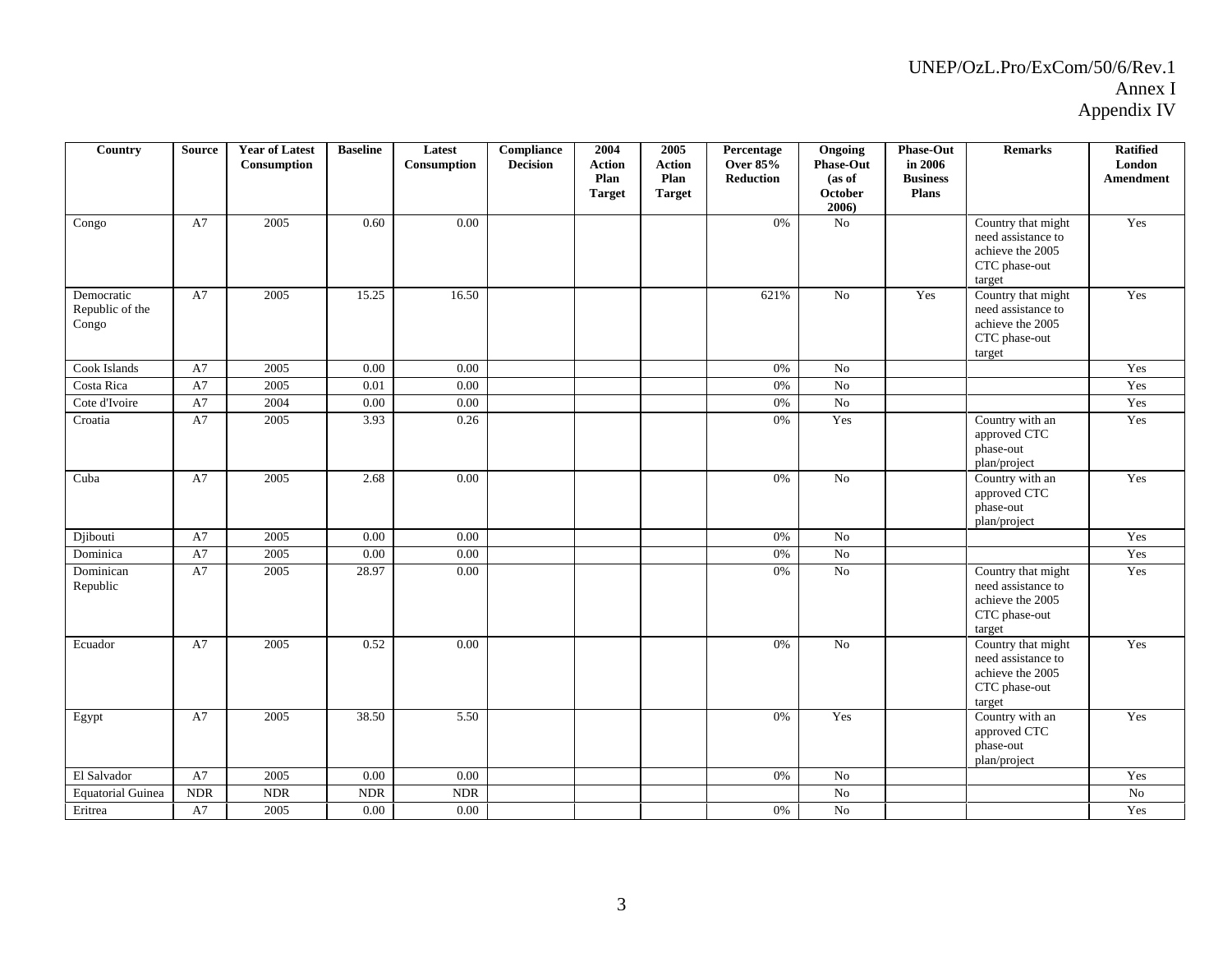| Country                                | <b>Source</b> | <b>Year of Latest</b><br>Consumption | <b>Baseline</b> | Latest<br>Consumption     | <b>Compliance</b><br><b>Decision</b> | 2004<br><b>Action</b><br>Plan<br><b>Target</b> | 2005<br><b>Action</b><br>Plan<br><b>Target</b> | Percentage<br><b>Over 85%</b><br><b>Reduction</b> | Ongoing<br><b>Phase-Out</b><br>(as of<br>October<br>2006) | Phase-Out<br>in 2006<br><b>Business</b><br><b>Plans</b> | <b>Remarks</b>                                                                          | <b>Ratified</b><br>London<br>Amendment |
|----------------------------------------|---------------|--------------------------------------|-----------------|---------------------------|--------------------------------------|------------------------------------------------|------------------------------------------------|---------------------------------------------------|-----------------------------------------------------------|---------------------------------------------------------|-----------------------------------------------------------------------------------------|----------------------------------------|
| Congo                                  | A7            | 2005                                 | 0.60            | 0.00                      |                                      |                                                |                                                | 0%                                                | No                                                        |                                                         | Country that might<br>need assistance to<br>achieve the 2005<br>CTC phase-out<br>target | Yes                                    |
| Democratic<br>Republic of the<br>Congo | A7            | 2005                                 | 15.25           | 16.50                     |                                      |                                                |                                                | 621%                                              | $\overline{No}$                                           | Yes                                                     | Country that might<br>need assistance to<br>achieve the 2005<br>CTC phase-out<br>target | Yes                                    |
| Cook Islands                           | A7            | 2005                                 | 0.00            | 0.00                      |                                      |                                                |                                                | 0%                                                | No                                                        |                                                         |                                                                                         | Yes                                    |
| Costa Rica                             | A7            | 2005                                 | $0.01\,$        | 0.00                      |                                      |                                                |                                                | 0%                                                | $\rm No$                                                  |                                                         |                                                                                         | Yes                                    |
| Cote d'Ivoire                          | A7            | 2004                                 | 0.00            | 0.00                      |                                      |                                                |                                                | $0\%$                                             | No                                                        |                                                         |                                                                                         | Yes                                    |
| Croatia                                | A7            | 2005                                 | 3.93            | 0.26                      |                                      |                                                |                                                | 0%                                                | Yes                                                       |                                                         | Country with an<br>approved CTC<br>phase-out<br>plan/project                            | Yes                                    |
| Cuba                                   | A7            | 2005                                 | 2.68            | 0.00                      |                                      |                                                |                                                | 0%                                                | No                                                        |                                                         | Country with an<br>approved CTC<br>phase-out<br>plan/project                            | Yes                                    |
| Djibouti                               | A7            | 2005                                 | 0.00            | 0.00                      |                                      |                                                |                                                | $0\%$                                             | $\overline{No}$                                           |                                                         |                                                                                         | Yes                                    |
| Dominica                               | A7            | 2005                                 | 0.00            | 0.00                      |                                      |                                                |                                                | 0%                                                | $\overline{No}$                                           |                                                         |                                                                                         | Yes                                    |
| Dominican<br>Republic                  | A7            | 2005                                 | 28.97           | 0.00                      |                                      |                                                |                                                | $0\%$                                             | $\rm No$                                                  |                                                         | Country that might<br>need assistance to<br>achieve the 2005<br>CTC phase-out<br>target | Yes                                    |
| Ecuador                                | A7            | 2005                                 | 0.52            | 0.00                      |                                      |                                                |                                                | 0%                                                | No                                                        |                                                         | Country that might<br>need assistance to<br>achieve the 2005<br>CTC phase-out<br>target | Yes                                    |
| Egypt                                  | A7            | 2005                                 | 38.50           | 5.50                      |                                      |                                                |                                                | 0%                                                | Yes                                                       |                                                         | Country with an<br>approved CTC<br>phase-out<br>plan/project                            | Yes                                    |
| El Salvador                            | A7            | 2005                                 | 0.00            | 0.00                      |                                      |                                                |                                                | 0%                                                | $\overline{N_0}$                                          |                                                         |                                                                                         | Yes                                    |
| <b>Equatorial Guinea</b>               | <b>NDR</b>    | <b>NDR</b>                           | <b>NDR</b>      | $\ensuremath{\text{NDR}}$ |                                      |                                                |                                                |                                                   | No                                                        |                                                         |                                                                                         | No                                     |
| Eritrea                                | A7            | 2005                                 | $0.00\,$        | 0.00                      |                                      |                                                |                                                | 0%                                                | No                                                        |                                                         |                                                                                         | Yes                                    |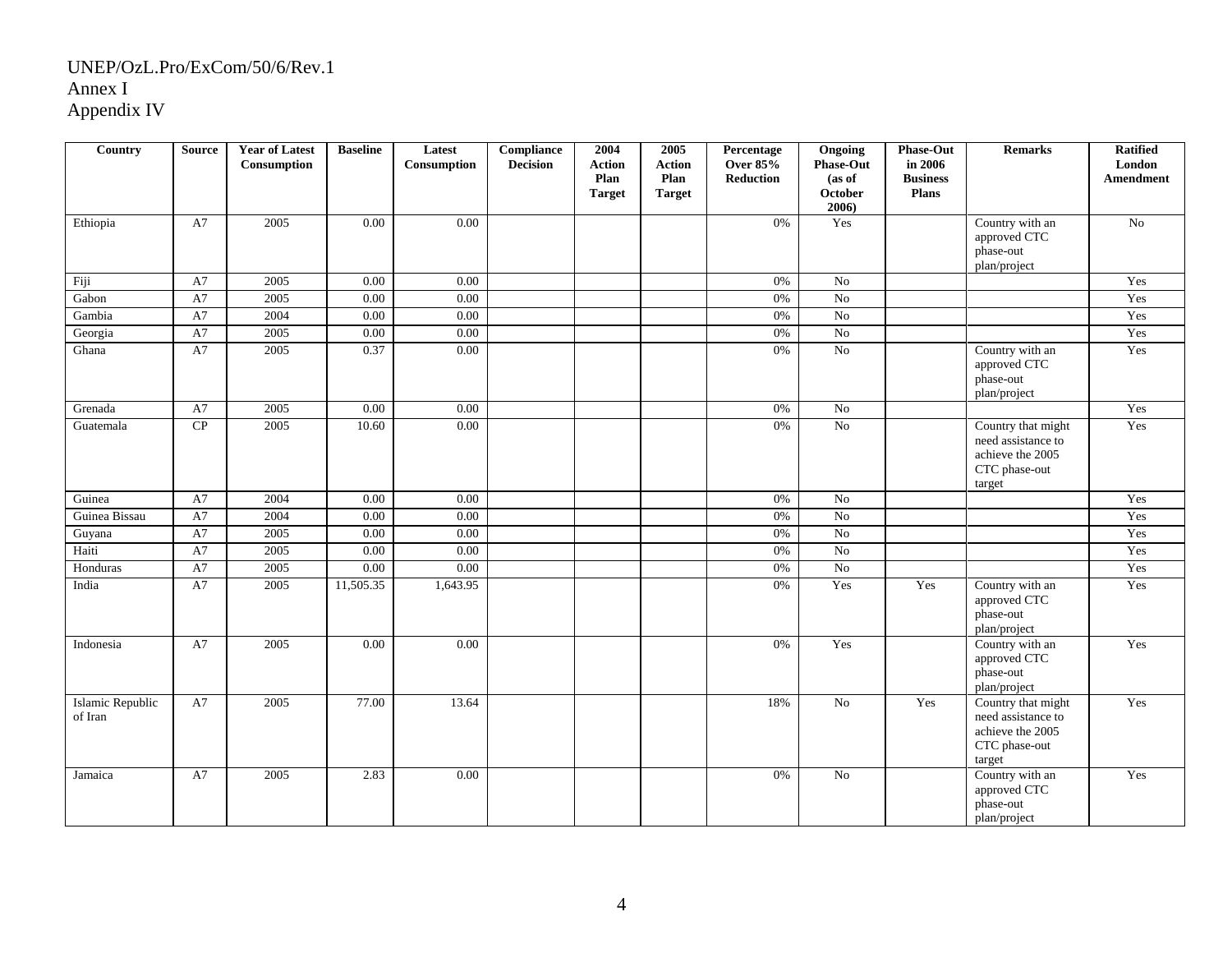| <b>Country</b>              | <b>Source</b> | <b>Year of Latest</b><br>Consumption | <b>Baseline</b> | Latest<br>Consumption | <b>Compliance</b><br><b>Decision</b> | 2004<br><b>Action</b><br>Plan<br><b>Target</b> | 2005<br><b>Action</b><br>Plan<br><b>Target</b> | Percentage<br><b>Over 85%</b><br><b>Reduction</b> | Ongoing<br><b>Phase-Out</b><br>(as of<br>October<br>2006) | <b>Phase-Out</b><br>in 2006<br><b>Business</b><br><b>Plans</b> | <b>Remarks</b>                                                                          | <b>Ratified</b><br>London<br>Amendment |
|-----------------------------|---------------|--------------------------------------|-----------------|-----------------------|--------------------------------------|------------------------------------------------|------------------------------------------------|---------------------------------------------------|-----------------------------------------------------------|----------------------------------------------------------------|-----------------------------------------------------------------------------------------|----------------------------------------|
| Ethiopia                    | A7            | 2005                                 | 0.00            | 0.00                  |                                      |                                                |                                                | 0%                                                | Yes                                                       |                                                                | Country with an<br>approved CTC<br>phase-out<br>plan/project                            | No                                     |
| Fiji                        | A7            | 2005                                 | 0.00            | 0.00                  |                                      |                                                |                                                | 0%                                                | No                                                        |                                                                |                                                                                         | Yes                                    |
| Gabon                       | A7            | 2005                                 | 0.00            | 0.00                  |                                      |                                                |                                                | 0%                                                | $\rm No$                                                  |                                                                |                                                                                         | Yes                                    |
| Gambia                      | A7            | 2004                                 | 0.00            | 0.00                  |                                      |                                                |                                                | $0\%$                                             | $\overline{No}$                                           |                                                                |                                                                                         | Yes                                    |
| Georgia                     | A7            | 2005                                 | 0.00            | 0.00                  |                                      |                                                |                                                | 0%                                                | No                                                        |                                                                |                                                                                         | Yes                                    |
| Ghana                       | A7            | 2005                                 | 0.37            | 0.00                  |                                      |                                                |                                                | 0%                                                | $\rm No$                                                  |                                                                | Country with an<br>approved CTC<br>phase-out<br>plan/project                            | Yes                                    |
| Grenada                     | A7            | 2005                                 | 0.00            | 0.00                  |                                      |                                                |                                                | 0%                                                | $\rm No$                                                  |                                                                |                                                                                         | Yes                                    |
| Guatemala                   | ${\bf CP}$    | 2005                                 | 10.60           | 0.00                  |                                      |                                                |                                                | 0%                                                | $\rm No$                                                  |                                                                | Country that might<br>need assistance to<br>achieve the 2005<br>CTC phase-out<br>target | Yes                                    |
| Guinea                      | A7            | 2004                                 | 0.00            | 0.00                  |                                      |                                                |                                                | 0%                                                | No                                                        |                                                                |                                                                                         | Yes                                    |
| Guinea Bissau               | A7            | 2004                                 | 0.00            | 0.00                  |                                      |                                                |                                                | 0%                                                | No                                                        |                                                                |                                                                                         | Yes                                    |
| Guyana                      | A7            | 2005                                 | 0.00            | 0.00                  |                                      |                                                |                                                | 0%                                                | $\rm No$                                                  |                                                                |                                                                                         | Yes                                    |
| Haiti                       | A7            | 2005                                 | 0.00            | 0.00                  |                                      |                                                |                                                | 0%                                                | $\overline{No}$                                           |                                                                |                                                                                         | Yes                                    |
| Honduras                    | A7            | 2005                                 | 0.00            | 0.00                  |                                      |                                                |                                                | 0%                                                | No                                                        |                                                                |                                                                                         | Yes                                    |
| India                       | A7            | 2005                                 | 11,505.35       | 1,643.95              |                                      |                                                |                                                | 0%                                                | Yes                                                       | Yes                                                            | Country with an<br>approved CTC<br>phase-out<br>plan/project                            | Yes                                    |
| Indonesia                   | A7            | 2005                                 | 0.00            | 0.00                  |                                      |                                                |                                                | 0%                                                | Yes                                                       |                                                                | Country with an<br>approved CTC<br>phase-out<br>plan/project                            | Yes                                    |
| Islamic Republic<br>of Iran | A7            | 2005                                 | 77.00           | 13.64                 |                                      |                                                |                                                | 18%                                               | $\overline{No}$                                           | Yes                                                            | Country that might<br>need assistance to<br>achieve the 2005<br>CTC phase-out<br>target | Yes                                    |
| Jamaica                     | A7            | 2005                                 | 2.83            | 0.00                  |                                      |                                                |                                                | 0%                                                | No                                                        |                                                                | Country with an<br>approved CTC<br>phase-out<br>plan/project                            | Yes                                    |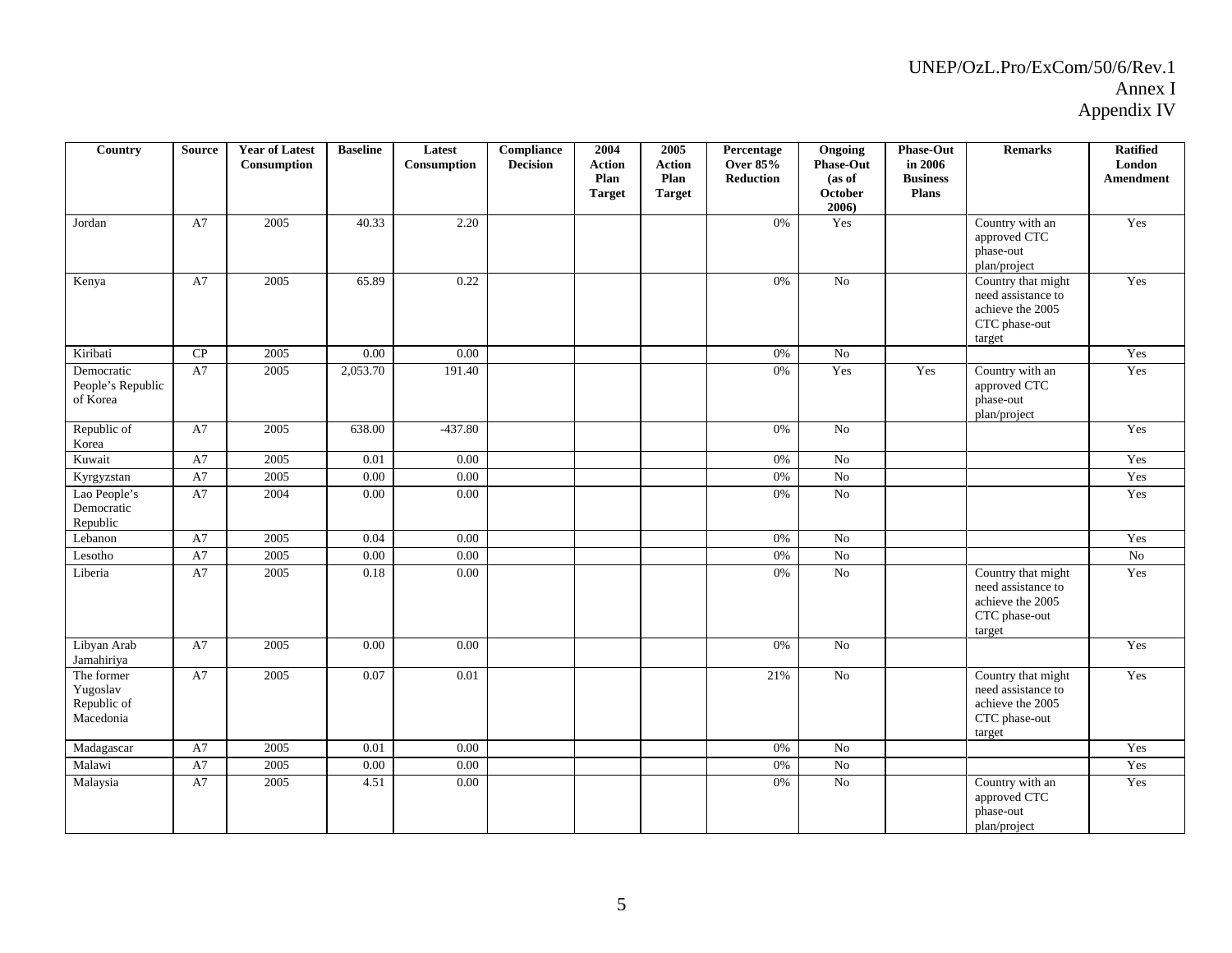| Country                                            | <b>Source</b> | <b>Year of Latest</b><br>Consumption | <b>Baseline</b> | Latest<br>Consumption | Compliance<br><b>Decision</b> | 2004<br><b>Action</b><br>Plan<br><b>Target</b> | 2005<br><b>Action</b><br>Plan<br><b>Target</b> | Percentage<br><b>Over 85%</b><br>Reduction | Ongoing<br><b>Phase-Out</b><br>(as of<br>October<br>$2006$ ) | Phase-Out<br>in 2006<br><b>Business</b><br>Plans | <b>Remarks</b>                                                                          | <b>Ratified</b><br>London<br>Amendment |
|----------------------------------------------------|---------------|--------------------------------------|-----------------|-----------------------|-------------------------------|------------------------------------------------|------------------------------------------------|--------------------------------------------|--------------------------------------------------------------|--------------------------------------------------|-----------------------------------------------------------------------------------------|----------------------------------------|
| Jordan                                             | A7            | 2005                                 | 40.33           | 2.20                  |                               |                                                |                                                | 0%                                         | Yes                                                          |                                                  | Country with an<br>approved CTC<br>phase-out<br>plan/project                            | Yes                                    |
| Kenya                                              | A7            | 2005                                 | 65.89           | 0.22                  |                               |                                                |                                                | 0%                                         | No                                                           |                                                  | Country that might<br>need assistance to<br>achieve the 2005<br>CTC phase-out<br>target | Yes                                    |
| Kiribati                                           | CP            | 2005                                 | 0.00            | 0.00                  |                               |                                                |                                                | 0%                                         | $\overline{No}$                                              |                                                  |                                                                                         | Yes                                    |
| Democratic<br>People's Republic<br>of Korea        | A7            | 2005                                 | 2,053.70        | 191.40                |                               |                                                |                                                | 0%                                         | Yes                                                          | Yes                                              | Country with an<br>approved CTC<br>phase-out<br>plan/project                            | Yes                                    |
| Republic of<br>Korea                               | A7            | 2005                                 | 638.00          | $-437.80$             |                               |                                                |                                                | 0%                                         | $\overline{No}$                                              |                                                  |                                                                                         | Yes                                    |
| Kuwait                                             | A7            | 2005                                 | 0.01            | 0.00                  |                               |                                                |                                                | 0%                                         | $\overline{No}$                                              |                                                  |                                                                                         | Yes                                    |
| Kyrgyzstan                                         | A7            | 2005                                 | 0.00            | 0.00                  |                               |                                                |                                                | 0%                                         | $\overline{No}$                                              |                                                  |                                                                                         | Yes                                    |
| Lao People's<br>Democratic<br>Republic             | A7            | 2004                                 | 0.00            | $0.00\,$              |                               |                                                |                                                | 0%                                         | No                                                           |                                                  |                                                                                         | Yes                                    |
| Lebanon                                            | A7            | 2005                                 | 0.04            | 0.00                  |                               |                                                |                                                | 0%                                         | $\rm No$                                                     |                                                  |                                                                                         | Yes                                    |
| Lesotho                                            | A7            | 2005                                 | 0.00            | 0.00                  |                               |                                                |                                                | 0%                                         | $\overline{No}$                                              |                                                  |                                                                                         | $\overline{N_0}$                       |
| Liberia                                            | A7            | 2005                                 | 0.18            | 0.00                  |                               |                                                |                                                | 0%                                         | $\rm No$                                                     |                                                  | Country that might<br>need assistance to<br>achieve the 2005<br>CTC phase-out<br>target | Yes                                    |
| Libyan Arab<br>Jamahiriya                          | A7            | 2005                                 | 0.00            | 0.00                  |                               |                                                |                                                | 0%                                         | $\overline{No}$                                              |                                                  |                                                                                         | Yes                                    |
| The former<br>Yugoslav<br>Republic of<br>Macedonia | A7            | 2005                                 | 0.07            | 0.01                  |                               |                                                |                                                | 21%                                        | No                                                           |                                                  | Country that might<br>need assistance to<br>achieve the 2005<br>CTC phase-out<br>target | Yes                                    |
| Madagascar                                         | A7            | 2005                                 | 0.01            | 0.00                  |                               |                                                |                                                | $0\%$                                      | $\overline{No}$                                              |                                                  |                                                                                         | Yes                                    |
| Malawi                                             | A7            | 2005                                 | 0.00            | 0.00                  |                               |                                                |                                                | 0%                                         | $\rm No$                                                     |                                                  |                                                                                         | Yes                                    |
| Malaysia                                           | A7            | 2005                                 | 4.51            | 0.00                  |                               |                                                |                                                | 0%                                         | No                                                           |                                                  | Country with an<br>approved CTC<br>phase-out<br>plan/project                            | Yes                                    |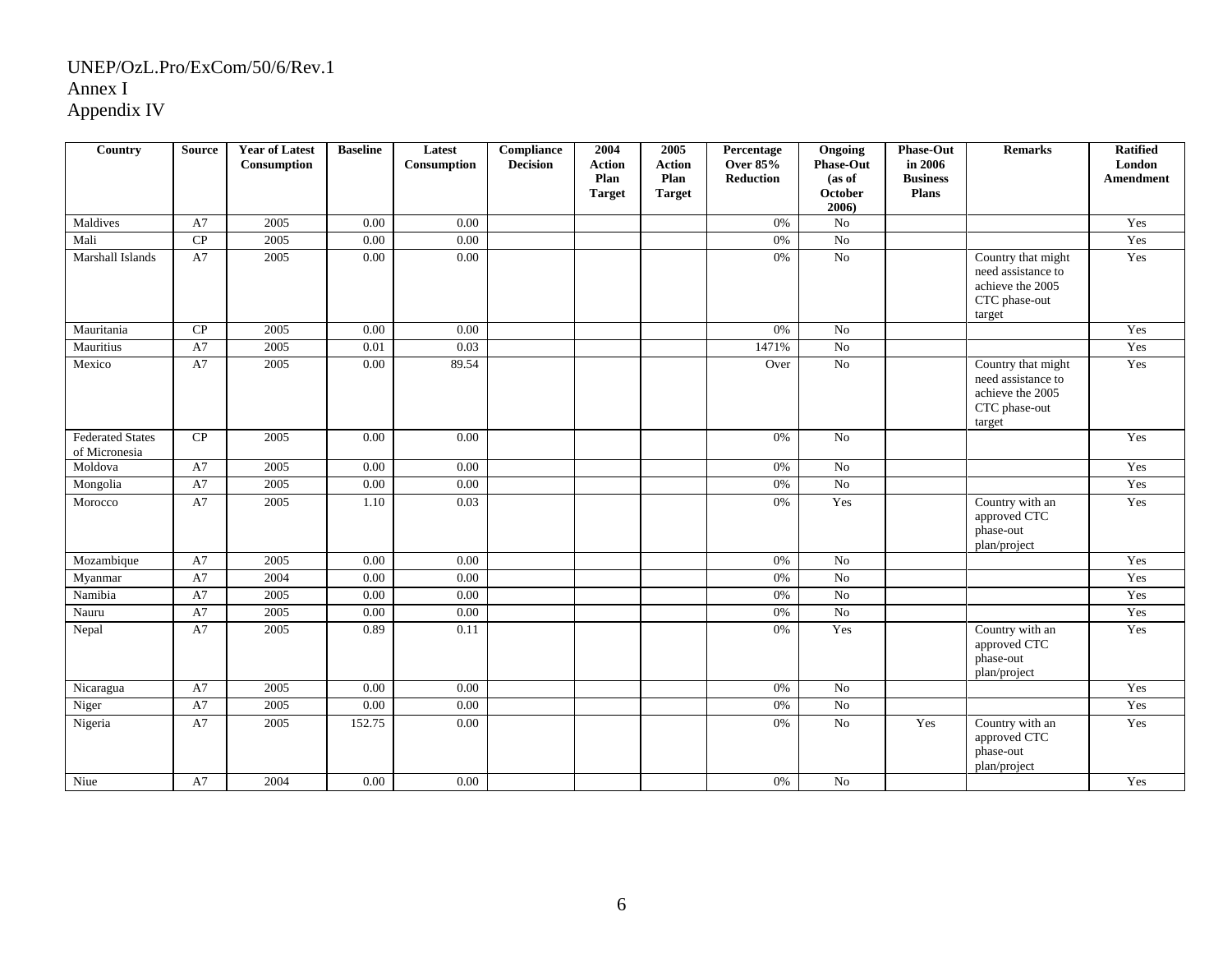| Country                                  | <b>Source</b> | <b>Year of Latest</b><br>Consumption | <b>Baseline</b> | Latest<br>Consumption | Compliance<br><b>Decision</b> | 2004<br><b>Action</b><br>Plan<br><b>Target</b> | 2005<br><b>Action</b><br>Plan<br><b>Target</b> | Percentage<br><b>Over 85%</b><br><b>Reduction</b> | Ongoing<br><b>Phase-Out</b><br>(as of<br>October<br>2006) | <b>Phase-Out</b><br>in 2006<br><b>Business</b><br><b>Plans</b> | <b>Remarks</b>                                                                          | <b>Ratified</b><br>London<br><b>Amendment</b> |
|------------------------------------------|---------------|--------------------------------------|-----------------|-----------------------|-------------------------------|------------------------------------------------|------------------------------------------------|---------------------------------------------------|-----------------------------------------------------------|----------------------------------------------------------------|-----------------------------------------------------------------------------------------|-----------------------------------------------|
| Maldives                                 | A7            | 2005                                 | 0.00            | 0.00                  |                               |                                                |                                                | 0%                                                | No                                                        |                                                                |                                                                                         | Yes                                           |
| Mali                                     | CP            | 2005                                 | 0.00            | 0.00                  |                               |                                                |                                                | 0%                                                | $\overline{No}$                                           |                                                                |                                                                                         | Yes                                           |
| Marshall Islands                         | A7            | 2005                                 | 0.00            | 0.00                  |                               |                                                |                                                | 0%                                                | $\overline{No}$                                           |                                                                | Country that might<br>need assistance to<br>achieve the 2005<br>CTC phase-out<br>target | Yes                                           |
| Mauritania                               | CP            | 2005                                 | 0.00            | 0.00                  |                               |                                                |                                                | 0%                                                | No                                                        |                                                                |                                                                                         | Yes                                           |
| Mauritius                                | A7            | 2005                                 | 0.01            | 0.03                  |                               |                                                |                                                | 1471%                                             | $\overline{No}$                                           |                                                                |                                                                                         | Yes                                           |
| Mexico                                   | A7            | 2005                                 | 0.00            | 89.54                 |                               |                                                |                                                | Over                                              | No                                                        |                                                                | Country that might<br>need assistance to<br>achieve the 2005<br>CTC phase-out<br>target | Yes                                           |
| <b>Federated States</b><br>of Micronesia | ${\bf CP}$    | 2005                                 | 0.00            | 0.00                  |                               |                                                |                                                | 0%                                                | $\rm No$                                                  |                                                                |                                                                                         | Yes                                           |
| Moldova                                  | A7            | 2005                                 | 0.00            | 0.00                  |                               |                                                |                                                | 0%                                                | $\overline{No}$                                           |                                                                |                                                                                         | Yes                                           |
| Mongolia                                 | A7            | 2005                                 | 0.00            | 0.00                  |                               |                                                |                                                | 0%                                                | No                                                        |                                                                |                                                                                         | Yes                                           |
| Morocco                                  | A7            | 2005                                 | 1.10            | 0.03                  |                               |                                                |                                                | 0%                                                | Yes                                                       |                                                                | Country with an<br>approved CTC<br>phase-out<br>plan/project                            | Yes                                           |
| Mozambique                               | A7            | 2005                                 | 0.00            | 0.00                  |                               |                                                |                                                | 0%                                                | $\rm No$                                                  |                                                                |                                                                                         | Yes                                           |
| Myanmar                                  | A7            | 2004                                 | 0.00            | 0.00                  |                               |                                                |                                                | 0%                                                | No                                                        |                                                                |                                                                                         | Yes                                           |
| Namibia                                  | A7            | 2005                                 | 0.00            | 0.00                  |                               |                                                |                                                | 0%                                                | $\overline{No}$                                           |                                                                |                                                                                         | Yes                                           |
| Nauru                                    | A7            | 2005                                 | 0.00            | 0.00                  |                               |                                                |                                                | 0%                                                | No                                                        |                                                                |                                                                                         | Yes                                           |
| Nepal                                    | A7            | 2005                                 | 0.89            | 0.11                  |                               |                                                |                                                | $0\%$                                             | Yes                                                       |                                                                | Country with an<br>approved CTC<br>phase-out<br>plan/project                            | Yes                                           |
| Nicaragua                                | A7            | 2005                                 | 0.00            | 0.00                  |                               |                                                |                                                | 0%                                                | $\rm No$                                                  |                                                                |                                                                                         | Yes                                           |
| Niger                                    | A7            | 2005                                 | 0.00            | 0.00                  |                               |                                                |                                                | 0%                                                | No                                                        |                                                                |                                                                                         | Yes                                           |
| Nigeria                                  | A7            | 2005                                 | 152.75          | 0.00                  |                               |                                                |                                                | 0%                                                | $\overline{No}$                                           | Yes                                                            | Country with an<br>approved CTC<br>phase-out<br>plan/project                            | Yes                                           |
| Niue                                     | A7            | 2004                                 | 0.00            | 0.00                  |                               |                                                |                                                | 0%                                                | No                                                        |                                                                |                                                                                         | Yes                                           |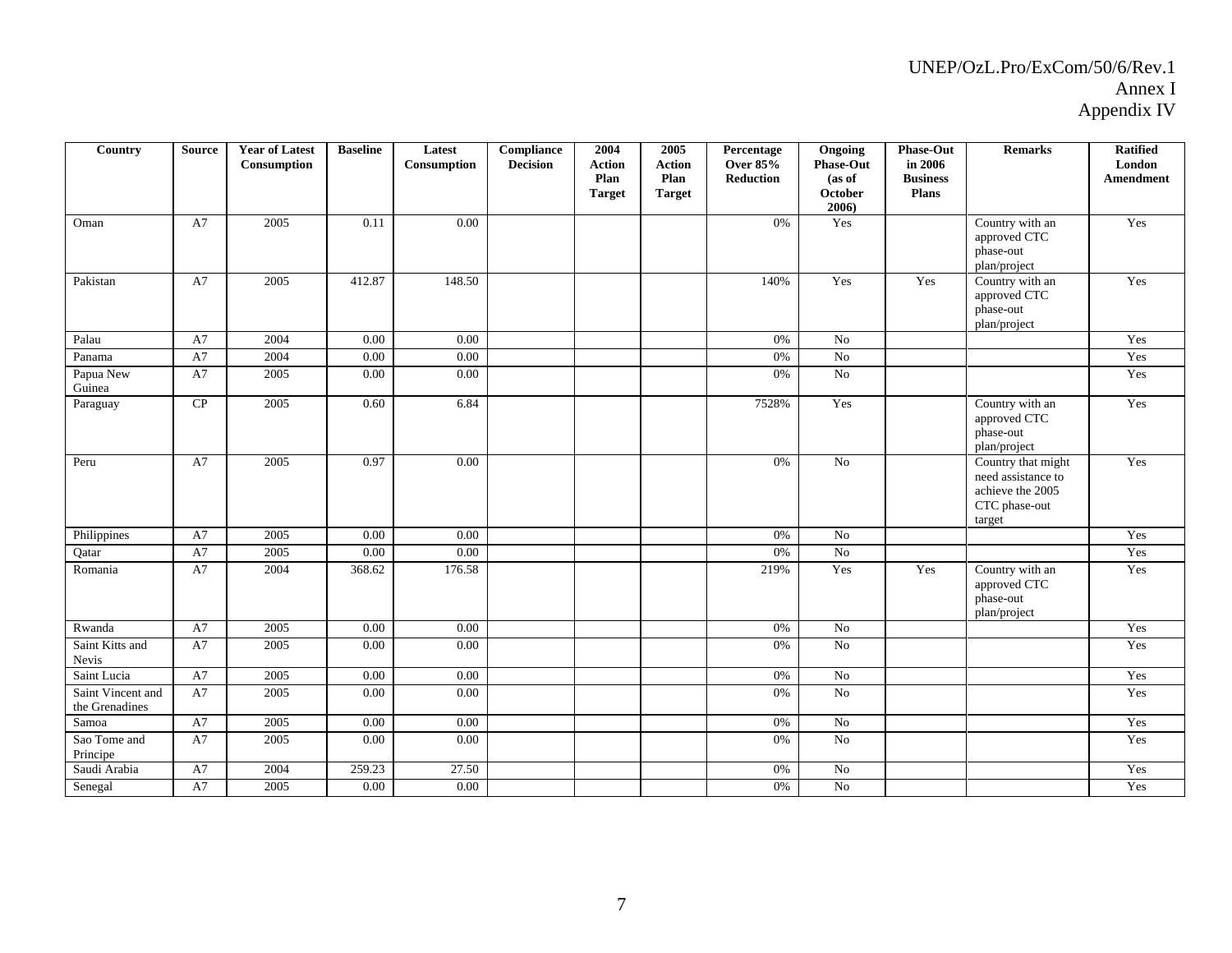| Country                             | <b>Source</b> | <b>Year of Latest</b><br>Consumption | <b>Baseline</b> | Latest<br>Consumption | Compliance<br><b>Decision</b> | 2004<br><b>Action</b><br>Plan<br><b>Target</b> | 2005<br><b>Action</b><br>Plan<br><b>Target</b> | Percentage<br><b>Over 85%</b><br><b>Reduction</b> | Ongoing<br><b>Phase-Out</b><br>(as of<br>October<br>2006) | Phase-Out<br>in 2006<br><b>Business</b><br><b>Plans</b> | Remarks                                                                                 | <b>Ratified</b><br>London<br><b>Amendment</b> |
|-------------------------------------|---------------|--------------------------------------|-----------------|-----------------------|-------------------------------|------------------------------------------------|------------------------------------------------|---------------------------------------------------|-----------------------------------------------------------|---------------------------------------------------------|-----------------------------------------------------------------------------------------|-----------------------------------------------|
| Oman                                | A7            | 2005                                 | 0.11            | 0.00                  |                               |                                                |                                                | 0%                                                | Yes                                                       |                                                         | Country with an<br>approved CTC<br>phase-out<br>plan/project                            | Yes                                           |
| Pakistan                            | A7            | 2005                                 | 412.87          | 148.50                |                               |                                                |                                                | 140%                                              | Yes                                                       | Yes                                                     | Country with an<br>approved CTC<br>phase-out<br>plan/project                            | Yes                                           |
| Palau                               | A7            | 2004                                 | 0.00            | 0.00                  |                               |                                                |                                                | 0%                                                | No                                                        |                                                         |                                                                                         | Yes                                           |
| Panama                              | A7            | 2004                                 | 0.00            | 0.00                  |                               |                                                |                                                | 0%                                                | $\overline{No}$                                           |                                                         |                                                                                         | Yes                                           |
| Papua New<br>Guinea                 | A7            | 2005                                 | 0.00            | 0.00                  |                               |                                                |                                                | 0%                                                | $\overline{No}$                                           |                                                         |                                                                                         | Yes                                           |
| Paraguay                            | ${\bf CP}$    | 2005                                 | 0.60            | 6.84                  |                               |                                                |                                                | 7528%                                             | Yes                                                       |                                                         | Country with an<br>approved CTC<br>phase-out<br>plan/project                            | Yes                                           |
| Peru                                | A7            | 2005                                 | 0.97            | 0.00                  |                               |                                                |                                                | 0%                                                | No                                                        |                                                         | Country that might<br>need assistance to<br>achieve the 2005<br>CTC phase-out<br>target | Yes                                           |
| Philippines                         | A7            | 2005                                 | 0.00            | 0.00                  |                               |                                                |                                                | 0%                                                | No                                                        |                                                         |                                                                                         | Yes                                           |
| Qatar                               | A7            | 2005                                 | 0.00            | 0.00                  |                               |                                                |                                                | 0%                                                | No                                                        |                                                         |                                                                                         | Yes                                           |
| Romania                             | A7            | 2004                                 | 368.62          | 176.58                |                               |                                                |                                                | 219%                                              | Yes                                                       | Yes                                                     | Country with an<br>approved CTC<br>phase-out<br>plan/project                            | Yes                                           |
| Rwanda                              | A7            | 2005                                 | 0.00            | 0.00                  |                               |                                                |                                                | 0%                                                | $\rm No$                                                  |                                                         |                                                                                         | Yes                                           |
| Saint Kitts and<br>Nevis            | A7            | 2005                                 | 0.00            | 0.00                  |                               |                                                |                                                | 0%                                                | No                                                        |                                                         |                                                                                         | Yes                                           |
| Saint Lucia                         | A7            | 2005                                 | 0.00            | 0.00                  |                               |                                                |                                                | 0%                                                | $\overline{No}$                                           |                                                         |                                                                                         | Yes                                           |
| Saint Vincent and<br>the Grenadines | A7            | 2005                                 | 0.00            | 0.00                  |                               |                                                |                                                | 0%                                                | <b>No</b>                                                 |                                                         |                                                                                         | Yes                                           |
| Samoa                               | A7            | 2005                                 | 0.00            | 0.00                  |                               |                                                |                                                | 0%                                                | No                                                        |                                                         |                                                                                         | Yes                                           |
| Sao Tome and<br>Principe            | A7            | 2005                                 | 0.00            | 0.00                  |                               |                                                |                                                | 0%                                                | $\overline{No}$                                           |                                                         |                                                                                         | Yes                                           |
| Saudi Arabia                        | A7            | 2004                                 | 259.23          | 27.50                 |                               |                                                |                                                | $0\%$                                             | $\rm No$                                                  |                                                         |                                                                                         | Yes                                           |
| Senegal                             | A7            | 2005                                 | 0.00            | 0.00                  |                               |                                                |                                                | 0%                                                | $\overline{No}$                                           |                                                         |                                                                                         | Yes                                           |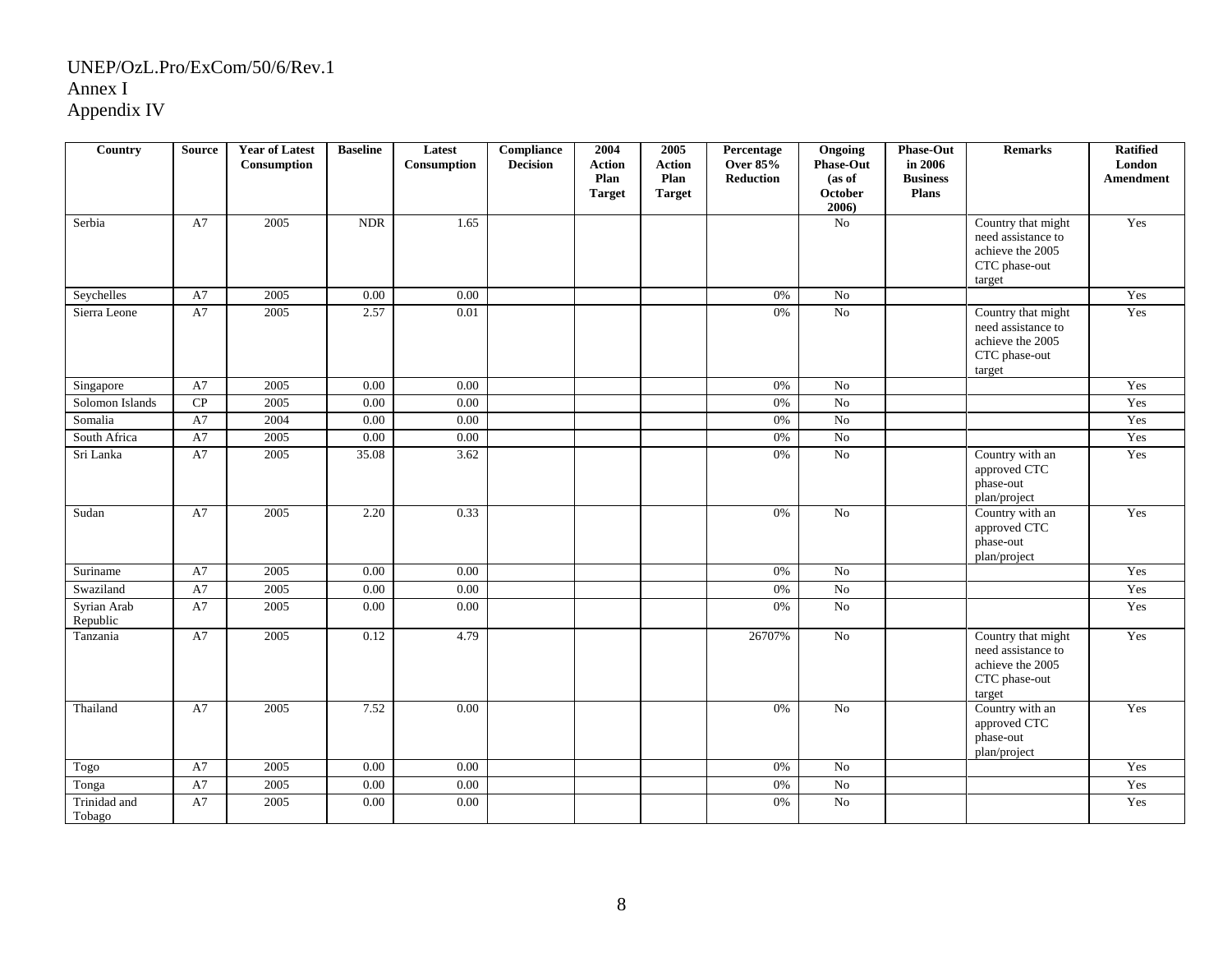| Country                 | <b>Source</b> | <b>Year of Latest</b><br>Consumption | <b>Baseline</b> | Latest<br>Consumption | Compliance<br><b>Decision</b> | 2004<br><b>Action</b><br>Plan<br><b>Target</b> | 2005<br><b>Action</b><br>Plan<br><b>Target</b> | Percentage<br><b>Over 85%</b><br>Reduction | Ongoing<br><b>Phase-Out</b><br>(as of<br>October<br>2006) | <b>Phase-Out</b><br>in 2006<br><b>Business</b><br><b>Plans</b> | <b>Remarks</b>                                                                          | <b>Ratified</b><br>London<br>Amendment |
|-------------------------|---------------|--------------------------------------|-----------------|-----------------------|-------------------------------|------------------------------------------------|------------------------------------------------|--------------------------------------------|-----------------------------------------------------------|----------------------------------------------------------------|-----------------------------------------------------------------------------------------|----------------------------------------|
| Serbia                  | A7            | 2005                                 | <b>NDR</b>      | 1.65                  |                               |                                                |                                                |                                            | $\rm No$                                                  |                                                                | Country that might<br>need assistance to<br>achieve the 2005<br>CTC phase-out<br>target | Yes                                    |
| Seychelles              | A7            | 2005                                 | $0.00\,$        | 0.00                  |                               |                                                |                                                | 0%                                         | No                                                        |                                                                |                                                                                         | Yes                                    |
| Sierra Leone            | A7            | 2005                                 | 2.57            | 0.01                  |                               |                                                |                                                | 0%                                         | $\overline{N_0}$                                          |                                                                | Country that might<br>need assistance to<br>achieve the 2005<br>CTC phase-out<br>target | Yes                                    |
| Singapore               | A7            | 2005                                 | 0.00            | 0.00                  |                               |                                                |                                                | 0%                                         | No                                                        |                                                                |                                                                                         | Yes                                    |
| Solomon Islands         | CP            | 2005                                 | 0.00            | 0.00                  |                               |                                                |                                                | 0%                                         | $\overline{No}$                                           |                                                                |                                                                                         | Yes                                    |
| Somalia                 | A7            | 2004                                 | 0.00            | 0.00                  |                               |                                                |                                                | 0%                                         | No                                                        |                                                                |                                                                                         | Yes                                    |
| South Africa            | A7            | 2005                                 | 0.00            | 0.00                  |                               |                                                |                                                | 0%                                         | $\rm No$                                                  |                                                                |                                                                                         | Yes                                    |
| Sri Lanka               | A7            | 2005                                 | 35.08           | 3.62                  |                               |                                                |                                                | 0%                                         | No                                                        |                                                                | Country with an<br>approved CTC<br>phase-out<br>plan/project                            | Yes                                    |
| Sudan                   | A7            | 2005                                 | 2.20            | 0.33                  |                               |                                                |                                                | 0%                                         | No                                                        |                                                                | Country with an<br>approved CTC<br>phase-out<br>plan/project                            | Yes                                    |
| Suriname                | ${\rm A}7$    | 2005                                 | 0.00            | 0.00                  |                               |                                                |                                                | 0%                                         | No                                                        |                                                                |                                                                                         | Yes                                    |
| Swaziland               | A7            | 2005                                 | $0.00\,$        | 0.00                  |                               |                                                |                                                | 0%                                         | $\overline{No}$                                           |                                                                |                                                                                         | Yes                                    |
| Syrian Arab<br>Republic | A7            | 2005                                 | $0.00\,$        | 0.00                  |                               |                                                |                                                | 0%                                         | No                                                        |                                                                |                                                                                         | Yes                                    |
| Tanzania                | A7            | 2005                                 | 0.12            | 4.79                  |                               |                                                |                                                | 26707%                                     | $\overline{No}$                                           |                                                                | Country that might<br>need assistance to<br>achieve the 2005<br>CTC phase-out<br>target | Yes                                    |
| Thailand                | A7            | 2005                                 | 7.52            | 0.00                  |                               |                                                |                                                | 0%                                         | $\overline{No}$                                           |                                                                | Country with an<br>approved CTC<br>phase-out<br>plan/project                            | Yes                                    |
| Togo                    | A7            | 2005                                 | 0.00            | 0.00                  |                               |                                                |                                                | 0%                                         | $\rm No$                                                  |                                                                |                                                                                         | Yes                                    |
| Tonga                   | A7            | 2005                                 | 0.00            | 0.00                  |                               |                                                |                                                | 0%                                         | $\rm No$                                                  |                                                                |                                                                                         | Yes                                    |
| Trinidad and<br>Tobago  | A7            | 2005                                 | 0.00            | 0.00                  |                               |                                                |                                                | 0%                                         | No                                                        |                                                                |                                                                                         | Yes                                    |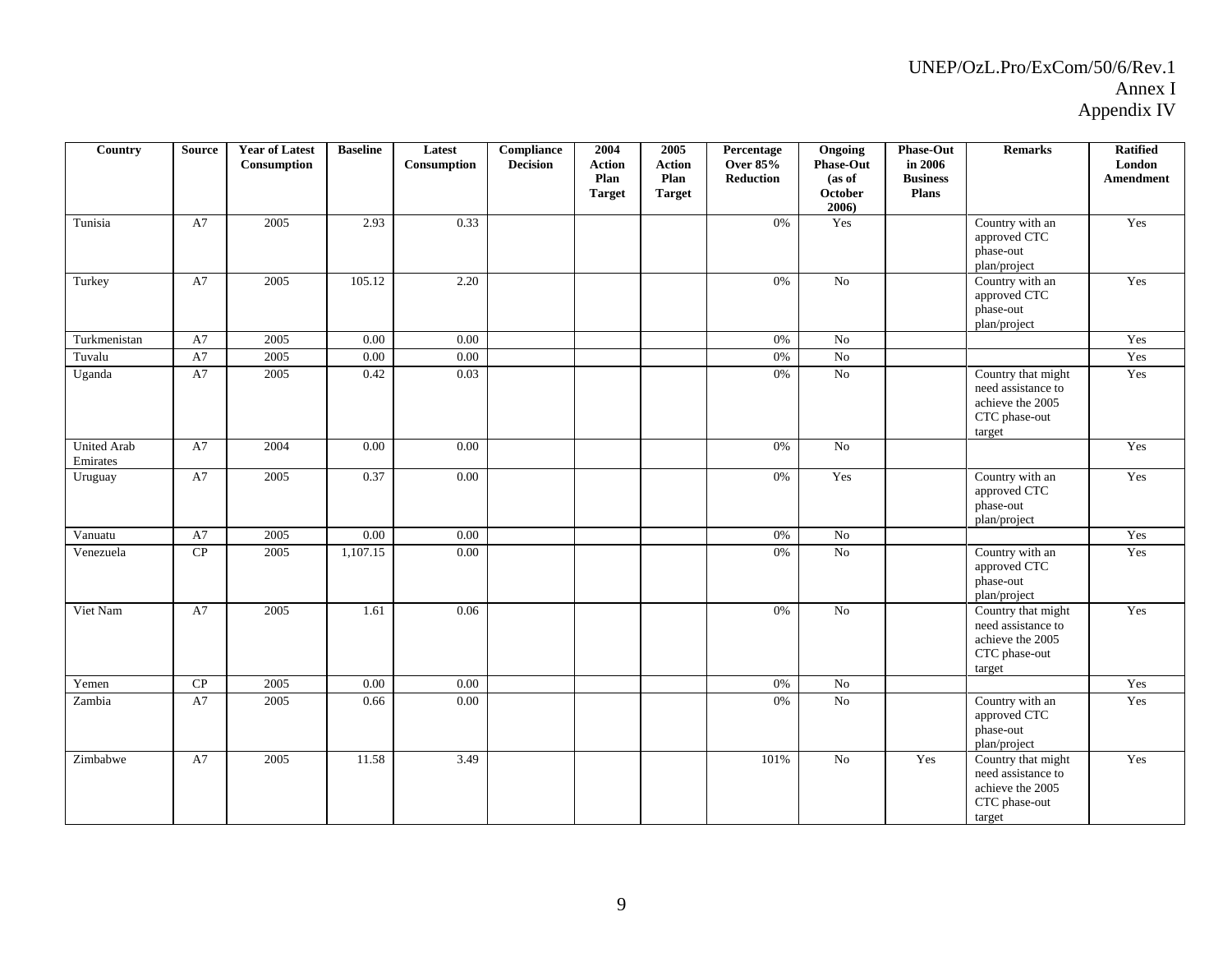| Country                        | <b>Source</b> | <b>Year of Latest</b><br>Consumption | <b>Baseline</b> | Latest<br>Consumption | <b>Compliance</b><br><b>Decision</b> | 2004<br><b>Action</b><br>Plan<br><b>Target</b> | 2005<br><b>Action</b><br>Plan<br><b>Target</b> | Percentage<br><b>Over 85%</b><br>Reduction | Ongoing<br><b>Phase-Out</b><br>(as of<br>October<br>2006) | <b>Phase-Out</b><br>in 2006<br><b>Business</b><br>Plans | <b>Remarks</b>                                                                          | <b>Ratified</b><br>London<br>Amendment |
|--------------------------------|---------------|--------------------------------------|-----------------|-----------------------|--------------------------------------|------------------------------------------------|------------------------------------------------|--------------------------------------------|-----------------------------------------------------------|---------------------------------------------------------|-----------------------------------------------------------------------------------------|----------------------------------------|
| Tunisia                        | A7            | 2005                                 | 2.93            | 0.33                  |                                      |                                                |                                                | 0%                                         | Yes                                                       |                                                         | Country with an<br>approved CTC<br>phase-out<br>plan/project                            | Yes                                    |
| Turkey                         | A7            | 2005                                 | 105.12          | 2.20                  |                                      |                                                |                                                | 0%                                         | $\rm No$                                                  |                                                         | Country with an<br>approved CTC<br>phase-out<br>plan/project                            | Yes                                    |
| Turkmenistan                   | A7            | 2005                                 | 0.00            | 0.00                  |                                      |                                                |                                                | 0%                                         | No                                                        |                                                         |                                                                                         | Yes                                    |
| Tuvalu                         | A7            | 2005                                 | 0.00            | 0.00                  |                                      |                                                |                                                | 0%                                         | No                                                        |                                                         |                                                                                         | Yes                                    |
| Uganda                         | A7            | 2005                                 | 0.42            | 0.03                  |                                      |                                                |                                                | 0%                                         | No                                                        |                                                         | Country that might<br>need assistance to<br>achieve the 2005<br>CTC phase-out<br>target | Yes                                    |
| <b>United Arab</b><br>Emirates | A7            | 2004                                 | 0.00            | 0.00                  |                                      |                                                |                                                | 0%                                         | $\rm No$                                                  |                                                         |                                                                                         | Yes                                    |
| Uruguay                        | A7            | 2005                                 | 0.37            | 0.00                  |                                      |                                                |                                                | 0%                                         | Yes                                                       |                                                         | Country with an<br>approved CTC<br>phase-out<br>plan/project                            | Yes                                    |
| Vanuatu                        | A7            | 2005                                 | 0.00            | 0.00                  |                                      |                                                |                                                | 0%                                         | No                                                        |                                                         |                                                                                         | Yes                                    |
| Venezuela                      | $\cal CP$     | 2005                                 | 1,107.15        | $0.00\,$              |                                      |                                                |                                                | 0%                                         | $\rm No$                                                  |                                                         | Country with an<br>approved CTC<br>phase-out<br>plan/project                            | Yes                                    |
| Viet Nam                       | A7            | 2005                                 | 1.61            | 0.06                  |                                      |                                                |                                                | $0\%$                                      | No                                                        |                                                         | Country that might<br>need assistance to<br>achieve the 2005<br>CTC phase-out<br>target | Yes                                    |
| Yemen                          | $\cal CP$     | 2005                                 | 0.00            | 0.00                  |                                      |                                                |                                                | 0%                                         | No                                                        |                                                         |                                                                                         | Yes                                    |
| Zambia                         | A7            | 2005                                 | 0.66            | $0.00\,$              |                                      |                                                |                                                | 0%                                         | $\rm No$                                                  |                                                         | Country with an<br>approved CTC<br>phase-out<br>plan/project                            | Yes                                    |
| Zimbabwe                       | A7            | 2005                                 | 11.58           | 3.49                  |                                      |                                                |                                                | 101%                                       | No                                                        | Yes                                                     | Country that might<br>need assistance to<br>achieve the 2005<br>CTC phase-out<br>target | Yes                                    |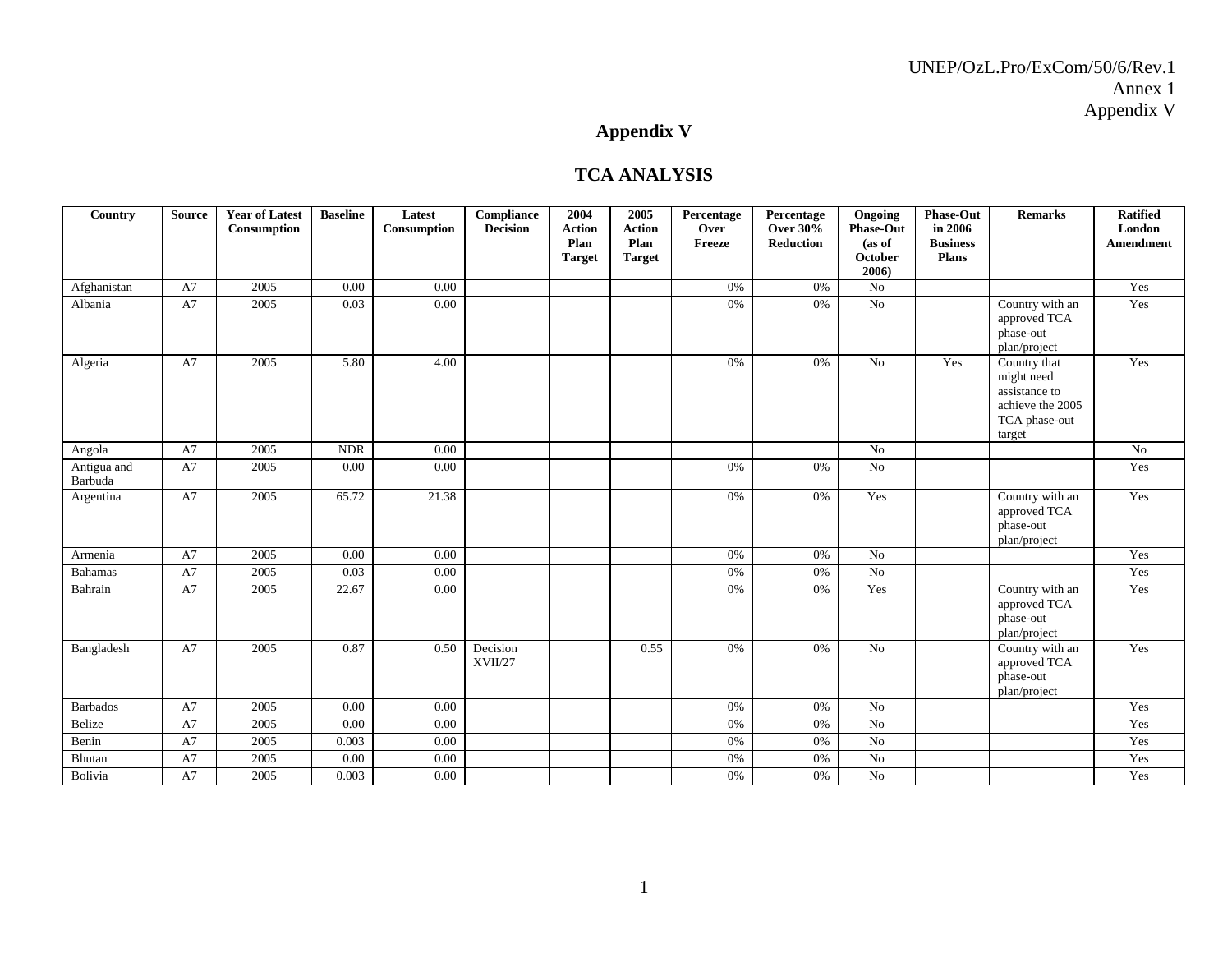# **Appendix V**

#### **TCA ANALYSIS**

| Country                | <b>Source</b> | <b>Year of Latest</b><br>Consumption | <b>Baseline</b> | Latest<br>Consumption | Compliance<br><b>Decision</b> | 2004<br><b>Action</b><br>Plan<br><b>Target</b> | 2005<br><b>Action</b><br>Plan<br><b>Target</b> | Percentage<br>Over<br>Freeze | Percentage<br><b>Over 30%</b><br><b>Reduction</b> | Ongoing<br><b>Phase-Out</b><br>(as of<br><b>October</b><br>2006) | <b>Phase-Out</b><br>in 2006<br><b>Business</b><br>Plans | <b>Remarks</b>                                                                             | <b>Ratified</b><br>London<br>Amendment |
|------------------------|---------------|--------------------------------------|-----------------|-----------------------|-------------------------------|------------------------------------------------|------------------------------------------------|------------------------------|---------------------------------------------------|------------------------------------------------------------------|---------------------------------------------------------|--------------------------------------------------------------------------------------------|----------------------------------------|
| Afghanistan            | A7            | 2005                                 | 0.00            | 0.00                  |                               |                                                |                                                | 0%                           | 0%                                                | No                                                               |                                                         |                                                                                            | Yes                                    |
| Albania                | A7            | 2005                                 | 0.03            | 0.00                  |                               |                                                |                                                | 0%                           | 0%                                                | $\rm No$                                                         |                                                         | Country with an<br>approved TCA<br>phase-out<br>plan/project                               | Yes                                    |
| Algeria                | A7            | 2005                                 | 5.80            | 4.00                  |                               |                                                |                                                | 0%                           | 0%                                                | No                                                               | Yes                                                     | Country that<br>might need<br>assistance to<br>achieve the 2005<br>TCA phase-out<br>target | Yes                                    |
| Angola                 | A7            | 2005                                 | <b>NDR</b>      | 0.00                  |                               |                                                |                                                |                              |                                                   | N <sub>o</sub>                                                   |                                                         |                                                                                            | No                                     |
| Antigua and<br>Barbuda | A7            | 2005                                 | 0.00            | 0.00                  |                               |                                                |                                                | 0%                           | 0%                                                | No                                                               |                                                         |                                                                                            | Yes                                    |
| Argentina              | A7            | 2005                                 | 65.72           | 21.38                 |                               |                                                |                                                | 0%                           | 0%                                                | Yes                                                              |                                                         | Country with an<br>approved TCA<br>phase-out<br>plan/project                               | Yes                                    |
| Armenia                | A7            | 2005                                 | 0.00            | 0.00                  |                               |                                                |                                                | 0%                           | 0%                                                | No                                                               |                                                         |                                                                                            | Yes                                    |
| <b>Bahamas</b>         | A7            | 2005                                 | 0.03            | 0.00                  |                               |                                                |                                                | 0%                           | $0\%$                                             | No                                                               |                                                         |                                                                                            | Yes                                    |
| Bahrain                | A7            | 2005                                 | 22.67           | 0.00                  |                               |                                                |                                                | 0%                           | 0%                                                | Yes                                                              |                                                         | Country with an<br>approved TCA<br>phase-out<br>plan/project                               | Yes                                    |
| Bangladesh             | A7            | 2005                                 | 0.87            | 0.50                  | Decision<br>XVII/27           |                                                | 0.55                                           | 0%                           | 0%                                                | No                                                               |                                                         | Country with an<br>approved TCA<br>phase-out<br>plan/project                               | Yes                                    |
| <b>Barbados</b>        | A7            | 2005                                 | 0.00            | 0.00                  |                               |                                                |                                                | 0%                           | 0%                                                | No                                                               |                                                         |                                                                                            | Yes                                    |
| Belize                 | A7            | 2005                                 | $0.00\,$        | 0.00                  |                               |                                                |                                                | 0%                           | $0\%$                                             | No                                                               |                                                         |                                                                                            | Yes                                    |
| Benin                  | A7            | 2005                                 | 0.003           | 0.00                  |                               |                                                |                                                | 0%                           | 0%                                                | No                                                               |                                                         |                                                                                            | Yes                                    |
| Bhutan                 | A7            | 2005                                 | 0.00            | 0.00                  |                               |                                                |                                                | 0%                           | 0%                                                | $\rm No$                                                         |                                                         |                                                                                            | Yes                                    |
| Bolivia                | A7            | 2005                                 | 0.003           | 0.00                  |                               |                                                |                                                | 0%                           | $0\%$                                             | No                                                               |                                                         |                                                                                            | Yes                                    |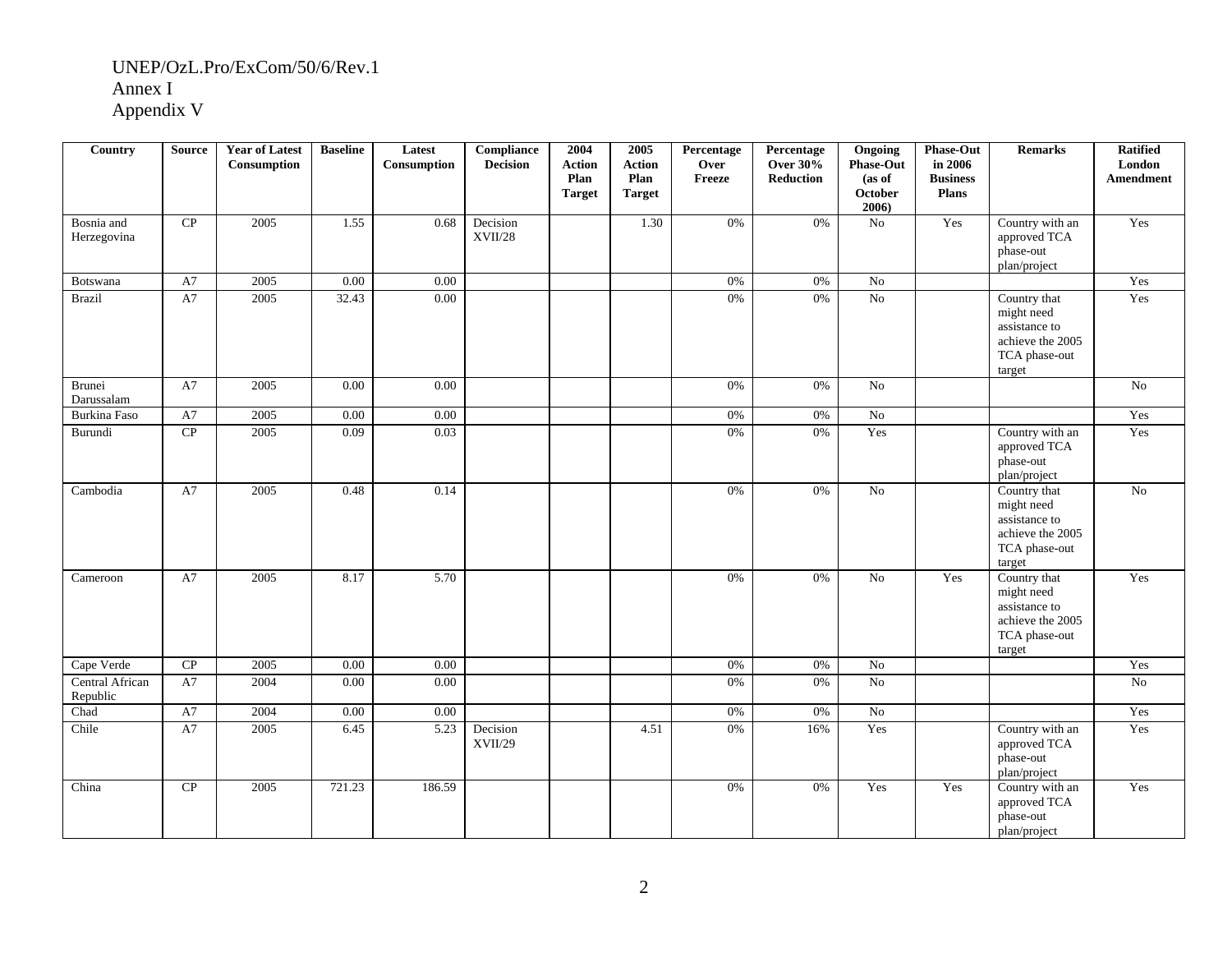| Country                     | <b>Source</b> | <b>Year of Latest</b><br>Consumption | <b>Baseline</b> | Latest<br>Consumption | Compliance<br><b>Decision</b> | 2004<br><b>Action</b><br>Plan<br><b>Target</b> | 2005<br><b>Action</b><br>Plan<br><b>Target</b> | Percentage<br>Over<br>Freeze | Percentage<br><b>Over 30%</b><br><b>Reduction</b> | Ongoing<br><b>Phase-Out</b><br>(as of<br><b>October</b><br>2006) | <b>Phase-Out</b><br>in 2006<br><b>Business</b><br><b>Plans</b> | <b>Remarks</b>                                                                             | <b>Ratified</b><br>London<br>Amendment |
|-----------------------------|---------------|--------------------------------------|-----------------|-----------------------|-------------------------------|------------------------------------------------|------------------------------------------------|------------------------------|---------------------------------------------------|------------------------------------------------------------------|----------------------------------------------------------------|--------------------------------------------------------------------------------------------|----------------------------------------|
| Bosnia and<br>Herzegovina   | CP            | 2005                                 | 1.55            | 0.68                  | Decision<br>$\rm XVII/28$     |                                                | 1.30                                           | 0%                           | 0%                                                | $\rm No$                                                         | Yes                                                            | Country with an<br>approved TCA<br>phase-out<br>plan/project                               | Yes                                    |
| Botswana                    | A7            | 2005                                 | 0.00            | $0.00\,$              |                               |                                                |                                                | 0%                           | 0%                                                | No                                                               |                                                                |                                                                                            | Yes                                    |
| <b>Brazil</b>               | A7            | 2005                                 | 32.43           | 0.00                  |                               |                                                |                                                | 0%                           | 0%                                                | No                                                               |                                                                | Country that<br>might need<br>assistance to<br>achieve the 2005<br>TCA phase-out<br>target | Yes                                    |
| Brunei<br>Darussalam        | A7            | 2005                                 | 0.00            | $0.00\,$              |                               |                                                |                                                | 0%                           | 0%                                                | No                                                               |                                                                |                                                                                            | No                                     |
| Burkina Faso                | A7            | 2005                                 | 0.00            | 0.00                  |                               |                                                |                                                | 0%                           | 0%                                                | $\rm No$                                                         |                                                                |                                                                                            | Yes                                    |
| Burundi                     | CP            | 2005                                 | 0.09            | 0.03                  |                               |                                                |                                                | 0%                           | 0%                                                | Yes                                                              |                                                                | Country with an<br>approved TCA<br>phase-out<br>plan/project                               | Yes                                    |
| Cambodia                    | A7            | 2005                                 | 0.48            | 0.14                  |                               |                                                |                                                | 0%                           | 0%                                                | No                                                               |                                                                | Country that<br>might need<br>assistance to<br>achieve the 2005<br>TCA phase-out<br>target | $\overline{No}$                        |
| Cameroon                    | A7            | 2005                                 | 8.17            | 5.70                  |                               |                                                |                                                | 0%                           | 0%                                                | No                                                               | Yes                                                            | Country that<br>might need<br>assistance to<br>achieve the 2005<br>TCA phase-out<br>target | Yes                                    |
| Cape Verde                  | CP            | 2005                                 | 0.00            | 0.00                  |                               |                                                |                                                | $0\%$                        | 0%                                                | No                                                               |                                                                |                                                                                            | Yes                                    |
| Central African<br>Republic | A7            | 2004                                 | $0.00\,$        | $0.00\,$              |                               |                                                |                                                | 0%                           | $0\%$                                             | $\overline{No}$                                                  |                                                                |                                                                                            | No                                     |
| Chad                        | A7            | 2004                                 | 0.00            | $0.00\,$              |                               |                                                |                                                | $0\%$                        | $0\%$                                             | $\rm No$                                                         |                                                                |                                                                                            | Yes                                    |
| Chile                       | A7            | 2005                                 | 6.45            | 5.23                  | Decision<br>XVII/29           |                                                | 4.51                                           | 0%                           | 16%                                               | Yes                                                              |                                                                | Country with an<br>approved TCA<br>phase-out<br>plan/project                               | Yes                                    |
| China                       | CP            | 2005                                 | 721.23          | 186.59                |                               |                                                |                                                | 0%                           | $0\%$                                             | Yes                                                              | Yes                                                            | Country with an<br>approved TCA<br>phase-out<br>plan/project                               | Yes                                    |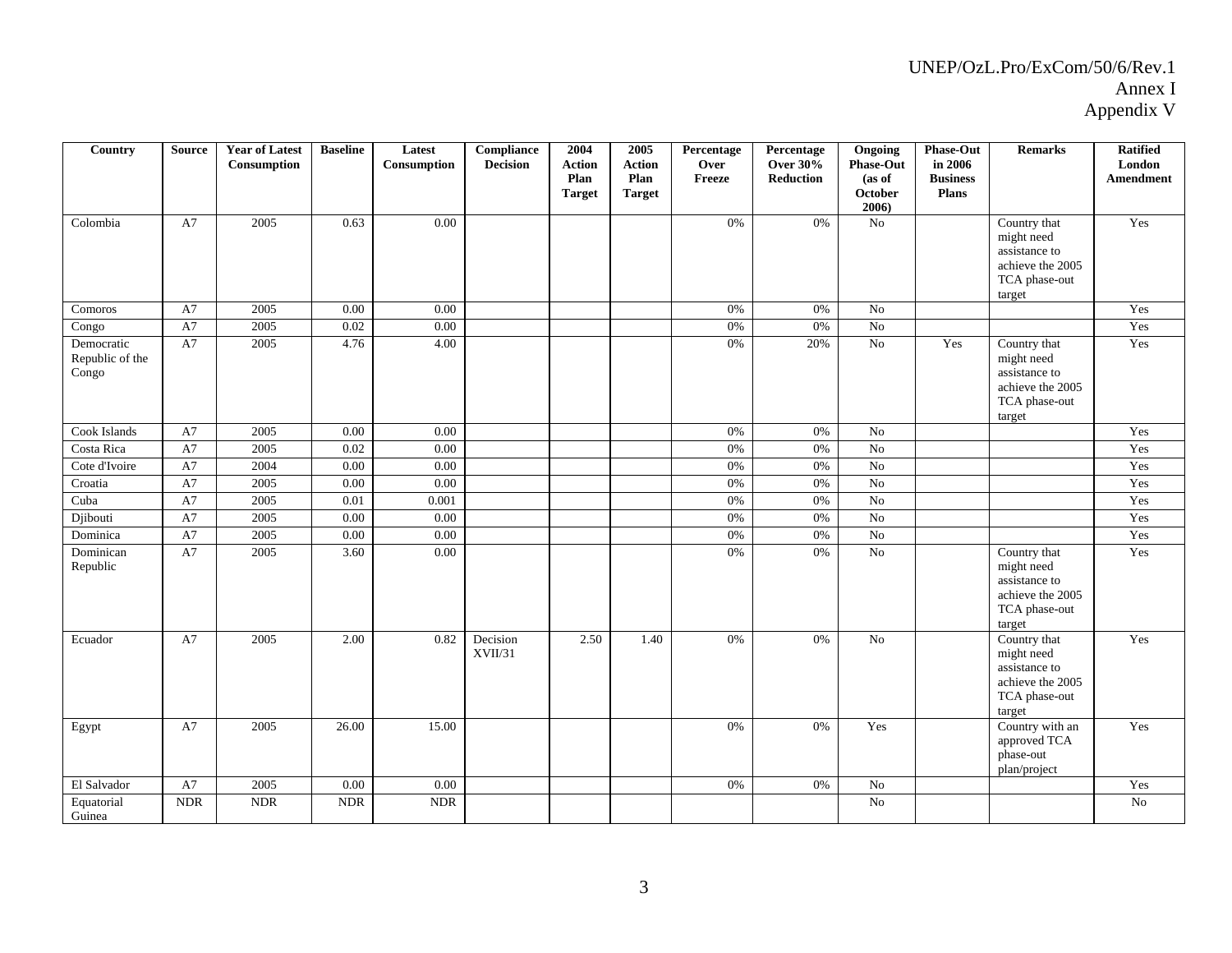| Country                                | <b>Source</b> | <b>Year of Latest</b><br>Consumption | <b>Baseline</b> | Latest<br>Consumption | <b>Compliance</b><br><b>Decision</b> | 2004<br><b>Action</b><br>Plan<br><b>Target</b> | 2005<br><b>Action</b><br>Plan<br><b>Target</b> | Percentage<br>Over<br>Freeze | Percentage<br><b>Over 30%</b><br><b>Reduction</b> | Ongoing<br><b>Phase-Out</b><br>(as of<br><b>October</b><br>2006) | <b>Phase-Out</b><br>in 2006<br><b>Business</b><br><b>Plans</b> | <b>Remarks</b>                                                                             | <b>Ratified</b><br>London<br>Amendment |
|----------------------------------------|---------------|--------------------------------------|-----------------|-----------------------|--------------------------------------|------------------------------------------------|------------------------------------------------|------------------------------|---------------------------------------------------|------------------------------------------------------------------|----------------------------------------------------------------|--------------------------------------------------------------------------------------------|----------------------------------------|
| Colombia                               | A7            | 2005                                 | 0.63            | 0.00                  |                                      |                                                |                                                | 0%                           | 0%                                                | No                                                               |                                                                | Country that<br>might need<br>assistance to<br>achieve the 2005<br>TCA phase-out<br>target | Yes                                    |
| Comoros                                | A7            | 2005                                 | 0.00            | 0.00                  |                                      |                                                |                                                | $0\%$                        | 0%                                                | No                                                               |                                                                |                                                                                            | Yes                                    |
| Congo                                  | A7            | 2005                                 | 0.02            | 0.00                  |                                      |                                                |                                                | 0%                           | 0%                                                | No                                                               |                                                                |                                                                                            | Yes                                    |
| Democratic<br>Republic of the<br>Congo | A7            | 2005                                 | 4.76            | 4.00                  |                                      |                                                |                                                | $0\%$                        | 20%                                               | No                                                               | Yes                                                            | Country that<br>might need<br>assistance to<br>achieve the 2005<br>TCA phase-out<br>target | Yes                                    |
| Cook Islands                           | A7            | 2005                                 | 0.00            | 0.00                  |                                      |                                                |                                                | 0%                           | $0\%$                                             | No                                                               |                                                                |                                                                                            | Yes                                    |
| Costa Rica                             | A7            | 2005                                 | 0.02            | $0.00\,$              |                                      |                                                |                                                | $0\%$                        | 0%                                                | No                                                               |                                                                |                                                                                            | Yes                                    |
| Cote d'Ivoire                          | A7            | 2004                                 | 0.00            | 0.00                  |                                      |                                                |                                                | 0%                           | 0%                                                | N <sub>o</sub>                                                   |                                                                |                                                                                            | Yes                                    |
| Croatia                                | A7            | 2005                                 | 0.00            | 0.00                  |                                      |                                                |                                                | 0%                           | 0%                                                | N <sub>o</sub>                                                   |                                                                |                                                                                            | Yes                                    |
| Cuba                                   | A7            | 2005                                 | 0.01            | 0.001                 |                                      |                                                |                                                | $0\%$                        | 0%                                                | No                                                               |                                                                |                                                                                            | Yes                                    |
| Djibouti                               | A7            | 2005                                 | 0.00            | 0.00                  |                                      |                                                |                                                | 0%                           | 0%                                                | $\overline{N_0}$                                                 |                                                                |                                                                                            | Yes                                    |
| Dominica                               | A7            | 2005                                 | 0.00            | 0.00                  |                                      |                                                |                                                | 0%                           | 0%                                                | N <sub>o</sub>                                                   |                                                                |                                                                                            | Yes                                    |
| Dominican<br>Republic                  | A7            | 2005                                 | 3.60            | 0.00                  |                                      |                                                |                                                | 0%                           | 0%                                                | $\overline{No}$                                                  |                                                                | Country that<br>might need<br>assistance to<br>achieve the 2005<br>TCA phase-out<br>target | Yes                                    |
| Ecuador                                | A7            | 2005                                 | 2.00            | 0.82                  | Decision<br>XVII/31                  | 2.50                                           | 1.40                                           | 0%                           | 0%                                                | No                                                               |                                                                | Country that<br>might need<br>assistance to<br>achieve the 2005<br>TCA phase-out<br>target | Yes                                    |
| Egypt                                  | A7            | 2005                                 | 26.00           | 15.00                 |                                      |                                                |                                                | 0%                           | 0%                                                | Yes                                                              |                                                                | Country with an<br>approved TCA<br>phase-out<br>plan/project                               | Yes                                    |
| El Salvador                            | A7            | 2005                                 | 0.00            | 0.00                  |                                      |                                                |                                                | $0\%$                        | 0%                                                | $\rm No$                                                         |                                                                |                                                                                            | Yes                                    |
| Equatorial<br>Guinea                   | <b>NDR</b>    | <b>NDR</b>                           | <b>NDR</b>      | <b>NDR</b>            |                                      |                                                |                                                |                              |                                                   | N <sub>o</sub>                                                   |                                                                |                                                                                            | N <sub>o</sub>                         |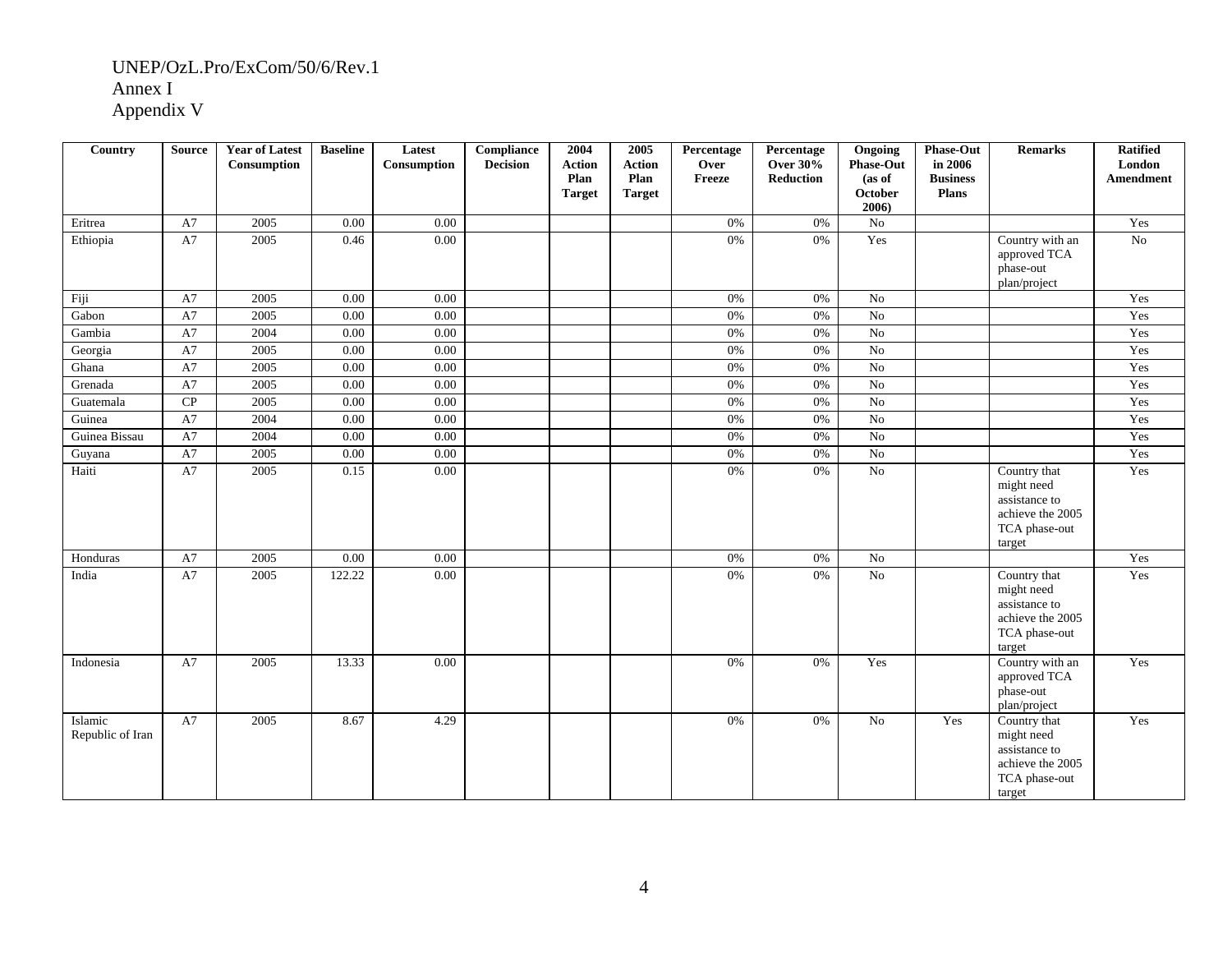| Country                     | <b>Source</b> | <b>Year of Latest</b><br>Consumption | <b>Baseline</b> | Latest<br>Consumption | <b>Compliance</b><br><b>Decision</b> | 2004<br><b>Action</b><br>Plan<br><b>Target</b> | 2005<br><b>Action</b><br>Plan<br><b>Target</b> | Percentage<br>Over<br>Freeze | Percentage<br><b>Over 30%</b><br><b>Reduction</b> | Ongoing<br><b>Phase-Out</b><br>(as of<br>October<br>2006 | <b>Phase-Out</b><br>in 2006<br><b>Business</b><br><b>Plans</b> | <b>Remarks</b>                                                                             | <b>Ratified</b><br>London<br>Amendment |
|-----------------------------|---------------|--------------------------------------|-----------------|-----------------------|--------------------------------------|------------------------------------------------|------------------------------------------------|------------------------------|---------------------------------------------------|----------------------------------------------------------|----------------------------------------------------------------|--------------------------------------------------------------------------------------------|----------------------------------------|
| Eritrea                     | A7            | 2005                                 | 0.00            | 0.00                  |                                      |                                                |                                                | 0%                           | $0\%$                                             | N <sub>o</sub>                                           |                                                                |                                                                                            | Yes                                    |
| Ethiopia                    | A7            | 2005                                 | 0.46            | 0.00                  |                                      |                                                |                                                | 0%                           | 0%                                                | Yes                                                      |                                                                | Country with an<br>approved TCA<br>phase-out<br>plan/project                               | $\overline{No}$                        |
| Fiji                        | A7            | 2005                                 | 0.00            | 0.00                  |                                      |                                                |                                                | 0%                           | 0%                                                | No                                                       |                                                                |                                                                                            | Yes                                    |
| Gabon                       | A7            | 2005                                 | 0.00            | 0.00                  |                                      |                                                |                                                | $0\%$                        | $0\%$                                             | N <sub>o</sub>                                           |                                                                |                                                                                            | Yes                                    |
| Gambia                      | A7            | 2004                                 | 0.00            | 0.00                  |                                      |                                                |                                                | 0%                           | $0\%$                                             | $\rm No$                                                 |                                                                |                                                                                            | Yes                                    |
| Georgia                     | A7            | 2005                                 | 0.00            | 0.00                  |                                      |                                                |                                                | 0%                           | 0%                                                | $\overline{No}$                                          |                                                                |                                                                                            | Yes                                    |
| Ghana                       | A7            | 2005                                 | 0.00            | 0.00                  |                                      |                                                |                                                | 0%                           | 0%                                                | No                                                       |                                                                |                                                                                            | Yes                                    |
| Grenada                     | A7            | 2005                                 | 0.00            | 0.00                  |                                      |                                                |                                                | 0%                           | 0%                                                | N <sub>0</sub>                                           |                                                                |                                                                                            | Yes                                    |
| Guatemala                   | CP            | 2005                                 | 0.00            | 0.00                  |                                      |                                                |                                                | 0%                           | 0%                                                | $\overline{N_0}$                                         |                                                                |                                                                                            | Yes                                    |
| Guinea                      | A7            | 2004                                 | 0.00            | 0.00                  |                                      |                                                |                                                | 0%                           | 0%                                                | No                                                       |                                                                |                                                                                            | Yes                                    |
| Guinea Bissau               | A7            | 2004                                 | 0.00            | 0.00                  |                                      |                                                |                                                | 0%                           | 0%                                                | N <sub>o</sub>                                           |                                                                |                                                                                            | Yes                                    |
| Guyana                      | A7            | 2005                                 | 0.00            | $0.00\,$              |                                      |                                                |                                                | 0%                           | 0%                                                | N <sub>o</sub>                                           |                                                                |                                                                                            | Yes                                    |
| Haiti                       | A7            | 2005                                 | 0.15            | 0.00                  |                                      |                                                |                                                | 0%                           | 0%                                                | N <sub>0</sub>                                           |                                                                | Country that<br>might need<br>assistance to<br>achieve the 2005<br>TCA phase-out<br>target | Yes                                    |
| Honduras                    | A7            | 2005                                 | 0.00            | 0.00                  |                                      |                                                |                                                | 0%                           | $0\%$                                             | N <sub>o</sub>                                           |                                                                |                                                                                            | Yes                                    |
| India                       | A7            | 2005                                 | 122.22          | 0.00                  |                                      |                                                |                                                | 0%                           | 0%                                                | $\overline{No}$                                          |                                                                | Country that<br>might need<br>assistance to<br>achieve the 2005<br>TCA phase-out<br>target | Yes                                    |
| Indonesia                   | A7            | 2005                                 | 13.33           | 0.00                  |                                      |                                                |                                                | 0%                           | 0%                                                | Yes                                                      |                                                                | Country with an<br>approved TCA<br>phase-out<br>plan/project                               | Yes                                    |
| Islamic<br>Republic of Iran | A7            | 2005                                 | 8.67            | 4.29                  |                                      |                                                |                                                | 0%                           | 0%                                                | N <sub>o</sub>                                           | Yes                                                            | Country that<br>might need<br>assistance to<br>achieve the 2005<br>TCA phase-out<br>target | Yes                                    |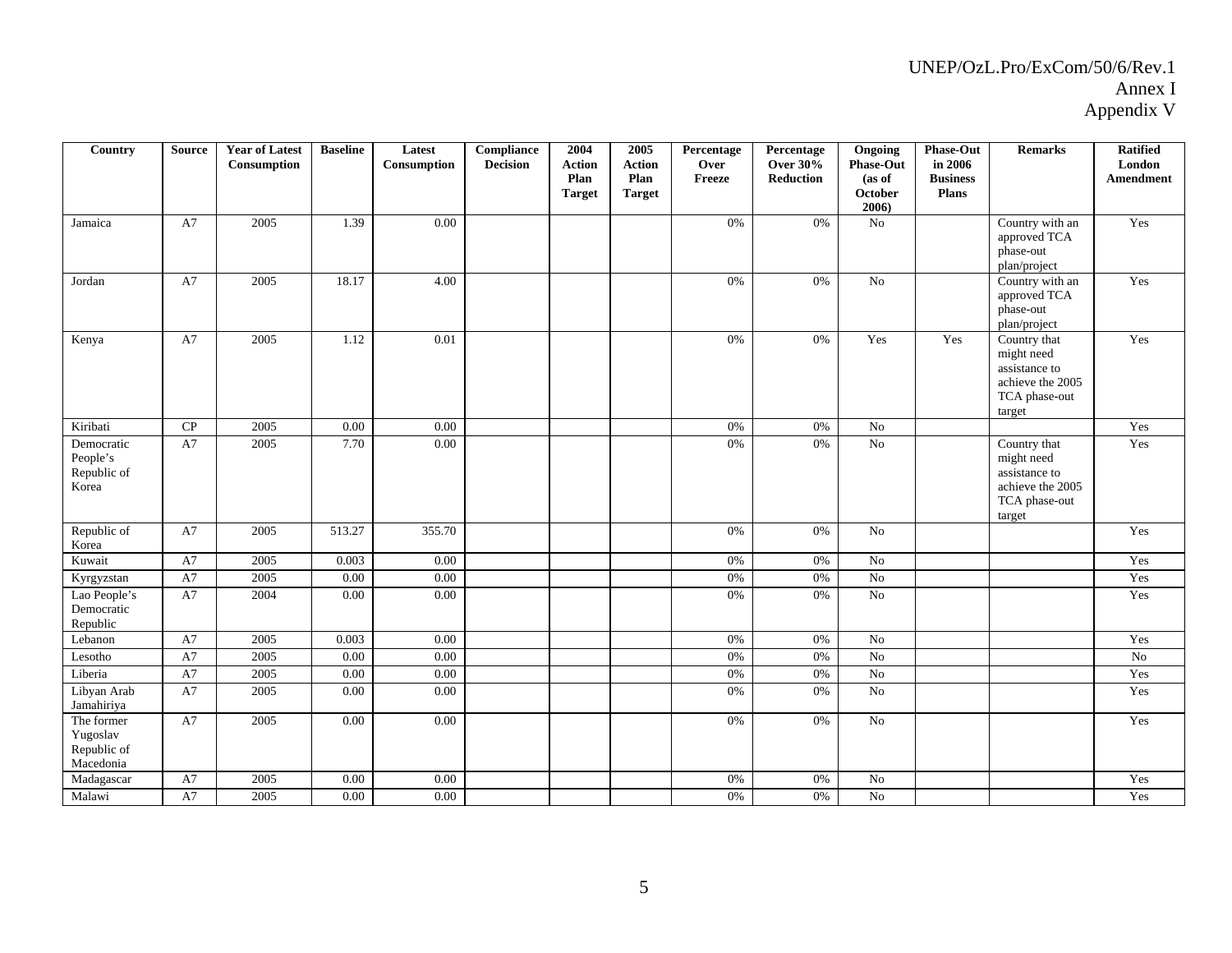| Country                                            | <b>Source</b> | <b>Year of Latest</b><br>Consumption | <b>Baseline</b> | Latest<br>Consumption | Compliance<br><b>Decision</b> | 2004<br><b>Action</b><br>Plan<br><b>Target</b> | 2005<br><b>Action</b><br>Plan<br><b>Target</b> | Percentage<br>Over<br>Freeze | Percentage<br><b>Over 30%</b><br><b>Reduction</b> | Ongoing<br><b>Phase-Out</b><br>(as of<br>October<br>2006 | <b>Phase-Out</b><br>in 2006<br><b>Business</b><br>Plans | <b>Remarks</b>                                                                             | <b>Ratified</b><br>London<br>Amendment |
|----------------------------------------------------|---------------|--------------------------------------|-----------------|-----------------------|-------------------------------|------------------------------------------------|------------------------------------------------|------------------------------|---------------------------------------------------|----------------------------------------------------------|---------------------------------------------------------|--------------------------------------------------------------------------------------------|----------------------------------------|
| Jamaica                                            | A7            | 2005                                 | 1.39            | 0.00                  |                               |                                                |                                                | 0%                           | 0%                                                | No                                                       |                                                         | Country with an<br>approved TCA<br>phase-out<br>plan/project                               | Yes                                    |
| Jordan                                             | A7            | 2005                                 | 18.17           | 4.00                  |                               |                                                |                                                | 0%                           | 0%                                                | N <sub>o</sub>                                           |                                                         | Country with an<br>approved TCA<br>phase-out<br>plan/project                               | Yes                                    |
| Kenya                                              | A7            | 2005                                 | 1.12            | 0.01                  |                               |                                                |                                                | 0%                           | 0%                                                | Yes                                                      | Yes                                                     | Country that<br>might need<br>assistance to<br>achieve the 2005<br>TCA phase-out<br>target | Yes                                    |
| Kiribati                                           | CP            | 2005                                 | 0.00            | 0.00                  |                               |                                                |                                                | 0%                           | 0%                                                | No                                                       |                                                         |                                                                                            | Yes                                    |
| Democratic<br>People's<br>Republic of<br>Korea     | A7            | 2005                                 | 7.70            | $0.00\,$              |                               |                                                |                                                | 0%                           | 0%                                                | N <sub>o</sub>                                           |                                                         | Country that<br>might need<br>assistance to<br>achieve the 2005<br>TCA phase-out<br>target | Yes                                    |
| Republic of<br>Korea                               | A7            | 2005                                 | 513.27          | 355.70                |                               |                                                |                                                | 0%                           | 0%                                                | N <sub>o</sub>                                           |                                                         |                                                                                            | Yes                                    |
| Kuwait                                             | A7            | 2005                                 | 0.003           | 0.00                  |                               |                                                |                                                | 0%                           | 0%                                                | No                                                       |                                                         |                                                                                            | Yes                                    |
| Kyrgyzstan                                         | A7            | 2005                                 | 0.00            | $\overline{0.00}$     |                               |                                                |                                                | 0%                           | 0%                                                | $\overline{No}$                                          |                                                         |                                                                                            | Yes                                    |
| Lao People's<br>Democratic<br>Republic             | A7            | 2004                                 | 0.00            | 0.00                  |                               |                                                |                                                | 0%                           | 0%                                                | $\rm No$                                                 |                                                         |                                                                                            | Yes                                    |
| Lebanon                                            | A7            | 2005                                 | 0.003           | 0.00                  |                               |                                                |                                                | 0%                           | 0%                                                | No                                                       |                                                         |                                                                                            | Yes                                    |
| Lesotho                                            | A7            | 2005                                 | $0.00\,$        | 0.00                  |                               |                                                |                                                | 0%                           | 0%                                                | ${\rm No}$                                               |                                                         |                                                                                            | No                                     |
| Liberia                                            | A7            | 2005                                 | 0.00            | $0.00\,$              |                               |                                                |                                                | 0%                           | 0%                                                | No                                                       |                                                         |                                                                                            | Yes                                    |
| Libyan Arab<br>Jamahiriya                          | A7            | 2005                                 | 0.00            | 0.00                  |                               |                                                |                                                | 0%                           | 0%                                                | No                                                       |                                                         |                                                                                            | Yes                                    |
| The former<br>Yugoslav<br>Republic of<br>Macedonia | A7            | 2005                                 | 0.00            | 0.00                  |                               |                                                |                                                | 0%                           | 0%                                                | No                                                       |                                                         |                                                                                            | Yes                                    |
| Madagascar                                         | A7            | 2005                                 | 0.00            | 0.00                  |                               |                                                |                                                | 0%                           | 0%                                                | N <sub>o</sub>                                           |                                                         |                                                                                            | Yes                                    |
| Malawi                                             | A7            | 2005                                 | 0.00            | 0.00                  |                               |                                                |                                                | 0%                           | 0%                                                | N <sub>o</sub>                                           |                                                         |                                                                                            | Yes                                    |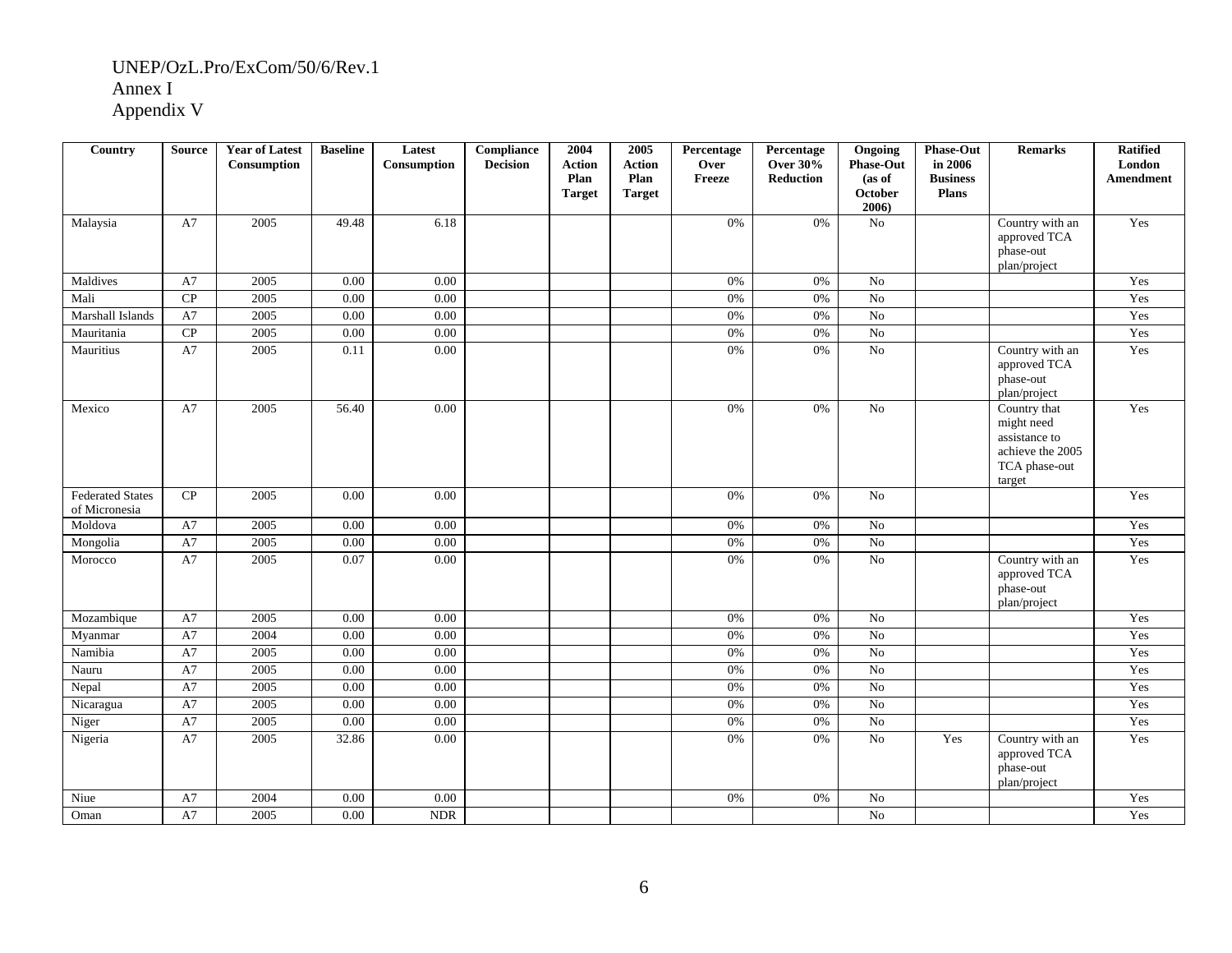| Country                                  | <b>Source</b> | <b>Year of Latest</b><br>Consumption | <b>Baseline</b> | Latest<br>Consumption | Compliance<br><b>Decision</b> | 2004<br><b>Action</b><br>Plan<br><b>Target</b> | 2005<br><b>Action</b><br>Plan<br><b>Target</b> | Percentage<br>Over<br>Freeze | Percentage<br><b>Over 30%</b><br><b>Reduction</b> | Ongoing<br><b>Phase-Out</b><br>(as of<br>October | <b>Phase-Out</b><br>in 2006<br><b>Business</b><br><b>Plans</b> | <b>Remarks</b>                                                                             | <b>Ratified</b><br>London<br>Amendment |
|------------------------------------------|---------------|--------------------------------------|-----------------|-----------------------|-------------------------------|------------------------------------------------|------------------------------------------------|------------------------------|---------------------------------------------------|--------------------------------------------------|----------------------------------------------------------------|--------------------------------------------------------------------------------------------|----------------------------------------|
|                                          |               |                                      |                 |                       |                               |                                                |                                                |                              |                                                   | 2006                                             |                                                                |                                                                                            |                                        |
| Malaysia                                 | A7            | 2005                                 | 49.48           | 6.18                  |                               |                                                |                                                | 0%                           | 0%                                                | No                                               |                                                                | Country with an<br>approved TCA<br>phase-out<br>plan/project                               | Yes                                    |
| Maldives                                 | A7            | 2005                                 | 0.00            | 0.00                  |                               |                                                |                                                | 0%                           | 0%                                                | N <sub>o</sub>                                   |                                                                |                                                                                            | Yes                                    |
| Mali                                     | CP            | 2005                                 | 0.00            | 0.00                  |                               |                                                |                                                | 0%                           | 0%                                                | $\overline{N_0}$                                 |                                                                |                                                                                            | Yes                                    |
| Marshall Islands                         | A7            | 2005                                 | 0.00            | 0.00                  |                               |                                                |                                                | 0%                           | 0%                                                | No                                               |                                                                |                                                                                            | Yes                                    |
| Mauritania                               | CP            | 2005                                 | 0.00            | 0.00                  |                               |                                                |                                                | 0%                           | 0%                                                | $\rm No$                                         |                                                                |                                                                                            | Yes                                    |
| Mauritius                                | A7            | 2005                                 | 0.11            | 0.00                  |                               |                                                |                                                | 0%                           | 0%                                                | $\overline{No}$                                  |                                                                | Country with an<br>approved TCA<br>phase-out<br>plan/project                               | Yes                                    |
| Mexico                                   | A7            | 2005                                 | 56.40           | 0.00                  |                               |                                                |                                                | 0%                           | 0%                                                | No                                               |                                                                | Country that<br>might need<br>assistance to<br>achieve the 2005<br>TCA phase-out<br>target | Yes                                    |
| <b>Federated States</b><br>of Micronesia | CP            | 2005                                 | 0.00            | 0.00                  |                               |                                                |                                                | 0%                           | 0%                                                | $\overline{N_0}$                                 |                                                                |                                                                                            | Yes                                    |
| Moldova                                  | A7            | 2005                                 | 0.00            | 0.00                  |                               |                                                |                                                | 0%                           | 0%                                                | N <sub>o</sub>                                   |                                                                |                                                                                            | Yes                                    |
| Mongolia                                 | A7            | 2005                                 | 0.00            | $\overline{0.00}$     |                               |                                                |                                                | $0\%$                        | 0%                                                | No                                               |                                                                |                                                                                            | Yes                                    |
| Morocco                                  | A7            | 2005                                 | 0.07            | $0.00\,$              |                               |                                                |                                                | 0%                           | 0%                                                | No                                               |                                                                | Country with an<br>approved TCA<br>phase-out<br>plan/project                               | Yes                                    |
| Mozambique                               | A7            | 2005                                 | 0.00            | 0.00                  |                               |                                                |                                                | 0%                           | 0%                                                | No                                               |                                                                |                                                                                            | Yes                                    |
| Myanmar                                  | A7            | 2004                                 | 0.00            | $\overline{0.00}$     |                               |                                                |                                                | 0%                           | $0\%$                                             | N <sub>o</sub>                                   |                                                                |                                                                                            | Yes                                    |
| Namibia                                  | A7            | 2005                                 | 0.00            | $\overline{0.00}$     |                               |                                                |                                                | 0%                           | 0%                                                | $\overline{No}$                                  |                                                                |                                                                                            | Yes                                    |
| Nauru                                    | A7            | 2005                                 | 0.00            | 0.00                  |                               |                                                |                                                | 0%                           | 0%                                                | N <sub>o</sub>                                   |                                                                |                                                                                            | Yes                                    |
| Nepal                                    | A7            | 2005                                 | 0.00            | 0.00                  |                               |                                                |                                                | 0%                           | 0%                                                | No                                               |                                                                |                                                                                            | Yes                                    |
| Nicaragua                                | A7            | 2005                                 | 0.00            | 0.00                  |                               |                                                |                                                | 0%                           | 0%                                                | No                                               |                                                                |                                                                                            | Yes                                    |
| Niger                                    | A7            | 2005                                 | 0.00            | 0.00                  |                               |                                                |                                                | $0\%$                        | 0%                                                | $\overline{No}$                                  |                                                                |                                                                                            | Yes                                    |
| Nigeria                                  | A7            | 2005                                 | 32.86           | 0.00                  |                               |                                                |                                                | 0%                           | 0%                                                | No                                               | Yes                                                            | Country with an<br>approved TCA<br>phase-out<br>plan/project                               | Yes                                    |
| Niue                                     | A7            | 2004                                 | 0.00            | 0.00                  |                               |                                                |                                                | 0%                           | 0%                                                | No                                               |                                                                |                                                                                            | Yes                                    |
| Oman                                     | A7            | 2005                                 | 0.00            | <b>NDR</b>            |                               |                                                |                                                |                              |                                                   | No                                               |                                                                |                                                                                            | Yes                                    |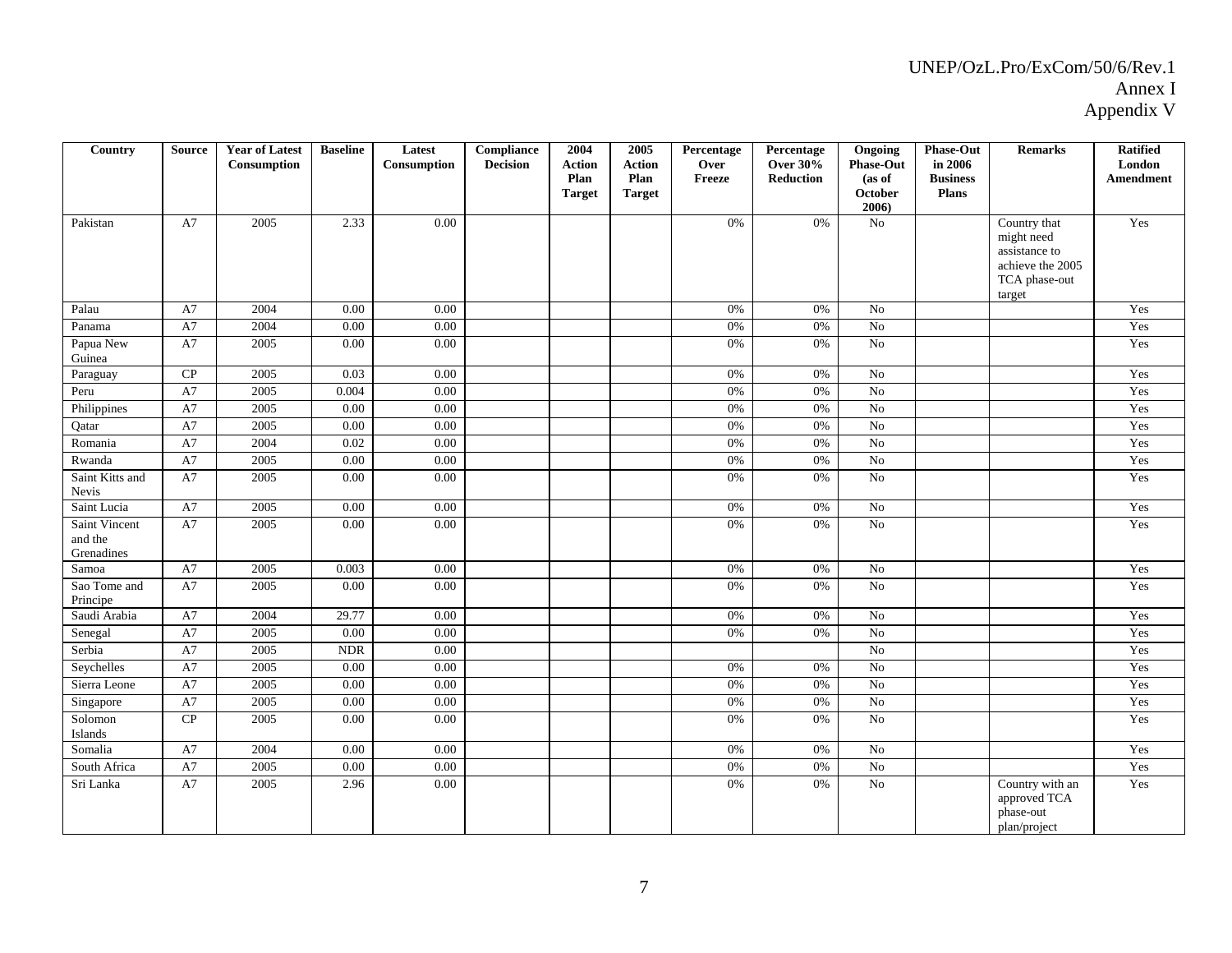| Country                                | <b>Source</b> | <b>Year of Latest</b><br>Consumption | <b>Baseline</b>             | Latest<br>Consumption | Compliance<br><b>Decision</b> | 2004<br><b>Action</b><br>Plan<br><b>Target</b> | 2005<br><b>Action</b><br>Plan<br><b>Target</b> | Percentage<br>Over<br>Freeze | Percentage<br><b>Over 30%</b><br><b>Reduction</b> | Ongoing<br><b>Phase-Out</b><br>(as of<br>October<br>2006 | <b>Phase-Out</b><br>in 2006<br><b>Business</b><br>Plans | <b>Remarks</b>                                                                             | <b>Ratified</b><br>London<br><b>Amendment</b> |
|----------------------------------------|---------------|--------------------------------------|-----------------------------|-----------------------|-------------------------------|------------------------------------------------|------------------------------------------------|------------------------------|---------------------------------------------------|----------------------------------------------------------|---------------------------------------------------------|--------------------------------------------------------------------------------------------|-----------------------------------------------|
| Pakistan                               | A7            | 2005                                 | 2.33                        | 0.00                  |                               |                                                |                                                | 0%                           | 0%                                                | No                                                       |                                                         | Country that<br>might need<br>assistance to<br>achieve the 2005<br>TCA phase-out<br>target | Yes                                           |
| Palau                                  | A7            | 2004                                 | 0.00                        | 0.00                  |                               |                                                |                                                | 0%                           | 0%                                                | N <sub>o</sub>                                           |                                                         |                                                                                            | Yes                                           |
| Panama                                 | A7            | 2004                                 | 0.00                        | 0.00                  |                               |                                                |                                                | $0\%$                        | $0\%$                                             | $\overline{No}$                                          |                                                         |                                                                                            | Yes                                           |
| Papua New<br>Guinea                    | A7            | 2005                                 | 0.00                        | 0.00                  |                               |                                                |                                                | 0%                           | 0%                                                | No                                                       |                                                         |                                                                                            | Yes                                           |
| Paraguay                               | CP            | 2005                                 | 0.03                        | 0.00                  |                               |                                                |                                                | 0%                           | 0%                                                | N <sub>o</sub>                                           |                                                         |                                                                                            | Yes                                           |
| Peru                                   | A7            | 2005                                 | 0.004                       | 0.00                  |                               |                                                |                                                | 0%                           | 0%                                                | No                                                       |                                                         |                                                                                            | Yes                                           |
| Philippines                            | A7            | 2005                                 | 0.00                        | 0.00                  |                               |                                                |                                                | 0%                           | $0\%$                                             | N <sub>o</sub>                                           |                                                         |                                                                                            | Yes                                           |
| Qatar                                  | A7            | 2005                                 | 0.00                        | 0.00                  |                               |                                                |                                                | 0%                           | 0%                                                | $\rm No$                                                 |                                                         |                                                                                            | Yes                                           |
| Romania                                | A7            | 2004                                 | 0.02                        | 0.00                  |                               |                                                |                                                | 0%                           | 0%                                                | N <sub>0</sub>                                           |                                                         |                                                                                            | Yes                                           |
| Rwanda                                 | A7            | 2005                                 | 0.00                        | 0.00                  |                               |                                                |                                                | 0%                           | 0%                                                | $\overline{No}$                                          |                                                         |                                                                                            | Yes                                           |
| Saint Kitts and<br>Nevis               | A7            | 2005                                 | 0.00                        | 0.00                  |                               |                                                |                                                | 0%                           | 0%                                                | No                                                       |                                                         |                                                                                            | Yes                                           |
| Saint Lucia                            | A7            | 2005                                 | 0.00                        | 0.00                  |                               |                                                |                                                | 0%                           | 0%                                                | N <sub>o</sub>                                           |                                                         |                                                                                            | Yes                                           |
| Saint Vincent<br>and the<br>Grenadines | A7            | 2005                                 | 0.00                        | 0.00                  |                               |                                                |                                                | 0%                           | $0\%$                                             | No                                                       |                                                         |                                                                                            | Yes                                           |
| Samoa                                  | A7            | 2005                                 | 0.003                       | 0.00                  |                               |                                                |                                                | 0%                           | 0%                                                | No                                                       |                                                         |                                                                                            | Yes                                           |
| Sao Tome and<br>Principe               | A7            | 2005                                 | 0.00                        | 0.00                  |                               |                                                |                                                | 0%                           | 0%                                                | No                                                       |                                                         |                                                                                            | Yes                                           |
| Saudi Arabia                           | A7            | 2004                                 | 29.77                       | 0.00                  |                               |                                                |                                                | 0%                           | 0%                                                | N <sub>o</sub>                                           |                                                         |                                                                                            | Yes                                           |
| Senegal                                | A7            | 2005                                 | $0.00\,$                    | 0.00                  |                               |                                                |                                                | 0%                           | 0%                                                | No                                                       |                                                         |                                                                                            | Yes                                           |
| Serbia                                 | A7            | 2005                                 | $\ensuremath{\mathsf{NDR}}$ | 0.00                  |                               |                                                |                                                |                              |                                                   | N <sub>o</sub>                                           |                                                         |                                                                                            | Yes                                           |
| Seychelles                             | A7            | 2005                                 | 0.00                        | 0.00                  |                               |                                                |                                                | 0%                           | 0%                                                | N <sub>o</sub>                                           |                                                         |                                                                                            | Yes                                           |
| Sierra Leone                           | A7            | 2005                                 | 0.00                        | 0.00                  |                               |                                                |                                                | 0%                           | 0%                                                | N <sub>o</sub>                                           |                                                         |                                                                                            | Yes                                           |
| Singapore                              | A7            | 2005                                 | 0.00                        | 0.00                  |                               |                                                |                                                | 0%                           | 0%                                                | No                                                       |                                                         |                                                                                            | Yes                                           |
| Solomon<br>Islands                     | CP            | 2005                                 | 0.00                        | 0.00                  |                               |                                                |                                                | 0%                           | 0%                                                | $\overline{N_0}$                                         |                                                         |                                                                                            | Yes                                           |
| Somalia                                | A7            | 2004                                 | 0.00                        | 0.00                  |                               |                                                |                                                | 0%                           | 0%                                                | N <sub>o</sub>                                           |                                                         |                                                                                            | Yes                                           |
| South Africa                           | A7            | 2005                                 | 0.00                        | 0.00                  |                               |                                                |                                                | 0%                           | 0%                                                | $\rm No$                                                 |                                                         |                                                                                            | Yes                                           |
| Sri Lanka                              | A7            | 2005                                 | 2.96                        | 0.00                  |                               |                                                |                                                | 0%                           | $0\%$                                             | $\rm No$                                                 |                                                         | Country with an<br>approved TCA<br>phase-out<br>plan/project                               | Yes                                           |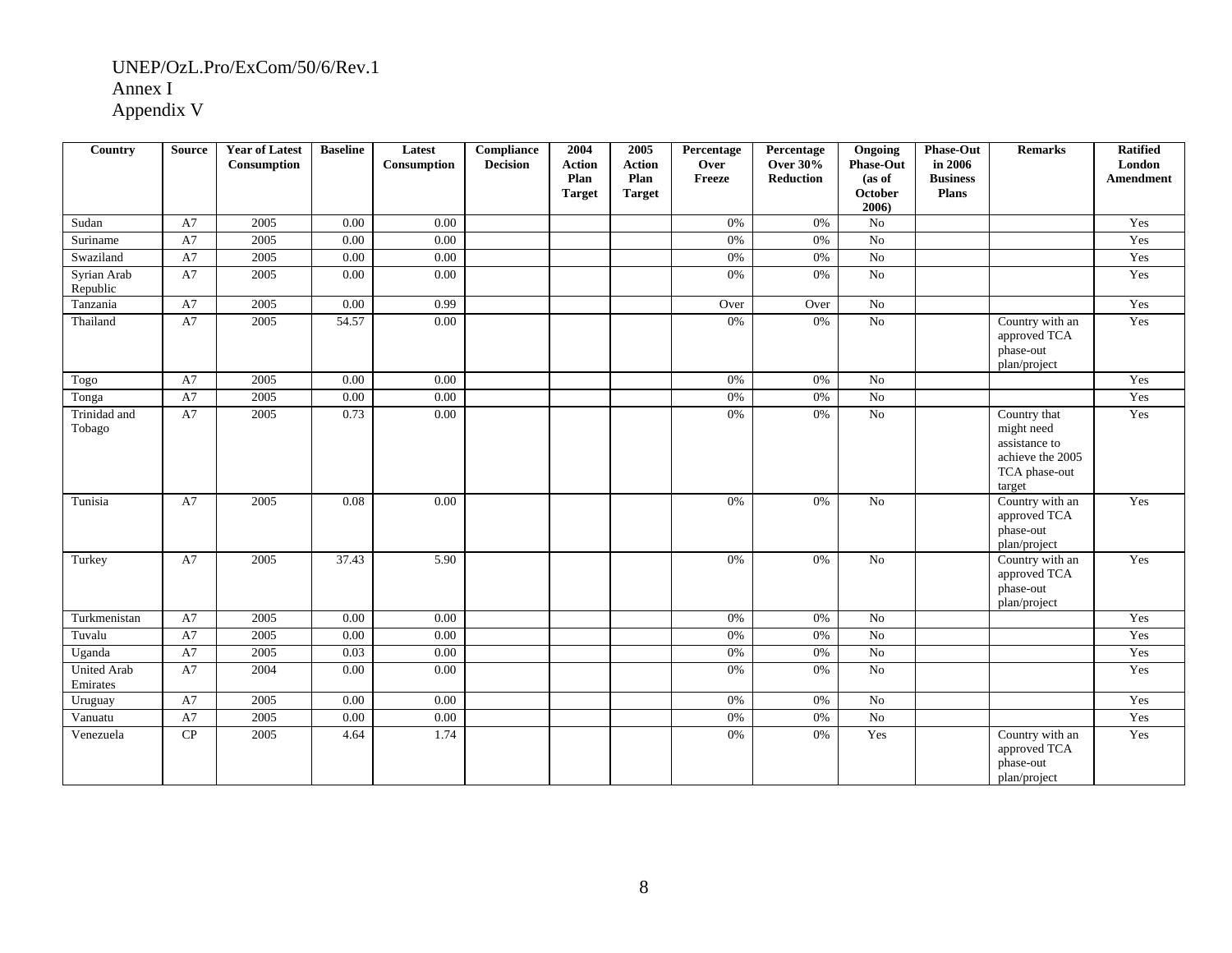| Country                        | <b>Source</b> | <b>Year of Latest</b><br>Consumption | <b>Baseline</b> | Latest<br>Consumption | Compliance<br><b>Decision</b> | 2004<br><b>Action</b><br>Plan<br><b>Target</b> | 2005<br><b>Action</b><br>Plan<br><b>Target</b> | Percentage<br>Over<br>Freeze | Percentage<br><b>Over 30%</b><br>Reduction | Ongoing<br><b>Phase-Out</b><br>(as of<br>October<br>2006) | <b>Phase-Out</b><br>in 2006<br><b>Business</b><br><b>Plans</b> | <b>Remarks</b>                                                                             | <b>Ratified</b><br>London<br><b>Amendment</b> |
|--------------------------------|---------------|--------------------------------------|-----------------|-----------------------|-------------------------------|------------------------------------------------|------------------------------------------------|------------------------------|--------------------------------------------|-----------------------------------------------------------|----------------------------------------------------------------|--------------------------------------------------------------------------------------------|-----------------------------------------------|
| Sudan                          | A7            | 2005                                 | 0.00            | $0.00\,$              |                               |                                                |                                                | 0%                           | 0%                                         | No                                                        |                                                                |                                                                                            | Yes                                           |
| Suriname                       | A7            | 2005                                 | 0.00            | 0.00                  |                               |                                                |                                                | 0%                           | 0%                                         | No                                                        |                                                                |                                                                                            | Yes                                           |
| Swaziland                      | A7            | 2005                                 | 0.00            | $0.00\,$              |                               |                                                |                                                | 0%                           | 0%                                         | $\rm No$                                                  |                                                                |                                                                                            | Yes                                           |
| Syrian Arab<br>Republic        | A7            | 2005                                 | 0.00            | 0.00                  |                               |                                                |                                                | 0%                           | 0%                                         | No                                                        |                                                                |                                                                                            | Yes                                           |
| Tanzania                       | A7            | 2005                                 | 0.00            | 0.99                  |                               |                                                |                                                | Over                         | Over                                       | No                                                        |                                                                |                                                                                            | Yes                                           |
| Thailand                       | A7            | 2005                                 | 54.57           | 0.00                  |                               |                                                |                                                | 0%                           | 0%                                         | No                                                        |                                                                | Country with an<br>approved TCA<br>phase-out<br>plan/project                               | Yes                                           |
| Togo                           | A7            | 2005                                 | 0.00            | 0.00                  |                               |                                                |                                                | 0%                           | 0%                                         | N <sub>0</sub>                                            |                                                                |                                                                                            | Yes                                           |
| Tonga                          | A7            | 2005                                 | 0.00            | $0.00\,$              |                               |                                                |                                                | 0%                           | 0%                                         | $\rm No$                                                  |                                                                |                                                                                            | Yes                                           |
| Trinidad and<br>Tobago         | A7            | 2005                                 | 0.73            | 0.00                  |                               |                                                |                                                | 0%                           | 0%                                         | No                                                        |                                                                | Country that<br>might need<br>assistance to<br>achieve the 2005<br>TCA phase-out<br>target | Yes                                           |
| Tunisia                        | A7            | 2005                                 | 0.08            | 0.00                  |                               |                                                |                                                | 0%                           | 0%                                         | No                                                        |                                                                | Country with an<br>approved TCA<br>phase-out<br>plan/project                               | Yes                                           |
| Turkey                         | A7            | 2005                                 | 37.43           | 5.90                  |                               |                                                |                                                | 0%                           | 0%                                         | $\rm No$                                                  |                                                                | Country with an<br>approved TCA<br>phase-out<br>plan/project                               | Yes                                           |
| Turkmenistan                   | A7            | 2005                                 | 0.00            | 0.00                  |                               |                                                |                                                | 0%                           | 0%                                         | No                                                        |                                                                |                                                                                            | Yes                                           |
| Tuvalu                         | A7            | 2005                                 | 0.00            | 0.00                  |                               |                                                |                                                | 0%                           | 0%                                         | No                                                        |                                                                |                                                                                            | Yes                                           |
| Uganda                         | A7            | 2005                                 | 0.03            | $\overline{0.00}$     |                               |                                                |                                                | 0%                           | $0\%$                                      | No                                                        |                                                                |                                                                                            | Yes                                           |
| <b>United Arab</b><br>Emirates | A7            | 2004                                 | 0.00            | 0.00                  |                               |                                                |                                                | 0%                           | 0%                                         | No                                                        |                                                                |                                                                                            | Yes                                           |
| Uruguay                        | A7            | 2005                                 | 0.00            | 0.00                  |                               |                                                |                                                | 0%                           | $0\%$                                      | No                                                        |                                                                |                                                                                            | Yes                                           |
| Vanuatu                        | A7            | 2005                                 | 0.00            | 0.00                  |                               |                                                |                                                | 0%                           | 0%                                         | $\overline{No}$                                           |                                                                |                                                                                            | Yes                                           |
| Venezuela                      | ${\bf CP}$    | 2005                                 | 4.64            | 1.74                  |                               |                                                |                                                | 0%                           | 0%                                         | Yes                                                       |                                                                | Country with an<br>approved TCA<br>phase-out<br>plan/project                               | Yes                                           |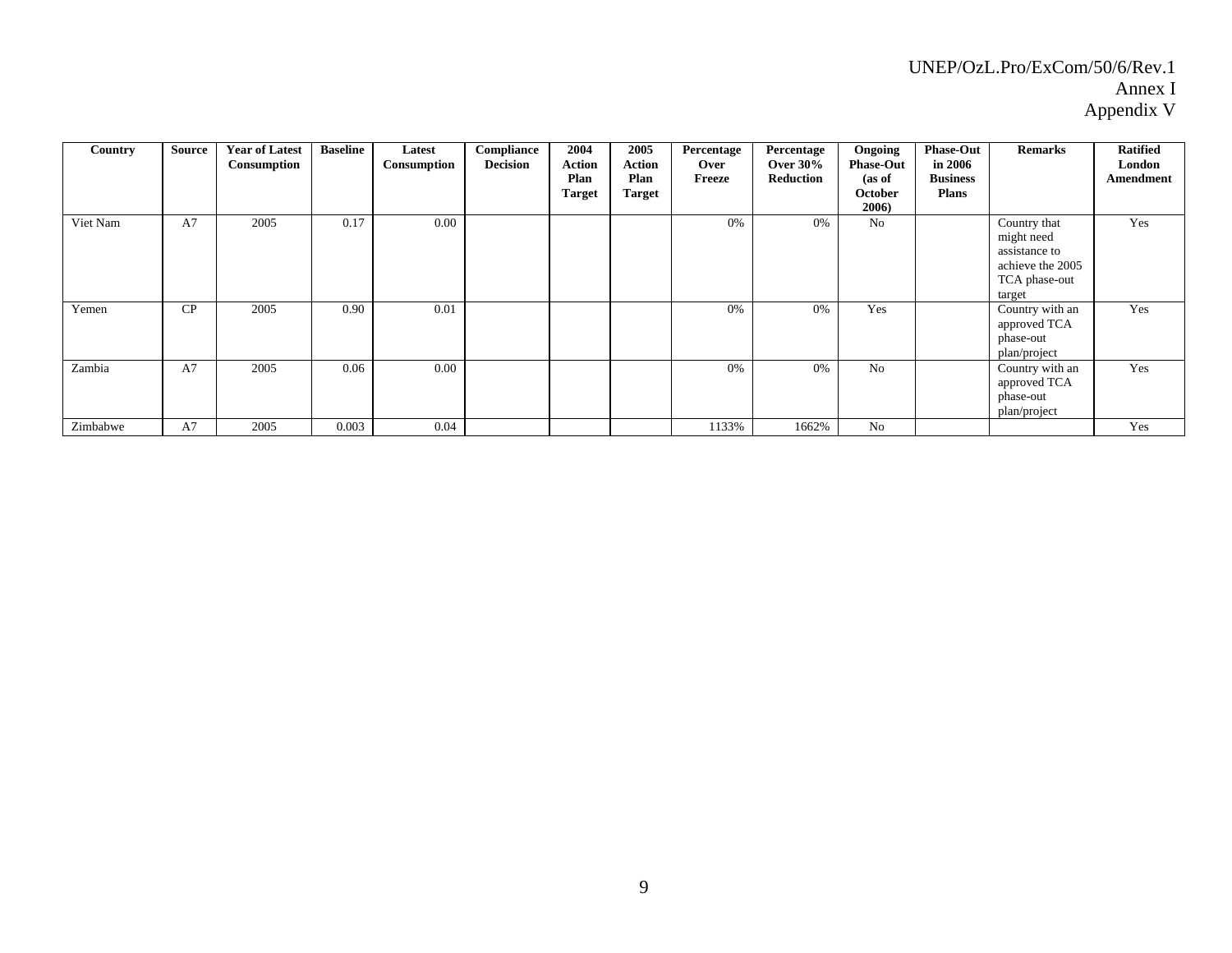| Country  | Source | <b>Year of Latest</b><br>Consumption | <b>Baseline</b> | Latest<br>Consumption | Compliance<br><b>Decision</b> | 2004<br><b>Action</b><br>Plan<br><b>Target</b> | 2005<br>Action<br>Plan<br><b>Target</b> | Percentage<br>Over<br>Freeze | Percentage<br>Over $30\%$<br>Reduction | Ongoing<br><b>Phase-Out</b><br>(as of<br>October<br>2006) | <b>Phase-Out</b><br>in 2006<br><b>Business</b><br><b>Plans</b> | <b>Remarks</b>                                                                             | <b>Ratified</b><br>London<br>Amendment |
|----------|--------|--------------------------------------|-----------------|-----------------------|-------------------------------|------------------------------------------------|-----------------------------------------|------------------------------|----------------------------------------|-----------------------------------------------------------|----------------------------------------------------------------|--------------------------------------------------------------------------------------------|----------------------------------------|
| Viet Nam | A7     | 2005                                 | 0.17            | 0.00                  |                               |                                                |                                         | 0%                           | 0%                                     | No                                                        |                                                                | Country that<br>might need<br>assistance to<br>achieve the 2005<br>TCA phase-out<br>target | Yes                                    |
| Yemen    | CP     | 2005                                 | 0.90            | 0.01                  |                               |                                                |                                         | 0%                           | 0%                                     | Yes                                                       |                                                                | Country with an<br>approved TCA<br>phase-out<br>plan/project                               | Yes                                    |
| Zambia   | A7     | 2005                                 | 0.06            | 0.00                  |                               |                                                |                                         | 0%                           | 0%                                     | N <sub>0</sub>                                            |                                                                | Country with an<br>approved TCA<br>phase-out<br>plan/project                               | Yes                                    |
| Zimbabwe | A7     | 2005                                 | 0.003           | 0.04                  |                               |                                                |                                         | 1133%                        | 1662%                                  | No                                                        |                                                                |                                                                                            | Yes                                    |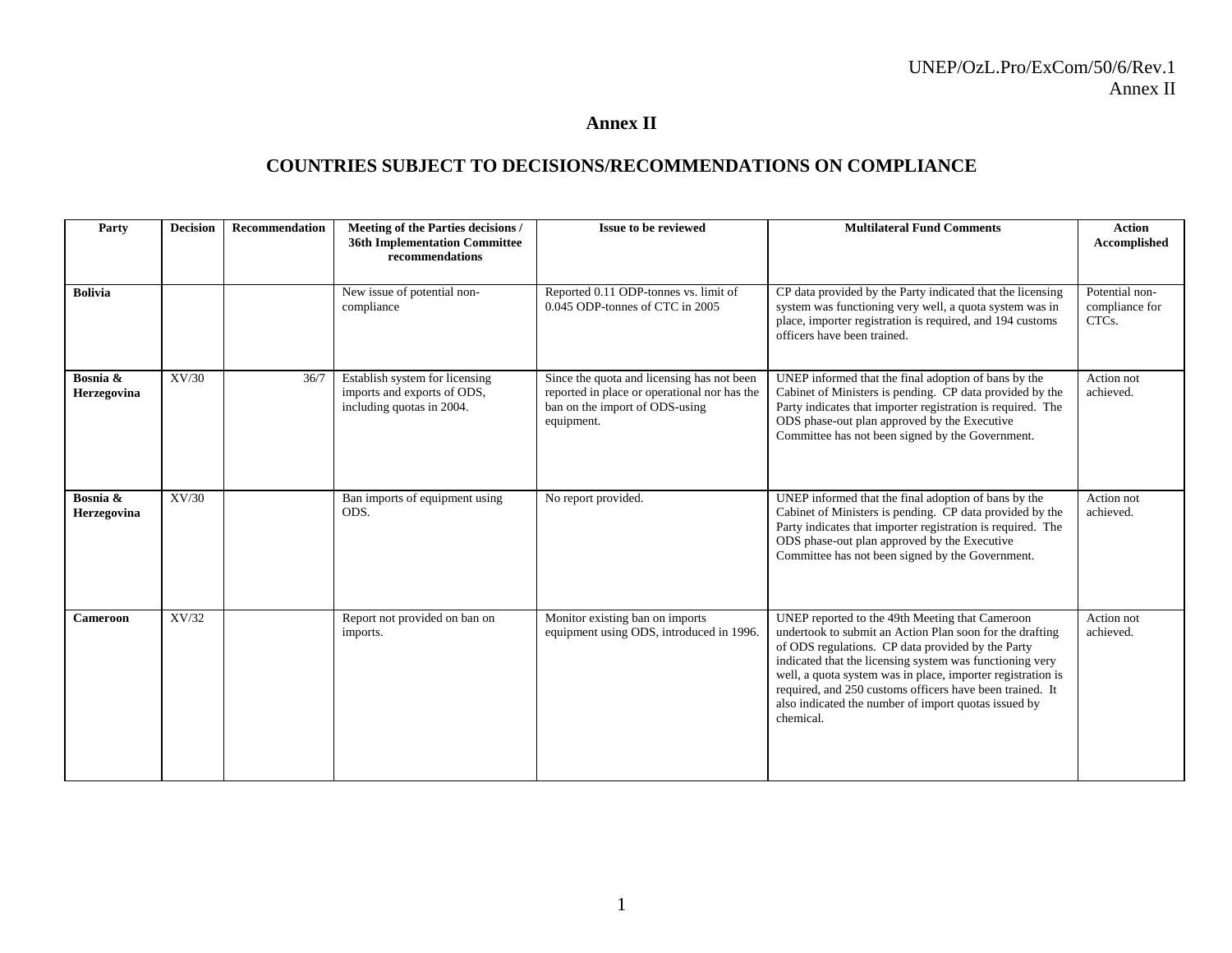#### **Annex II**

## **COUNTRIES SUBJECT TO DECISIONS/RECOMMENDATIONS ON COMPLIANCE**

| Party                   | <b>Decision</b> | Recommendation | Meeting of the Parties decisions /<br><b>36th Implementation Committee</b><br>recommendations | Issue to be reviewed                                                                                                                       | <b>Multilateral Fund Comments</b>                                                                                                                                                                                                                                                                                                                                                                                            | <b>Action</b><br>Accomplished             |
|-------------------------|-----------------|----------------|-----------------------------------------------------------------------------------------------|--------------------------------------------------------------------------------------------------------------------------------------------|------------------------------------------------------------------------------------------------------------------------------------------------------------------------------------------------------------------------------------------------------------------------------------------------------------------------------------------------------------------------------------------------------------------------------|-------------------------------------------|
| <b>Bolivia</b>          |                 |                | New issue of potential non-<br>compliance                                                     | Reported 0.11 ODP-tonnes vs. limit of<br>0.045 ODP-tonnes of CTC in 2005                                                                   | CP data provided by the Party indicated that the licensing<br>system was functioning very well, a quota system was in<br>place, importer registration is required, and 194 customs<br>officers have been trained.                                                                                                                                                                                                            | Potential non-<br>compliance for<br>CTCs. |
| Bosnia &<br>Herzegovina | XV/30           | 36/7           | Establish system for licensing<br>imports and exports of ODS,<br>including quotas in 2004.    | Since the quota and licensing has not been<br>reported in place or operational nor has the<br>ban on the import of ODS-using<br>equipment. | UNEP informed that the final adoption of bans by the<br>Cabinet of Ministers is pending. CP data provided by the<br>Party indicates that importer registration is required. The<br>ODS phase-out plan approved by the Executive<br>Committee has not been signed by the Government.                                                                                                                                          | Action not<br>achieved.                   |
| Bosnia &<br>Herzegovina | XV/30           |                | Ban imports of equipment using<br>ODS.                                                        | No report provided.                                                                                                                        | UNEP informed that the final adoption of bans by the<br>Cabinet of Ministers is pending. CP data provided by the<br>Party indicates that importer registration is required. The<br>ODS phase-out plan approved by the Executive<br>Committee has not been signed by the Government.                                                                                                                                          | Action not<br>achieved.                   |
| Cameroon                | XV/32           |                | Report not provided on ban on<br>imports.                                                     | Monitor existing ban on imports<br>equipment using ODS, introduced in 1996.                                                                | UNEP reported to the 49th Meeting that Cameroon<br>undertook to submit an Action Plan soon for the drafting<br>of ODS regulations. CP data provided by the Party<br>indicated that the licensing system was functioning very<br>well, a quota system was in place, importer registration is<br>required, and 250 customs officers have been trained. It<br>also indicated the number of import quotas issued by<br>chemical. | Action not<br>achieved.                   |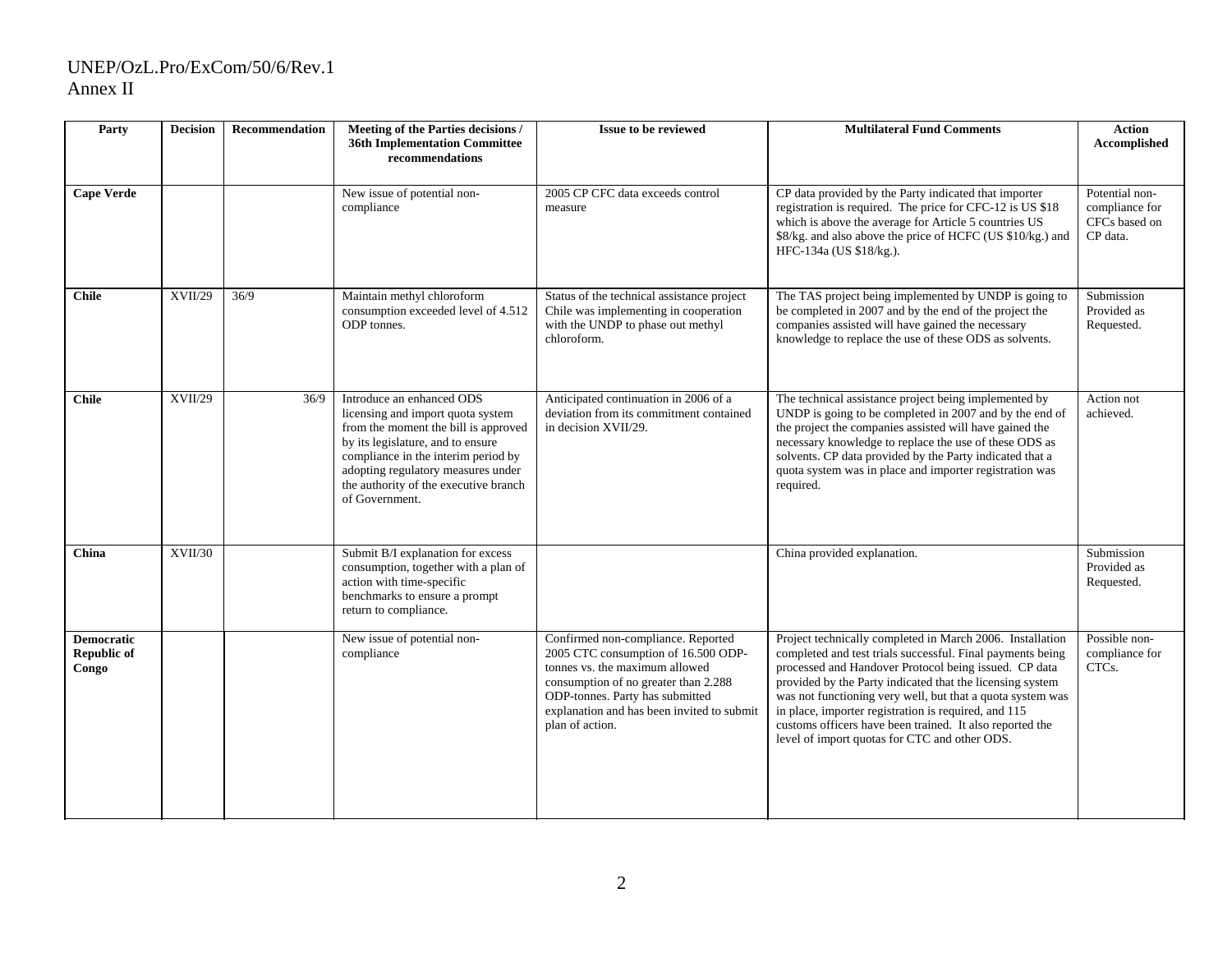#### UNEP/OzL.Pro/ExCom/50/6/Rev.1 Annex II

| Party                                            | <b>Decision</b> | <b>Recommendation</b> | Meeting of the Parties decisions /<br><b>36th Implementation Committee</b><br>recommendations                                                                                                                                                                                       | <b>Issue to be reviewed</b>                                                                                                                                                                                                                             | <b>Multilateral Fund Comments</b>                                                                                                                                                                                                                                                                                                                                                                                                                                                | <b>Action</b><br>Accomplished                                 |
|--------------------------------------------------|-----------------|-----------------------|-------------------------------------------------------------------------------------------------------------------------------------------------------------------------------------------------------------------------------------------------------------------------------------|---------------------------------------------------------------------------------------------------------------------------------------------------------------------------------------------------------------------------------------------------------|----------------------------------------------------------------------------------------------------------------------------------------------------------------------------------------------------------------------------------------------------------------------------------------------------------------------------------------------------------------------------------------------------------------------------------------------------------------------------------|---------------------------------------------------------------|
| <b>Cape Verde</b>                                |                 |                       | New issue of potential non-<br>compliance                                                                                                                                                                                                                                           | 2005 CP CFC data exceeds control<br>measure                                                                                                                                                                                                             | CP data provided by the Party indicated that importer<br>registration is required. The price for CFC-12 is US \$18<br>which is above the average for Article 5 countries US<br>\$8/kg. and also above the price of HCFC (US \$10/kg.) and<br>HFC-134a (US \$18/kg.).                                                                                                                                                                                                             | Potential non-<br>compliance for<br>CFCs based on<br>CP data. |
| <b>Chile</b>                                     | XVII/29         | 36/9                  | Maintain methyl chloroform<br>consumption exceeded level of 4.512<br>ODP tonnes.                                                                                                                                                                                                    | Status of the technical assistance project<br>Chile was implementing in cooperation<br>with the UNDP to phase out methyl<br>chloroform.                                                                                                                 | The TAS project being implemented by UNDP is going to<br>be completed in 2007 and by the end of the project the<br>companies assisted will have gained the necessary<br>knowledge to replace the use of these ODS as solvents.                                                                                                                                                                                                                                                   | Submission<br>Provided as<br>Requested.                       |
| <b>Chile</b>                                     | <b>XVII/29</b>  | 36/9                  | Introduce an enhanced ODS<br>licensing and import quota system<br>from the moment the bill is approved<br>by its legislature, and to ensure<br>compliance in the interim period by<br>adopting regulatory measures under<br>the authority of the executive branch<br>of Government. | Anticipated continuation in 2006 of a<br>deviation from its commitment contained<br>in decision XVII/29.                                                                                                                                                | The technical assistance project being implemented by<br>UNDP is going to be completed in 2007 and by the end of<br>the project the companies assisted will have gained the<br>necessary knowledge to replace the use of these ODS as<br>solvents. CP data provided by the Party indicated that a<br>quota system was in place and importer registration was<br>required.                                                                                                        | Action not<br>achieved.                                       |
| China                                            | XVII/30         |                       | Submit B/I explanation for excess<br>consumption, together with a plan of<br>action with time-specific<br>benchmarks to ensure a prompt<br>return to compliance.                                                                                                                    |                                                                                                                                                                                                                                                         | China provided explanation.                                                                                                                                                                                                                                                                                                                                                                                                                                                      | Submission<br>Provided as<br>Requested.                       |
| <b>Democratic</b><br><b>Republic of</b><br>Congo |                 |                       | New issue of potential non-<br>compliance                                                                                                                                                                                                                                           | Confirmed non-compliance. Reported<br>2005 CTC consumption of 16.500 ODP-<br>tonnes vs. the maximum allowed<br>consumption of no greater than 2.288<br>ODP-tonnes. Party has submitted<br>explanation and has been invited to submit<br>plan of action. | Project technically completed in March 2006. Installation<br>completed and test trials successful. Final payments being<br>processed and Handover Protocol being issued. CP data<br>provided by the Party indicated that the licensing system<br>was not functioning very well, but that a quota system was<br>in place, importer registration is required, and 115<br>customs officers have been trained. It also reported the<br>level of import quotas for CTC and other ODS. | Possible non-<br>compliance for<br>CTCs.                      |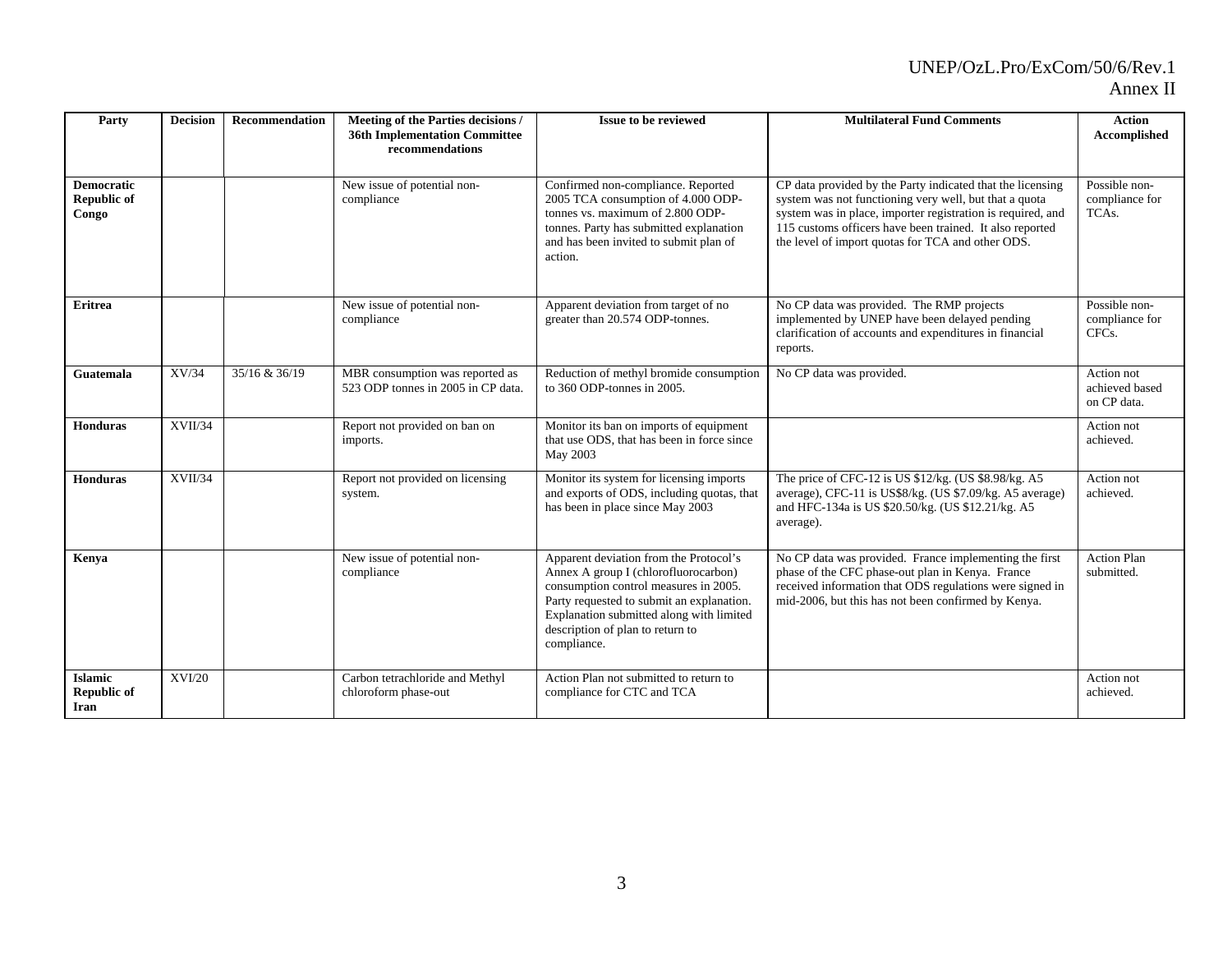## UNEP/OzL.Pro/ExCom/50/6/Rev.1

#### Annex II

| Party                                            | <b>Decision</b> | <b>Recommendation</b> | Meeting of the Parties decisions /<br><b>36th Implementation Committee</b><br>recommendations | <b>Issue to be reviewed</b>                                                                                                                                                                                                                                         | <b>Multilateral Fund Comments</b>                                                                                                                                                                                                                                                                    | <b>Action</b><br>Accomplished                         |
|--------------------------------------------------|-----------------|-----------------------|-----------------------------------------------------------------------------------------------|---------------------------------------------------------------------------------------------------------------------------------------------------------------------------------------------------------------------------------------------------------------------|------------------------------------------------------------------------------------------------------------------------------------------------------------------------------------------------------------------------------------------------------------------------------------------------------|-------------------------------------------------------|
| <b>Democratic</b><br><b>Republic of</b><br>Congo |                 |                       | New issue of potential non-<br>compliance                                                     | Confirmed non-compliance. Reported<br>2005 TCA consumption of 4.000 ODP-<br>tonnes vs. maximum of 2.800 ODP-<br>tonnes. Party has submitted explanation<br>and has been invited to submit plan of<br>action.                                                        | CP data provided by the Party indicated that the licensing<br>system was not functioning very well, but that a quota<br>system was in place, importer registration is required, and<br>115 customs officers have been trained. It also reported<br>the level of import quotas for TCA and other ODS. | Possible non-<br>compliance for<br>TCA <sub>s</sub> . |
| <b>Eritrea</b>                                   |                 |                       | New issue of potential non-<br>compliance                                                     | Apparent deviation from target of no<br>greater than 20.574 ODP-tonnes.                                                                                                                                                                                             | No CP data was provided. The RMP projects<br>implemented by UNEP have been delayed pending<br>clarification of accounts and expenditures in financial<br>reports.                                                                                                                                    | Possible non-<br>compliance for<br>CFC <sub>s</sub> . |
| Guatemala                                        | XV/34           | 35/16 & 36/19         | MBR consumption was reported as<br>523 ODP tonnes in 2005 in CP data.                         | Reduction of methyl bromide consumption<br>to 360 ODP-tonnes in 2005.                                                                                                                                                                                               | No CP data was provided.                                                                                                                                                                                                                                                                             | Action not<br>achieved based<br>on CP data.           |
| <b>Honduras</b>                                  | XVII/34         |                       | Report not provided on ban on<br>imports.                                                     | Monitor its ban on imports of equipment<br>that use ODS, that has been in force since<br>May 2003                                                                                                                                                                   |                                                                                                                                                                                                                                                                                                      | Action not<br>achieved.                               |
| <b>Honduras</b>                                  | XVII/34         |                       | Report not provided on licensing<br>system.                                                   | Monitor its system for licensing imports<br>and exports of ODS, including quotas, that<br>has been in place since May 2003                                                                                                                                          | The price of CFC-12 is US \$12/kg. (US \$8.98/kg. A5<br>average), CFC-11 is US\$8/kg. (US \$7.09/kg. A5 average)<br>and HFC-134a is US \$20.50/kg. (US \$12.21/kg. A5<br>average).                                                                                                                   | Action not<br>achieved.                               |
| Kenya                                            |                 |                       | New issue of potential non-<br>compliance                                                     | Apparent deviation from the Protocol's<br>Annex A group I (chlorofluorocarbon)<br>consumption control measures in 2005.<br>Party requested to submit an explanation.<br>Explanation submitted along with limited<br>description of plan to return to<br>compliance. | No CP data was provided. France implementing the first<br>phase of the CFC phase-out plan in Kenya. France<br>received information that ODS regulations were signed in<br>mid-2006, but this has not been confirmed by Kenya.                                                                        | <b>Action Plan</b><br>submitted.                      |
| <b>Islamic</b><br><b>Republic of</b><br>Iran     | <b>XVI/20</b>   |                       | Carbon tetrachloride and Methyl<br>chloroform phase-out                                       | Action Plan not submitted to return to<br>compliance for CTC and TCA                                                                                                                                                                                                |                                                                                                                                                                                                                                                                                                      | Action not<br>achieved.                               |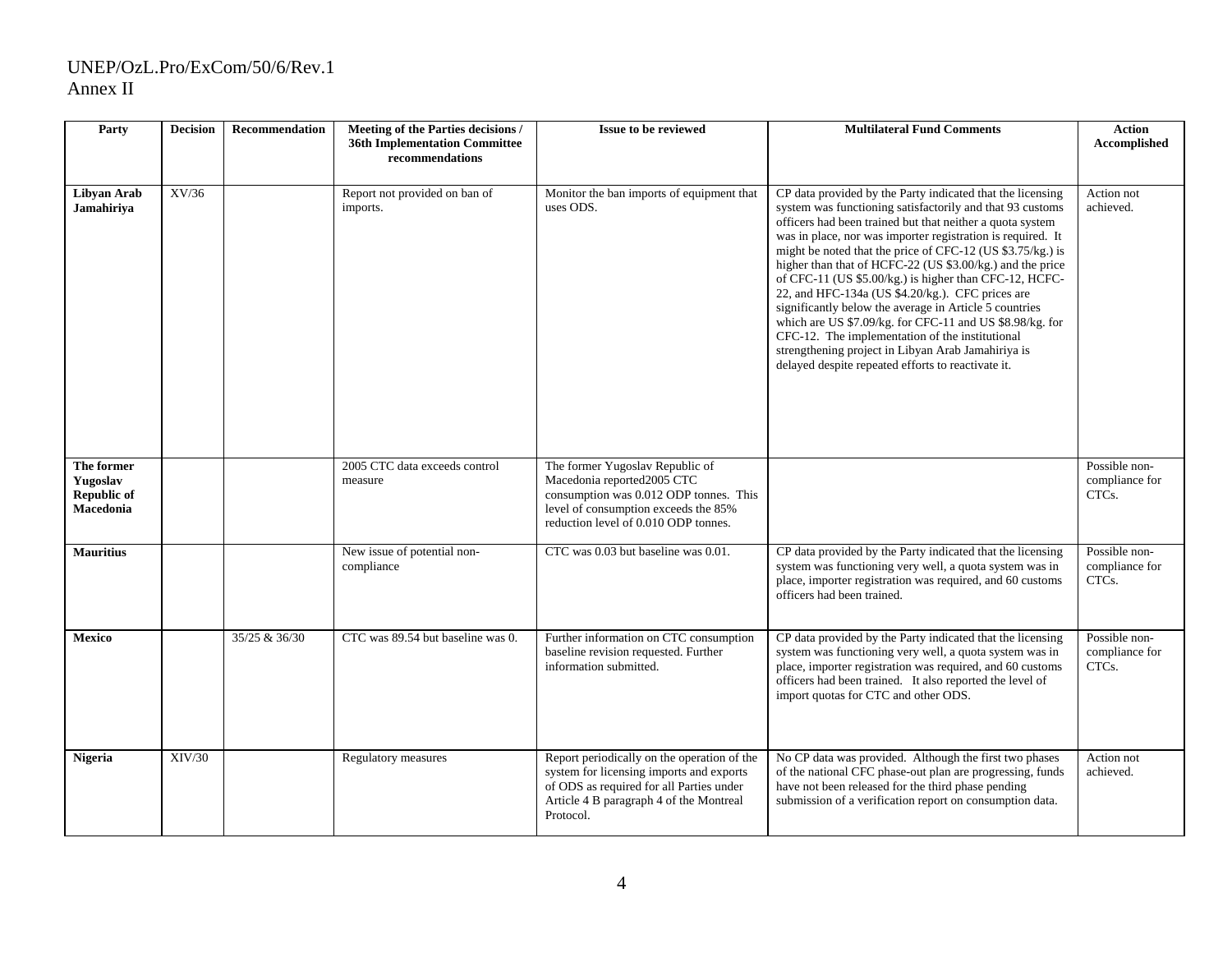#### UNEP/OzL.Pro/ExCom/50/6/Rev.1 Annex II

| Party                                              | <b>Decision</b> | <b>Recommendation</b> | Meeting of the Parties decisions /<br><b>36th Implementation Committee</b><br>recommendations | <b>Issue to be reviewed</b>                                                                                                                                                                 | <b>Multilateral Fund Comments</b>                                                                                                                                                                                                                                                                                                                                                                                                                                                                                                                                                                                                                                                                                                                                                 | <b>Action</b><br>Accomplished            |
|----------------------------------------------------|-----------------|-----------------------|-----------------------------------------------------------------------------------------------|---------------------------------------------------------------------------------------------------------------------------------------------------------------------------------------------|-----------------------------------------------------------------------------------------------------------------------------------------------------------------------------------------------------------------------------------------------------------------------------------------------------------------------------------------------------------------------------------------------------------------------------------------------------------------------------------------------------------------------------------------------------------------------------------------------------------------------------------------------------------------------------------------------------------------------------------------------------------------------------------|------------------------------------------|
| Libyan Arab<br>Jamahiriya                          | XV/36           |                       | Report not provided on ban of<br>imports.                                                     | Monitor the ban imports of equipment that<br>uses ODS.                                                                                                                                      | CP data provided by the Party indicated that the licensing<br>system was functioning satisfactorily and that 93 customs<br>officers had been trained but that neither a quota system<br>was in place, nor was importer registration is required. It<br>might be noted that the price of CFC-12 (US \$3.75/kg.) is<br>higher than that of HCFC-22 (US \$3.00/kg.) and the price<br>of CFC-11 (US \$5.00/kg.) is higher than CFC-12, HCFC-<br>22, and HFC-134a (US \$4.20/kg.). CFC prices are<br>significantly below the average in Article 5 countries<br>which are US \$7.09/kg. for CFC-11 and US \$8.98/kg. for<br>CFC-12. The implementation of the institutional<br>strengthening project in Libyan Arab Jamahiriya is<br>delayed despite repeated efforts to reactivate it. | Action not<br>achieved.                  |
| The former<br>Yugoslav<br>Republic of<br>Macedonia |                 |                       | 2005 CTC data exceeds control<br>measure                                                      | The former Yugoslav Republic of<br>Macedonia reported2005 CTC<br>consumption was 0.012 ODP tonnes. This<br>level of consumption exceeds the 85%<br>reduction level of 0.010 ODP tonnes.     |                                                                                                                                                                                                                                                                                                                                                                                                                                                                                                                                                                                                                                                                                                                                                                                   | Possible non-<br>compliance for<br>CTCs. |
| <b>Mauritius</b>                                   |                 |                       | New issue of potential non-<br>compliance                                                     | CTC was 0.03 but baseline was 0.01.                                                                                                                                                         | CP data provided by the Party indicated that the licensing<br>system was functioning very well, a quota system was in<br>place, importer registration was required, and 60 customs<br>officers had been trained.                                                                                                                                                                                                                                                                                                                                                                                                                                                                                                                                                                  | Possible non-<br>compliance for<br>CTCs. |
| <b>Mexico</b>                                      |                 | 35/25 & 36/30         | CTC was 89.54 but baseline was 0.                                                             | Further information on CTC consumption<br>baseline revision requested. Further<br>information submitted.                                                                                    | CP data provided by the Party indicated that the licensing<br>system was functioning very well, a quota system was in<br>place, importer registration was required, and 60 customs<br>officers had been trained. It also reported the level of<br>import quotas for CTC and other ODS.                                                                                                                                                                                                                                                                                                                                                                                                                                                                                            | Possible non-<br>compliance for<br>CTCs. |
| <b>Nigeria</b>                                     | XIV/30          |                       | Regulatory measures                                                                           | Report periodically on the operation of the<br>system for licensing imports and exports<br>of ODS as required for all Parties under<br>Article 4 B paragraph 4 of the Montreal<br>Protocol. | No CP data was provided. Although the first two phases<br>of the national CFC phase-out plan are progressing, funds<br>have not been released for the third phase pending<br>submission of a verification report on consumption data.                                                                                                                                                                                                                                                                                                                                                                                                                                                                                                                                             | Action not<br>achieved.                  |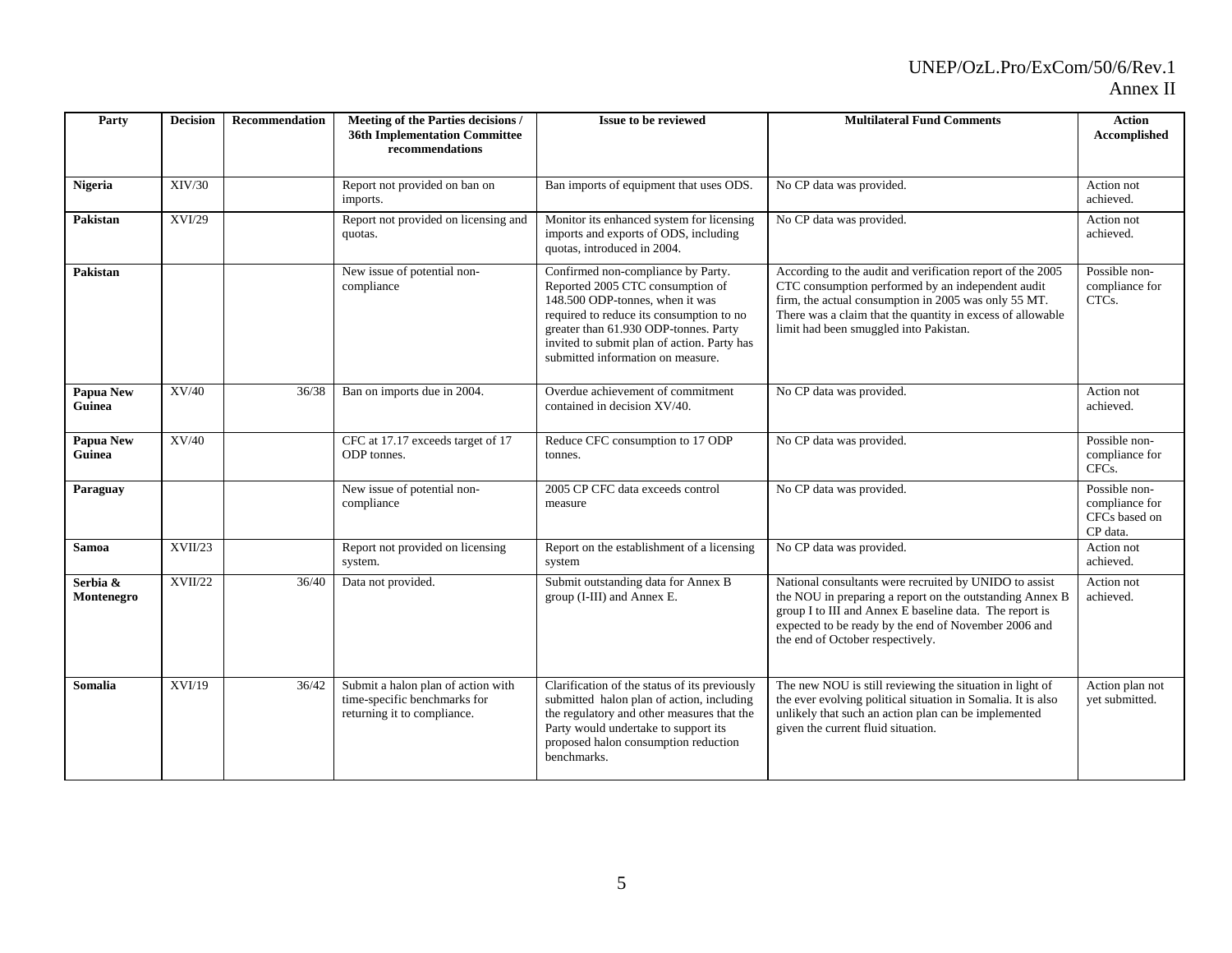# UNEP/OzL.Pro/ExCom/50/6/Rev.1

#### Annex II

| Party                      | <b>Decision</b> | Recommendation | Meeting of the Parties decisions /<br><b>36th Implementation Committee</b><br>recommendations     | Issue to be reviewed                                                                                                                                                                                                                                                               | <b>Multilateral Fund Comments</b>                                                                                                                                                                                                                                               | <b>Action</b><br>Accomplished                                |
|----------------------------|-----------------|----------------|---------------------------------------------------------------------------------------------------|------------------------------------------------------------------------------------------------------------------------------------------------------------------------------------------------------------------------------------------------------------------------------------|---------------------------------------------------------------------------------------------------------------------------------------------------------------------------------------------------------------------------------------------------------------------------------|--------------------------------------------------------------|
| <b>Nigeria</b>             | XIV/30          |                | Report not provided on ban on<br>imports.                                                         | Ban imports of equipment that uses ODS.                                                                                                                                                                                                                                            | No CP data was provided.                                                                                                                                                                                                                                                        | Action not<br>achieved.                                      |
| Pakistan                   | <b>XVI/29</b>   |                | Report not provided on licensing and<br>quotas.                                                   | Monitor its enhanced system for licensing<br>imports and exports of ODS, including<br>quotas, introduced in 2004.                                                                                                                                                                  | No CP data was provided.                                                                                                                                                                                                                                                        | Action not<br>achieved.                                      |
| Pakistan                   |                 |                | New issue of potential non-<br>compliance                                                         | Confirmed non-compliance by Party.<br>Reported 2005 CTC consumption of<br>148.500 ODP-tonnes, when it was<br>required to reduce its consumption to no<br>greater than 61.930 ODP-tonnes. Party<br>invited to submit plan of action. Party has<br>submitted information on measure. | According to the audit and verification report of the 2005<br>CTC consumption performed by an independent audit<br>firm, the actual consumption in 2005 was only 55 MT.<br>There was a claim that the quantity in excess of allowable<br>limit had been smuggled into Pakistan. | Possible non-<br>compliance for<br>CTCs.                     |
| <b>Papua New</b><br>Guinea | XV/40           | 36/38          | Ban on imports due in 2004.                                                                       | Overdue achievement of commitment<br>contained in decision XV/40.                                                                                                                                                                                                                  | No CP data was provided.                                                                                                                                                                                                                                                        | Action not<br>achieved.                                      |
| Papua New<br>Guinea        | XV/40           |                | CFC at 17.17 exceeds target of 17<br>ODP tonnes.                                                  | Reduce CFC consumption to 17 ODP<br>tonnes.                                                                                                                                                                                                                                        | No CP data was provided.                                                                                                                                                                                                                                                        | Possible non-<br>compliance for<br>CFC <sub>s</sub> .        |
| Paraguay                   |                 |                | New issue of potential non-<br>compliance                                                         | 2005 CP CFC data exceeds control<br>measure                                                                                                                                                                                                                                        | No CP data was provided.                                                                                                                                                                                                                                                        | Possible non-<br>compliance for<br>CFCs based on<br>CP data. |
| <b>Samoa</b>               | XVII/23         |                | Report not provided on licensing<br>system.                                                       | Report on the establishment of a licensing<br>system                                                                                                                                                                                                                               | No CP data was provided.                                                                                                                                                                                                                                                        | Action not<br>achieved.                                      |
| Serbia &<br>Montenegro     | XVII/22         | 36/40          | Data not provided.                                                                                | Submit outstanding data for Annex B<br>group (I-III) and Annex E.                                                                                                                                                                                                                  | National consultants were recruited by UNIDO to assist<br>the NOU in preparing a report on the outstanding Annex B<br>group I to III and Annex E baseline data. The report is<br>expected to be ready by the end of November 2006 and<br>the end of October respectively.       | Action not<br>achieved.                                      |
| <b>Somalia</b>             | XVI/19          | 36/42          | Submit a halon plan of action with<br>time-specific benchmarks for<br>returning it to compliance. | Clarification of the status of its previously<br>submitted halon plan of action, including<br>the regulatory and other measures that the<br>Party would undertake to support its<br>proposed halon consumption reduction<br>benchmarks.                                            | The new NOU is still reviewing the situation in light of<br>the ever evolving political situation in Somalia. It is also<br>unlikely that such an action plan can be implemented<br>given the current fluid situation.                                                          | Action plan not<br>vet submitted.                            |